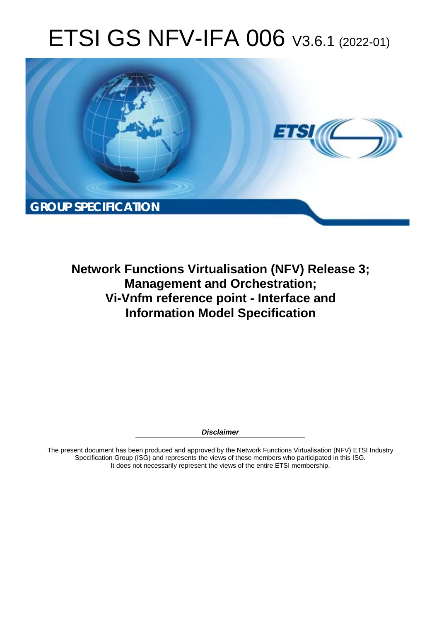# ETSI GS NFV-IFA 006 V3.6.1 (2022-01)



**Network Functions Virtualisation (NFV) Release 3; Management and Orchestration; Vi-Vnfm reference point - Interface and Information Model Specification** 

*Disclaimer* 

The present document has been produced and approved by the Network Functions Virtualisation (NFV) ETSI Industry Specification Group (ISG) and represents the views of those members who participated in this ISG. It does not necessarily represent the views of the entire ETSI membership.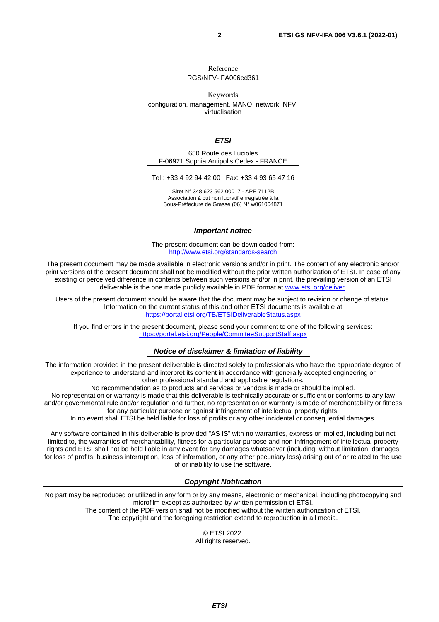Reference

RGS/NFV-IFA006ed361

Keywords configuration, management, MANO, network, NFV, virtualisation

#### *ETSI*

650 Route des Lucioles F-06921 Sophia Antipolis Cedex - FRANCE

Tel.: +33 4 92 94 42 00 Fax: +33 4 93 65 47 16

Siret N° 348 623 562 00017 - APE 7112B Association à but non lucratif enregistrée à la Sous-Préfecture de Grasse (06) N° w061004871

#### *Important notice*

The present document can be downloaded from: <http://www.etsi.org/standards-search>

The present document may be made available in electronic versions and/or in print. The content of any electronic and/or print versions of the present document shall not be modified without the prior written authorization of ETSI. In case of any existing or perceived difference in contents between such versions and/or in print, the prevailing version of an ETSI deliverable is the one made publicly available in PDF format at [www.etsi.org/deliver](http://www.etsi.org/deliver).

Users of the present document should be aware that the document may be subject to revision or change of status. Information on the current status of this and other ETSI documents is available at <https://portal.etsi.org/TB/ETSIDeliverableStatus.aspx>

If you find errors in the present document, please send your comment to one of the following services: <https://portal.etsi.org/People/CommiteeSupportStaff.aspx>

#### *Notice of disclaimer & limitation of liability*

The information provided in the present deliverable is directed solely to professionals who have the appropriate degree of experience to understand and interpret its content in accordance with generally accepted engineering or other professional standard and applicable regulations.

No recommendation as to products and services or vendors is made or should be implied.

No representation or warranty is made that this deliverable is technically accurate or sufficient or conforms to any law and/or governmental rule and/or regulation and further, no representation or warranty is made of merchantability or fitness for any particular purpose or against infringement of intellectual property rights.

In no event shall ETSI be held liable for loss of profits or any other incidental or consequential damages.

Any software contained in this deliverable is provided "AS IS" with no warranties, express or implied, including but not limited to, the warranties of merchantability, fitness for a particular purpose and non-infringement of intellectual property rights and ETSI shall not be held liable in any event for any damages whatsoever (including, without limitation, damages for loss of profits, business interruption, loss of information, or any other pecuniary loss) arising out of or related to the use of or inability to use the software.

#### *Copyright Notification*

No part may be reproduced or utilized in any form or by any means, electronic or mechanical, including photocopying and microfilm except as authorized by written permission of ETSI. The content of the PDF version shall not be modified without the written authorization of ETSI.

The copyright and the foregoing restriction extend to reproduction in all media.

© ETSI 2022. All rights reserved.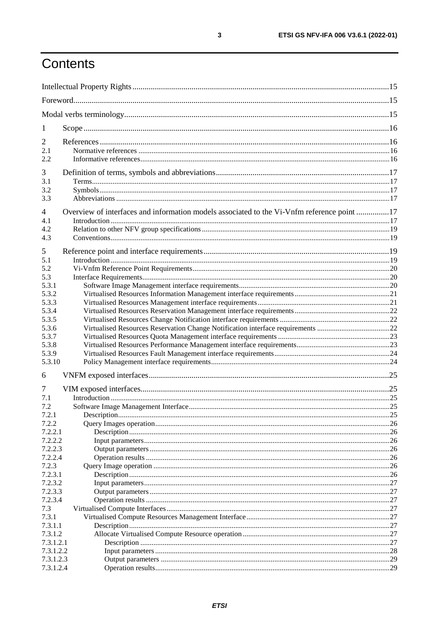# Contents

| 1                     |                                                                                            |    |
|-----------------------|--------------------------------------------------------------------------------------------|----|
| 2                     |                                                                                            |    |
| 2.1                   |                                                                                            |    |
| 2.2                   |                                                                                            |    |
| 3                     |                                                                                            |    |
| 3.1                   |                                                                                            |    |
| 3.2                   |                                                                                            |    |
| 3.3                   |                                                                                            |    |
| $\overline{4}$<br>4.1 | Overview of interfaces and information models associated to the Vi-Vnfm reference point 17 |    |
| 4.2                   |                                                                                            |    |
| 4.3                   |                                                                                            |    |
|                       |                                                                                            |    |
| 5                     |                                                                                            |    |
| 5.1<br>5.2            |                                                                                            |    |
| 5.3                   |                                                                                            |    |
| 5.3.1                 |                                                                                            |    |
| 5.3.2                 |                                                                                            |    |
| 5.3.3                 |                                                                                            |    |
| 5.3.4                 |                                                                                            |    |
| 5.3.5                 |                                                                                            |    |
| 5.3.6                 |                                                                                            |    |
| 5.3.7                 |                                                                                            |    |
| 5.3.8<br>5.3.9        |                                                                                            |    |
| 5.3.10                |                                                                                            |    |
|                       |                                                                                            |    |
| 6                     |                                                                                            |    |
| 7                     |                                                                                            |    |
| 7.1<br>7.2            |                                                                                            |    |
| 7.2.1                 |                                                                                            |    |
| 7.2.2                 |                                                                                            |    |
| 7.2.2.1               |                                                                                            |    |
| 7.2.2.2               |                                                                                            | 26 |
| 7.2.2.3               |                                                                                            |    |
| 7.2.2.4               |                                                                                            |    |
| 7.2.3                 |                                                                                            |    |
| 7.2.3.1               |                                                                                            |    |
| 7.2.3.2<br>7.2.3.3    |                                                                                            |    |
| 7.2.3.4               |                                                                                            |    |
| 7.3                   |                                                                                            |    |
| 7.3.1                 |                                                                                            |    |
| 7.3.1.1               |                                                                                            |    |
| 7.3.1.2               |                                                                                            |    |
| 7.3.1.2.1             |                                                                                            |    |
| 7.3.1.2.2             |                                                                                            |    |
| 7.3.1.2.3             |                                                                                            |    |
| 7.3.1.2.4             |                                                                                            |    |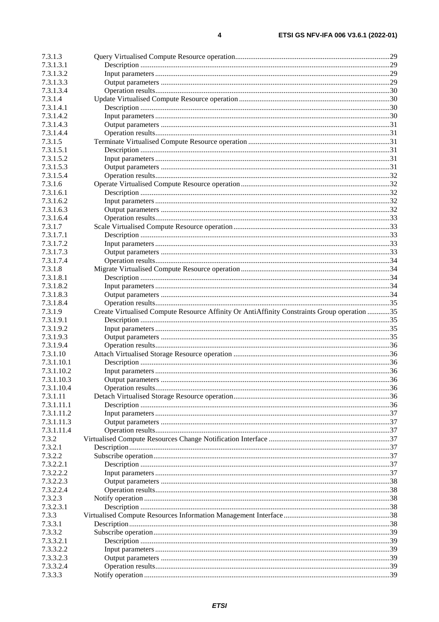| 7.3.1.3.1            |                                                                                             |  |
|----------------------|---------------------------------------------------------------------------------------------|--|
| 7.3.1.3.2            |                                                                                             |  |
| 7.3.1.3.3            |                                                                                             |  |
| 7.3.1.3.4            |                                                                                             |  |
|                      |                                                                                             |  |
| 7.3.1.4              |                                                                                             |  |
| 7.3.1.4.1            |                                                                                             |  |
| 7.3.1.4.2            |                                                                                             |  |
| 7.3.1.4.3            |                                                                                             |  |
| 7.3.1.4.4            |                                                                                             |  |
| 7.3.1.5              |                                                                                             |  |
| 7.3.1.5.1            |                                                                                             |  |
| 7.3.1.5.2            |                                                                                             |  |
| 7.3.1.5.3            |                                                                                             |  |
| 7.3.1.5.4            |                                                                                             |  |
| 7.3.1.6              |                                                                                             |  |
| 7.3.1.6.1            |                                                                                             |  |
| 7.3.1.6.2            |                                                                                             |  |
| 7.3.1.6.3            |                                                                                             |  |
| 7.3.1.6.4            |                                                                                             |  |
| 7.3.1.7              |                                                                                             |  |
| 7.3.1.7.1            |                                                                                             |  |
| 7.3.1.7.2            |                                                                                             |  |
|                      |                                                                                             |  |
| 7.3.1.7.3            |                                                                                             |  |
| 7.3.1.7.4            |                                                                                             |  |
| 7.3.1.8              |                                                                                             |  |
| 7.3.1.8.1            |                                                                                             |  |
| 7.3.1.8.2            |                                                                                             |  |
| 7.3.1.8.3            |                                                                                             |  |
| 7.3.1.8.4            |                                                                                             |  |
| 7.3.1.9              | Create Virtualised Compute Resource Affinity Or AntiAffinity Constraints Group operation 35 |  |
| 7.3.1.9.1            |                                                                                             |  |
| 7.3.1.9.2            |                                                                                             |  |
| 7.3.1.9.3            |                                                                                             |  |
| 7.3.1.9.4            |                                                                                             |  |
| 7.3.1.10             |                                                                                             |  |
| 7.3.1.10.1           |                                                                                             |  |
| 7.3.1.10.2           |                                                                                             |  |
|                      |                                                                                             |  |
| 7.3.1.10.3           |                                                                                             |  |
| 7.3.1.10.4           |                                                                                             |  |
|                      |                                                                                             |  |
| 7.3.1.11             |                                                                                             |  |
| 7.3.1.11.1           |                                                                                             |  |
| 7.3.1.11.2           |                                                                                             |  |
| 7.3.1.11.3           |                                                                                             |  |
| 7.3.1.11.4           |                                                                                             |  |
| 7.3.2                |                                                                                             |  |
| 7.3.2.1              |                                                                                             |  |
| 7.3.2.2              |                                                                                             |  |
| 7.3.2.2.1            |                                                                                             |  |
| 7.3.2.2.2            |                                                                                             |  |
| 7.3.2.2.3            |                                                                                             |  |
| 7.3.2.2.4            |                                                                                             |  |
| 7.3.2.3              |                                                                                             |  |
| 7.3.2.3.1            |                                                                                             |  |
| 7.3.3                |                                                                                             |  |
| 7.3.3.1              |                                                                                             |  |
| 7.3.3.2              |                                                                                             |  |
| 7.3.3.2.1            |                                                                                             |  |
| 7.3.3.2.2            |                                                                                             |  |
| 7.3.3.2.3            |                                                                                             |  |
| 7.3.3.2.4<br>7.3.3.3 |                                                                                             |  |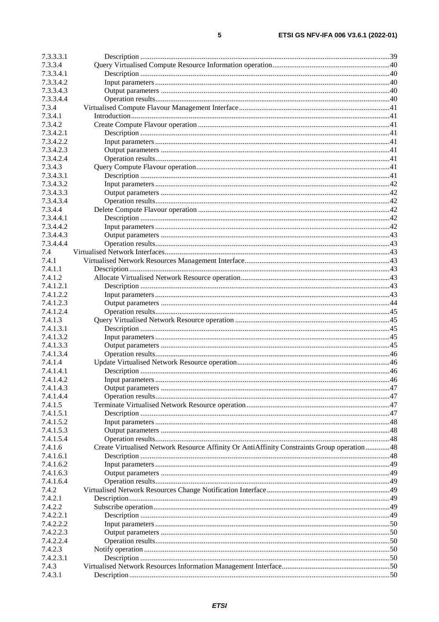| 7.3.3.3.1 |                                                                                            |  |
|-----------|--------------------------------------------------------------------------------------------|--|
| 7.3.3.4   |                                                                                            |  |
| 7.3.3.4.1 |                                                                                            |  |
| 7.3.3.4.2 |                                                                                            |  |
| 7.3.3.4.3 |                                                                                            |  |
| 7.3.3.4.4 |                                                                                            |  |
| 7.3.4     |                                                                                            |  |
| 7.3.4.1   |                                                                                            |  |
| 7.3.4.2   |                                                                                            |  |
| 7.3.4.2.1 |                                                                                            |  |
| 7.3.4.2.2 |                                                                                            |  |
| 7.3.4.2.3 |                                                                                            |  |
| 7.3.4.2.4 |                                                                                            |  |
| 7.3.4.3   |                                                                                            |  |
| 7.3.4.3.1 |                                                                                            |  |
| 7.3.4.3.2 |                                                                                            |  |
|           |                                                                                            |  |
| 7.3.4.3.3 |                                                                                            |  |
| 7.3.4.3.4 |                                                                                            |  |
| 7.3.4.4   |                                                                                            |  |
| 7.3.4.4.1 |                                                                                            |  |
| 7.3.4.4.2 |                                                                                            |  |
| 7.3.4.4.3 |                                                                                            |  |
| 7.3.4.4.4 |                                                                                            |  |
| 7.4       |                                                                                            |  |
| 7.4.1     |                                                                                            |  |
| 7.4.1.1   |                                                                                            |  |
| 7.4.1.2   |                                                                                            |  |
| 7.4.1.2.1 |                                                                                            |  |
| 7.4.1.2.2 |                                                                                            |  |
| 7.4.1.2.3 |                                                                                            |  |
| 7.4.1.2.4 |                                                                                            |  |
| 7.4.1.3   |                                                                                            |  |
| 7.4.1.3.1 |                                                                                            |  |
| 7.4.1.3.2 |                                                                                            |  |
| 7.4.1.3.3 |                                                                                            |  |
| 7.4.1.3.4 |                                                                                            |  |
| 7.4.1.4   |                                                                                            |  |
| 7.4.1.4.1 |                                                                                            |  |
| 7.4.1.4.2 |                                                                                            |  |
| 7.4.1.4.3 |                                                                                            |  |
| 7.4.1.4.4 |                                                                                            |  |
| 7.4.1.5   |                                                                                            |  |
| 7.4.1.5.1 |                                                                                            |  |
| 7.4.1.5.2 |                                                                                            |  |
| 7.4.1.5.3 |                                                                                            |  |
| 7.4.1.5.4 |                                                                                            |  |
| 7.4.1.6   | Create Virtualised Network Resource Affinity Or AntiAffinity Constraints Group operation48 |  |
| 7.4.1.6.1 |                                                                                            |  |
| 7.4.1.6.2 |                                                                                            |  |
| 7.4.1.6.3 |                                                                                            |  |
| 7.4.1.6.4 |                                                                                            |  |
|           |                                                                                            |  |
| 7.4.2     |                                                                                            |  |
| 7.4.2.1   |                                                                                            |  |
| 7.4.2.2   |                                                                                            |  |
| 7.4.2.2.1 |                                                                                            |  |
| 7.4.2.2.2 |                                                                                            |  |
| 7.4.2.2.3 |                                                                                            |  |
| 7.4.2.2.4 |                                                                                            |  |
| 7.4.2.3   |                                                                                            |  |
| 7.4.2.3.1 |                                                                                            |  |
| 7.4.3     |                                                                                            |  |
| 7.4.3.1   |                                                                                            |  |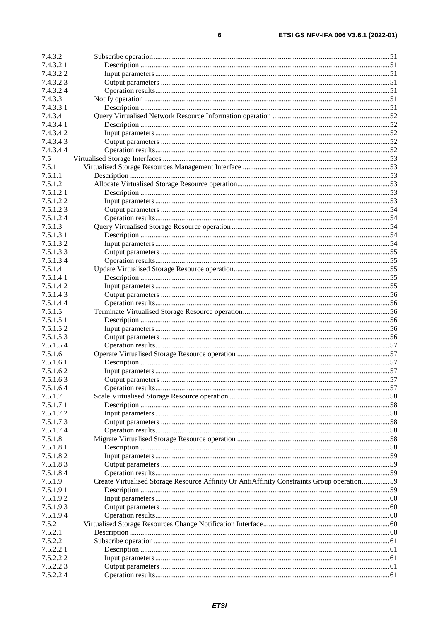| 7.4.3.2   |                                                                                            |  |
|-----------|--------------------------------------------------------------------------------------------|--|
| 7.4.3.2.1 |                                                                                            |  |
| 7.4.3.2.2 |                                                                                            |  |
| 7.4.3.2.3 |                                                                                            |  |
| 7.4.3.2.4 |                                                                                            |  |
| 7.4.3.3   |                                                                                            |  |
| 7.4.3.3.1 |                                                                                            |  |
| 7.4.3.4   |                                                                                            |  |
| 7.4.3.4.1 |                                                                                            |  |
| 7.4.3.4.2 |                                                                                            |  |
| 7.4.3.4.3 |                                                                                            |  |
| 7.4.3.4.4 |                                                                                            |  |
| 7.5       |                                                                                            |  |
| 7.5.1     |                                                                                            |  |
| 7.5.1.1   |                                                                                            |  |
| 7.5.1.2   |                                                                                            |  |
| 7.5.1.2.1 |                                                                                            |  |
| 7.5.1.2.2 |                                                                                            |  |
| 7.5.1.2.3 |                                                                                            |  |
| 7.5.1.2.4 |                                                                                            |  |
| 7.5.1.3   |                                                                                            |  |
| 7.5.1.3.1 |                                                                                            |  |
| 7.5.1.3.2 |                                                                                            |  |
| 7.5.1.3.3 |                                                                                            |  |
| 7.5.1.3.4 |                                                                                            |  |
| 7.5.1.4   |                                                                                            |  |
| 7.5.1.4.1 |                                                                                            |  |
| 7.5.1.4.2 |                                                                                            |  |
| 7.5.1.4.3 |                                                                                            |  |
| 7.5.1.4.4 |                                                                                            |  |
| 7.5.1.5   |                                                                                            |  |
| 7.5.1.5.1 |                                                                                            |  |
| 7.5.1.5.2 |                                                                                            |  |
| 7.5.1.5.3 |                                                                                            |  |
| 7.5.1.5.4 |                                                                                            |  |
| 7.5.1.6   |                                                                                            |  |
| 7.5.1.6.1 |                                                                                            |  |
| 7.5.1.6.2 |                                                                                            |  |
| 7.5.1.6.3 |                                                                                            |  |
| 7.5.1.6.4 |                                                                                            |  |
| 7.5.1.7   |                                                                                            |  |
| 7.5.1.7.1 |                                                                                            |  |
| 7.5.1.7.2 |                                                                                            |  |
| 7.5.1.7.3 |                                                                                            |  |
| 7.5.1.7.4 |                                                                                            |  |
| 7.5.1.8   |                                                                                            |  |
| 7.5.1.8.1 |                                                                                            |  |
| 7.5.1.8.2 |                                                                                            |  |
| 7.5.1.8.3 |                                                                                            |  |
| 7.5.1.8.4 |                                                                                            |  |
| 7.5.1.9   | Create Virtualised Storage Resource Affinity Or AntiAffinity Constraints Group operation59 |  |
| 7.5.1.9.1 |                                                                                            |  |
| 7.5.1.9.2 |                                                                                            |  |
| 7.5.1.9.3 |                                                                                            |  |
| 7.5.1.9.4 |                                                                                            |  |
| 7.5.2     |                                                                                            |  |
| 7.5.2.1   |                                                                                            |  |
| 7.5.2.2   |                                                                                            |  |
| 7.5.2.2.1 |                                                                                            |  |
| 7.5.2.2.2 |                                                                                            |  |
| 7.5.2.2.3 |                                                                                            |  |
| 7.5.2.2.4 |                                                                                            |  |
|           |                                                                                            |  |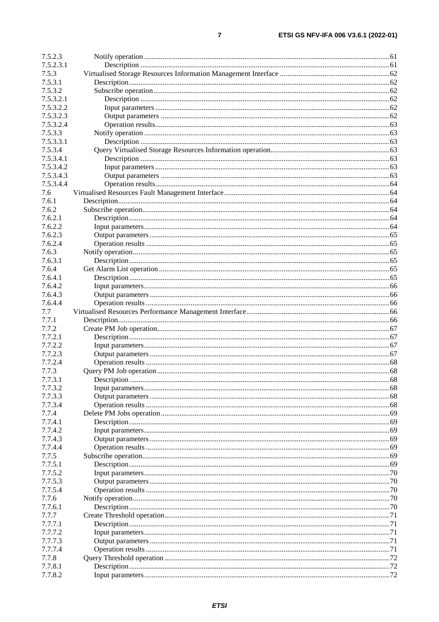| 7.5.2.3   |    |
|-----------|----|
| 7.5.2.3.1 |    |
| 7.5.3     |    |
| 7.5.3.1   |    |
| 7.5.3.2   |    |
| 7.5.3.2.1 |    |
|           |    |
| 7.5.3.2.2 |    |
| 7.5.3.2.3 |    |
| 7.5.3.2.4 |    |
| 7.5.3.3   |    |
| 7.5.3.3.1 |    |
| 7.5.3.4   |    |
| 7.5.3.4.1 |    |
| 7.5.3.4.2 |    |
| 7.5.3.4.3 |    |
| 7.5.3.4.4 |    |
| 7.6       |    |
| 7.6.1     |    |
| 7.6.2     |    |
| 7.6.2.1   |    |
| 7.6.2.2   |    |
|           |    |
| 7.6.2.3   |    |
| 7.6.2.4   |    |
| 7.6.3     |    |
| 7.6.3.1   |    |
| 7.6.4     |    |
| 7.6.4.1   |    |
| 7.6.4.2   |    |
| 7.6.4.3   |    |
| 7.6.4.4   |    |
| 7.7       |    |
| 7.7.1     |    |
| 7.7.2     |    |
| 7.7.2.1   |    |
| 7.7.2.2   |    |
| 7.7.2.3   |    |
|           |    |
| 7.7.2.4   |    |
| 7.7.3     |    |
| 7.7.3.1   |    |
| 7.7.3.2   |    |
| 7.7.3.3   |    |
| 7.7.3.4   |    |
| 7.7.4     |    |
| 7.7.4.1   |    |
| 7.7.4.2   |    |
| 7.7.4.3   |    |
| 7.7.4.4   |    |
| 7.7.5     |    |
| 7.7.5.1   |    |
| 7.7.5.2   |    |
|           |    |
| 7.7.5.3   | 70 |
| 7.7.5.4   |    |
| 7.7.6     |    |
| 7.7.6.1   |    |
| 7.7.7     |    |
| 7.7.7.1   |    |
| 7.7.7.2   |    |
| 7.7.7.3   |    |
| 7.7.7.4   |    |
| 7.7.8     |    |
| 7.7.8.1   |    |
| 7.7.8.2   |    |
|           |    |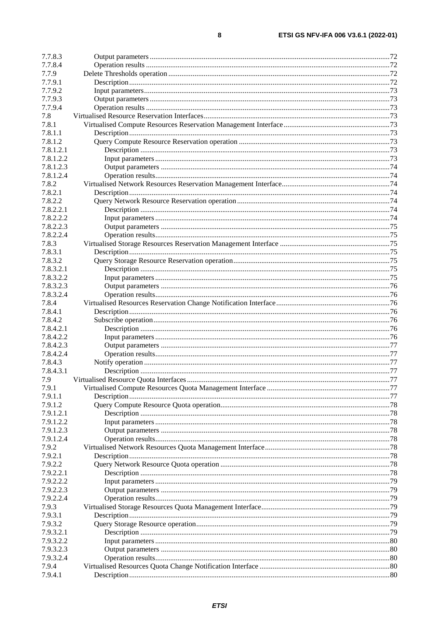| 7.7.8.3          |  |
|------------------|--|
| 7.7.8.4          |  |
| 7.7.9            |  |
| 7.7.9.1          |  |
| 7.7.9.2          |  |
|                  |  |
| 7.7.9.3          |  |
| 7.7.9.4          |  |
| 7.8              |  |
| 7.8.1            |  |
| 7.8.1.1          |  |
| 7.8.1.2          |  |
| 7.8.1.2.1        |  |
|                  |  |
| 7.8.1.2.2        |  |
| 7.8.1.2.3        |  |
| 7.8.1.2.4        |  |
| 7.8.2            |  |
| 7.8.2.1          |  |
| 7.8.2.2          |  |
| 7.8.2.2.1        |  |
|                  |  |
| 7.8.2.2.2        |  |
| 7.8.2.2.3        |  |
| 7.8.2.2.4        |  |
| 7.8.3            |  |
| 7.8.3.1          |  |
| 7.8.3.2          |  |
|                  |  |
| 7.8.3.2.1        |  |
| 7.8.3.2.2        |  |
| 7.8.3.2.3        |  |
| 7.8.3.2.4        |  |
| 7.8.4            |  |
| 7.8.4.1          |  |
| 7.8.4.2          |  |
|                  |  |
| 7.8.4.2.1        |  |
| 7.8.4.2.2        |  |
| 7.8.4.2.3        |  |
| 7.8.4.2.4        |  |
| 7.8.4.3          |  |
| 7.8.4.3.1        |  |
| 7.9              |  |
|                  |  |
| 7.9.1            |  |
| 7.9.1.1          |  |
| 7.9.1.2          |  |
| 7.9.1.2.1        |  |
| 7.9.1.2.2        |  |
| 7.9.1.2.3        |  |
| 7.9.1.2.4        |  |
|                  |  |
| 7.9.2            |  |
| 7.9.2.1          |  |
| 7.9.2.2          |  |
| 7.9.2.2.1        |  |
| 7.9.2.2.2        |  |
| 7.9.2.2.3        |  |
| 7.9.2.2.4        |  |
| 7.9.3            |  |
|                  |  |
| 7.9.3.1          |  |
| 7.9.3.2          |  |
| 7.9.3.2.1        |  |
| 7.9.3.2.2        |  |
|                  |  |
|                  |  |
| 7.9.3.2.3        |  |
| 7.9.3.2.4        |  |
| 7.9.4<br>7.9.4.1 |  |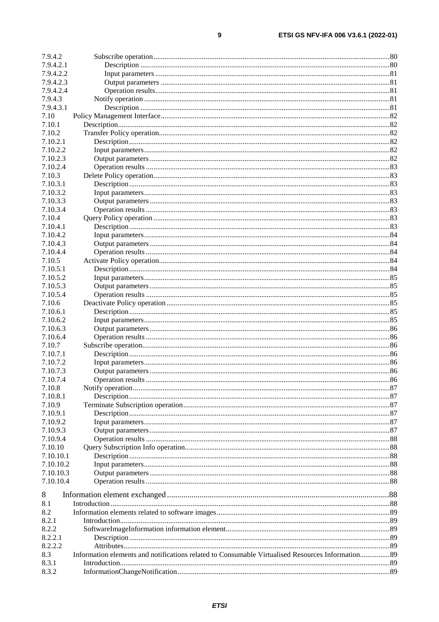| 7.9.4.2   |                                                                                                  |  |
|-----------|--------------------------------------------------------------------------------------------------|--|
| 7.9.4.2.1 |                                                                                                  |  |
| 7.9.4.2.2 |                                                                                                  |  |
| 7.9.4.2.3 |                                                                                                  |  |
| 7.9.4.2.4 |                                                                                                  |  |
| 7.9.4.3   |                                                                                                  |  |
| 7.9.4.3.1 |                                                                                                  |  |
| 7.10      |                                                                                                  |  |
| 7.10.1    |                                                                                                  |  |
| 7.10.2    |                                                                                                  |  |
| 7.10.2.1  |                                                                                                  |  |
|           |                                                                                                  |  |
| 7.10.2.2  |                                                                                                  |  |
| 7.10.2.3  |                                                                                                  |  |
| 7.10.2.4  |                                                                                                  |  |
| 7.10.3    |                                                                                                  |  |
| 7.10.3.1  |                                                                                                  |  |
| 7.10.3.2  |                                                                                                  |  |
| 7.10.3.3  |                                                                                                  |  |
| 7.10.3.4  |                                                                                                  |  |
| 7.10.4    |                                                                                                  |  |
| 7.10.4.1  |                                                                                                  |  |
| 7.10.4.2  |                                                                                                  |  |
| 7.10.4.3  |                                                                                                  |  |
| 7.10.4.4  |                                                                                                  |  |
| 7.10.5    |                                                                                                  |  |
| 7.10.5.1  |                                                                                                  |  |
| 7.10.5.2  |                                                                                                  |  |
| 7.10.5.3  |                                                                                                  |  |
| 7.10.5.4  |                                                                                                  |  |
| 7.10.6    |                                                                                                  |  |
| 7.10.6.1  |                                                                                                  |  |
| 7.10.6.2  |                                                                                                  |  |
| 7.10.6.3  |                                                                                                  |  |
| 7.10.6.4  |                                                                                                  |  |
| 7.10.7    |                                                                                                  |  |
| 7.10.7.1  |                                                                                                  |  |
|           |                                                                                                  |  |
| 7.10.7.2  |                                                                                                  |  |
| 7.10.7.3  |                                                                                                  |  |
| 7.10.7.4  |                                                                                                  |  |
| 7.10.8    |                                                                                                  |  |
| 7.10.8.1  |                                                                                                  |  |
| 7.10.9    |                                                                                                  |  |
| 7.10.9.1  |                                                                                                  |  |
| 7.10.9.2  |                                                                                                  |  |
| 7.10.9.3  |                                                                                                  |  |
| 7.10.9.4  |                                                                                                  |  |
| 7.10.10   |                                                                                                  |  |
| 7.10.10.1 |                                                                                                  |  |
| 7.10.10.2 |                                                                                                  |  |
| 7.10.10.3 |                                                                                                  |  |
| 7.10.10.4 |                                                                                                  |  |
|           |                                                                                                  |  |
| 8         |                                                                                                  |  |
| 8.1       |                                                                                                  |  |
| 8.2       |                                                                                                  |  |
| 8.2.1     |                                                                                                  |  |
| 8.2.2     |                                                                                                  |  |
| 8.2.2.1   |                                                                                                  |  |
| 8.2.2.2   |                                                                                                  |  |
| 8.3       | Information elements and notifications related to Consumable Virtualised Resources Information89 |  |
| 8.3.1     |                                                                                                  |  |
| 8.3.2     |                                                                                                  |  |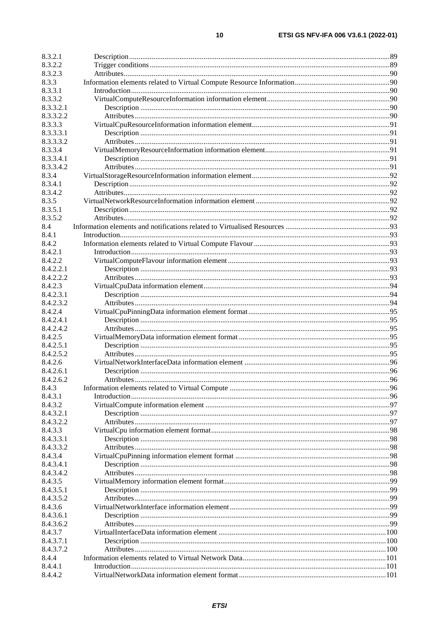| 8.3.2.1   |  |
|-----------|--|
| 8.3.2.2   |  |
| 8.3.2.3   |  |
| 8.3.3     |  |
| 8.3.3.1   |  |
| 8.3.3.2   |  |
| 8.3.3.2.1 |  |
| 8.3.3.2.2 |  |
| 8.3.3.3   |  |
| 8.3.3.3.1 |  |
| 8.3.3.3.2 |  |
| 8.3.3.4   |  |
| 8.3.3.4.1 |  |
| 8.3.3.4.2 |  |
| 8.3.4     |  |
| 8.3.4.1   |  |
| 8.3.4.2   |  |
| 8.3.5     |  |
| 8.3.5.1   |  |
| 8.3.5.2   |  |
| 8.4       |  |
| 8.4.1     |  |
| 8.4.2     |  |
| 8.4.2.1   |  |
| 8.4.2.2   |  |
| 8.4.2.2.1 |  |
| 8.4.2.2.2 |  |
| 8.4.2.3   |  |
| 8.4.2.3.1 |  |
| 8.4.2.3.2 |  |
| 8.4.2.4   |  |
| 8.4.2.4.1 |  |
| 8.4.2.4.2 |  |
| 8.4.2.5   |  |
| 8.4.2.5.1 |  |
| 8.4.2.5.2 |  |
| 8.4.2.6   |  |
| 8.4.2.6.1 |  |
| 8.4.2.6.2 |  |
| 8.4.3     |  |
| 8.4.3.1   |  |
| 8.4.3.2   |  |
| 8.4.3.2.1 |  |
| 8.4.3.2.2 |  |
| 8.4.3.3   |  |
| 8.4.3.3.1 |  |
| 8.4.3.3.2 |  |
| 8.4.3.4   |  |
| 8.4.3.4.1 |  |
| 8.4.3.4.2 |  |
| 8.4.3.5   |  |
| 8.4.3.5.1 |  |
| 8.4.3.5.2 |  |
| 8.4.3.6   |  |
| 8.4.3.6.1 |  |
| 8.4.3.6.2 |  |
| 8.4.3.7   |  |
| 8.4.3.7.1 |  |
| 8.4.3.7.2 |  |
| 8.4.4     |  |
| 8.4.4.1   |  |
| 8.4.4.2   |  |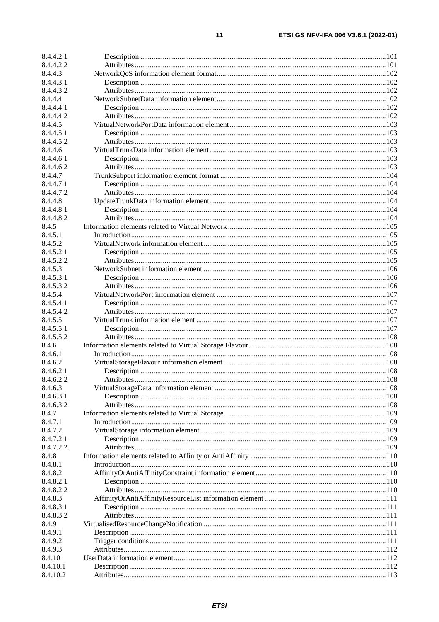| 8.4.4.2.1 |  |
|-----------|--|
| 8.4.4.2.2 |  |
| 8.4.4.3   |  |
| 8.4.4.3.1 |  |
| 8.4.4.3.2 |  |
| 8.4.4.4   |  |
| 8.4.4.4.1 |  |
| 8.4.4.4.2 |  |
| 8.4.4.5   |  |
| 8.4.4.5.1 |  |
| 8.4.4.5.2 |  |
| 8.4.4.6   |  |
| 8.4.4.6.1 |  |
| 8.4.4.6.2 |  |
| 8.4.4.7   |  |
|           |  |
| 8.4.4.7.1 |  |
| 8.4.4.7.2 |  |
| 8.4.4.8   |  |
| 8.4.4.8.1 |  |
| 8.4.4.8.2 |  |
| 8.4.5     |  |
| 8.4.5.1   |  |
| 8.4.5.2   |  |
| 8.4.5.2.1 |  |
| 8.4.5.2.2 |  |
| 8.4.5.3   |  |
| 8.4.5.3.1 |  |
| 8.4.5.3.2 |  |
| 8.4.5.4   |  |
| 8.4.5.4.1 |  |
| 8.4.5.4.2 |  |
| 8.4.5.5   |  |
| 8.4.5.5.1 |  |
| 8.4.5.5.2 |  |
| 8.4.6     |  |
| 8.4.6.1   |  |
| 8.4.6.2   |  |
| 8.4.6.2.1 |  |
| 8.4.6.2.2 |  |
| 8.4.6.3   |  |
| 8.4.6.3.1 |  |
| 8.4.6.3.2 |  |
| 8.4.7     |  |
| 8.4.7.1   |  |
| 8.4.7.2   |  |
| 8.4.7.2.1 |  |
|           |  |
| 8.4.7.2.2 |  |
| 8.4.8     |  |
| 8.4.8.1   |  |
| 8.4.8.2   |  |
| 8.4.8.2.1 |  |
| 8.4.8.2.2 |  |
| 8.4.8.3   |  |
| 8.4.8.3.1 |  |
| 8.4.8.3.2 |  |
| 8.4.9     |  |
| 8.4.9.1   |  |
| 8.4.9.2   |  |
| 8.4.9.3   |  |
| 8.4.10    |  |
| 8.4.10.1  |  |
| 8.4.10.2  |  |
|           |  |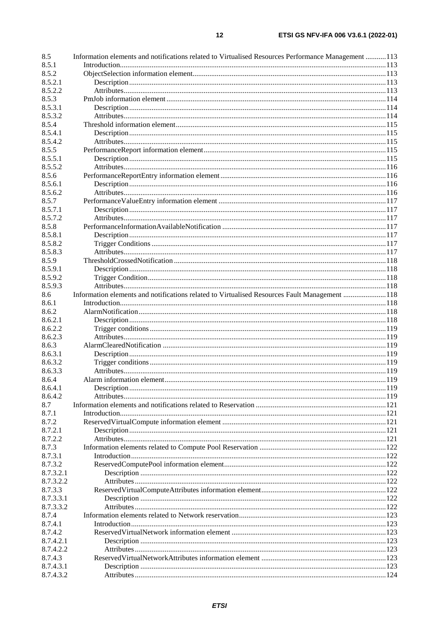| 8.5       | Information elements and notifications related to Virtualised Resources Performance Management  113 |  |
|-----------|-----------------------------------------------------------------------------------------------------|--|
| 8.5.1     |                                                                                                     |  |
| 8.5.2     |                                                                                                     |  |
| 8.5.2.1   |                                                                                                     |  |
| 8.5.2.2   |                                                                                                     |  |
| 8.5.3     |                                                                                                     |  |
| 8.5.3.1   |                                                                                                     |  |
|           |                                                                                                     |  |
| 8.5.3.2   |                                                                                                     |  |
| 8.5.4     |                                                                                                     |  |
| 8.5.4.1   |                                                                                                     |  |
| 8.5.4.2   |                                                                                                     |  |
| 8.5.5     |                                                                                                     |  |
| 8.5.5.1   |                                                                                                     |  |
| 8.5.5.2   |                                                                                                     |  |
| 8.5.6     |                                                                                                     |  |
| 8.5.6.1   |                                                                                                     |  |
| 8.5.6.2   |                                                                                                     |  |
| 8.5.7     |                                                                                                     |  |
| 8.5.7.1   |                                                                                                     |  |
|           |                                                                                                     |  |
| 8.5.7.2   |                                                                                                     |  |
| 8.5.8     |                                                                                                     |  |
| 8.5.8.1   |                                                                                                     |  |
| 8.5.8.2   |                                                                                                     |  |
| 8.5.8.3   |                                                                                                     |  |
| 8.5.9     |                                                                                                     |  |
| 8.5.9.1   |                                                                                                     |  |
| 8.5.9.2   |                                                                                                     |  |
| 8.5.9.3   |                                                                                                     |  |
| 8.6       | Information elements and notifications related to Virtualised Resources Fault Management 118        |  |
| 8.6.1     |                                                                                                     |  |
| 8.6.2     |                                                                                                     |  |
| 8.6.2.1   |                                                                                                     |  |
|           |                                                                                                     |  |
| 8.6.2.2   |                                                                                                     |  |
| 8.6.2.3   |                                                                                                     |  |
| 8.6.3     |                                                                                                     |  |
| 8.6.3.1   |                                                                                                     |  |
| 8.6.3.2   |                                                                                                     |  |
| 8.6.3.3   |                                                                                                     |  |
| 8.6.4     |                                                                                                     |  |
| 8.6.4.1   |                                                                                                     |  |
| 8.6.4.2   |                                                                                                     |  |
| 8.7       |                                                                                                     |  |
| 8.7.1     |                                                                                                     |  |
| 8.7.2     |                                                                                                     |  |
| 8.7.2.1   |                                                                                                     |  |
| 8.7.2.2   |                                                                                                     |  |
| 8.7.3     |                                                                                                     |  |
|           |                                                                                                     |  |
| 8.7.3.1   |                                                                                                     |  |
| 8.7.3.2   |                                                                                                     |  |
| 8.7.3.2.1 |                                                                                                     |  |
| 8.7.3.2.2 |                                                                                                     |  |
| 8.7.3.3   |                                                                                                     |  |
| 8.7.3.3.1 |                                                                                                     |  |
| 8.7.3.3.2 |                                                                                                     |  |
| 8.7.4     |                                                                                                     |  |
| 8.7.4.1   |                                                                                                     |  |
| 8.7.4.2   |                                                                                                     |  |
| 8.7.4.2.1 |                                                                                                     |  |
| 8.7.4.2.2 |                                                                                                     |  |
| 8.7.4.3   |                                                                                                     |  |
| 8.7.4.3.1 |                                                                                                     |  |
| 8.7.4.3.2 |                                                                                                     |  |
|           |                                                                                                     |  |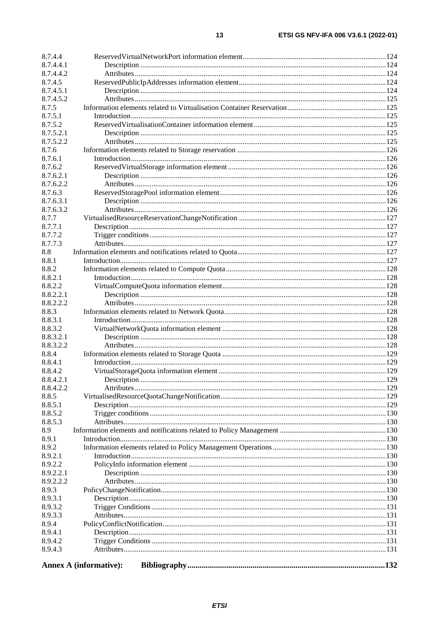| 8.7.4.4   |                               |  |
|-----------|-------------------------------|--|
| 8.7.4.4.1 |                               |  |
| 8.7.4.4.2 |                               |  |
| 8.7.4.5   |                               |  |
| 8.7.4.5.1 |                               |  |
| 8.7.4.5.2 |                               |  |
| 8.7.5     |                               |  |
| 8.7.5.1   |                               |  |
| 8.7.5.2   |                               |  |
| 8.7.5.2.1 |                               |  |
| 8.7.5.2.2 |                               |  |
| 8.7.6     |                               |  |
| 8.7.6.1   |                               |  |
| 8.7.6.2   |                               |  |
| 8.7.6.2.1 |                               |  |
| 8.7.6.2.2 |                               |  |
| 8.7.6.3   |                               |  |
| 8.7.6.3.1 |                               |  |
| 8.7.6.3.2 |                               |  |
| 8.7.7     |                               |  |
| 8.7.7.1   |                               |  |
| 8.7.7.2   |                               |  |
| 8.7.7.3   |                               |  |
| 8.8       |                               |  |
| 8.8.1     |                               |  |
| 8.8.2     |                               |  |
| 8.8.2.1   |                               |  |
| 8.8.2.2   |                               |  |
| 8.8.2.2.1 |                               |  |
| 8.8.2.2.2 |                               |  |
| 8.8.3     |                               |  |
| 8.8.3.1   |                               |  |
| 8.8.3.2   |                               |  |
| 8.8.3.2.1 |                               |  |
| 8.8.3.2.2 |                               |  |
| 8.8.4     |                               |  |
| 8.8.4.1   |                               |  |
| 8.8.4.2   |                               |  |
| 8.8.4.2.1 |                               |  |
| 8.8.4.2.2 |                               |  |
| 8.8.5     |                               |  |
| 8.8.5.1   |                               |  |
| 8.8.5.2   |                               |  |
| 8.8.5.3   |                               |  |
| 8.9       |                               |  |
| 8.9.1     |                               |  |
| 8.9.2     |                               |  |
| 8.9.2.1   |                               |  |
| 8.9.2.2   |                               |  |
| 8.9.2.2.1 |                               |  |
| 8.9.2.2.2 |                               |  |
| 8.9.3     |                               |  |
| 8.9.3.1   |                               |  |
| 8.9.3.2   |                               |  |
| 8.9.3.3   |                               |  |
| 8.9.4     |                               |  |
| 8.9.4.1   |                               |  |
| 8.9.4.2   |                               |  |
| 8.9.4.3   |                               |  |
|           |                               |  |
|           | <b>Annex A (informative):</b> |  |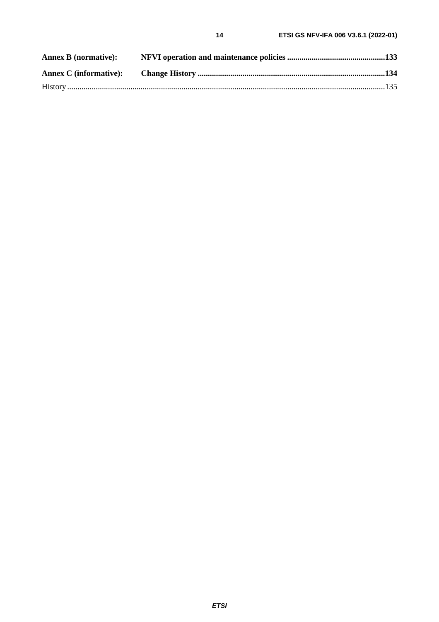$14$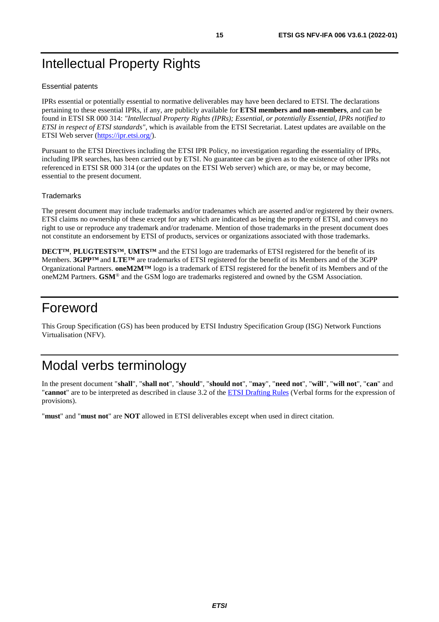# <span id="page-14-0"></span>Intellectual Property Rights

#### Essential patents

IPRs essential or potentially essential to normative deliverables may have been declared to ETSI. The declarations pertaining to these essential IPRs, if any, are publicly available for **ETSI members and non-members**, and can be found in ETSI SR 000 314: *"Intellectual Property Rights (IPRs); Essential, or potentially Essential, IPRs notified to ETSI in respect of ETSI standards"*, which is available from the ETSI Secretariat. Latest updates are available on the ETSI Web server ([https://ipr.etsi.org/\)](https://ipr.etsi.org/).

Pursuant to the ETSI Directives including the ETSI IPR Policy, no investigation regarding the essentiality of IPRs, including IPR searches, has been carried out by ETSI. No guarantee can be given as to the existence of other IPRs not referenced in ETSI SR 000 314 (or the updates on the ETSI Web server) which are, or may be, or may become, essential to the present document.

#### **Trademarks**

The present document may include trademarks and/or tradenames which are asserted and/or registered by their owners. ETSI claims no ownership of these except for any which are indicated as being the property of ETSI, and conveys no right to use or reproduce any trademark and/or tradename. Mention of those trademarks in the present document does not constitute an endorsement by ETSI of products, services or organizations associated with those trademarks.

**DECT™**, **PLUGTESTS™**, **UMTS™** and the ETSI logo are trademarks of ETSI registered for the benefit of its Members. **3GPP™** and **LTE™** are trademarks of ETSI registered for the benefit of its Members and of the 3GPP Organizational Partners. **oneM2M™** logo is a trademark of ETSI registered for the benefit of its Members and of the oneM2M Partners. **GSM**® and the GSM logo are trademarks registered and owned by the GSM Association.

# Foreword

This Group Specification (GS) has been produced by ETSI Industry Specification Group (ISG) Network Functions Virtualisation (NFV).

# Modal verbs terminology

In the present document "**shall**", "**shall not**", "**should**", "**should not**", "**may**", "**need not**", "**will**", "**will not**", "**can**" and "**cannot**" are to be interpreted as described in clause 3.2 of the [ETSI Drafting Rules](https://portal.etsi.org/Services/editHelp!/Howtostart/ETSIDraftingRules.aspx) (Verbal forms for the expression of provisions).

"**must**" and "**must not**" are **NOT** allowed in ETSI deliverables except when used in direct citation.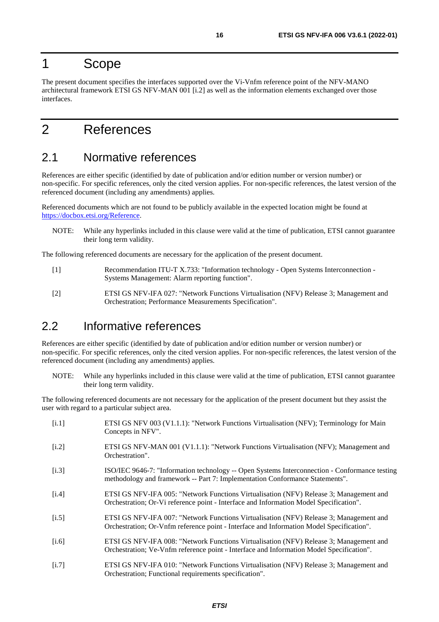# <span id="page-15-0"></span>1 Scope

The present document specifies the interfaces supported over the Vi-Vnfm reference point of the NFV-MANO architectural framework ETSI GS NFV-MAN 001 [i.2] as well as the information elements exchanged over those interfaces.

# 2 References

# 2.1 Normative references

References are either specific (identified by date of publication and/or edition number or version number) or non-specific. For specific references, only the cited version applies. For non-specific references, the latest version of the referenced document (including any amendments) applies.

Referenced documents which are not found to be publicly available in the expected location might be found at <https://docbox.etsi.org/Reference>.

NOTE: While any hyperlinks included in this clause were valid at the time of publication, ETSI cannot guarantee their long term validity.

The following referenced documents are necessary for the application of the present document.

- [1] Recommendation ITU-T X.733: "Information technology Open Systems Interconnection Systems Management: Alarm reporting function".
- [2] ETSI GS NFV-IFA 027: "Network Functions Virtualisation (NFV) Release 3; Management and Orchestration; Performance Measurements Specification".

# 2.2 Informative references

References are either specific (identified by date of publication and/or edition number or version number) or non-specific. For specific references, only the cited version applies. For non-specific references, the latest version of the referenced document (including any amendments) applies.

NOTE: While any hyperlinks included in this clause were valid at the time of publication, ETSI cannot guarantee their long term validity.

The following referenced documents are not necessary for the application of the present document but they assist the user with regard to a particular subject area.

[i.1] ETSI GS NFV 003 (V1.1.1): "Network Functions Virtualisation (NFV); Terminology for Main Concepts in NFV". [i.2] ETSI GS NFV-MAN 001 (V1.1.1): "Network Functions Virtualisation (NFV); Management and Orchestration". [i.3] ISO/IEC 9646-7: "Information technology -- Open Systems Interconnection - Conformance testing methodology and framework -- Part 7: Implementation Conformance Statements". [i.4] ETSI GS NFV-IFA 005: "Network Functions Virtualisation (NFV) Release 3; Management and Orchestration; Or-Vi reference point - Interface and Information Model Specification". [i.5] ETSI GS NFV-IFA 007: "Network Functions Virtualisation (NFV) Release 3; Management and Orchestration; Or-Vnfm reference point - Interface and Information Model Specification". [i.6] ETSI GS NFV-IFA 008: "Network Functions Virtualisation (NFV) Release 3; Management and Orchestration; Ve-Vnfm reference point - Interface and Information Model Specification". [i.7] ETSI GS NFV-IFA 010: "Network Functions Virtualisation (NFV) Release 3; Management and Orchestration; Functional requirements specification".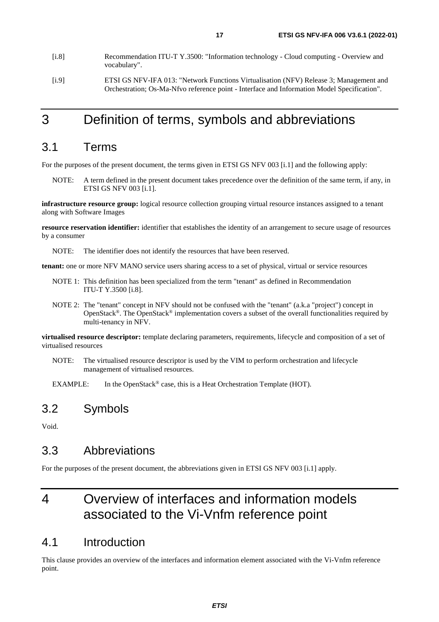- <span id="page-16-0"></span>[i.8] Recommendation ITU-T Y.3500: "Information technology - Cloud computing - Overview and vocabulary".
- [i.9] ETSI GS NFV-IFA 013: "Network Functions Virtualisation (NFV) Release 3; Management and Orchestration; Os-Ma-Nfvo reference point - Interface and Information Model Specification".

# 3 Definition of terms, symbols and abbreviations

### 3.1 Terms

For the purposes of the present document, the terms given in ETSI GS NFV 003 [[i.1](#page-15-0)] and the following apply:

NOTE: A term defined in the present document takes precedence over the definition of the same term, if any, in ETSI GS NFV 003 [\[i.1\]](#page-15-0).

**infrastructure resource group:** logical resource collection grouping virtual resource instances assigned to a tenant along with Software Images

**resource reservation identifier:** identifier that establishes the identity of an arrangement to secure usage of resources by a consumer

NOTE: The identifier does not identify the resources that have been reserved.

**tenant:** one or more NFV MANO service users sharing access to a set of physical, virtual or service resources

- NOTE 1: This definition has been specialized from the term "tenant" as defined in Recommendation ITU-T Y.3500 [i.8].
- NOTE 2: The "tenant" concept in NFV should not be confused with the "tenant" (a.k.a "project") concept in OpenStack®. The OpenStack® implementation covers a subset of the overall functionalities required by multi-tenancy in NFV.

**virtualised resource descriptor:** template declaring parameters, requirements, lifecycle and composition of a set of virtualised resources

NOTE: The virtualised resource descriptor is used by the VIM to perform orchestration and lifecycle management of virtualised resources.

EXAMPLE: In the OpenStack<sup>®</sup> case, this is a Heat Orchestration Template (HOT).

### 3.2 Symbols

Void.

# 3.3 Abbreviations

For the purposes of the present document, the abbreviations given in ETSI GS NFV 003 [\[i.1\]](#page-15-0) apply.

# 4 Overview of interfaces and information models associated to the Vi-Vnfm reference point

### 4.1 Introduction

This clause provides an overview of the interfaces and information element associated with the Vi-Vnfm reference point.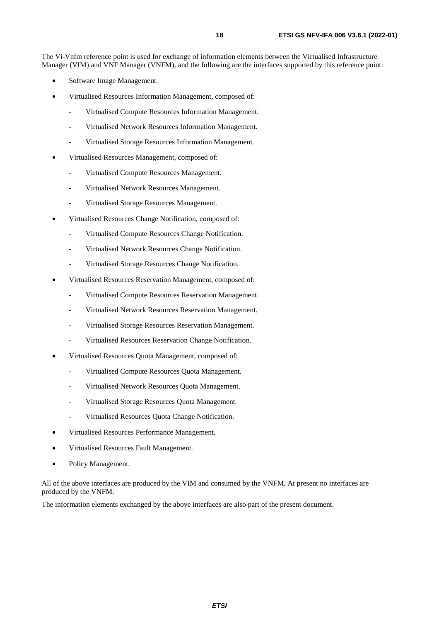The Vi-Vnfm reference point is used for exchange of information elements between the Virtualised Infrastructure Manager (VIM) and VNF Manager (VNFM), and the following are the interfaces supported by this reference point:

- Software Image Management.
- Virtualised Resources Information Management, composed of:
	- Virtualised Compute Resources Information Management.
	- Virtualised Network Resources Information Management.
	- Virtualised Storage Resources Information Management.
- Virtualised Resources Management, composed of:
	- Virtualised Compute Resources Management.
	- Virtualised Network Resources Management.
	- Virtualised Storage Resources Management.
- Virtualised Resources Change Notification, composed of:
	- Virtualised Compute Resources Change Notification.
	- Virtualised Network Resources Change Notification.
	- Virtualised Storage Resources Change Notification.
- Virtualised Resources Reservation Management, composed of:
	- Virtualised Compute Resources Reservation Management.
	- Virtualised Network Resources Reservation Management.
	- Virtualised Storage Resources Reservation Management.
	- Virtualised Resources Reservation Change Notification.
- Virtualised Resources Quota Management, composed of:
	- Virtualised Compute Resources Quota Management.
	- Virtualised Network Resources Quota Management.
	- Virtualised Storage Resources Quota Management.
	- Virtualised Resources Quota Change Notification.
- Virtualised Resources Performance Management.
- Virtualised Resources Fault Management.
- Policy Management.

All of the above interfaces are produced by the VIM and consumed by the VNFM. At present no interfaces are produced by the VNFM.

The information elements exchanged by the above interfaces are also part of the present document.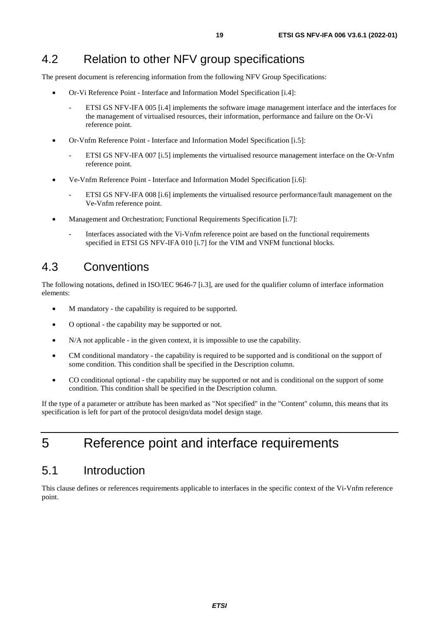# <span id="page-18-0"></span>4.2 Relation to other NFV group specifications

The present document is referencing information from the following NFV Group Specifications:

- Or-Vi Reference Point Interface and Information Model Specification [\[i.4\]](#page-15-0):
	- ETSI GS NFV-IFA 005 [[i.4](#page-15-0)] implements the software image management interface and the interfaces for the management of virtualised resources, their information, performance and failure on the Or-Vi reference point.
- Or-Vnfm Reference Point Interface and Information Model Specification [[i.5](#page-15-0)]:
	- ETSI GS NFV-IFA 007 [[i.5](#page-15-0)] implements the virtualised resource management interface on the Or-Vnfm reference point.
- Ve-Vnfm Reference Point Interface and Information Model Specification [\[i.6](#page-15-0)]:
	- ETSI GS NFV-IFA 008 [[i.6](#page-15-0)] implements the virtualised resource performance/fault management on the Ve-Vnfm reference point.
- Management and Orchestration; Functional Requirements Specification [[i.7](#page-15-0)]:
	- Interfaces associated with the Vi-Vnfm reference point are based on the functional requirements specified in ETSI GS NFV-IFA 010 [[i.7\]](#page-15-0) for the VIM and VNFM functional blocks.

# 4.3 Conventions

The following notations, defined in ISO/IEC 9646-7 [\[i.3](#page-15-0)], are used for the qualifier column of interface information elements:

- M mandatory the capability is required to be supported.
- O optional the capability may be supported or not.
- N/A not applicable in the given context, it is impossible to use the capability.
- CM conditional mandatory the capability is required to be supported and is conditional on the support of some condition. This condition shall be specified in the Description column.
- CO conditional optional the capability may be supported or not and is conditional on the support of some condition. This condition shall be specified in the Description column.

If the type of a parameter or attribute has been marked as "Not specified" in the "Content" column, this means that its specification is left for part of the protocol design/data model design stage.

# 5 Reference point and interface requirements

# 5.1 Introduction

This clause defines or references requirements applicable to interfaces in the specific context of the Vi-Vnfm reference point.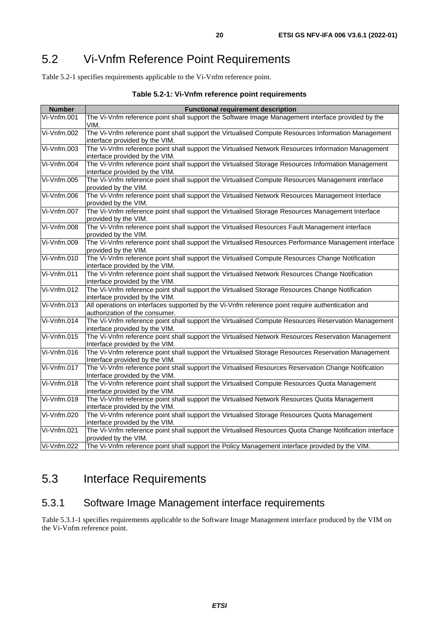# <span id="page-19-0"></span>5.2 Vi-Vnfm Reference Point Requirements

Table 5.2-1 specifies requirements applicable to the Vi-Vnfm reference point.

| <b>Number</b>      | <b>Functional requirement description</b>                                                                                            |  |  |  |  |
|--------------------|--------------------------------------------------------------------------------------------------------------------------------------|--|--|--|--|
| Vi-Vnfm.001        | The Vi-Vnfm reference point shall support the Software Image Management interface provided by the                                    |  |  |  |  |
|                    | VIM.                                                                                                                                 |  |  |  |  |
| Vi-Vnfm.002        | The Vi-Vnfm reference point shall support the Virtualised Compute Resources Information Management                                   |  |  |  |  |
|                    | interface provided by the VIM.                                                                                                       |  |  |  |  |
| Vi-Vnfm.003        | The Vi-Vnfm reference point shall support the Virtualised Network Resources Information Management                                   |  |  |  |  |
|                    | interface provided by the VIM.                                                                                                       |  |  |  |  |
| Vi-Vnfm.004        | The Vi-Vnfm reference point shall support the Virtualised Storage Resources Information Management                                   |  |  |  |  |
|                    | interface provided by the VIM.                                                                                                       |  |  |  |  |
| Vi-Vnfm.005        | The Vi-Vnfm reference point shall support the Virtualised Compute Resources Management interface                                     |  |  |  |  |
|                    | provided by the VIM.                                                                                                                 |  |  |  |  |
| Vi-Vnfm.006        | The Vi-Vnfm reference point shall support the Virtualised Network Resources Management Interface                                     |  |  |  |  |
|                    | provided by the VIM.                                                                                                                 |  |  |  |  |
| Vi-Vnfm.007        | The Vi-Vnfm reference point shall support the Virtualised Storage Resources Management Interface                                     |  |  |  |  |
|                    | provided by the VIM.                                                                                                                 |  |  |  |  |
| Vi-Vnfm.008        | The Vi-Vnfm reference point shall support the Virtualised Resources Fault Management interface                                       |  |  |  |  |
|                    | provided by the VIM.                                                                                                                 |  |  |  |  |
| Vi-Vnfm.009        | The Vi-Vnfm reference point shall support the Virtualised Resources Performance Management interface                                 |  |  |  |  |
|                    | provided by the VIM.                                                                                                                 |  |  |  |  |
| Vi-Vnfm.010        | The Vi-Vnfm reference point shall support the Virtualised Compute Resources Change Notification                                      |  |  |  |  |
|                    | interface provided by the VIM.                                                                                                       |  |  |  |  |
| Vi-Vnfm.011        | The Vi-Vnfm reference point shall support the Virtualised Network Resources Change Notification                                      |  |  |  |  |
|                    | interface provided by the VIM.                                                                                                       |  |  |  |  |
| Vi-Vnfm.012        | The Vi-Vnfm reference point shall support the Virtualised Storage Resources Change Notification                                      |  |  |  |  |
|                    | interface provided by the VIM.                                                                                                       |  |  |  |  |
| Vi-Vnfm.013        | All operations on interfaces supported by the Vi-Vnfm reference point require authentication and                                     |  |  |  |  |
|                    | authorization of the consumer.                                                                                                       |  |  |  |  |
| Vi-Vnfm.014        | The Vi-Vnfm reference point shall support the Virtualised Compute Resources Reservation Management                                   |  |  |  |  |
|                    | interface provided by the VIM.                                                                                                       |  |  |  |  |
| Vi-Vnfm.015        | The Vi-Vnfm reference point shall support the Virtualised Network Resources Reservation Management                                   |  |  |  |  |
| $V$ i- $V$ nfm.016 | Interface provided by the VIM.<br>The Vi-Vnfm reference point shall support the Virtualised Storage Resources Reservation Management |  |  |  |  |
|                    | Interface provided by the VIM.                                                                                                       |  |  |  |  |
| Vi-Vnfm.017        | The Vi-Vnfm reference point shall support the Virtualised Resources Reservation Change Notification                                  |  |  |  |  |
|                    | Interface provided by the VIM.                                                                                                       |  |  |  |  |
| Vi-Vnfm.018        | The Vi-Vnfm reference point shall support the Virtualised Compute Resources Quota Management                                         |  |  |  |  |
|                    | interface provided by the VIM.                                                                                                       |  |  |  |  |
| Vi-Vnfm.019        | The Vi-Vnfm reference point shall support the Virtualised Network Resources Quota Management                                         |  |  |  |  |
|                    | interface provided by the VIM.                                                                                                       |  |  |  |  |
| Vi-Vnfm.020        | The Vi-Vnfm reference point shall support the Virtualised Storage Resources Quota Management                                         |  |  |  |  |
|                    | interface provided by the VIM.                                                                                                       |  |  |  |  |
| Vi-Vnfm.021        | The Vi-Vnfm reference point shall support the Virtualised Resources Quota Change Notification interface                              |  |  |  |  |
|                    | provided by the VIM.                                                                                                                 |  |  |  |  |
| Vi-Vnfm.022        | The Vi-Vnfm reference point shall support the Policy Management interface provided by the VIM.                                       |  |  |  |  |

#### **Table 5.2-1: Vi-Vnfm reference point requirements**

# 5.3 Interface Requirements

# 5.3.1 Software Image Management interface requirements

Table 5.3.1-1 specifies requirements applicable to the Software Image Management interface produced by the VIM on the Vi-Vnfm reference point.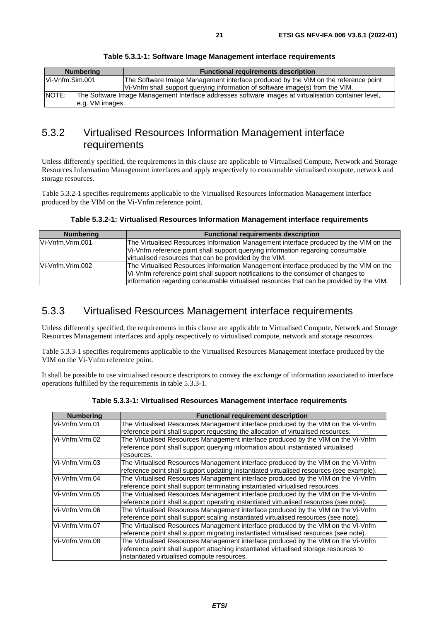<span id="page-20-0"></span>

| <b>Numbering</b> | <b>Functional requirements description</b>                                                           |
|------------------|------------------------------------------------------------------------------------------------------|
| Vi-Vnfm.Sim.001  | The Software Image Management interface produced by the VIM on the reference point                   |
|                  | Vi-Vnfm shall support querying information of software image(s) from the VIM.                        |
| <b>NOTE:</b>     | The Software Image Management Interface addresses software images at virtualisation container level. |
| e.g. VM images.  |                                                                                                      |

**Table 5.3.1-1: Software Image Management interface requirements** 

# 5.3.2 Virtualised Resources Information Management interface requirements

Unless differently specified, the requirements in this clause are applicable to Virtualised Compute, Network and Storage Resources Information Management interfaces and apply respectively to consumable virtualised compute, network and storage resources.

Table 5.3.2-1 specifies requirements applicable to the Virtualised Resources Information Management interface produced by the VIM on the Vi-Vnfm reference point.

**Table 5.3.2-1: Virtualised Resources Information Management interface requirements** 

| <b>Numbering</b> | <b>Functional requirements description</b>                                                                                                                                                                                                                            |  |  |
|------------------|-----------------------------------------------------------------------------------------------------------------------------------------------------------------------------------------------------------------------------------------------------------------------|--|--|
| Vi-Vnfm.Vrim.001 | The Virtualised Resources Information Management interface produced by the VIM on the<br>Vi-Vnfm reference point shall support querying information regarding consumable                                                                                              |  |  |
|                  | virtualised resources that can be provided by the VIM.                                                                                                                                                                                                                |  |  |
| Vi-Vnfm.Vrim.002 | The Virtualised Resources Information Management interface produced by the VIM on the<br>Vi-Vnfm reference point shall support notifications to the consumer of changes to<br>information regarding consumable virtualised resources that can be provided by the VIM. |  |  |

### 5.3.3 Virtualised Resources Management interface requirements

Unless differently specified, the requirements in this clause are applicable to Virtualised Compute, Network and Storage Resources Management interfaces and apply respectively to virtualised compute, network and storage resources.

Table 5.3.3-1 specifies requirements applicable to the Virtualised Resources Management interface produced by the VIM on the Vi-Vnfm reference point.

It shall be possible to use virtualised resource descriptors to convey the exchange of information associated to interface operations fulfilled by the requirements in table 5.3.3-1.

| <b>Numbering</b>                                                                                    | <b>Functional requirement description</b>                                                |  |  |  |
|-----------------------------------------------------------------------------------------------------|------------------------------------------------------------------------------------------|--|--|--|
| Vi-Vnfm.Vrm.01                                                                                      | The Virtualised Resources Management interface produced by the VIM on the Vi-Vnfm        |  |  |  |
|                                                                                                     | reference point shall support requesting the allocation of virtualised resources.        |  |  |  |
| Vi-Vnfm.Vrm.02                                                                                      | The Virtualised Resources Management interface produced by the VIM on the Vi-Vnfm        |  |  |  |
|                                                                                                     | reference point shall support querying information about instantiated virtualised        |  |  |  |
|                                                                                                     | resources.                                                                               |  |  |  |
| Vi-Vnfm.Vrm.03                                                                                      | The Virtualised Resources Management interface produced by the VIM on the Vi-Vnfm        |  |  |  |
|                                                                                                     | reference point shall support updating instantiated virtualised resources (see example). |  |  |  |
| The Virtualised Resources Management interface produced by the VIM on the Vi-Vnfm<br>Vi-Vnfm.Vrm.04 |                                                                                          |  |  |  |
|                                                                                                     | reference point shall support terminating instantiated virtualised resources.            |  |  |  |
| Vi-Vnfm.Vrm.05                                                                                      | The Virtualised Resources Management interface produced by the VIM on the Vi-Vnfm        |  |  |  |
|                                                                                                     | reference point shall support operating instantiated virtualised resources (see note).   |  |  |  |
| The Virtualised Resources Management interface produced by the VIM on the Vi-Vnfm<br>Vi-Vnfm.Vrm.06 |                                                                                          |  |  |  |
|                                                                                                     | reference point shall support scaling instantiated virtualised resources (see note).     |  |  |  |
| The Virtualised Resources Management interface produced by the VIM on the Vi-Vnfm<br>Vi-Vnfm.Vrm.07 |                                                                                          |  |  |  |
|                                                                                                     | reference point shall support migrating instantiated virtualised resources (see note).   |  |  |  |
| Vi-Vnfm.Vrm.08                                                                                      | The Virtualised Resources Management interface produced by the VIM on the Vi-Vnfm        |  |  |  |
|                                                                                                     | reference point shall support attaching instantiated virtualised storage resources to    |  |  |  |
|                                                                                                     | instantiated virtualised compute resources.                                              |  |  |  |

**Table 5.3.3-1: Virtualised Resources Management interface requirements**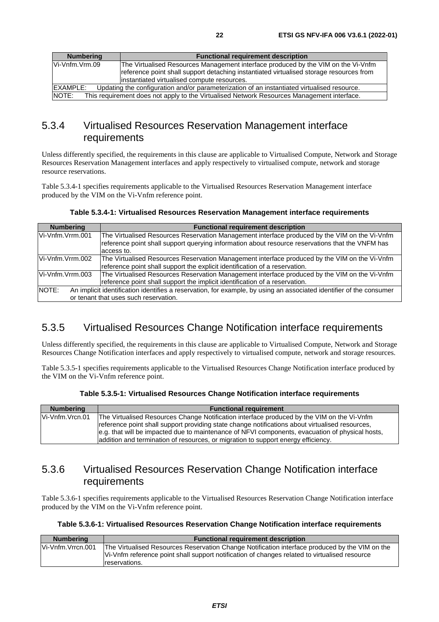<span id="page-21-0"></span>

| <b>Numbering</b>                                                                                                | <b>Functional requirement description</b>                                               |  |  |
|-----------------------------------------------------------------------------------------------------------------|-----------------------------------------------------------------------------------------|--|--|
| Vi-Vnfm.Vrm.09                                                                                                  | The Virtualised Resources Management interface produced by the VIM on the Vi-Vnfm       |  |  |
|                                                                                                                 | reference point shall support detaching instantiated virtualised storage resources from |  |  |
|                                                                                                                 | linstantiated virtualised compute resources.                                            |  |  |
| <b>IEXAMPLE:</b><br>Updating the configuration and/or parameterization of an instantiated virtualised resource. |                                                                                         |  |  |
| NOTE:<br>This requirement does not apply to the Virtualised Network Resources Management interface.             |                                                                                         |  |  |

# 5.3.4 Virtualised Resources Reservation Management interface requirements

Unless differently specified, the requirements in this clause are applicable to Virtualised Compute, Network and Storage Resources Reservation Management interfaces and apply respectively to virtualised compute, network and storage resource reservations.

Table 5.3.4-1 specifies requirements applicable to the Virtualised Resources Reservation Management interface produced by the VIM on the Vi-Vnfm reference point.

| <b>Numbering</b> | <b>Functional requirement description</b>                                                                                                                                                                        |  |  |  |
|------------------|------------------------------------------------------------------------------------------------------------------------------------------------------------------------------------------------------------------|--|--|--|
| Vi-Vnfm.Vrrm.001 | The Virtualised Resources Reservation Management interface produced by the VIM on the Vi-Vnfm<br>reference point shall support querying information about resource reservations that the VNFM has<br>laccess to. |  |  |  |
| Vi-Vnfm.Vrrm.002 | The Virtualised Resources Reservation Management interface produced by the VIM on the Vi-Vnfm<br>reference point shall support the explicit identification of a reservation.                                     |  |  |  |
| Vi-Vnfm.Vrrm.003 | The Virtualised Resources Reservation Management interface produced by the VIM on the Vi-Vnfm<br>reference point shall support the implicit identification of a reservation.                                     |  |  |  |
| NOTE:            | An implicit identification identifies a reservation, for example, by using an associated identifier of the consumer<br>or tenant that uses such reservation.                                                     |  |  |  |
|                  |                                                                                                                                                                                                                  |  |  |  |

#### **Table 5.3.4-1: Virtualised Resources Reservation Management interface requirements**

# 5.3.5 Virtualised Resources Change Notification interface requirements

Unless differently specified, the requirements in this clause are applicable to Virtualised Compute, Network and Storage Resources Change Notification interfaces and apply respectively to virtualised compute, network and storage resources.

Table 5.3.5-1 specifies requirements applicable to the Virtualised Resources Change Notification interface produced by the VIM on the Vi-Vnfm reference point.

#### **Table 5.3.5-1: Virtualised Resources Change Notification interface requirements**

| <b>Numbering</b> | <b>Functional requirement</b>                                                                                                                                                                                                                                                                                                                                                         |  |  |  |
|------------------|---------------------------------------------------------------------------------------------------------------------------------------------------------------------------------------------------------------------------------------------------------------------------------------------------------------------------------------------------------------------------------------|--|--|--|
| Vi-Vnfm.Vrcn.01  | The Virtualised Resources Change Notification interface produced by the VIM on the Vi-Vnfm<br>reference point shall support providing state change notifications about virtualised resources,<br>e.g. that will be impacted due to maintenance of NFVI components, evacuation of physical hosts,<br>addition and termination of resources, or migration to support energy efficiency. |  |  |  |

# 5.3.6 Virtualised Resources Reservation Change Notification interface requirements

Table 5.3.6-1 specifies requirements applicable to the Virtualised Resources Reservation Change Notification interface produced by the VIM on the Vi-Vnfm reference point.

#### **Table 5.3.6-1: Virtualised Resources Reservation Change Notification interface requirements**

| <b>Numbering</b>  | <b>Functional requirement description</b>                                                                                                                                                       |  |  |
|-------------------|-------------------------------------------------------------------------------------------------------------------------------------------------------------------------------------------------|--|--|
| Vi-Vnfm.Vrrcn.001 | The Virtualised Resources Reservation Change Notification interface produced by the VIM on the<br>Vi-Vnfm reference point shall support notification of changes related to virtualised resource |  |  |
|                   | reservations.                                                                                                                                                                                   |  |  |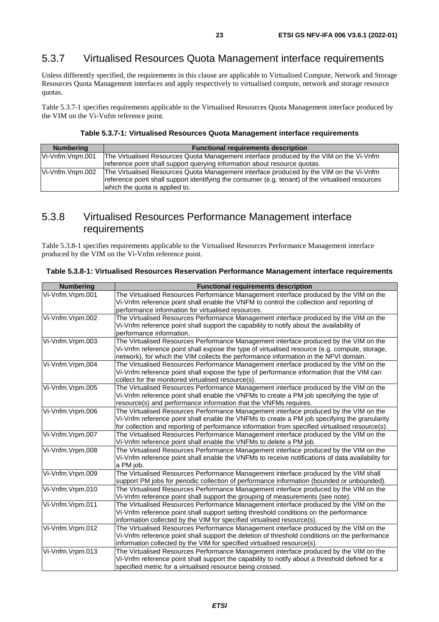# <span id="page-22-0"></span>5.3.7 Virtualised Resources Quota Management interface requirements

Unless differently specified, the requirements in this clause are applicable to Virtualised Compute, Network and Storage Resources Quota Management interfaces and apply respectively to virtualised compute, network and storage resource quotas.

Table 5.3.7-1 specifies requirements applicable to the Virtualised Resources Quota Management interface produced by the VIM on the Vi-Vnfm reference point.

#### **Table 5.3.7-1: Virtualised Resources Quota Management interface requirements**

| <b>Numbering</b> | <b>Functional requirements description</b>                                                                                                                                                                                     |  |  |
|------------------|--------------------------------------------------------------------------------------------------------------------------------------------------------------------------------------------------------------------------------|--|--|
| Vi-Vnfm.Vram.001 | The Virtualised Resources Quota Management interface produced by the VIM on the Vi-Vnfm                                                                                                                                        |  |  |
|                  | reference point shall support querying information about resource quotas.                                                                                                                                                      |  |  |
| Vi-Vnfm.Vram.002 | The Virtualised Resources Quota Management interface produced by the VIM on the Vi-Vnfm<br>reference point shall support identifying the consumer (e.g. tenant) of the virtualised resources<br>which the quota is applied to. |  |  |

# 5.3.8 Virtualised Resources Performance Management interface requirements

Table 5.3.8-1 specifies requirements applicable to the Virtualised Resources Performance Management interface produced by the VIM on the Vi-Vnfm reference point.

|  |  |  |  | Table 5.3.8-1: Virtualised Resources Reservation Performance Management interface requirements |
|--|--|--|--|------------------------------------------------------------------------------------------------|
|--|--|--|--|------------------------------------------------------------------------------------------------|

| <b>Numbering</b> | <b>Functional requirements description</b>                                                                                                                                                                                                                                               |
|------------------|------------------------------------------------------------------------------------------------------------------------------------------------------------------------------------------------------------------------------------------------------------------------------------------|
| Vi-Vnfm.Vrpm.001 | The Virtualised Resources Performance Management interface produced by the VIM on the<br>Vi-Vnfm reference point shall enable the VNFM to control the collection and reporting of                                                                                                        |
|                  | performance information for virtualised resources.                                                                                                                                                                                                                                       |
| Vi-Vnfm.Vrpm.002 | The Virtualised Resources Performance Management interface produced by the VIM on the<br>Vi-Vnfm reference point shall support the capability to notify about the availability of<br>performance information.                                                                            |
| Vi-Vnfm.Vrpm.003 | The Virtualised Resources Performance Management interface produced by the VIM on the<br>Vi-Vnfm reference point shall expose the type of virtualised resource (e.g. compute, storage,<br>network), for which the VIM collects the performance information in the NFVI domain.           |
| Vi-Vnfm.Vrpm.004 | The Virtualised Resources Performance Management interface produced by the VIM on the<br>Vi-Vnfm reference point shall expose the type of performance information that the VIM can<br>collect for the monitored virtualised resource(s).                                                 |
| Vi-Vnfm.Vrpm.005 | The Virtualised Resources Performance Management interface produced by the VIM on the<br>Vi-Vnfm reference point shall enable the VNFMs to create a PM job specifying the type of<br>resource(s) and performance information that the VNFMs requires.                                    |
| Vi-Vnfm.Vrpm.006 | The Virtualised Resources Performance Management interface produced by the VIM on the<br>Vi-Vnfm reference point shall enable the VNFMs to create a PM job specifying the granularity<br>for collection and reporting of performance information from specified virtualised resource(s). |
| Vi-Vnfm.Vrpm.007 | The Virtualised Resources Performance Management interface produced by the VIM on the<br>Vi-Vnfm reference point shall enable the VNFMs to delete a PM job.                                                                                                                              |
| Vi-Vnfm.Vrpm.008 | The Virtualised Resources Performance Management interface produced by the VIM on the<br>Vi-Vnfm reference point shall enable the VNFMs to receive notifications of data availability for<br>a PM job.                                                                                   |
| Vi-Vnfm.Vrpm.009 | The Virtualised Resources Performance Management interface produced by the VIM shall<br>support PM jobs for periodic collection of performance information (bounded or unbounded).                                                                                                       |
| Vi-Vnfm.Vrpm.010 | The Virtualised Resources Performance Management interface produced by the VIM on the<br>Vi-Vnfm reference point shall support the grouping of measurements (see note).                                                                                                                  |
| Vi-Vnfm.Vrpm.011 | The Virtualised Resources Performance Management interface produced by the VIM on the<br>Vi-Vnfm reference point shall support setting threshold conditions on the performance<br>information collected by the VIM for specified virtualised resource(s).                                |
| Vi-Vnfm.Vrpm.012 | The Virtualised Resources Performance Management interface produced by the VIM on the<br>Vi-Vnfm reference point shall support the deletion of threshold conditions on the performance<br>information collected by the VIM for specified virtualised resource(s).                        |
| Vi-Vnfm.Vrpm.013 | The Virtualised Resources Performance Management interface produced by the VIM on the<br>Vi-Vnfm reference point shall support the capability to notify about a threshold defined for a<br>specified metric for a virtualised resource being crossed.                                    |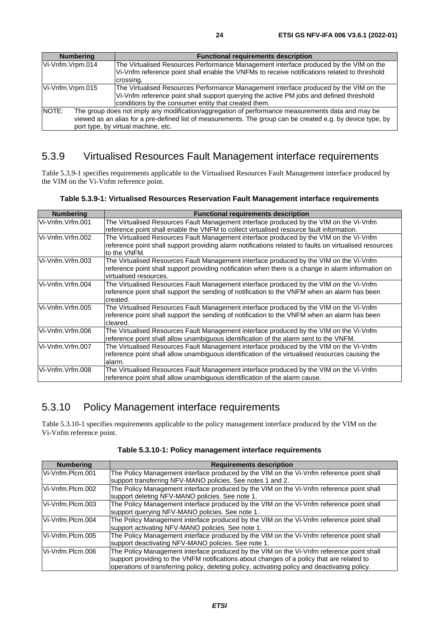<span id="page-23-0"></span>Vi-Vnfm.Vrpm.015 The Virtualised Resources Performance Management interface produced by the VIM on the Vi-Vnfm reference point shall support querying the active PM jobs and defined threshold conditions by the consumer entity that created them. NOTE: The group does not imply any modification/aggregation of performance measurements data and may be viewed as an alias for a pre-defined list of measurements. The group can be created e.g. by device type, by port type, by virtual machine, etc.

# 5.3.9 Virtualised Resources Fault Management interface requirements

Table 5.3.9-1 specifies requirements applicable to the Virtualised Resources Fault Management interface produced by the VIM on the Vi-Vnfm reference point.

|  |  | Table 5.3.9-1: Virtualised Resources Reservation Fault Management interface requirements |
|--|--|------------------------------------------------------------------------------------------|
|  |  |                                                                                          |

| The Virtualised Resources Fault Management interface produced by the VIM on the Vi-Vnfm                |
|--------------------------------------------------------------------------------------------------------|
| reference point shall enable the VNFM to collect virtualised resource fault information.               |
| The Virtualised Resources Fault Management interface produced by the VIM on the Vi-Vnfm                |
| reference point shall support providing alarm notifications related to faults on virtualised resources |
|                                                                                                        |
| The Virtualised Resources Fault Management interface produced by the VIM on the Vi-Vnfm                |
| reference point shall support providing notification when there is a change in alarm information on    |
|                                                                                                        |
| The Virtualised Resources Fault Management interface produced by the VIM on the Vi-Vnfm                |
| reference point shall support the sending of notification to the VNFM when an alarm has been           |
|                                                                                                        |
| The Virtualised Resources Fault Management interface produced by the VIM on the Vi-Vnfm                |
| reference point shall support the sending of notification to the VNFM when an alarm has been           |
|                                                                                                        |
| The Virtualised Resources Fault Management interface produced by the VIM on the Vi-Vnfm                |
| reference point shall allow unambiguous identification of the alarm sent to the VNFM.                  |
| The Virtualised Resources Fault Management interface produced by the VIM on the Vi-Vnfm                |
| reference point shall allow unambiguous identification of the virtualised resources causing the        |
|                                                                                                        |
| The Virtualised Resources Fault Management interface produced by the VIM on the Vi-Vnfm                |
|                                                                                                        |
|                                                                                                        |

### 5.3.10 Policy Management interface requirements

Table 5.3.10-1 specifies requirements applicable to the policy management interface produced by the VIM on the Vi-Vnfm reference point.

| <b>Numbering</b> | <b>Requirements description</b>                                                                |
|------------------|------------------------------------------------------------------------------------------------|
| Vi-Vnfm.Plcm.001 | The Policy Management interface produced by the VIM on the Vi-Vnfm reference point shall       |
|                  | support transferring NFV-MANO policies. See notes 1 and 2.                                     |
| Vi-Vnfm.Plcm.002 | The Policy Management interface produced by the VIM on the Vi-Vnfm reference point shall       |
|                  | support deleting NFV-MANO policies. See note 1.                                                |
| Vi-Vnfm.Plcm.003 | The Policy Management interface produced by the VIM on the Vi-Vnfm reference point shall       |
|                  | support querying NFV-MANO policies. See note 1.                                                |
| Vi-Vnfm.Plcm.004 | The Policy Management interface produced by the VIM on the Vi-Vnfm reference point shall       |
|                  | support activating NFV-MANO policies. See note 1.                                              |
| Vi-Vnfm.Plcm.005 | The Policy Management interface produced by the VIM on the Vi-Vnfm reference point shall       |
|                  | support deactivating NFV-MANO policies. See note 1.                                            |
| Vi-Vnfm.Plcm.006 | The Policy Management interface produced by the VIM on the Vi-Vnfm reference point shall       |
|                  | support providing to the VNFM notifications about changes of a policy that are related to      |
|                  | operations of transferring policy, deleting policy, activating policy and deactivating policy. |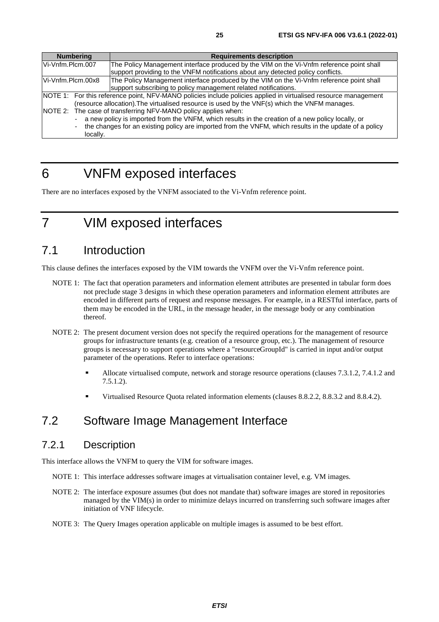<span id="page-24-0"></span>

|                  | <b>Numbering</b>         | <b>Requirements description</b>                                                                                 |
|------------------|--------------------------|-----------------------------------------------------------------------------------------------------------------|
| Vi-Vnfm.Plcm.007 |                          | The Policy Management interface produced by the VIM on the Vi-Vnfm reference point shall                        |
|                  |                          | support providing to the VNFM notifications about any detected policy conflicts.                                |
|                  | Vi-Vnfm.Plcm.00x8        | The Policy Management interface produced by the VIM on the Vi-Vnfm reference point shall                        |
|                  |                          | support subscribing to policy management related notifications.                                                 |
|                  |                          | NOTE 1: For this reference point, NFV-MANO policies include policies applied in virtualised resource management |
|                  |                          | (resource allocation). The virtualised resource is used by the VNF(s) which the VNFM manages.                   |
|                  |                          | NOTE 2: The case of transferring NFV-MANO policy applies when:                                                  |
|                  | $\sim$                   | a new policy is imported from the VNFM, which results in the creation of a new policy locally, or               |
|                  | $\overline{\phantom{a}}$ | the changes for an existing policy are imported from the VNFM, which results in the update of a policy          |
|                  | locally.                 |                                                                                                                 |

# 6 VNFM exposed interfaces

There are no interfaces exposed by the VNFM associated to the Vi-Vnfm reference point.

7 VIM exposed interfaces

# 7.1 Introduction

This clause defines the interfaces exposed by the VIM towards the VNFM over the Vi-Vnfm reference point.

- NOTE 1: The fact that operation parameters and information element attributes are presented in tabular form does not preclude stage 3 designs in which these operation parameters and information element attributes are encoded in different parts of request and response messages. For example, in a RESTful interface, parts of them may be encoded in the URL, in the message header, in the message body or any combination thereof.
- NOTE 2: The present document version does not specify the required operations for the management of resource groups for infrastructure tenants (e.g. creation of a resource group, etc.). The management of resource groups is necessary to support operations where a "resourceGroupId" is carried in input and/or output parameter of the operations. Refer to interface operations:
	- Allocate virtualised compute, network and storage resource operations (clauses 7.3.1.2, 7.4.1.2 and 7.5.1.2).
	- Virtualised Resource Quota related information elements (clauses 8.8.2.2, 8.8.3.2 and 8.8.4.2).

# 7.2 Software Image Management Interface

#### 7.2.1 Description

This interface allows the VNFM to query the VIM for software images.

- NOTE 1: This interface addresses software images at virtualisation container level, e.g. VM images.
- NOTE 2: The interface exposure assumes (but does not mandate that) software images are stored in repositories managed by the VIM(s) in order to minimize delays incurred on transferring such software images after initiation of VNF lifecycle.
- NOTE 3: The Query Images operation applicable on multiple images is assumed to be best effort.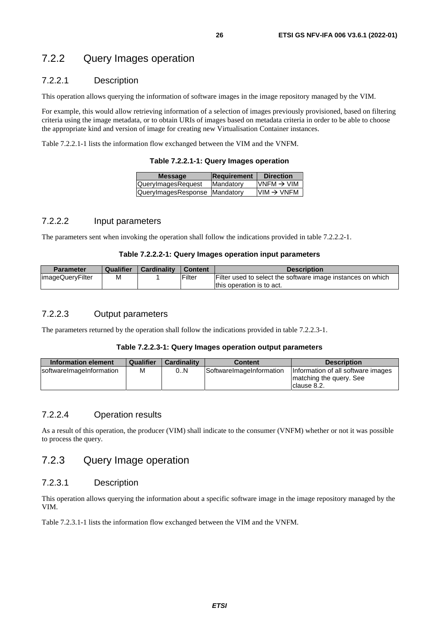### <span id="page-25-0"></span>7.2.2 Query Images operation

#### 7.2.2.1 Description

This operation allows querying the information of software images in the image repository managed by the VIM.

For example, this would allow retrieving information of a selection of images previously provisioned, based on filtering criteria using the image metadata, or to obtain URIs of images based on metadata criteria in order to be able to choose the appropriate kind and version of image for creating new Virtualisation Container instances.

Table 7.2.2.1-1 lists the information flow exchanged between the VIM and the VNFM.

**Table 7.2.2.1-1: Query Images operation** 

| <b>Message</b>                | <b>Requirement</b> | <b>Direction</b>       |
|-------------------------------|--------------------|------------------------|
| QueryImagesRequest            | Mandatory          | $VNFM \rightarrow VIM$ |
| QueryImagesResponse Mandatory |                    | $VIM \rightarrow VNFM$ |
|                               |                    |                        |

#### 7.2.2.2 Input parameters

The parameters sent when invoking the operation shall follow the indications provided in table 7.2.2.2-1.

#### **Table 7.2.2.2-1: Query Images operation input parameters**

| Parameter        | Qualifier | <b>Cardinality</b> | ' Content | <b>Description</b>                                          |
|------------------|-----------|--------------------|-----------|-------------------------------------------------------------|
| imageQueryFilter | M         |                    | lFilter   | Filter used to select the software image instances on which |
|                  |           |                    |           | Ithis operation is to act.                                  |

#### 7.2.2.3 Output parameters

The parameters returned by the operation shall follow the indications provided in table 7.2.2.3-1.

#### **Table 7.2.2.3-1: Query Images operation output parameters**

| Information element      | Qualifier | <b>Cardinality</b> | <b>Content</b>           | <b>Description</b>                                                            |
|--------------------------|-----------|--------------------|--------------------------|-------------------------------------------------------------------------------|
| softwareImageInformation | М         | 0N                 | SoftwareImageInformation | Information of all software images<br>matching the query. See<br>Iclause 8.2. |

#### 7.2.2.4 Operation results

As a result of this operation, the producer (VIM) shall indicate to the consumer (VNFM) whether or not it was possible to process the query.

### 7.2.3 Query Image operation

#### 7.2.3.1 Description

This operation allows querying the information about a specific software image in the image repository managed by the VIM.

Table 7.2.3.1-1 lists the information flow exchanged between the VIM and the VNFM.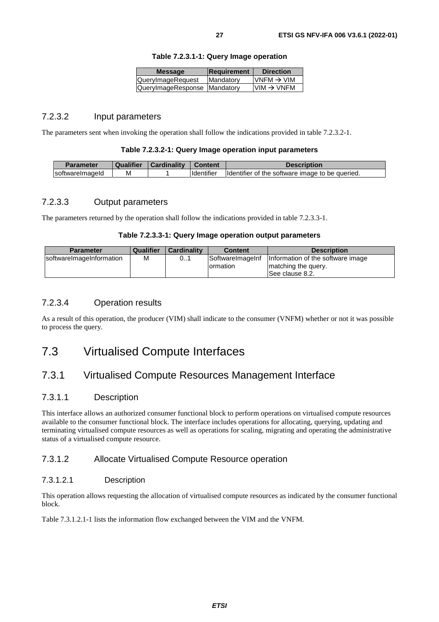| <b>Message</b>               | Requirement | <b>Direction</b>       |
|------------------------------|-------------|------------------------|
| QueryImageRequest            | Mandatory   | VNFM $\rightarrow$ VIM |
| QueryImageResponse Mandatory |             | $VIM \rightarrow VNFM$ |

#### **Table 7.2.3.1-1: Query Image operation**

#### <span id="page-26-0"></span>7.2.3.2 Input parameters

The parameters sent when invoking the operation shall follow the indications provided in table 7.2.3.2-1.

#### **Table 7.2.3.2-1: Query Image operation input parameters**

| Parameter        | Qualifier | Cardinality |                   | <b>Description</b>                              |
|------------------|-----------|-------------|-------------------|-------------------------------------------------|
| IsoftwareImageId | М         |             | <b>Identifier</b> | Identifier of the software image to be queried. |

#### 7.2.3.3 Output parameters

The parameters returned by the operation shall follow the indications provided in table 7.2.3.3-1.

#### **Table 7.2.3.3-1: Query Image operation output parameters**

| <b>Parameter</b>         | Qualifier | <b>Cardinality</b> | <b>Content</b>                              | <b>Description</b>                                                            |
|--------------------------|-----------|--------------------|---------------------------------------------|-------------------------------------------------------------------------------|
| softwarelmageInformation | М         | 01                 | <b>SoftwareImageInf</b><br><b>Iormation</b> | Information of the software image<br>Imatching the query.<br>ISee clause 8.2. |

#### 7.2.3.4 Operation results

As a result of this operation, the producer (VIM) shall indicate to the consumer (VNFM) whether or not it was possible to process the query.

# 7.3 Virtualised Compute Interfaces

### 7.3.1 Virtualised Compute Resources Management Interface

#### 7.3.1.1 Description

This interface allows an authorized consumer functional block to perform operations on virtualised compute resources available to the consumer functional block. The interface includes operations for allocating, querying, updating and terminating virtualised compute resources as well as operations for scaling, migrating and operating the administrative status of a virtualised compute resource.

#### 7.3.1.2 Allocate Virtualised Compute Resource operation

#### 7.3.1.2.1 Description

This operation allows requesting the allocation of virtualised compute resources as indicated by the consumer functional block.

Table 7.3.1.2.1-1 lists the information flow exchanged between the VIM and the VNFM.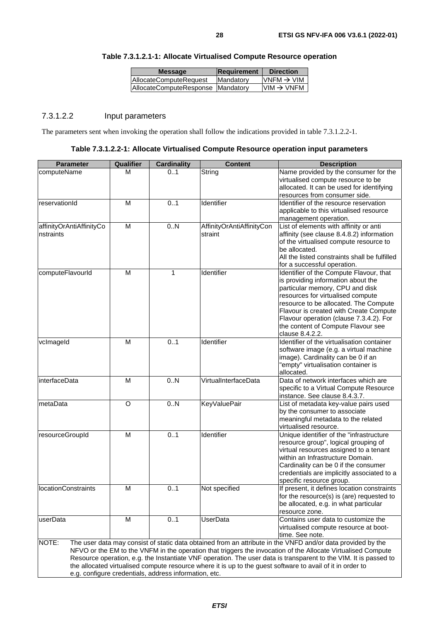| <b>Message</b>                    | Requirement       | <b>Direction</b>       |
|-----------------------------------|-------------------|------------------------|
| AllocateComputeRequest            | <b>IMandatory</b> | VNFM $\rightarrow$ VIM |
| AllocateComputeResponse Mandatory |                   | $VIM \rightarrow VNFM$ |

#### <span id="page-27-0"></span>**Table 7.3.1.2.1-1: Allocate Virtualised Compute Resource operation**

#### 7.3.1.2.2 Input parameters

The parameters sent when invoking the operation shall follow the indications provided in table 7.3.1.2.2-1.

| <b>Parameter</b>           | <b>Qualifier</b> | <b>Cardinality</b>                                    | <b>Content</b>            | <b>Description</b>                                                                                               |
|----------------------------|------------------|-------------------------------------------------------|---------------------------|------------------------------------------------------------------------------------------------------------------|
| computeName                | М                | 0.1                                                   | String                    | Name provided by the consumer for the                                                                            |
|                            |                  |                                                       |                           | virtualised compute resource to be                                                                               |
|                            |                  |                                                       |                           | allocated. It can be used for identifying                                                                        |
|                            |                  |                                                       |                           | resources from consumer side.                                                                                    |
| reservationId              | M                | 0.1                                                   | Identifier                | Identifier of the resource reservation                                                                           |
|                            |                  |                                                       |                           | applicable to this virtualised resource                                                                          |
| affinityOrAntiAffinityCo   | M                | 0.N                                                   | AffinityOrAntiAffinityCon | management operation.<br>List of elements with affinity or anti                                                  |
| nstraints                  |                  |                                                       | straint                   | affinity (see clause 8.4.8.2) information                                                                        |
|                            |                  |                                                       |                           | of the virtualised compute resource to                                                                           |
|                            |                  |                                                       |                           | be allocated.                                                                                                    |
|                            |                  |                                                       |                           | All the listed constraints shall be fulfilled                                                                    |
|                            |                  |                                                       |                           | for a successful operation.                                                                                      |
| computeFlavourld           | M                | 1                                                     | Identifier                | Identifier of the Compute Flavour, that                                                                          |
|                            |                  |                                                       |                           | is providing information about the                                                                               |
|                            |                  |                                                       |                           | particular memory, CPU and disk                                                                                  |
|                            |                  |                                                       |                           | resources for virtualised compute                                                                                |
|                            |                  |                                                       |                           | resource to be allocated. The Compute                                                                            |
|                            |                  |                                                       |                           | Flavour is created with Create Compute                                                                           |
|                            |                  |                                                       |                           | Flavour operation (clause 7.3.4.2). For                                                                          |
|                            |                  |                                                       |                           | the content of Compute Flavour see<br>clause 8.4.2.2.                                                            |
| vclmageld                  | M                | 0.1                                                   | Identifier                | Identifier of the virtualisation container                                                                       |
|                            |                  |                                                       |                           | software image (e.g. a virtual machine                                                                           |
|                            |                  |                                                       |                           | image). Cardinality can be 0 if an                                                                               |
|                            |                  |                                                       |                           | "empty" virtualisation container is                                                                              |
|                            |                  |                                                       |                           | allocated.                                                                                                       |
| interfaceData              | M                | 0.N                                                   | VirtualInterfaceData      | Data of network interfaces which are                                                                             |
|                            |                  |                                                       |                           | specific to a Virtual Compute Resource                                                                           |
|                            |                  |                                                       |                           | instance. See clause 8.4.3.7.                                                                                    |
| metaData                   | $\circ$          | 0.N                                                   | <b>KeyValuePair</b>       | List of metadata key-value pairs used                                                                            |
|                            |                  |                                                       |                           | by the consumer to associate                                                                                     |
|                            |                  |                                                       |                           | meaningful metadata to the related                                                                               |
|                            |                  |                                                       |                           | virtualised resource.                                                                                            |
| resourceGroupId            | M                | 0.1                                                   | Identifier                | Unique identifier of the "infrastructure                                                                         |
|                            |                  |                                                       |                           | resource group", logical grouping of                                                                             |
|                            |                  |                                                       |                           | virtual resources assigned to a tenant<br>within an Infrastructure Domain.                                       |
|                            |                  |                                                       |                           | Cardinality can be 0 if the consumer                                                                             |
|                            |                  |                                                       |                           | credentials are implicitly associated to a                                                                       |
|                            |                  |                                                       |                           | specific resource group.                                                                                         |
| <b>IocationConstraints</b> | M                | 01                                                    | Not specified             | If present, it defines location constraints                                                                      |
|                            |                  |                                                       |                           | for the resource(s) is (are) requested to                                                                        |
|                            |                  |                                                       |                           | be allocated, e.g. in what particular                                                                            |
|                            |                  |                                                       |                           | resource zone.                                                                                                   |
| userData                   | M                | 01                                                    | UserData                  | Contains user data to customize the                                                                              |
|                            |                  |                                                       |                           | virtualised compute resource at boot-                                                                            |
|                            |                  |                                                       |                           | time. See note.                                                                                                  |
| NOTE:                      |                  |                                                       |                           | The user data may consist of static data obtained from an attribute in the VNFD and/or data provided by the      |
|                            |                  |                                                       |                           | NFVO or the EM to the VNFM in the operation that triggers the invocation of the Allocate Virtualised Compute     |
|                            |                  |                                                       |                           | Resource operation, e.g. the Instantiate VNF operation. The user data is transparent to the VIM. It is passed to |
|                            |                  | e.g. configure credentials, address information, etc. |                           | the allocated virtualised compute resource where it is up to the guest software to avail of it in order to       |
|                            |                  |                                                       |                           |                                                                                                                  |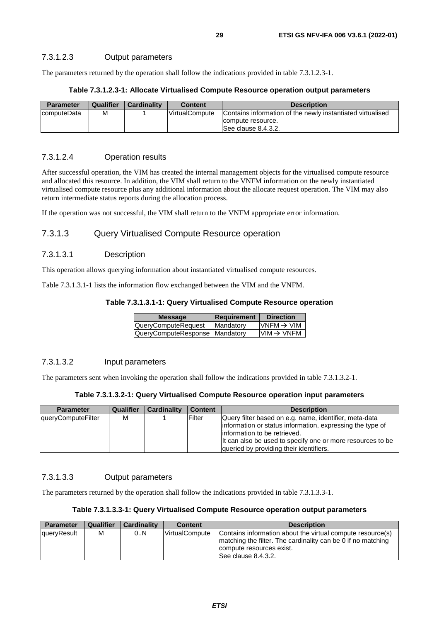<span id="page-28-0"></span>The parameters returned by the operation shall follow the indications provided in table 7.3.1.2.3-1.

#### **Table 7.3.1.2.3-1: Allocate Virtualised Compute Resource operation output parameters**

| <b>Parameter</b> | Qualifier | <b>Cardinality</b> | <b>Content</b>        | <b>Description</b>                                         |
|------------------|-----------|--------------------|-----------------------|------------------------------------------------------------|
| computeData      | м         |                    | <b>VirtualCompute</b> | Contains information of the newly instantiated virtualised |
|                  |           |                    |                       | compute resource.                                          |
|                  |           |                    |                       | See clause 8.4.3.2.                                        |

#### 7.3.1.2.4 Operation results

After successful operation, the VIM has created the internal management objects for the virtualised compute resource and allocated this resource. In addition, the VIM shall return to the VNFM information on the newly instantiated virtualised compute resource plus any additional information about the allocate request operation. The VIM may also return intermediate status reports during the allocation process.

If the operation was not successful, the VIM shall return to the VNFM appropriate error information.

#### 7.3.1.3 Query Virtualised Compute Resource operation

#### 7.3.1.3.1 Description

This operation allows querying information about instantiated virtualised compute resources.

Table 7.3.1.3.1-1 lists the information flow exchanged between the VIM and the VNFM.

#### **Table 7.3.1.3.1-1: Query Virtualised Compute Resource operation**

| <b>Message</b>                 | Requirement | <b>Direction</b>       |
|--------------------------------|-------------|------------------------|
| QueryComputeRequest            | Mandatory   | $VNFM \rightarrow VIM$ |
| QueryComputeResponse Mandatory |             | $VIM \rightarrow VNFM$ |

#### 7.3.1.3.2 Input parameters

The parameters sent when invoking the operation shall follow the indications provided in table 7.3.1.3.2-1.

| Table 7.3.1.3.2-1: Query Virtualised Compute Resource operation input parameters |  |  |  |  |
|----------------------------------------------------------------------------------|--|--|--|--|
|----------------------------------------------------------------------------------|--|--|--|--|

| <b>Parameter</b>   | Qualifier | <b>Cardinality</b> | <b>Content</b> | <b>Description</b>                                                                                                                                                                                                                                            |
|--------------------|-----------|--------------------|----------------|---------------------------------------------------------------------------------------------------------------------------------------------------------------------------------------------------------------------------------------------------------------|
| queryComputeFilter | м         |                    | Filter         | Query filter based on e.g. name, identifier, meta-data<br>information or status information, expressing the type of<br>linformation to be retrieved.<br>It can also be used to specify one or more resources to be<br>queried by providing their identifiers. |

#### 7.3.1.3.3 Output parameters

The parameters returned by the operation shall follow the indications provided in table 7.3.1.3.3-1.

#### **Table 7.3.1.3.3-1: Query Virtualised Compute Resource operation output parameters**

| <b>Parameter</b> | <b>Qualifier</b> | <b>Cardinality</b> | <b>Content</b> | <b>Description</b>                                                                                                                                                             |
|------------------|------------------|--------------------|----------------|--------------------------------------------------------------------------------------------------------------------------------------------------------------------------------|
| queryResult      | м                | 0N                 | VirtualCompute | Contains information about the virtual compute resource(s)<br>Imatching the filter. The cardinality can be 0 if no matching<br>compute resources exist.<br>See clause 8.4.3.2. |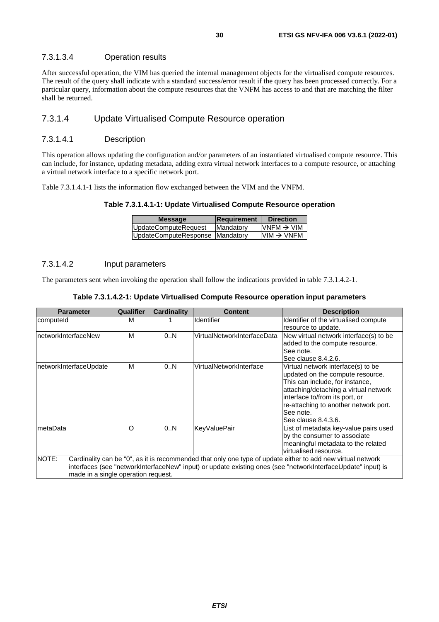#### <span id="page-29-0"></span>7.3.1.3.4 Operation results

After successful operation, the VIM has queried the internal management objects for the virtualised compute resources. The result of the query shall indicate with a standard success/error result if the query has been processed correctly. For a particular query, information about the compute resources that the VNFM has access to and that are matching the filter shall be returned.

#### 7.3.1.4 Update Virtualised Compute Resource operation

#### 7.3.1.4.1 Description

This operation allows updating the configuration and/or parameters of an instantiated virtualised compute resource. This can include, for instance, updating metadata, adding extra virtual network interfaces to a compute resource, or attaching a virtual network interface to a specific network port.

Table 7.3.1.4.1-1 lists the information flow exchanged between the VIM and the VNFM.

#### **Table 7.3.1.4.1-1: Update Virtualised Compute Resource operation**

| <b>Message</b>                  | Requirement | <b>Direction</b>       |
|---------------------------------|-------------|------------------------|
| UpdateComputeRequest            | Mandatory   | VNFM $\rightarrow$ VIM |
| UpdateComputeResponse Mandatory |             | $VIM \rightarrow VNFM$ |
|                                 |             |                        |

#### 7.3.1.4.2 Input parameters

The parameters sent when invoking the operation shall follow the indications provided in table 7.3.1.4.2-1.

#### **Table 7.3.1.4.2-1: Update Virtualised Compute Resource operation input parameters**

| <b>Parameter</b>                    | Qualifier | <b>Cardinality</b> | <b>Content</b>              | <b>Description</b>                                                                                           |
|-------------------------------------|-----------|--------------------|-----------------------------|--------------------------------------------------------------------------------------------------------------|
| computeld                           | M         |                    | <b>Identifier</b>           | Identifier of the virtualised compute                                                                        |
|                                     |           |                    |                             | resource to update.                                                                                          |
| networkInterfaceNew                 | M         | 0.N                | VirtualNetworkInterfaceData | New virtual network interface(s) to be                                                                       |
|                                     |           |                    |                             | added to the compute resource.                                                                               |
|                                     |           |                    |                             | See note.                                                                                                    |
|                                     |           |                    |                             | See clause 8.4.2.6.                                                                                          |
| networkInterfaceUpdate              | м         | 0.N                | VirtualNetworkInterface     | Virtual network interface(s) to be                                                                           |
|                                     |           |                    |                             | updated on the compute resource.                                                                             |
|                                     |           |                    |                             | This can include, for instance,                                                                              |
|                                     |           |                    |                             | attaching/detaching a virtual network                                                                        |
|                                     |           |                    |                             | interface to/from its port, or                                                                               |
|                                     |           |                    |                             | re-attaching to another network port.                                                                        |
|                                     |           |                    |                             | See note.                                                                                                    |
|                                     |           |                    |                             | See clause 8.4.3.6.                                                                                          |
| metaData                            | O         | 0N                 | <b>KeyValuePair</b>         | List of metadata key-value pairs used                                                                        |
|                                     |           |                    |                             | by the consumer to associate                                                                                 |
|                                     |           |                    |                             | meaningful metadata to the related                                                                           |
|                                     |           |                    |                             | virtualised resource.                                                                                        |
| NOTE:                               |           |                    |                             | Cardinality can be "0", as it is recommended that only one type of update either to add new virtual network  |
|                                     |           |                    |                             | interfaces (see "networkInterfaceNew" input) or update existing ones (see "networkInterfaceUpdate" input) is |
| made in a single operation request. |           |                    |                             |                                                                                                              |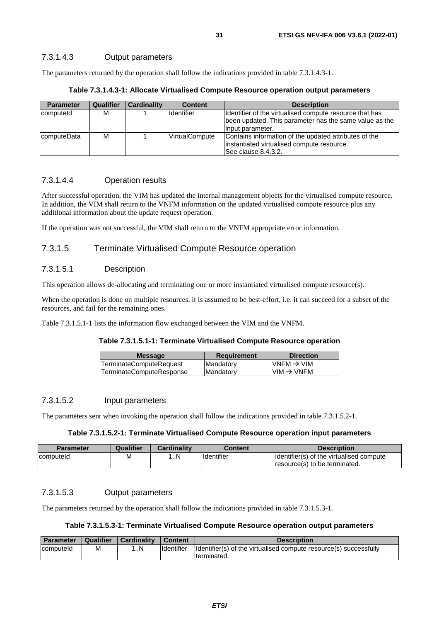<span id="page-30-0"></span>The parameters returned by the operation shall follow the indications provided in table 7.3.1.4.3-1.

|  | Table 7.3.1.4.3-1: Allocate Virtualised Compute Resource operation output parameters |  |
|--|--------------------------------------------------------------------------------------|--|
|--|--------------------------------------------------------------------------------------|--|

| <b>Parameter</b> | <b>Qualifier</b> | Cardinality | <b>Content</b>    | <b>Description</b>                                      |
|------------------|------------------|-------------|-------------------|---------------------------------------------------------|
| computeld        | М                |             | <b>Identifier</b> | Identifier of the virtualised compute resource that has |
|                  |                  |             |                   | been updated. This parameter has the same value as the  |
|                  |                  |             |                   | linput parameter.                                       |
| computeData      | М                |             | VirtualCompute    | Contains information of the updated attributes of the   |
|                  |                  |             |                   | instantiated virtualised compute resource.              |
|                  |                  |             |                   | See clause 8.4.3.2.                                     |

#### 7.3.1.4.4 Operation results

After successful operation, the VIM has updated the internal management objects for the virtualised compute resource. In addition, the VIM shall return to the VNFM information on the updated virtualised compute resource plus any additional information about the update request operation.

If the operation was not successful, the VIM shall return to the VNFM appropriate error information.

#### 7.3.1.5 Terminate Virtualised Compute Resource operation

#### 7.3.1.5.1 Description

This operation allows de-allocating and terminating one or more instantiated virtualised compute resource(s).

When the operation is done on multiple resources, it is assumed to be best-effort, i.e. it can succeed for a subset of the resources, and fail for the remaining ones.

Table 7.3.1.5.1-1 lists the information flow exchanged between the VIM and the VNFM.

#### **Table 7.3.1.5.1-1: Terminate Virtualised Compute Resource operation**

| <b>Message</b>           | <b>Requirement</b> | <b>Direction</b>        |
|--------------------------|--------------------|-------------------------|
| TerminateComputeRequest  | Mandatory          | IVNFM $\rightarrow$ VIM |
| TerminateComputeResponse | Mandatory          | $VIM \rightarrow VNFM$  |
|                          |                    |                         |

#### 7.3.1.5.2 Input parameters

The parameters sent when invoking the operation shall follow the indications provided in table 7.3.1.5.2-1.

#### **Table 7.3.1.5.2-1: Terminate Virtualised Compute Resource operation input parameters**

| <b>Parameter</b> | Qualifier | <b>Cardinality</b> | Content           | <b>Description</b>                       |
|------------------|-----------|--------------------|-------------------|------------------------------------------|
| computeld        | М         | N                  | <b>Identifier</b> | Identifier(s) of the virtualised compute |
|                  |           |                    |                   | resource(s) to be terminated.            |

#### 7.3.1.5.3 Output parameters

The parameters returned by the operation shall follow the indications provided in table 7.3.1.5.3-1.

#### **Table 7.3.1.5.3-1: Terminate Virtualised Compute Resource operation output parameters**

| Parameter | Qualifier | Cardinality | <b>Content</b>    | <b>Description</b>                                                |
|-----------|-----------|-------------|-------------------|-------------------------------------------------------------------|
| computeld | M         | . N         | <b>Identifier</b> | Identifier(s) of the virtualised compute resource(s) successfully |
|           |           |             |                   | Iterminated.                                                      |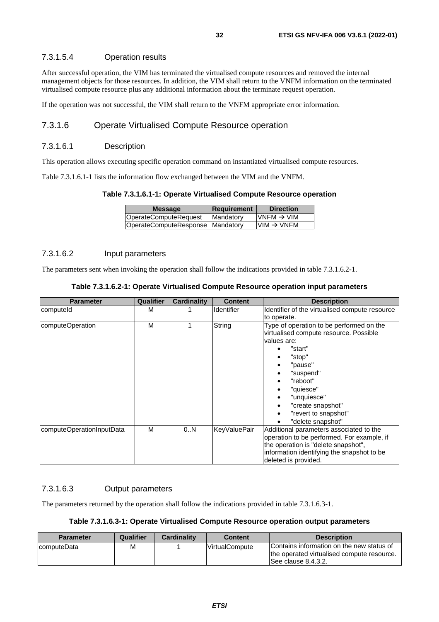#### <span id="page-31-0"></span>7.3.1.5.4 Operation results

After successful operation, the VIM has terminated the virtualised compute resources and removed the internal management objects for those resources. In addition, the VIM shall return to the VNFM information on the terminated virtualised compute resource plus any additional information about the terminate request operation.

If the operation was not successful, the VIM shall return to the VNFM appropriate error information.

#### 7.3.1.6 Operate Virtualised Compute Resource operation

#### 7.3.1.6.1 Description

This operation allows executing specific operation command on instantiated virtualised compute resources.

Table 7.3.1.6.1-1 lists the information flow exchanged between the VIM and the VNFM.

#### **Table 7.3.1.6.1-1: Operate Virtualised Compute Resource operation**

| <b>Message</b>                   | <b>Requirement</b> | <b>Direction</b>       |
|----------------------------------|--------------------|------------------------|
| OperateComputeRequest            | Mandatory          | VNFM $\rightarrow$ VIM |
| OperateComputeResponse Mandatory |                    | $VM \rightarrow VNFM$  |

#### 7.3.1.6.2 Input parameters

The parameters sent when invoking the operation shall follow the indications provided in table 7.3.1.6.2-1.

| <b>Parameter</b>          | <b>Qualifier</b> | Cardinality | <b>Content</b>      | <b>Description</b>                                                                                                                                                                                                                                       |
|---------------------------|------------------|-------------|---------------------|----------------------------------------------------------------------------------------------------------------------------------------------------------------------------------------------------------------------------------------------------------|
| computeld                 | м                |             | <b>Identifier</b>   | Identifier of the virtualised compute resource<br>to operate.                                                                                                                                                                                            |
| computeOperation          | M                |             | String              | Type of operation to be performed on the<br>virtualised compute resource. Possible<br>values are:<br>"start"<br>"stop"<br>"pause"<br>"suspend"<br>"reboot"<br>"quiesce"<br>"unquiesce"<br>"create snapshot"<br>"revert to snapshot"<br>"delete snapshot" |
| computeOperationInputData | м                | 0N          | <b>KeyValuePair</b> | Additional parameters associated to the<br>operation to be performed. For example, if<br>the operation is "delete snapshot",<br>information identifying the snapshot to be<br>deleted is provided.                                                       |

#### 7.3.1.6.3 Output parameters

The parameters returned by the operation shall follow the indications provided in table 7.3.1.6.3-1.

#### **Table 7.3.1.6.3-1: Operate Virtualised Compute Resource operation output parameters**

| <b>Parameter</b>    | Qualifier | <b>Cardinality</b> | Content               | <b>Description</b>                                                                                              |
|---------------------|-----------|--------------------|-----------------------|-----------------------------------------------------------------------------------------------------------------|
| <b>IcomputeData</b> | м         |                    | <b>VirtualCompute</b> | Contains information on the new status of<br>the operated virtualised compute resource.<br>ISee clause 8.4.3.2. |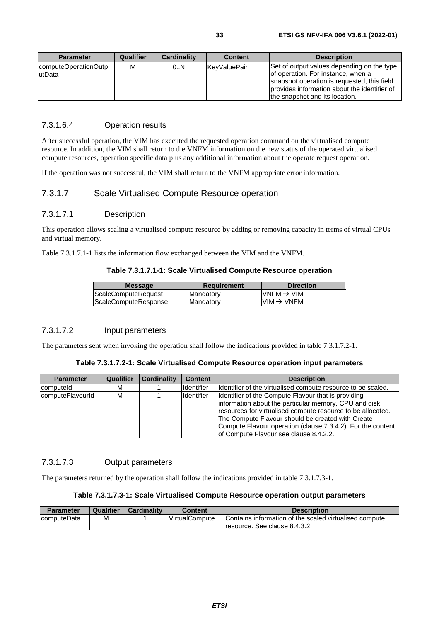<span id="page-32-0"></span>

| <b>Parameter</b>                | Qualifier | <b>Cardinality</b> | <b>Content</b>       | <b>Description</b>                                                                                                                                                                                                |
|---------------------------------|-----------|--------------------|----------------------|-------------------------------------------------------------------------------------------------------------------------------------------------------------------------------------------------------------------|
| computeOperationOutp<br>lutData | М         | 0.N                | <b>IKevValuePair</b> | Set of output values depending on the type<br>of operation. For instance, when a<br>snapshot operation is requested, this field<br>provides information about the identifier of<br>the snapshot and its location. |

#### 7.3.1.6.4 Operation results

After successful operation, the VIM has executed the requested operation command on the virtualised compute resource. In addition, the VIM shall return to the VNFM information on the new status of the operated virtualised compute resources, operation specific data plus any additional information about the operate request operation.

If the operation was not successful, the VIM shall return to the VNFM appropriate error information.

#### 7.3.1.7 Scale Virtualised Compute Resource operation

#### 7.3.1.7.1 Description

This operation allows scaling a virtualised compute resource by adding or removing capacity in terms of virtual CPUs and virtual memory.

Table 7.3.1.7.1-1 lists the information flow exchanged between the VIM and the VNFM.

#### **Table 7.3.1.7.1-1: Scale Virtualised Compute Resource operation**

| <b>Message</b>       | <b>Requirement</b> | <b>Direction</b>        |
|----------------------|--------------------|-------------------------|
| ScaleComputeRequest  | Mandatory          | $IVNFM \rightarrow VIM$ |
| ScaleComputeResponse | Mandatory          | $VM \rightarrow VNFM$   |
|                      |                    |                         |

#### 7.3.1.7.2 Input parameters

The parameters sent when invoking the operation shall follow the indications provided in table 7.3.1.7.2-1.

#### **Table 7.3.1.7.2-1: Scale Virtualised Compute Resource operation input parameters**

| <b>Parameter</b> | <b>Qualifier</b> | <b>Cardinality</b> | <b>Content</b>    | <b>Description</b>                                                                                                                                                                                                                                                                                                                        |
|------------------|------------------|--------------------|-------------------|-------------------------------------------------------------------------------------------------------------------------------------------------------------------------------------------------------------------------------------------------------------------------------------------------------------------------------------------|
| computeld        | м                |                    | Identifier        | Identifier of the virtualised compute resource to be scaled.                                                                                                                                                                                                                                                                              |
| computeFlavourld | М                |                    | <b>Identifier</b> | Identifier of the Compute Flavour that is providing<br>information about the particular memory, CPU and disk<br>resources for virtualised compute resource to be allocated.<br>The Compute Flavour should be created with Create<br>Compute Flavour operation (clause 7.3.4.2). For the content<br>of Compute Flavour see clause 8.4.2.2. |

#### 7.3.1.7.3 Output parameters

The parameters returned by the operation shall follow the indications provided in table 7.3.1.7.3-1.

#### **Table 7.3.1.7.3-1: Scale Virtualised Compute Resource operation output parameters**

| <b>Parameter</b> | Qualifier | Cardinality | Content               | <b>Description</b>                                     |
|------------------|-----------|-------------|-----------------------|--------------------------------------------------------|
| computeData      | M         |             | <b>VirtualCompute</b> | Contains information of the scaled virtualised compute |
|                  |           |             |                       | Tresource. See clause 8.4.3.2.                         |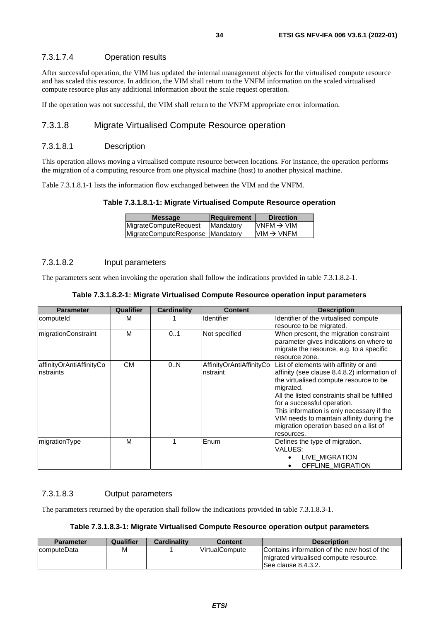#### <span id="page-33-0"></span>7.3.1.7.4 Operation results

After successful operation, the VIM has updated the internal management objects for the virtualised compute resource and has scaled this resource. In addition, the VIM shall return to the VNFM information on the scaled virtualised compute resource plus any additional information about the scale request operation.

If the operation was not successful, the VIM shall return to the VNFM appropriate error information.

#### 7.3.1.8 Migrate Virtualised Compute Resource operation

#### 7.3.1.8.1 Description

This operation allows moving a virtualised compute resource between locations. For instance, the operation performs the migration of a computing resource from one physical machine (host) to another physical machine.

Table 7.3.1.8.1-1 lists the information flow exchanged between the VIM and the VNFM.

**Table 7.3.1.8.1-1: Migrate Virtualised Compute Resource operation** 

| <b>Message</b>                     | Requirement | <b>Direction</b>       |
|------------------------------------|-------------|------------------------|
| <b>MigrateComputeRequest</b>       | Mandatory   | $VNFM \rightarrow VIM$ |
| MigrateComputeResponse   Mandatory |             | $VM \rightarrow VNFM$  |
|                                    |             |                        |

#### 7.3.1.8.2 Input parameters

The parameters sent when invoking the operation shall follow the indications provided in table 7.3.1.8.2-1.

| <b>Parameter</b>                       | <b>Qualifier</b> | <b>Cardinality</b> | <b>Content</b>                       | <b>Description</b>                                                                                                                                                                                                                                                                                                                                                              |
|----------------------------------------|------------------|--------------------|--------------------------------------|---------------------------------------------------------------------------------------------------------------------------------------------------------------------------------------------------------------------------------------------------------------------------------------------------------------------------------------------------------------------------------|
| computeld                              | м                |                    | <b>Identifier</b>                    | Identifier of the virtualised compute<br>resource to be migrated.                                                                                                                                                                                                                                                                                                               |
| migrationConstraint                    | M                | 0.1                | Not specified                        | When present, the migration constraint<br>parameter gives indications on where to<br>migrate the resource, e.g. to a specific<br>resource zone.                                                                                                                                                                                                                                 |
| affinityOrAntiAffinityCo<br>Instraints | <b>CM</b>        | 0.N                | AffinityOrAntiAffinityCo<br>nstraint | List of elements with affinity or anti<br>affinity (see clause 8.4.8.2) information of<br>the virtualised compute resource to be<br>migrated.<br>All the listed constraints shall be fulfilled<br>for a successful operation.<br>This information is only necessary if the<br>VIM needs to maintain affinity during the<br>migration operation based on a list of<br>resources. |
| migrationType                          | M                |                    | Enum                                 | Defines the type of migration.<br>VALUES:<br>LIVE MIGRATION<br>OFFLINE MIGRATION                                                                                                                                                                                                                                                                                                |

**Table 7.3.1.8.2-1: Migrate Virtualised Compute Resource operation input parameters** 

#### 7.3.1.8.3 Output parameters

The parameters returned by the operation shall follow the indications provided in table 7.3.1.8.3-1.

**Table 7.3.1.8.3-1: Migrate Virtualised Compute Resource operation output parameters** 

| <b>Parameter</b> | Qualifier | <b>Cardinality</b> | <b>Content</b>        | <b>Description</b>                                                                                            |
|------------------|-----------|--------------------|-----------------------|---------------------------------------------------------------------------------------------------------------|
| computeData      | M         |                    | <b>VirtualCompute</b> | Contains information of the new host of the<br>Imigrated virtualised compute resource.<br>See clause 8.4.3.2. |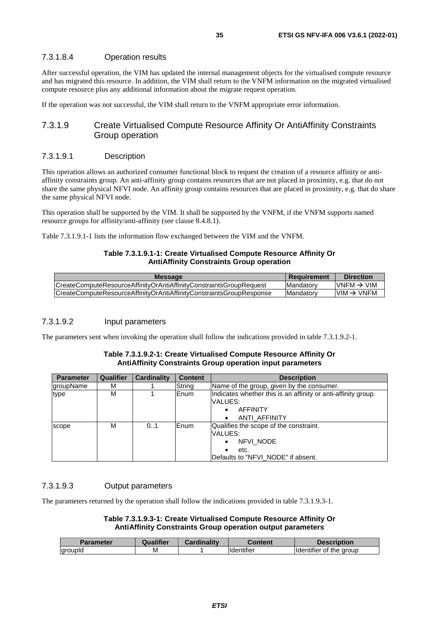#### <span id="page-34-0"></span>7.3.1.8.4 Operation results

After successful operation, the VIM has updated the internal management objects for the virtualised compute resource and has migrated this resource. In addition, the VIM shall return to the VNFM information on the migrated virtualised compute resource plus any additional information about the migrate request operation.

If the operation was not successful, the VIM shall return to the VNFM appropriate error information.

#### 7.3.1.9 Create Virtualised Compute Resource Affinity Or AntiAffinity Constraints Group operation

#### 7.3.1.9.1 Description

This operation allows an authorized consumer functional block to request the creation of a resource affinity or antiaffinity constraints group. An anti-affinity group contains resources that are not placed in proximity, e.g. that do not share the same physical NFVI node. An affinity group contains resources that are placed in proximity, e.g. that do share the same physical NFVI node.

This operation shall be supported by the VIM. It shall be supported by the VNFM, if the VNFM supports named resource groups for affinity/anti-affinity (see clause 8.4.8.1).

Table 7.3.1.9.1-1 lists the information flow exchanged between the VIM and the VNFM.

#### **Table 7.3.1.9.1-1: Create Virtualised Compute Resource Affinity Or AntiAffinity Constraints Group operation**

| <b>Message</b>                                                      | <b>Requirement</b> | <b>Direction</b>        |
|---------------------------------------------------------------------|--------------------|-------------------------|
| CreateComputeResourceAffinityOrAntiAffinityConstraintsGroupRequest  | <b>IMandatory</b>  | $IVNFM \rightarrow VIM$ |
| CreateComputeResourceAffinityOrAntiAffinityConstraintsGroupResponse | <b>IMandatory</b>  | $IVM \rightarrow VNFM$  |
|                                                                     |                    |                         |

#### 7.3.1.9.2 Input parameters

The parameters sent when invoking the operation shall follow the indications provided in table 7.3.1.9.2-1.

#### **Table 7.3.1.9.2-1: Create Virtualised Compute Resource Affinity Or AntiAffinity Constraints Group operation input parameters**

| <b>Parameter</b> | Qualifier | <b>Cardinality</b> | <b>Content</b> | <b>Description</b>                                                                                           |
|------------------|-----------|--------------------|----------------|--------------------------------------------------------------------------------------------------------------|
| groupName        | м         |                    | String         | Name of the group, given by the consumer.                                                                    |
| type             | М         |                    | lEnum.         | Indicates whether this is an affinity or anti-affinity group.<br>VALUES:<br><b>AFFINITY</b><br>ANTI AFFINITY |
| scope            | м         | 0.1                | lEnum          | Qualifies the scope of the constraint.<br>VALUES:<br>NFVI NODE<br>etc.<br>Defaults to "NFVI_NODE" if absent. |

#### 7.3.1.9.3 Output parameters

The parameters returned by the operation shall follow the indications provided in table 7.3.1.9.3-1.

#### **Table 7.3.1.9.3-1: Create Virtualised Compute Resource Affinity Or AntiAffinity Constraints Group operation output parameters**

| Parameter      | <b>Qualifier</b> | Cardinalitv | Content    | <b>Description</b>                              |
|----------------|------------------|-------------|------------|-------------------------------------------------|
| <b>groupld</b> | M                |             | Identifier | of the aroup <sup>.</sup><br><b>Ildentifier</b> |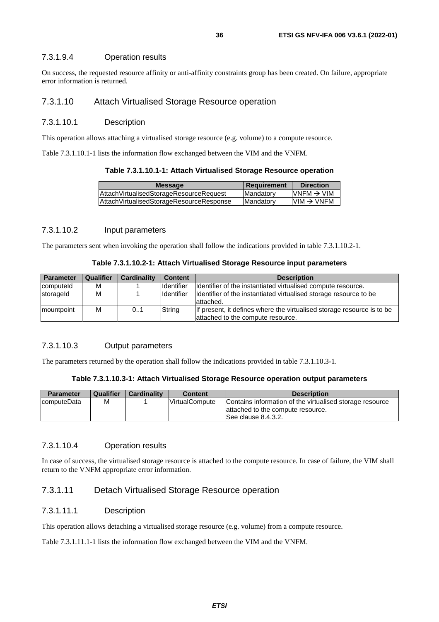#### <span id="page-35-0"></span>7.3.1.9.4 Operation results

On success, the requested resource affinity or anti-affinity constraints group has been created. On failure, appropriate error information is returned.

#### 7.3.1.10 Attach Virtualised Storage Resource operation

#### 7.3.1.10.1 Description

This operation allows attaching a virtualised storage resource (e.g. volume) to a compute resource.

Table 7.3.1.10.1-1 lists the information flow exchanged between the VIM and the VNFM.

#### **Table 7.3.1.10.1-1: Attach Virtualised Storage Resource operation**

| <b>Message</b>                              | Requirement       | <b>Direction</b>        |
|---------------------------------------------|-------------------|-------------------------|
| Attach Virtualised Storage Resource Request | Mandatory         | $IVNFM \rightarrow VIM$ |
| AttachVirtualisedStorageResourceResponse    | <b>IMandatory</b> | $IVM \rightarrow VNFM$  |
|                                             |                   |                         |

#### 7.3.1.10.2 Input parameters

The parameters sent when invoking the operation shall follow the indications provided in table 7.3.1.10.2-1.

#### **Table 7.3.1.10.2-1: Attach Virtualised Storage Resource input parameters**

| <b>Parameter</b> | <b>Qualifier</b> | <b>Cardinality</b> | <b>Content</b>     | <b>Description</b>                                                              |
|------------------|------------------|--------------------|--------------------|---------------------------------------------------------------------------------|
| computeld        | М                |                    | <b>I</b> dentifier | Identifier of the instantiated virtualised compute resource.                    |
| storageld        | М                |                    | Identifier         | Identifier of the instantiated virtualised storage resource to be<br>lattached. |
| mountpoint       | М                | 0.1                | String             | If present, it defines where the virtualised storage resource is to be          |
|                  |                  |                    |                    | attached to the compute resource.                                               |

#### 7.3.1.10.3 Output parameters

The parameters returned by the operation shall follow the indications provided in table 7.3.1.10.3-1.

#### **Table 7.3.1.10.3-1: Attach Virtualised Storage Resource operation output parameters**

| <b>Parameter</b> | Qualifier | <b>Cardinality</b> | <b>Content</b>        | <b>Description</b>                                                                                                    |
|------------------|-----------|--------------------|-----------------------|-----------------------------------------------------------------------------------------------------------------------|
| computeData      | M         |                    | <b>VirtualCompute</b> | Contains information of the virtualised storage resource<br>lattached to the compute resource.<br>See clause 8.4.3.2. |

#### 7.3.1.10.4 Operation results

In case of success, the virtualised storage resource is attached to the compute resource. In case of failure, the VIM shall return to the VNFM appropriate error information.

#### 7.3.1.11 Detach Virtualised Storage Resource operation

#### 7.3.1.11.1 Description

This operation allows detaching a virtualised storage resource (e.g. volume) from a compute resource.

Table 7.3.1.11.1-1 lists the information flow exchanged between the VIM and the VNFM.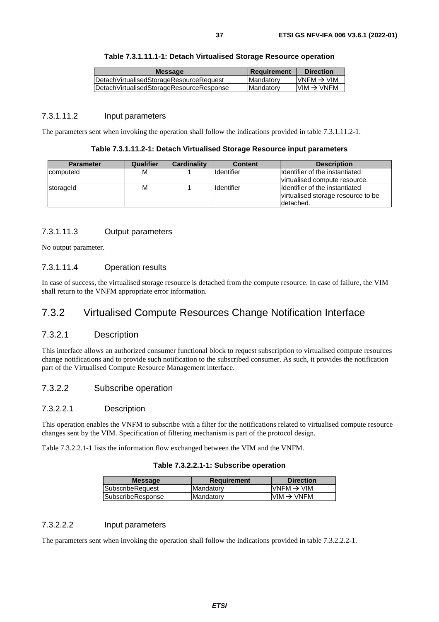| <b>Message</b>                           | <b>Requirement</b> | <b>Direction</b>       |
|------------------------------------------|--------------------|------------------------|
| DetachVirtualisedStorageResourceRequest  | <b>IMandatory</b>  | $VNFM \rightarrow VIM$ |
| DetachVirtualisedStorageResourceResponse | <b>IMandatory</b>  | $IVM \rightarrow VNFM$ |
|                                          |                    |                        |

## 7.3.1.11.2 Input parameters

The parameters sent when invoking the operation shall follow the indications provided in table 7.3.1.11.2-1.

#### **Table 7.3.1.11.2-1: Detach Virtualised Storage Resource input parameters**

| <b>Parameter</b> | Qualifier | Cardinality | <b>Content</b> | <b>Description</b>                 |
|------------------|-----------|-------------|----------------|------------------------------------|
| computeld        | м         |             | Identifier     | Ildentifier of the instantiated    |
|                  |           |             |                | virtualised compute resource.      |
| storageld        | M         |             | Identifier     | Ildentifier of the instantiated    |
|                  |           |             |                | virtualised storage resource to be |
|                  |           |             |                | ldetached.                         |

## 7.3.1.11.3 Output parameters

No output parameter.

#### 7.3.1.11.4 Operation results

In case of success, the virtualised storage resource is detached from the compute resource. In case of failure, the VIM shall return to the VNFM appropriate error information.

## 7.3.2 Virtualised Compute Resources Change Notification Interface

### 7.3.2.1 Description

This interface allows an authorized consumer functional block to request subscription to virtualised compute resources change notifications and to provide such notification to the subscribed consumer. As such, it provides the notification part of the Virtualised Compute Resource Management interface.

## 7.3.2.2 Subscribe operation

#### 7.3.2.2.1 Description

This operation enables the VNFM to subscribe with a filter for the notifications related to virtualised compute resource changes sent by the VIM. Specification of filtering mechanism is part of the protocol design.

Table 7.3.2.2.1-1 lists the information flow exchanged between the VIM and the VNFM.

#### **Table 7.3.2.2.1-1: Subscribe operation**

| <b>Message</b>          | Requirement | <b>Direction</b>                                                      |
|-------------------------|-------------|-----------------------------------------------------------------------|
| <b>SubscribeRequest</b> | Mandatory   | VNFM $\rightarrow$ VIM                                                |
| SubscribeResponse       | Mandatory   | $\textsf{I}\textsf{VIM} \to \textsf{V}\textsf{N}\textsf{F}\textsf{M}$ |
|                         |             |                                                                       |

#### 7.3.2.2.2 Input parameters

The parameters sent when invoking the operation shall follow the indications provided in table 7.3.2.2.2-1.

**Table 7.3.1.11.1-1: Detach Virtualised Storage Resource operation**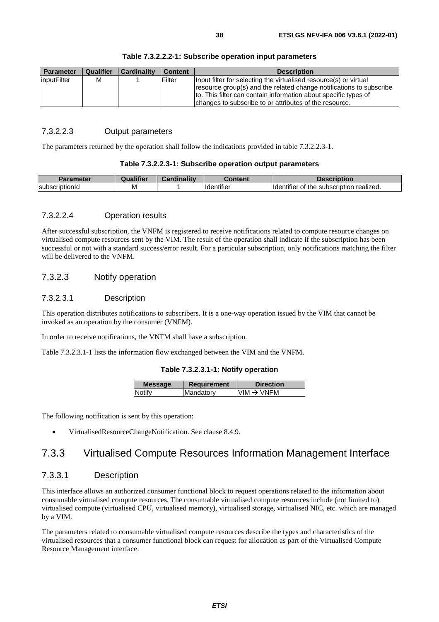| <b>Parameter</b> | <b>Qualifier</b> | <b>Cardinality</b> | <b>Content</b> | <b>Description</b>                                                                                                                                                                                                                                                    |
|------------------|------------------|--------------------|----------------|-----------------------------------------------------------------------------------------------------------------------------------------------------------------------------------------------------------------------------------------------------------------------|
| linputFilter     | M                |                    | Filter         | Input filter for selecting the virtualised resource(s) or virtual<br>resource group(s) and the related change notifications to subscribe<br>to. This filter can contain information about specific types of<br>changes to subscribe to or attributes of the resource. |

#### **Table 7.3.2.2.2-1: Subscribe operation input parameters**

#### 7.3.2.2.3 Output parameters

The parameters returned by the operation shall follow the indications provided in table 7.3.2.2.3-1.

#### **Table 7.3.2.2.3-1: Subscribe operation output parameters**

|                | <br>.<br>ше | and in ality of the state of the state of the | ∶ontent<br>næm          | scription                                                        |
|----------------|-------------|-----------------------------------------------|-------------------------|------------------------------------------------------------------|
| subscriptionId | M           |                                               | $\cdots$<br>⊔ldentifie* | realized.<br>the<br>: subscription_<br><b>Ildentifier</b><br>ot. |

#### 7.3.2.2.4 Operation results

After successful subscription, the VNFM is registered to receive notifications related to compute resource changes on virtualised compute resources sent by the VIM. The result of the operation shall indicate if the subscription has been successful or not with a standard success/error result. For a particular subscription, only notifications matching the filter will be delivered to the VNFM.

## 7.3.2.3 Notify operation

### 7.3.2.3.1 Description

This operation distributes notifications to subscribers. It is a one-way operation issued by the VIM that cannot be invoked as an operation by the consumer (VNFM).

In order to receive notifications, the VNFM shall have a subscription.

Table 7.3.2.3.1-1 lists the information flow exchanged between the VIM and the VNFM.

#### **Table 7.3.2.3.1-1: Notify operation**

| <b>Message</b> | <b>Requirement</b> | <b>Direction</b>      |
|----------------|--------------------|-----------------------|
| Notify         | Mandatory          | $VM \rightarrow VNFM$ |
|                |                    |                       |

The following notification is sent by this operation:

• VirtualisedResourceChangeNotification. See clause 8.4.9.

## 7.3.3 Virtualised Compute Resources Information Management Interface

## 7.3.3.1 Description

This interface allows an authorized consumer functional block to request operations related to the information about consumable virtualised compute resources. The consumable virtualised compute resources include (not limited to) virtualised compute (virtualised CPU, virtualised memory), virtualised storage, virtualised NIC, etc. which are managed by a VIM.

The parameters related to consumable virtualised compute resources describe the types and characteristics of the virtualised resources that a consumer functional block can request for allocation as part of the Virtualised Compute Resource Management interface.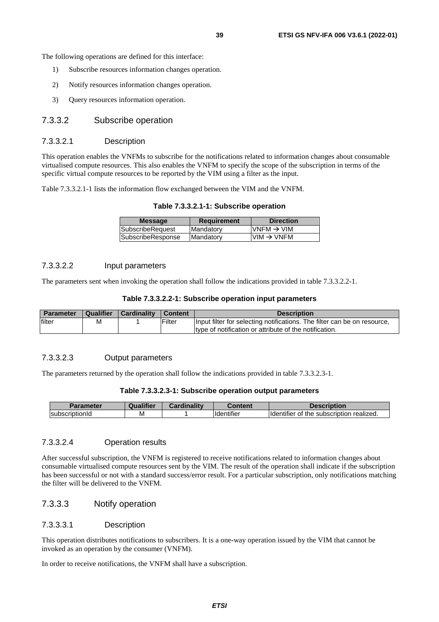The following operations are defined for this interface:

- 1) Subscribe resources information changes operation.
- 2) Notify resources information changes operation.
- 3) Query resources information operation.

## 7.3.3.2 Subscribe operation

#### 7.3.3.2.1 Description

This operation enables the VNFMs to subscribe for the notifications related to information changes about consumable virtualised compute resources. This also enables the VNFM to specify the scope of the subscription in terms of the specific virtual compute resources to be reported by the VIM using a filter as the input.

Table 7.3.3.2.1-1 lists the information flow exchanged between the VIM and the VNFM.

**Table 7.3.3.2.1-1: Subscribe operation** 

| <b>Message</b>    | <b>Requirement</b> | <b>Direction</b>       |
|-------------------|--------------------|------------------------|
| SubscribeRequest  | Mandatory          | VNFM $\rightarrow$ VIM |
| SubscribeResponse | <b>Mandatory</b>   | $VIM \rightarrow VNFM$ |
|                   |                    |                        |

#### 7.3.3.2.2 Input parameters

The parameters sent when invoking the operation shall follow the indications provided in table 7.3.3.2.2-1.

#### **Table 7.3.3.2.2-1: Subscribe operation input parameters**

| <b>Parameter</b> | Qualifier | <b>Cardinality</b> | Content | <b>Description</b>                                                       |
|------------------|-----------|--------------------|---------|--------------------------------------------------------------------------|
| filter           | M         |                    | Filter  | Input filter for selecting notifications. The filter can be on resource, |
|                  |           |                    |         | Itype of notification or attribute of the notification.                  |

#### 7.3.3.2.3 Output parameters

The parameters returned by the operation shall follow the indications provided in table 7.3.3.2.3-1.

#### **Table 7.3.3.2.3-1: Subscribe operation output parameters**

| <b>Parameter</b> | <b>Qualifier</b> | Cardinalitv | :ontent                        | <b>Description</b>                                           |
|------------------|------------------|-------------|--------------------------------|--------------------------------------------------------------|
| IsubscriptionId  | M                |             | $\cdots$<br><b>I</b> dentifier | <br>subscription realized.<br>the<br><b>Identifier</b><br>Οt |

### 7.3.3.2.4 Operation results

After successful subscription, the VNFM is registered to receive notifications related to information changes about consumable virtualised compute resources sent by the VIM. The result of the operation shall indicate if the subscription has been successful or not with a standard success/error result. For a particular subscription, only notifications matching the filter will be delivered to the VNFM.

## 7.3.3.3 Notify operation

#### 7.3.3.3.1 Description

This operation distributes notifications to subscribers. It is a one-way operation issued by the VIM that cannot be invoked as an operation by the consumer (VNFM).

In order to receive notifications, the VNFM shall have a subscription.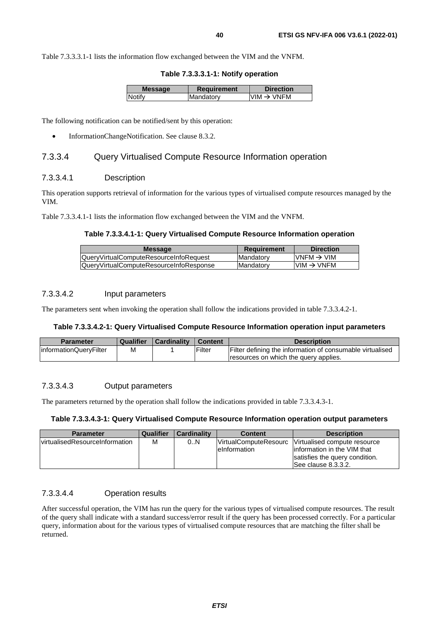Table 7.3.3.3.1-1 lists the information flow exchanged between the VIM and the VNFM.

**Table 7.3.3.3.1-1: Notify operation** 

| <b>Message</b> | <b>Requirement</b> | <b>Direction</b>       |
|----------------|--------------------|------------------------|
| Notify         | Mandatory          | $VIM \rightarrow VNFM$ |
|                |                    |                        |

The following notification can be notified/sent by this operation:

• InformationChangeNotification. See clause 8.3.2.

## 7.3.3.4 Query Virtualised Compute Resource Information operation

### 7.3.3.4.1 Description

This operation supports retrieval of information for the various types of virtualised compute resources managed by the VIM.

Table 7.3.3.4.1-1 lists the information flow exchanged between the VIM and the VNFM.

#### **Table 7.3.3.4.1-1: Query Virtualised Compute Resource Information operation**

| <b>Message</b>                          | Requirement       | <b>Direction</b>        |
|-----------------------------------------|-------------------|-------------------------|
| IQuervVirtualComputeResourceInfoRequest | <b>IMandatory</b> | $IVNFM \rightarrow VIM$ |
| QueryVirtualComputeResourceInfoResponse | <b>IMandatory</b> | $VM \rightarrow VNFM$   |
|                                         |                   |                         |

#### 7.3.3.4.2 Input parameters

The parameters sent when invoking the operation shall follow the indications provided in table 7.3.3.4.2-1.

#### **Table 7.3.3.4.2-1: Query Virtualised Compute Resource Information operation input parameters**

| <b>Parameter</b>       | <b>Qualifier</b> | <b>Cardinality</b> | Content | <b>Description</b>                                        |
|------------------------|------------------|--------------------|---------|-----------------------------------------------------------|
| InformationQueryFilter | M                |                    | Filter  | Filter defining the information of consumable virtualised |
|                        |                  |                    |         | resources on which the query applies.                     |

## 7.3.3.4.3 Output parameters

The parameters returned by the operation shall follow the indications provided in table 7.3.3.4.3-1.

#### **Table 7.3.3.4.3-1: Query Virtualised Compute Resource Information operation output parameters**

| <b>Parameter</b>                       | Qualifier | <b>Cardinality</b> | <b>Content</b>                                 | <b>Description</b>                                                                                                     |
|----------------------------------------|-----------|--------------------|------------------------------------------------|------------------------------------------------------------------------------------------------------------------------|
| <b>IvirtualisedResourceInformation</b> | М         | 0N                 | <b>IVirtualComputeResourc</b><br>leinformation | Virtualised compute resource<br>linformation in the VIM that<br>satisfies the query condition.<br>ISee clause 8.3.3.2. |

## 7.3.3.4.4 Operation results

After successful operation, the VIM has run the query for the various types of virtualised compute resources. The result of the query shall indicate with a standard success/error result if the query has been processed correctly. For a particular query, information about for the various types of virtualised compute resources that are matching the filter shall be returned.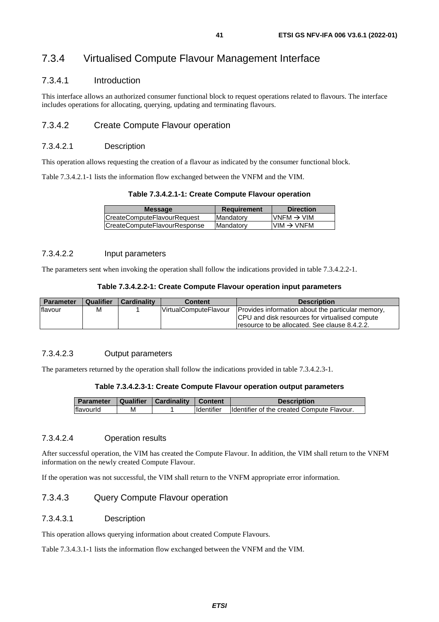# 7.3.4 Virtualised Compute Flavour Management Interface

## 7.3.4.1 Introduction

This interface allows an authorized consumer functional block to request operations related to flavours. The interface includes operations for allocating, querying, updating and terminating flavours.

## 7.3.4.2 Create Compute Flavour operation

## 7.3.4.2.1 Description

This operation allows requesting the creation of a flavour as indicated by the consumer functional block.

Table 7.3.4.2.1-1 lists the information flow exchanged between the VNFM and the VIM.

#### **Table 7.3.4.2.1-1: Create Compute Flavour operation**

| <b>Message</b>               | <b>Requirement</b> | <b>Direction</b>       |
|------------------------------|--------------------|------------------------|
| CreateComputeFlavourRequest  | <b>IMandatory</b>  | VNFM $\rightarrow$ VIM |
| CreateComputeFlavourResponse | <b>IMandatory</b>  | $VIM \rightarrow VNFM$ |

## 7.3.4.2.2 Input parameters

The parameters sent when invoking the operation shall follow the indications provided in table 7.3.4.2.2-1.

| Table 7.3.4.2.2-1: Create Compute Flavour operation input parameters |  |  |
|----------------------------------------------------------------------|--|--|
|                                                                      |  |  |

| <b>Parameter</b> | Qualifier | <b>Cardinality</b> | <b>Content</b>                | <b>Description</b>                                                                                                                                           |
|------------------|-----------|--------------------|-------------------------------|--------------------------------------------------------------------------------------------------------------------------------------------------------------|
| flavour          | Μ         |                    | <b>IVirtualComputeFlavour</b> | Provides information about the particular memory,<br><b>CPU</b> and disk resources for virtualised compute<br>Iresource to be allocated. See clause 8.4.2.2. |

## 7.3.4.2.3 Output parameters

The parameters returned by the operation shall follow the indications provided in table 7.3.4.2.3-1.

#### **Table 7.3.4.2.3-1: Create Compute Flavour operation output parameters**

| <b>Parameter</b> |   | Qualifier   Cardinality | Content            | <b>Description</b>                         |
|------------------|---|-------------------------|--------------------|--------------------------------------------|
| flavourld        | м |                         | <b>I</b> dentifier | Identifier of the created Compute Flavour. |

## 7.3.4.2.4 Operation results

After successful operation, the VIM has created the Compute Flavour. In addition, the VIM shall return to the VNFM information on the newly created Compute Flavour.

If the operation was not successful, the VIM shall return to the VNFM appropriate error information.

## 7.3.4.3 Query Compute Flavour operation

## 7.3.4.3.1 Description

This operation allows querying information about created Compute Flavours.

Table 7.3.4.3.1-1 lists the information flow exchanged between the VNFM and the VIM.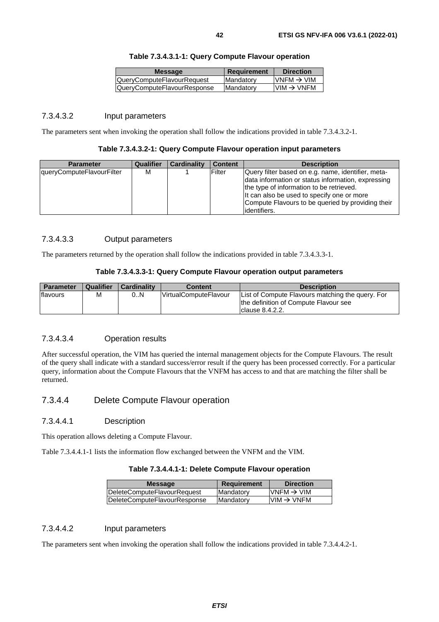| <b>Message</b>              | Requirement      | <b>Direction</b>        |
|-----------------------------|------------------|-------------------------|
| QueryComputeFlavourRequest  | <b>Mandatory</b> | $IVNFM \rightarrow VIM$ |
| QueryComputeFlavourResponse | Mandatory        | $VIM \rightarrow VNFM$  |
|                             |                  |                         |

### **Table 7.3.4.3.1-1: Query Compute Flavour operation**

#### 7.3.4.3.2 Input parameters

The parameters sent when invoking the operation shall follow the indications provided in table 7.3.4.3.2-1.

#### **Table 7.3.4.3.2-1: Query Compute Flavour operation input parameters**

| <b>Parameter</b>          | Qualifier | <b>Cardinality</b> | <b>Content</b> | <b>Description</b>                                 |
|---------------------------|-----------|--------------------|----------------|----------------------------------------------------|
| queryComputeFlavourFilter | М         |                    | Filter         | Query filter based on e.g. name, identifier, meta- |
|                           |           |                    |                | data information or status information, expressing |
|                           |           |                    |                | the type of information to be retrieved.           |
|                           |           |                    |                | It can also be used to specify one or more         |
|                           |           |                    |                | Compute Flavours to be queried by providing their  |
|                           |           |                    |                | lidentifiers.                                      |

## 7.3.4.3.3 Output parameters

The parameters returned by the operation shall follow the indications provided in table 7.3.4.3.3-1.

#### **Table 7.3.4.3.3-1: Query Compute Flavour operation output parameters**

| <b>Parameter</b> | <b>Qualifier</b> | <b>Cardinality</b> | <b>Content</b>                | <b>Description</b>                                                                                               |
|------------------|------------------|--------------------|-------------------------------|------------------------------------------------------------------------------------------------------------------|
| flavours         | м                | 0N                 | <b>IVirtualComputeFlavour</b> | List of Compute Flavours matching the query. For<br>the definition of Compute Flavour see<br>$l$ clause 8.4.2.2. |

#### 7.3.4.3.4 Operation results

After successful operation, the VIM has queried the internal management objects for the Compute Flavours. The result of the query shall indicate with a standard success/error result if the query has been processed correctly. For a particular query, information about the Compute Flavours that the VNFM has access to and that are matching the filter shall be returned.

## 7.3.4.4 Delete Compute Flavour operation

#### 7.3.4.4.1 Description

This operation allows deleting a Compute Flavour.

Table 7.3.4.4.1-1 lists the information flow exchanged between the VNFM and the VIM.

### **Table 7.3.4.4.1-1: Delete Compute Flavour operation**

| <b>Message</b>                     | Requirement       | <b>Direction</b>       |
|------------------------------------|-------------------|------------------------|
| <b>DeleteComputeFlavourRequest</b> | <b>IMandatory</b> | $VNFM \rightarrow VIM$ |
| DeleteComputeFlavourResponse       | <b>Mandatory</b>  | $VIM \rightarrow VNFM$ |
|                                    |                   |                        |

#### 7.3.4.4.2 Input parameters

The parameters sent when invoking the operation shall follow the indications provided in table 7.3.4.4.2-1.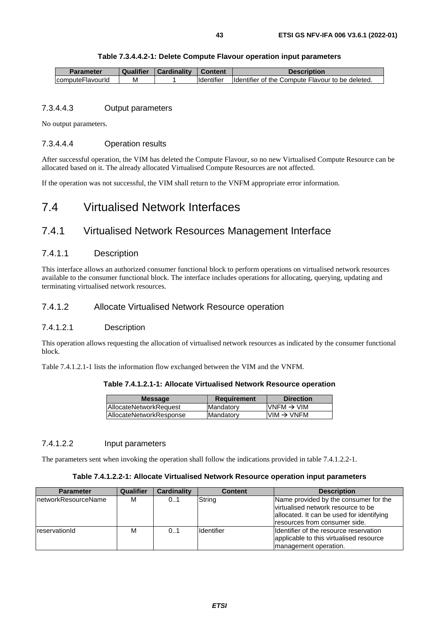| Parameter         | Qualifier | Cardinality | <b>Content</b>     | Description                                       |
|-------------------|-----------|-------------|--------------------|---------------------------------------------------|
| IcomputeFlavourid | м         |             | <b>Ildentifier</b> | Ildentifier of the Compute Flavour to be deleted. |

## 7.3.4.4.3 Output parameters

No output parameters.

### 7.3.4.4.4 Operation results

After successful operation, the VIM has deleted the Compute Flavour, so no new Virtualised Compute Resource can be allocated based on it. The already allocated Virtualised Compute Resources are not affected.

If the operation was not successful, the VIM shall return to the VNFM appropriate error information.

# 7.4 Virtualised Network Interfaces

## 7.4.1 Virtualised Network Resources Management Interface

## 7.4.1.1 Description

This interface allows an authorized consumer functional block to perform operations on virtualised network resources available to the consumer functional block. The interface includes operations for allocating, querying, updating and terminating virtualised network resources.

## 7.4.1.2 Allocate Virtualised Network Resource operation

### 7.4.1.2.1 Description

This operation allows requesting the allocation of virtualised network resources as indicated by the consumer functional block.

Table 7.4.1.2.1-1 lists the information flow exchanged between the VIM and the VNFM.

| Table 7.4.1.2.1-1: Allocate Virtualised Network Resource operation |  |  |  |
|--------------------------------------------------------------------|--|--|--|
|--------------------------------------------------------------------|--|--|--|

| <b>Message</b>                 | <b>Requirement</b> | <b>Direction</b>                                                      |
|--------------------------------|--------------------|-----------------------------------------------------------------------|
| <b>IAllocateNetworkRequest</b> | Mandatory          | $VNFM \rightarrow VIM$                                                |
| AllocateNetworkResponse        | Mandatory          | $\textsf{I}\textsf{VIM} \to \textsf{V}\textsf{N}\textsf{F}\textsf{M}$ |
|                                |                    |                                                                       |

#### 7.4.1.2.2 Input parameters

The parameters sent when invoking the operation shall follow the indications provided in table 7.4.1.2.2-1.

#### **Table 7.4.1.2.2-1: Allocate Virtualised Network Resource operation input parameters**

| <b>Parameter</b>            | <b>Qualifier</b> | <b>Cardinality</b> | <b>Content</b>    | <b>Description</b>                                                                                                                                         |
|-----------------------------|------------------|--------------------|-------------------|------------------------------------------------------------------------------------------------------------------------------------------------------------|
| <b>InetworkResourceName</b> | м                | 0.1                | String            | Name provided by the consumer for the<br>lvirtualised network resource to be<br>allocated. It can be used for identifying<br>resources from consumer side. |
| reservationId               | м                | 0.1                | <b>Identifier</b> | Ildentifier of the resource reservation<br>applicable to this virtualised resource<br>management operation.                                                |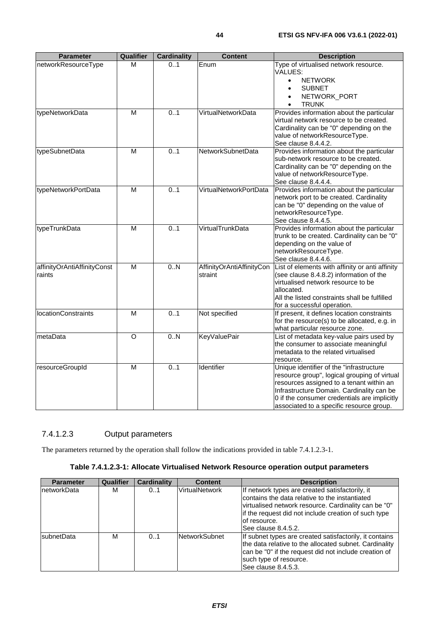| <b>Parameter</b>                      | <b>Qualifier</b>        | <b>Cardinality</b> | <b>Content</b>                       | <b>Description</b>                                                                                                                                                                                                                                                            |
|---------------------------------------|-------------------------|--------------------|--------------------------------------|-------------------------------------------------------------------------------------------------------------------------------------------------------------------------------------------------------------------------------------------------------------------------------|
| networkResourceType                   | м                       | 01                 | Enum                                 | Type of virtualised network resource.<br>VALUES:<br><b>NETWORK</b><br>$\bullet$                                                                                                                                                                                               |
|                                       |                         |                    |                                      | <b>SUBNET</b><br>NETWORK_PORT<br><b>TRUNK</b>                                                                                                                                                                                                                                 |
| typeNetworkData                       | M                       | 0.1                | VirtualNetworkData                   | Provides information about the particular<br>virtual network resource to be created.<br>Cardinality can be "0" depending on the<br>value of networkResourceType.<br>See clause 8.4.4.2.                                                                                       |
| typeSubnetData                        | M                       | 0.1                | NetworkSubnetData                    | Provides information about the particular<br>sub-network resource to be created.<br>Cardinality can be "0" depending on the<br>value of networkResourceType.<br>See clause 8.4.4.4.                                                                                           |
| typeNetworkPortData                   | $\overline{\mathsf{M}}$ | 0.1                | VirtualNetworkPortData               | Provides information about the particular<br>network port to be created. Cardinality<br>can be "0" depending on the value of<br>networkResourceType.<br>See clause 8.4.4.5.                                                                                                   |
| typeTrunkData                         | М                       | 0.1                | VirtualTrunkData                     | Provides information about the particular<br>trunk to be created. Cardinality can be "0"<br>depending on the value of<br>networkResourceType.<br>See clause 8.4.4.6.                                                                                                          |
| affinityOrAntiAffinityConst<br>raints | $\overline{M}$          | 0.N                | AffinityOrAntiAffinityCon<br>straint | List of elements with affinity or anti affinity<br>(see clause 8.4.8.2) information of the<br>virtualised network resource to be<br>allocated.<br>All the listed constraints shall be fulfilled<br>for a successful operation.                                                |
| <b>locationConstraints</b>            | М                       | 0.1                | Not specified                        | If present, it defines location constraints<br>for the resource(s) to be allocated, e.g. in<br>what particular resource zone.                                                                                                                                                 |
| metaData                              | $\circ$                 | $\overline{0.N}$   | <b>KeyValuePair</b>                  | List of metadata key-value pairs used by<br>the consumer to associate meaningful<br>metadata to the related virtualised<br>resource.                                                                                                                                          |
| resourceGroupId                       | M                       | 0.1                | Identifier                           | Unique identifier of the "infrastructure<br>resource group", logical grouping of virtual<br>resources assigned to a tenant within an<br>Infrastructure Domain. Cardinality can be<br>0 if the consumer credentials are implicitly<br>associated to a specific resource group. |

## 7.4.1.2.3 Output parameters

The parameters returned by the operation shall follow the indications provided in table 7.4.1.2.3-1.

## **Table 7.4.1.2.3-1: Allocate Virtualised Network Resource operation output parameters**

| <b>Parameter</b>   | <b>Qualifier</b> | Cardinality | <b>Content</b>        | <b>Description</b>                                                                                                                                                                                                                                         |
|--------------------|------------------|-------------|-----------------------|------------------------------------------------------------------------------------------------------------------------------------------------------------------------------------------------------------------------------------------------------------|
| InetworkData       | М                | 01          | <b>VirtualNetwork</b> | If network types are created satisfactorily, it<br>contains the data relative to the instantiated<br>virtualised network resource. Cardinality can be "0"<br>lif the request did not include creation of such type<br>lof resource.<br>See clause 8.4.5.2. |
| <b>IsubnetData</b> | м                | 0.1         | <b>NetworkSubnet</b>  | If subnet types are created satisfactorily, it contains<br>the data relative to the allocated subnet. Cardinality<br>can be "0" if the request did not include creation of<br>such type of resource.<br>See clause 8.4.5.3.                                |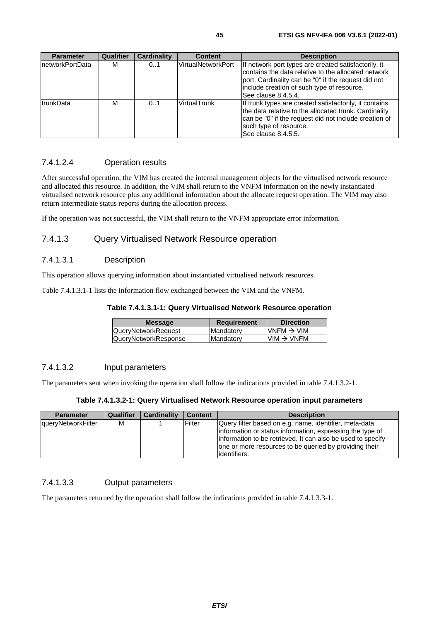| <b>Parameter</b>  | Qualifier | <b>Cardinality</b> | <b>Content</b>     | <b>Description</b>                                                                                                                                                                                                                      |
|-------------------|-----------|--------------------|--------------------|-----------------------------------------------------------------------------------------------------------------------------------------------------------------------------------------------------------------------------------------|
| InetworkPortData  | М         | 0.1                | VirtualNetworkPort | If network port types are created satisfactorily, it<br>contains the data relative to the allocated network<br>port. Cardinality can be "0" if the request did not<br>include creation of such type of resource.<br>See clause 8.4.5.4. |
| <b>ItrunkData</b> | м         | 0.1                | VirtualTrunk       | If trunk types are created satisfactorily, it contains<br>the data relative to the allocated trunk. Cardinality<br>can be "0" if the request did not include creation of<br>such type of resource.<br>See clause 8.4.5.5.               |

## 7.4.1.2.4 Operation results

After successful operation, the VIM has created the internal management objects for the virtualised network resource and allocated this resource. In addition, the VIM shall return to the VNFM information on the newly instantiated virtualised network resource plus any additional information about the allocate request operation. The VIM may also return intermediate status reports during the allocation process.

If the operation was not successful, the VIM shall return to the VNFM appropriate error information.

## 7.4.1.3 Query Virtualised Network Resource operation

## 7.4.1.3.1 Description

This operation allows querying information about instantiated virtualised network resources.

Table 7.4.1.3.1-1 lists the information flow exchanged between the VIM and the VNFM.

### **Table 7.4.1.3.1-1: Query Virtualised Network Resource operation**

| <b>Message</b>       | <b>Requirement</b> | <b>Direction</b>       |
|----------------------|--------------------|------------------------|
| QueryNetworkRequest  | Mandatory          | $VNFM \rightarrow VIM$ |
| QueryNetworkResponse | Mandatory          | $VIM \rightarrow VNFM$ |
|                      |                    |                        |

## 7.4.1.3.2 Input parameters

The parameters sent when invoking the operation shall follow the indications provided in table 7.4.1.3.2-1.

#### **Table 7.4.1.3.2-1: Query Virtualised Network Resource operation input parameters**

| <b>Parameter</b>          | <b>Qualifier</b> | <b>Cardinality</b> | <b>Content</b> | <b>Description</b>                                                                                                                                                                                                                                             |
|---------------------------|------------------|--------------------|----------------|----------------------------------------------------------------------------------------------------------------------------------------------------------------------------------------------------------------------------------------------------------------|
| <b>queryNetworkFilter</b> | M                |                    | Filter         | Query filter based on e.g. name, identifier, meta-data<br>information or status information, expressing the type of<br>linformation to be retrieved. It can also be used to specify<br>one or more resources to be queried by providing their<br>lidentifiers. |

## 7.4.1.3.3 Output parameters

The parameters returned by the operation shall follow the indications provided in table 7.4.1.3.3-1.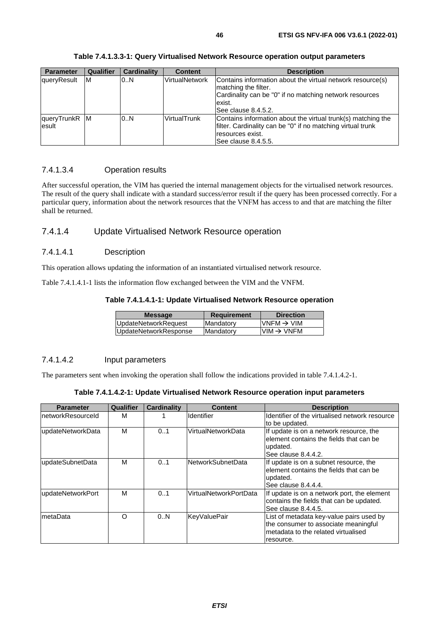| <b>Parameter</b>       | <b>Qualifier</b> | <b>Cardinality</b> | <b>Content</b>        | <b>Description</b>                                                                                                                                                              |
|------------------------|------------------|--------------------|-----------------------|---------------------------------------------------------------------------------------------------------------------------------------------------------------------------------|
| queryResult            | ΙM               | 0N                 | <b>VirtualNetwork</b> | Contains information about the virtual network resource(s)<br>matching the filter.<br>Cardinality can be "0" if no matching network resources<br>exist.<br>lSee clause 8.4.5.2. |
| queryTrunkR M<br>esult |                  | 0.N                | <b>VirtualTrunk</b>   | Contains information about the virtual trunk(s) matching the<br>filter. Cardinality can be "0" if no matching virtual trunk<br>resources exist.<br>See clause 8.4.5.5.          |

**Table 7.4.1.3.3-1: Query Virtualised Network Resource operation output parameters** 

## 7.4.1.3.4 Operation results

After successful operation, the VIM has queried the internal management objects for the virtualised network resources. The result of the query shall indicate with a standard success/error result if the query has been processed correctly. For a particular query, information about the network resources that the VNFM has access to and that are matching the filter shall be returned.

## 7.4.1.4 Update Virtualised Network Resource operation

## 7.4.1.4.1 Description

This operation allows updating the information of an instantiated virtualised network resource.

Table 7.4.1.4.1-1 lists the information flow exchanged between the VIM and the VNFM.

#### **Table 7.4.1.4.1-1: Update Virtualised Network Resource operation**

| UpdateNetworkRequest<br>Mandatory  | VNFM $\rightarrow$ VIM |
|------------------------------------|------------------------|
| UpdateNetworkResponse<br>Mandatory | $VM \rightarrow VNFM$  |

## 7.4.1.4.2 Input parameters

The parameters sent when invoking the operation shall follow the indications provided in table 7.4.1.4.2-1.

| Table 7.4.1.4.2-1: Update Virtualised Network Resource operation input parameters |  |  |
|-----------------------------------------------------------------------------------|--|--|
|-----------------------------------------------------------------------------------|--|--|

| <b>Parameter</b>   | <b>Qualifier</b> | <b>Cardinality</b> | <b>Content</b>           | <b>Description</b>                                                                                                                   |
|--------------------|------------------|--------------------|--------------------------|--------------------------------------------------------------------------------------------------------------------------------------|
| InetworkResourceId | M                |                    | <b>Identifier</b>        | Identifier of the virtualised network resource<br>to be updated.                                                                     |
| updateNetworkData  | M                | 0.1                | VirtualNetworkData       | If update is on a network resource, the<br>element contains the fields that can be<br>updated.<br>See clause 8.4.4.2.                |
| updateSubnetData   | M                | 0.1                | <b>NetworkSubnetData</b> | If update is on a subnet resource, the<br>element contains the fields that can be<br>updated.<br>See clause 8.4.4.4.                 |
| updateNetworkPort  | M                | 0.1                | VirtualNetworkPortData   | If update is on a network port, the element<br>contains the fields that can be updated.<br>See clause 8.4.4.5.                       |
| ImetaData          | Ω                | 0.N                | <b>KeyValuePair</b>      | List of metadata key-value pairs used by<br>the consumer to associate meaningful<br>metadata to the related virtualised<br>resource. |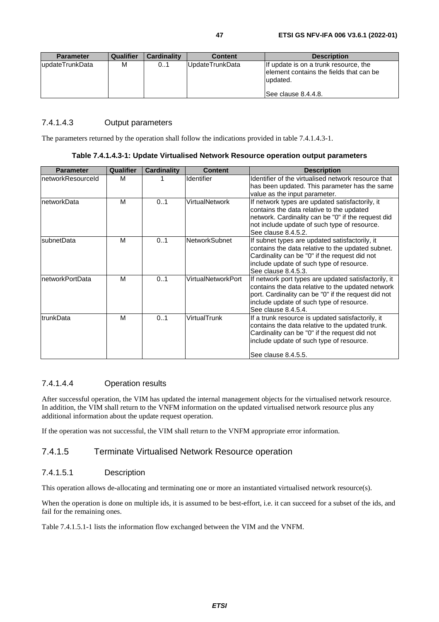| <b>Parameter</b> | Qualifier | <b>Cardinality</b> | <b>Content</b>  | <b>Description</b>                                                                                                  |
|------------------|-----------|--------------------|-----------------|---------------------------------------------------------------------------------------------------------------------|
| lupdateTrunkData | М         | 01                 | UpdateTrunkData | If update is on a trunk resource, the<br>element contains the fields that can be<br>updated.<br>See clause 8.4.4.8. |

## 7.4.1.4.3 Output parameters

The parameters returned by the operation shall follow the indications provided in table 7.4.1.4.3-1.

#### **Table 7.4.1.4.3-1: Update Virtualised Network Resource operation output parameters**

| <b>Parameter</b>  | Qualifier | Cardinality | <b>Content</b>       | <b>Description</b>                                                                                                                                                                                                                  |
|-------------------|-----------|-------------|----------------------|-------------------------------------------------------------------------------------------------------------------------------------------------------------------------------------------------------------------------------------|
| networkResourceld | М         |             | Identifier           | Identifier of the virtualised network resource that<br>has been updated. This parameter has the same<br>value as the input parameter.                                                                                               |
| InetworkData      | M         | 01          | VirtualNetwork       | If network types are updated satisfactorily, it<br>contains the data relative to the updated<br>network. Cardinality can be "0" if the request did<br>not include update of such type of resource.<br>See clause 8.4.5.2.           |
| subnetData        | M         | 0.1         | <b>NetworkSubnet</b> | If subnet types are updated satisfactorily, it<br>contains the data relative to the updated subnet.<br>Cardinality can be "0" if the request did not<br>include update of such type of resource.<br>See clause 8.4.5.3.             |
| InetworkPortData  | M         | 01          | VirtualNetworkPort   | If network port types are updated satisfactorily, it<br>contains the data relative to the updated network<br>port. Cardinality can be "0" if the request did not<br>include update of such type of resource.<br>See clause 8.4.5.4. |
| trunkData         | M         | 01          | VirtualTrunk         | If a trunk resource is updated satisfactorily, it<br>contains the data relative to the updated trunk.<br>Cardinality can be "0" if the request did not<br>include update of such type of resource.<br>See clause 8.4.5.5.           |

## 7.4.1.4.4 Operation results

After successful operation, the VIM has updated the internal management objects for the virtualised network resource. In addition, the VIM shall return to the VNFM information on the updated virtualised network resource plus any additional information about the update request operation.

If the operation was not successful, the VIM shall return to the VNFM appropriate error information.

## 7.4.1.5 Terminate Virtualised Network Resource operation

## 7.4.1.5.1 Description

This operation allows de-allocating and terminating one or more an instantiated virtualised network resource(s).

When the operation is done on multiple ids, it is assumed to be best-effort, i.e. it can succeed for a subset of the ids, and fail for the remaining ones.

Table 7.4.1.5.1-1 lists the information flow exchanged between the VIM and the VNFM.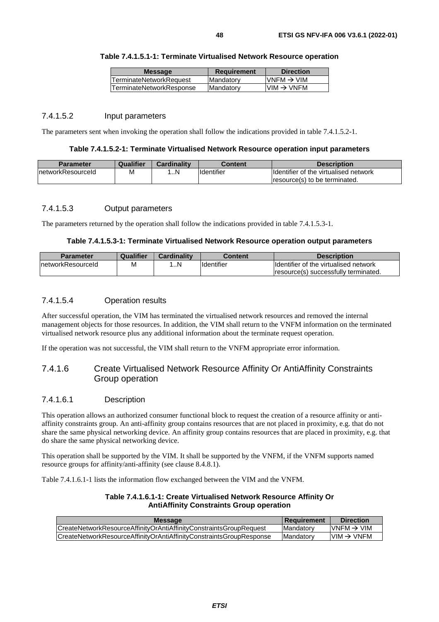| <b>Message</b>                 | <b>Requirement</b> | <b>Direction</b>        |
|--------------------------------|--------------------|-------------------------|
| <b>TerminateNetworkRequest</b> | Mandatory          | $IVNFM \rightarrow VIM$ |
| TerminateNetworkResponse       | Mandatory          | $VIM \rightarrow VNFM$  |
|                                |                    |                         |

#### 7.4.1.5.2 Input parameters

The parameters sent when invoking the operation shall follow the indications provided in table 7.4.1.5.2-1.

#### **Table 7.4.1.5.2-1: Terminate Virtualised Network Resource operation input parameters**

| <b>Parameter</b>   | Qualifier | Cardinality | Content    | <b>Description</b>                            |
|--------------------|-----------|-------------|------------|-----------------------------------------------|
| InetworkResourceId | ΙVΙ       | . N         | Identifier | <b>Ildentifier of the virtualised network</b> |
|                    |           |             |            | resource(s) to be terminated.                 |

#### 7.4.1.5.3 Output parameters

The parameters returned by the operation shall follow the indications provided in table 7.4.1.5.3-1.

#### **Table 7.4.1.5.3-1: Terminate Virtualised Network Resource operation output parameters**

| <b>Parameter</b>   | Qualifier | Cardinality | Content    | <b>Description</b>                     |
|--------------------|-----------|-------------|------------|----------------------------------------|
| InetworkResourceId | M         |             | Identifier | Ildentifier of the virtualised network |
|                    |           |             |            | Iresource(s) successfully terminated.  |

## 7.4.1.5.4 Operation results

After successful operation, the VIM has terminated the virtualised network resources and removed the internal management objects for those resources. In addition, the VIM shall return to the VNFM information on the terminated virtualised network resource plus any additional information about the terminate request operation.

If the operation was not successful, the VIM shall return to the VNFM appropriate error information.

## 7.4.1.6 Create Virtualised Network Resource Affinity Or AntiAffinity Constraints Group operation

#### 7.4.1.6.1 Description

This operation allows an authorized consumer functional block to request the creation of a resource affinity or antiaffinity constraints group. An anti-affinity group contains resources that are not placed in proximity, e.g. that do not share the same physical networking device. An affinity group contains resources that are placed in proximity, e.g. that do share the same physical networking device.

This operation shall be supported by the VIM. It shall be supported by the VNFM, if the VNFM supports named resource groups for affinity/anti-affinity (see clause 8.4.8.1).

Table 7.4.1.6.1-1 lists the information flow exchanged between the VIM and the VNFM.

| Table 7.4.1.6.1-1: Create Virtualised Network Resource Affinity Or |
|--------------------------------------------------------------------|
| <b>AntiAffinity Constraints Group operation</b>                    |

| <b>Message</b>                                                      | <b>Requirement</b> | <b>Direction</b>        |
|---------------------------------------------------------------------|--------------------|-------------------------|
| CreateNetworkResourceAffinityOrAntiAffinityConstraintsGroupRequest  | <b>Mandatory</b>   | $IVNFM \rightarrow VIM$ |
| CreateNetworkResourceAffinityOrAntiAffinityConstraintsGroupResponse | <b>Mandatory</b>   | $VM \rightarrow VNFM$   |
|                                                                     |                    |                         |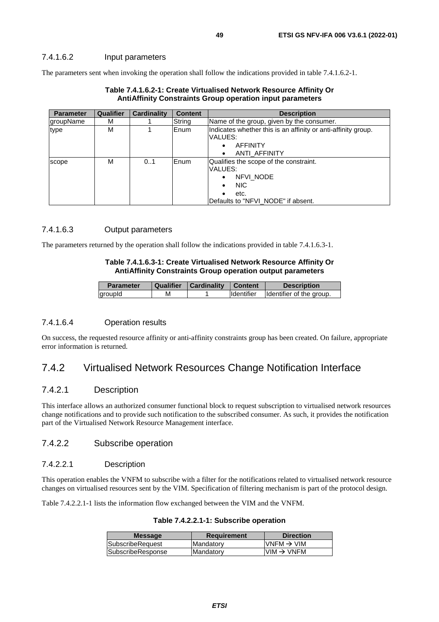### 7.4.1.6.2 Input parameters

The parameters sent when invoking the operation shall follow the indications provided in table 7.4.1.6.2-1.

| <b>Parameter</b> | <b>Qualifier</b> | Cardinality | <b>Content</b> | <b>Description</b>                                            |
|------------------|------------------|-------------|----------------|---------------------------------------------------------------|
| groupName        | М                |             | String         | Name of the group, given by the consumer.                     |
| type             | М                |             | Enum           | Indicates whether this is an affinity or anti-affinity group. |
|                  |                  |             |                | VALUES:                                                       |
|                  |                  |             |                | <b>AFFINITY</b>                                               |
|                  |                  |             |                | ANTI AFFINITY                                                 |
| scope            | м                | 01          | lEnum.         | Qualifies the scope of the constraint.                        |
|                  |                  |             |                | VALUES:                                                       |
|                  |                  |             |                | NFVI NODE<br>٠                                                |
|                  |                  |             |                | <b>NIC</b><br>$\bullet$                                       |
|                  |                  |             |                | etc.                                                          |
|                  |                  |             |                | Defaults to "NFVI NODE" if absent.                            |

#### **Table 7.4.1.6.2-1: Create Virtualised Network Resource Affinity Or AntiAffinity Constraints Group operation input parameters**

## 7.4.1.6.3 Output parameters

The parameters returned by the operation shall follow the indications provided in table 7.4.1.6.3-1.

#### **Table 7.4.1.6.3-1: Create Virtualised Network Resource Affinity Or AntiAffinity Constraints Group operation output parameters**

| <b>Parameter</b> | <b>Qualifier</b> | Cardinality | <b>Content</b>      | <b>Description</b>       |
|------------------|------------------|-------------|---------------------|--------------------------|
| groupId          | М                |             | <b>I</b> Identifier | Identifier of the group. |

## 7.4.1.6.4 Operation results

On success, the requested resource affinity or anti-affinity constraints group has been created. On failure, appropriate error information is returned.

## 7.4.2 Virtualised Network Resources Change Notification Interface

## 7.4.2.1 Description

This interface allows an authorized consumer functional block to request subscription to virtualised network resources change notifications and to provide such notification to the subscribed consumer. As such, it provides the notification part of the Virtualised Network Resource Management interface.

## 7.4.2.2 Subscribe operation

#### 7.4.2.2.1 Description

This operation enables the VNFM to subscribe with a filter for the notifications related to virtualised network resource changes on virtualised resources sent by the VIM. Specification of filtering mechanism is part of the protocol design.

Table 7.4.2.2.1-1 lists the information flow exchanged between the VIM and the VNFM.

|  |  |  |  |  | Table 7.4.2.2.1-1: Subscribe operation |
|--|--|--|--|--|----------------------------------------|
|--|--|--|--|--|----------------------------------------|

| <b>Message</b>          | <b>Requirement</b> | <b>Direction</b>        |
|-------------------------|--------------------|-------------------------|
| <b>SubscribeRequest</b> | Mandatory          | IVNFM $\rightarrow$ VIM |
| SubscribeResponse       | Mandatory          | $VIM \rightarrow VNFM$  |
|                         |                    |                         |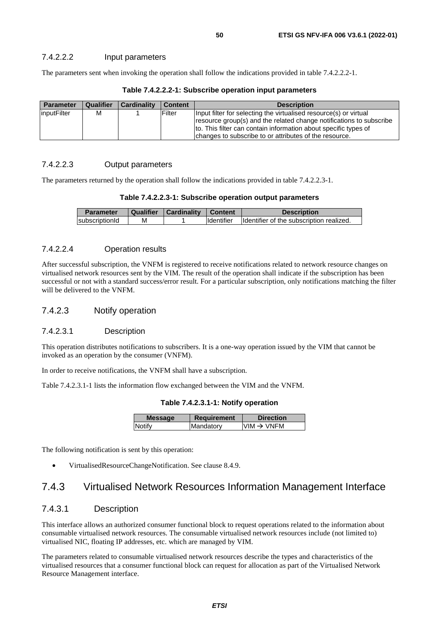### 7.4.2.2.2 Input parameters

The parameters sent when invoking the operation shall follow the indications provided in table 7.4.2.2.2-1.

| <b>Parameter</b> | <b>Qualifier</b> | <b>Cardinality</b> | <b>Content</b> | <b>Description</b>                                                                                                                                                                                                                                                    |
|------------------|------------------|--------------------|----------------|-----------------------------------------------------------------------------------------------------------------------------------------------------------------------------------------------------------------------------------------------------------------------|
| linputFilter     | М                |                    | Filter         | Input filter for selecting the virtualised resource(s) or virtual<br>resource group(s) and the related change notifications to subscribe<br>to. This filter can contain information about specific types of<br>changes to subscribe to or attributes of the resource. |

#### **Table 7.4.2.2.2-1: Subscribe operation input parameters**

## 7.4.2.2.3 Output parameters

The parameters returned by the operation shall follow the indications provided in table 7.4.2.2.3-1.

| Table 7.4.2.2.3-1: Subscribe operation output parameters |  |  |
|----------------------------------------------------------|--|--|
|----------------------------------------------------------|--|--|

| <b>Parameter</b> | <b>Qualifier</b> | Cardinality | ∣ Content         | <b>Description</b>                       |
|------------------|------------------|-------------|-------------------|------------------------------------------|
| subscriptionId   | м                |             | <b>Identifier</b> | Identifier of the subscription realized. |

#### 7.4.2.2.4 Operation results

After successful subscription, the VNFM is registered to receive notifications related to network resource changes on virtualised network resources sent by the VIM. The result of the operation shall indicate if the subscription has been successful or not with a standard success/error result. For a particular subscription, only notifications matching the filter will be delivered to the VNFM.

#### 7.4.2.3 Notify operation

## 7.4.2.3.1 Description

This operation distributes notifications to subscribers. It is a one-way operation issued by the VIM that cannot be invoked as an operation by the consumer (VNFM).

In order to receive notifications, the VNFM shall have a subscription.

Table 7.4.2.3.1-1 lists the information flow exchanged between the VIM and the VNFM.

**Table 7.4.2.3.1-1: Notify operation** 

| <b>Message</b> | <b>Requirement</b> | <b>Direction</b>                                                      |
|----------------|--------------------|-----------------------------------------------------------------------|
| <b>Notify</b>  | Mandatory          | $\textsf{I}\textsf{VIM} \to \textsf{V}\textsf{N}\textsf{F}\textsf{M}$ |
|                |                    |                                                                       |

The following notification is sent by this operation:

• VirtualisedResourceChangeNotification. See clause 8.4.9.

## 7.4.3 Virtualised Network Resources Information Management Interface

## 7.4.3.1 Description

This interface allows an authorized consumer functional block to request operations related to the information about consumable virtualised network resources. The consumable virtualised network resources include (not limited to) virtualised NIC, floating IP addresses, etc. which are managed by VIM.

The parameters related to consumable virtualised network resources describe the types and characteristics of the virtualised resources that a consumer functional block can request for allocation as part of the Virtualised Network Resource Management interface.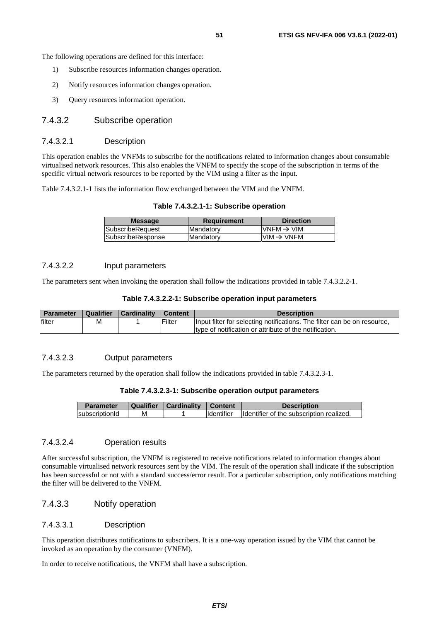The following operations are defined for this interface:

- 1) Subscribe resources information changes operation.
- 2) Notify resources information changes operation.
- 3) Query resources information operation.

## 7.4.3.2 Subscribe operation

### 7.4.3.2.1 Description

This operation enables the VNFMs to subscribe for the notifications related to information changes about consumable virtualised network resources. This also enables the VNFM to specify the scope of the subscription in terms of the specific virtual network resources to be reported by the VIM using a filter as the input.

Table 7.4.3.2.1-1 lists the information flow exchanged between the VIM and the VNFM.

#### **Table 7.4.3.2.1-1: Subscribe operation**

| <b>Message</b>           | <b>Requirement</b> | <b>Direction</b>          |
|--------------------------|--------------------|---------------------------|
| <b>SubscribeReauest</b>  | Mandatory          | $V$ NFM $\rightarrow$ VIM |
| <b>SubscribeResponse</b> | <b>Mandatory</b>   | $VIM \rightarrow VNFM$    |
|                          |                    |                           |

#### 7.4.3.2.2 Input parameters

The parameters sent when invoking the operation shall follow the indications provided in table 7.4.3.2.2-1.

#### **Table 7.4.3.2.2-1: Subscribe operation input parameters**

| <b>Parameter</b> | <b>Qualifier</b> | <b>Cardinality</b> | <b>I</b> Content | <b>Description</b>                                                       |
|------------------|------------------|--------------------|------------------|--------------------------------------------------------------------------|
| filter           | M                |                    | Filter           | Input filter for selecting notifications. The filter can be on resource, |
|                  |                  |                    |                  | type of notification or attribute of the notification.                   |

#### 7.4.3.2.3 Output parameters

The parameters returned by the operation shall follow the indications provided in table 7.4.3.2.3-1.

#### **Table 7.4.3.2.3-1: Subscribe operation output parameters**

| <b>Parameter</b> | Qualifier | Cardinality | <b>Content</b>    | <b>Description</b>                       |
|------------------|-----------|-------------|-------------------|------------------------------------------|
| subscriptionId   | м         |             | <b>Identifier</b> | Identifier of the subscription realized. |

#### 7.4.3.2.4 Operation results

After successful subscription, the VNFM is registered to receive notifications related to information changes about consumable virtualised network resources sent by the VIM. The result of the operation shall indicate if the subscription has been successful or not with a standard success/error result. For a particular subscription, only notifications matching the filter will be delivered to the VNFM.

## 7.4.3.3 Notify operation

#### 7.4.3.3.1 Description

This operation distributes notifications to subscribers. It is a one-way operation issued by the VIM that cannot be invoked as an operation by the consumer (VNFM).

In order to receive notifications, the VNFM shall have a subscription.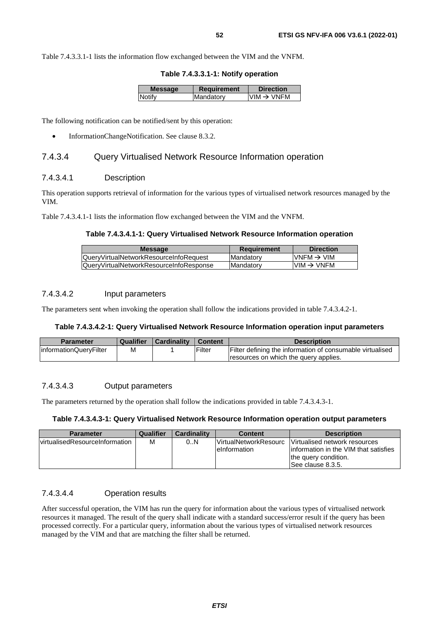Table 7.4.3.3.1-1 lists the information flow exchanged between the VIM and the VNFM.

**Table 7.4.3.3.1-1: Notify operation** 

| <b>Message</b> | Requirement | <b>Direction</b>       |
|----------------|-------------|------------------------|
| <b>Notify</b>  | Mandatory   | $VIM \rightarrow VNFM$ |
|                |             |                        |

The following notification can be notified/sent by this operation:

• InformationChangeNotification. See clause 8.3.2.

### 7.4.3.4 Query Virtualised Network Resource Information operation

## 7.4.3.4.1 Description

This operation supports retrieval of information for the various types of virtualised network resources managed by the VIM.

Table 7.4.3.4.1-1 lists the information flow exchanged between the VIM and the VNFM.

#### **Table 7.4.3.4.1-1: Query Virtualised Network Resource Information operation**

| <b>Message</b>                                | <b>Requirement</b> | <b>Direction</b>       |
|-----------------------------------------------|--------------------|------------------------|
| <b>QueryVirtualNetworkResourceInfoRequest</b> | <b>Mandatory</b>   | $VNFM \rightarrow VIM$ |
| QueryVirtualNetworkResourceInfoResponse       | <b>Mandatory</b>   | $VIM \rightarrow VNFM$ |
|                                               |                    |                        |

### 7.4.3.4.2 Input parameters

The parameters sent when invoking the operation shall follow the indications provided in table 7.4.3.4.2-1.

#### **Table 7.4.3.4.2-1: Query Virtualised Network Resource Information operation input parameters**

| <b>Parameter</b>       |   | Qualifier   Cardinality | Content | <b>Description</b>                                        |
|------------------------|---|-------------------------|---------|-----------------------------------------------------------|
| informationQueryFilter | M |                         | Filter  | Filter defining the information of consumable virtualised |
|                        |   |                         |         | resources on which the query applies.                     |

## 7.4.3.4.3 Output parameters

The parameters returned by the operation shall follow the indications provided in table 7.4.3.4.3-1.

#### **Table 7.4.3.4.3-1: Query Virtualised Network Resource Information operation output parameters**

| <b>Parameter</b>                | Qualifier | <b>Cardinality</b> | <b>Content</b>                                | <b>Description</b>                                                                                                    |
|---------------------------------|-----------|--------------------|-----------------------------------------------|-----------------------------------------------------------------------------------------------------------------------|
| lvirtualisedResourceInformation | М         | 0.N                | <b>VirtualNetworkResourc</b><br>leInformation | Virtualised network resources<br>linformation in the VIM that satisfies<br>the query condition.<br>ISee clause 8.3.5. |

## 7.4.3.4.4 Operation results

After successful operation, the VIM has run the query for information about the various types of virtualised network resources it managed. The result of the query shall indicate with a standard success/error result if the query has been processed correctly. For a particular query, information about the various types of virtualised network resources managed by the VIM and that are matching the filter shall be returned.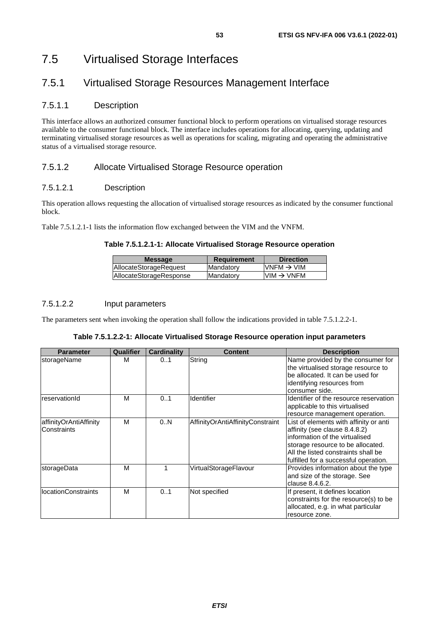# 7.5.1 Virtualised Storage Resources Management Interface

## 7.5.1.1 Description

This interface allows an authorized consumer functional block to perform operations on virtualised storage resources available to the consumer functional block. The interface includes operations for allocating, querying, updating and terminating virtualised storage resources as well as operations for scaling, migrating and operating the administrative status of a virtualised storage resource.

## 7.5.1.2 Allocate Virtualised Storage Resource operation

## 7.5.1.2.1 Description

This operation allows requesting the allocation of virtualised storage resources as indicated by the consumer functional block.

Table 7.5.1.2.1-1 lists the information flow exchanged between the VIM and the VNFM.

## **Table 7.5.1.2.1-1: Allocate Virtualised Storage Resource operation**

| VNFM $\rightarrow$ VIM<br>AllocateStorageRequest<br>Mandatory | <b>Message</b>          | <b>Requirement</b> | <b>Direction</b>       |
|---------------------------------------------------------------|-------------------------|--------------------|------------------------|
|                                                               |                         |                    |                        |
|                                                               | AllocateStorageResponse | <b>Mandatory</b>   | $VIM \rightarrow VNFM$ |

## 7.5.1.2.2 Input parameters

The parameters sent when invoking the operation shall follow the indications provided in table 7.5.1.2.2-1.

| Table 7.5.1.2.2-1: Allocate Virtualised Storage Resource operation input parameters |  |  |  |
|-------------------------------------------------------------------------------------|--|--|--|
|-------------------------------------------------------------------------------------|--|--|--|

| <b>Parameter</b>                      | Qualifier | <b>Cardinality</b> | <b>Content</b>                   | <b>Description</b>                                                                                                                                                                                                             |
|---------------------------------------|-----------|--------------------|----------------------------------|--------------------------------------------------------------------------------------------------------------------------------------------------------------------------------------------------------------------------------|
| storageName                           | м         | 0.1                | String                           | Name provided by the consumer for<br>the virtualised storage resource to<br>be allocated. It can be used for<br>identifying resources from<br>consumer side.                                                                   |
| reservationId                         | М         | 0.1                | Identifier                       | Identifier of the resource reservation<br>applicable to this virtualised<br>resource management operation.                                                                                                                     |
| affinityOrAntiAffinity<br>Constraints | М         | 0N                 | AffinityOrAntiAffinityConstraint | List of elements with affinity or anti<br>affinity (see clause 8.4.8.2)<br>information of the virtualised<br>storage resource to be allocated.<br>All the listed constraints shall be<br>fulfilled for a successful operation. |
| storageData                           | M         |                    | VirtualStorageFlavour            | Provides information about the type<br>and size of the storage. See<br>clause 8.4.6.2.                                                                                                                                         |
| <b>IocationConstraints</b>            | М         | 0.1                | Not specified                    | If present, it defines location<br>constraints for the resource(s) to be<br>allocated, e.g. in what particular<br>resource zone.                                                                                               |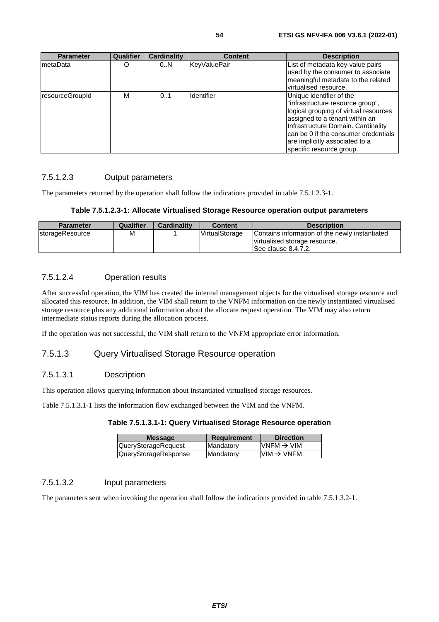are implicitly associated to a specific resource group.

| <b>Parameter</b> | <b>Qualifier</b> | <b>Cardinality</b> | <b>Content</b>    | <b>Description</b>                                                                                                                                                                                                    |
|------------------|------------------|--------------------|-------------------|-----------------------------------------------------------------------------------------------------------------------------------------------------------------------------------------------------------------------|
| metaData         | O                | 0N                 | KeyValuePair      | List of metadata key-value pairs<br>used by the consumer to associate<br>meaningful metadata to the related<br>virtualised resource.                                                                                  |
| resourceGroupId  | М                | 0.1                | <b>Identifier</b> | Unique identifier of the<br>"infrastructure resource group",<br>logical grouping of virtual resources<br>assigned to a tenant within an<br>Infrastructure Domain. Cardinality<br>can be 0 if the consumer credentials |

## 7.5.1.2.3 Output parameters

The parameters returned by the operation shall follow the indications provided in table 7.5.1.2.3-1.

#### **Table 7.5.1.2.3-1: Allocate Virtualised Storage Resource operation output parameters**

| <b>Parameter</b>        | Qualifier | <b>Cardinality</b> | <b>Content</b> | <b>Description</b>                                                                                      |
|-------------------------|-----------|--------------------|----------------|---------------------------------------------------------------------------------------------------------|
| <b>IstorageResource</b> | M         |                    | VirtualStorage | Contains information of the newly instantiated<br>virtualised storage resource.<br>ISee clause 8.4.7.2. |

## 7.5.1.2.4 Operation results

After successful operation, the VIM has created the internal management objects for the virtualised storage resource and allocated this resource. In addition, the VIM shall return to the VNFM information on the newly instantiated virtualised storage resource plus any additional information about the allocate request operation. The VIM may also return intermediate status reports during the allocation process.

If the operation was not successful, the VIM shall return to the VNFM appropriate error information.

## 7.5.1.3 Query Virtualised Storage Resource operation

## 7.5.1.3.1 Description

This operation allows querying information about instantiated virtualised storage resources.

Table 7.5.1.3.1-1 lists the information flow exchanged between the VIM and the VNFM.

| <b>Message</b>       | <b>Requirement</b> | <b>Direction</b>                        |
|----------------------|--------------------|-----------------------------------------|
| QueryStorageRequest  | Mandatory          | $\textsf{IVNFM}\rightarrow\textsf{VIM}$ |
| QueryStorageResponse | Mandatory          | $VIM \rightarrow VNFM$                  |

## 7.5.1.3.2 Input parameters

The parameters sent when invoking the operation shall follow the indications provided in table 7.5.1.3.2-1.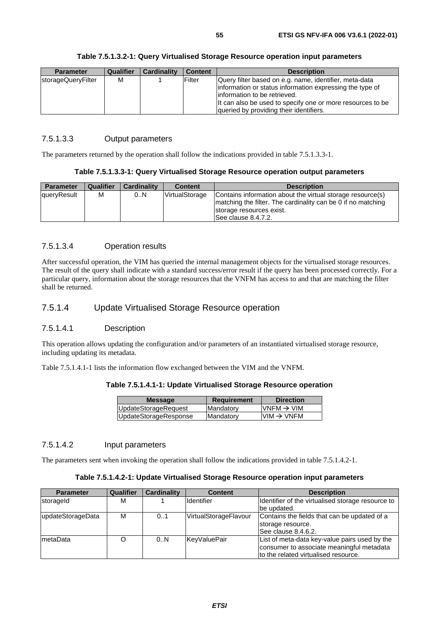|  | Table 7.5.1.3.2-1: Query Virtualised Storage Resource operation input parameters |  |
|--|----------------------------------------------------------------------------------|--|
|--|----------------------------------------------------------------------------------|--|

| <b>Parameter</b>   | <b>Qualifier</b> | <b>Cardinality</b> | <b>Content</b> | <b>Description</b>                                                                                                                                                                                                                                           |
|--------------------|------------------|--------------------|----------------|--------------------------------------------------------------------------------------------------------------------------------------------------------------------------------------------------------------------------------------------------------------|
| storageQueryFilter | М                |                    | Filter         | Query filter based on e.g. name, identifier, meta-data<br>information or status information expressing the type of<br>linformation to be retrieved.<br>It can also be used to specify one or more resources to be<br>queried by providing their identifiers. |

### 7.5.1.3.3 Output parameters

The parameters returned by the operation shall follow the indications provided in table 7.5.1.3.3-1.

#### **Table 7.5.1.3.3-1: Query Virtualised Storage Resource operation output parameters**

| <b>Parameter</b> | <b>Qualifier</b> | <b>Cardinality</b> | <b>Content</b> | <b>Description</b>                                                                                                                                                              |
|------------------|------------------|--------------------|----------------|---------------------------------------------------------------------------------------------------------------------------------------------------------------------------------|
| queryResult      | М                | 0.N                | VirtualStorage | Contains information about the virtual storage resource(s)<br>Imatching the filter. The cardinality can be 0 if no matching<br>storage resources exist.<br>ISee clause 8.4.7.2. |

## 7.5.1.3.4 Operation results

After successful operation, the VIM has queried the internal management objects for the virtualised storage resources. The result of the query shall indicate with a standard success/error result if the query has been processed correctly. For a particular query, information about the storage resources that the VNFM has access to and that are matching the filter shall be returned.

## 7.5.1.4 Update Virtualised Storage Resource operation

## 7.5.1.4.1 Description

This operation allows updating the configuration and/or parameters of an instantiated virtualised storage resource, including updating its metadata.

Table 7.5.1.4.1-1 lists the information flow exchanged between the VIM and the VNFM.

#### **Table 7.5.1.4.1-1: Update Virtualised Storage Resource operation**

| <b>Message</b>        | <b>Requirement</b> | <b>Direction</b>                        |
|-----------------------|--------------------|-----------------------------------------|
| UpdateStorageRequest  | Mandatory          | $\textsf{IVNFM}\rightarrow\textsf{VIM}$ |
| UpdateStorageResponse | Mandatory          | $VIM \rightarrow VNFM$                  |
|                       |                    |                                         |

## 7.5.1.4.2 Input parameters

The parameters sent when invoking the operation shall follow the indications provided in table 7.5.1.4.2-1.

#### **Table 7.5.1.4.2-1: Update Virtualised Storage Resource operation input parameters**

| <b>Parameter</b>  | <b>Qualifier</b> | <b>Cardinality</b> | <b>Content</b>        | <b>Description</b>                                |
|-------------------|------------------|--------------------|-----------------------|---------------------------------------------------|
| storageld         | м                |                    | <b>Identifier</b>     | Identifier of the virtualised storage resource to |
|                   |                  |                    |                       | be updated.                                       |
| updateStorageData | M                | 01                 | VirtualStorageFlavour | Contains the fields that can be updated of a      |
|                   |                  |                    |                       | storage resource.                                 |
|                   |                  |                    |                       | See clause 8.4.6.2.                               |
| metaData          |                  | 0N                 | KeyValuePair          | List of meta-data key-value pairs used by the     |
|                   |                  |                    |                       | consumer to associate meaningful metadata         |
|                   |                  |                    |                       | to the related virtualised resource.              |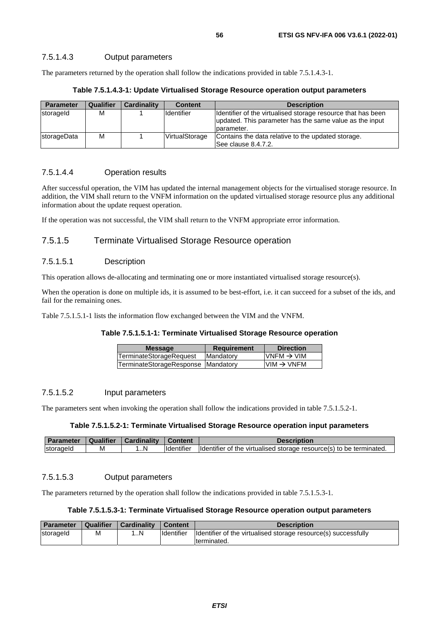### 7.5.1.4.3 Output parameters

The parameters returned by the operation shall follow the indications provided in table 7.5.1.4.3-1.

| Table 7.5.1.4.3-1: Update Virtualised Storage Resource operation output parameters |  |  |  |
|------------------------------------------------------------------------------------|--|--|--|
|------------------------------------------------------------------------------------|--|--|--|

| <b>Parameter</b>   | <b>Qualifier</b> | <b>Cardinality</b> | <b>Content</b>    | <b>Description</b>                                                                                                                     |
|--------------------|------------------|--------------------|-------------------|----------------------------------------------------------------------------------------------------------------------------------------|
| storageld          | M                |                    | <b>Identifier</b> | Identifier of the virtualised storage resource that has been<br>updated. This parameter has the same value as the input<br>Iparameter. |
| <b>storageData</b> | M                |                    | VirtualStorage    | Contains the data relative to the updated storage.<br>See clause 8.4.7.2.                                                              |

#### 7.5.1.4.4 Operation results

After successful operation, the VIM has updated the internal management objects for the virtualised storage resource. In addition, the VIM shall return to the VNFM information on the updated virtualised storage resource plus any additional information about the update request operation.

If the operation was not successful, the VIM shall return to the VNFM appropriate error information.

## 7.5.1.5 Terminate Virtualised Storage Resource operation

#### 7.5.1.5.1 Description

This operation allows de-allocating and terminating one or more instantiated virtualised storage resource(s).

When the operation is done on multiple ids, it is assumed to be best-effort, i.e. it can succeed for a subset of the ids, and fail for the remaining ones.

Table 7.5.1.5.1-1 lists the information flow exchanged between the VIM and the VNFM.

#### **Table 7.5.1.5.1-1: Terminate Virtualised Storage Resource operation**

| <b>Message</b>                     | <b>Requirement</b> | <b>Direction</b>       |
|------------------------------------|--------------------|------------------------|
| TerminateStorageRequest            | <b>IMandatory</b>  | $VNFM \rightarrow VIM$ |
| TerminateStorageResponse Mandatory |                    | $VIM \rightarrow VNFM$ |
|                                    |                    |                        |

### 7.5.1.5.2 Input parameters

The parameters sent when invoking the operation shall follow the indications provided in table 7.5.1.5.2-1.

#### **Table 7.5.1.5.2-1: Terminate Virtualised Storage Resource operation input parameters**

| <b>Parameter</b> | Qualifier | <b>Cardinality</b> | Content            | <b>Description</b>                                                   |
|------------------|-----------|--------------------|--------------------|----------------------------------------------------------------------|
| <b>Storageld</b> | M         | …N                 | <b>I</b> dentifier | Ildentifier of the virtualised storage resource(s) to be terminated. |

#### 7.5.1.5.3 Output parameters

The parameters returned by the operation shall follow the indications provided in table 7.5.1.5.3-1.

#### **Table 7.5.1.5.3-1: Terminate Virtualised Storage Resource operation output parameters**

| <b>Parameter</b> | Qualifier | Cardinality | <b>Content</b> | <b>Description</b>                                             |
|------------------|-----------|-------------|----------------|----------------------------------------------------------------|
| storageld        | M         | IN          | Identifier     | Identifier of the virtualised storage resource(s) successfully |
|                  |           |             |                | Iterminated.                                                   |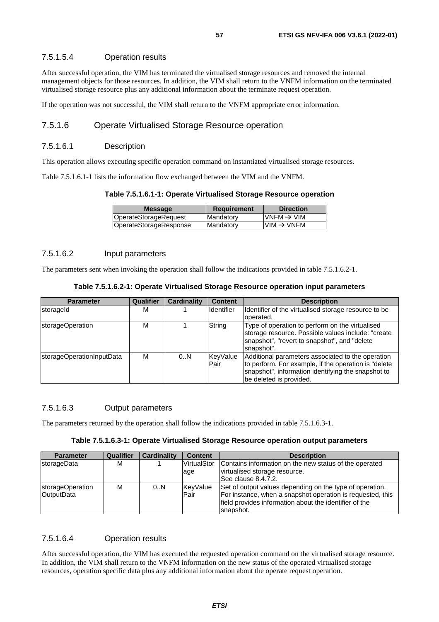### 7.5.1.5.4 Operation results

After successful operation, the VIM has terminated the virtualised storage resources and removed the internal management objects for those resources. In addition, the VIM shall return to the VNFM information on the terminated virtualised storage resource plus any additional information about the terminate request operation.

If the operation was not successful, the VIM shall return to the VNFM appropriate error information.

## 7.5.1.6 Operate Virtualised Storage Resource operation

#### 7.5.1.6.1 Description

This operation allows executing specific operation command on instantiated virtualised storage resources.

Table 7.5.1.6.1-1 lists the information flow exchanged between the VIM and the VNFM.

#### **Table 7.5.1.6.1-1: Operate Virtualised Storage Resource operation**

| <b>Message</b>         | <b>Requirement</b> | <b>Direction</b>                        |
|------------------------|--------------------|-----------------------------------------|
| OperateStorageRequest  | Mandatory          | $\textsf{IVNFM}\rightarrow\textsf{VIM}$ |
| OperateStorageResponse | Mandatory          | $VIM \rightarrow VNFM$                  |

## 7.5.1.6.2 Input parameters

The parameters sent when invoking the operation shall follow the indications provided in table 7.5.1.6.2-1.

| Table 7.5.1.6.2-1: Operate Virtualised Storage Resource operation input parameters |  |  |  |  |
|------------------------------------------------------------------------------------|--|--|--|--|
|------------------------------------------------------------------------------------|--|--|--|--|

| <b>Parameter</b>          | Qualifier | <b>Cardinality</b> | <b>Content</b>   | <b>Description</b>                                                                                                                                                                          |
|---------------------------|-----------|--------------------|------------------|---------------------------------------------------------------------------------------------------------------------------------------------------------------------------------------------|
| storageld                 | м         |                    | Identifier       | Identifier of the virtualised storage resource to be<br>operated.                                                                                                                           |
| storageOperation          | М         |                    | String           | Type of operation to perform on the virtualised<br>storage resource. Possible values include: "create<br>snapshot", "revert to snapshot", and "delete<br>snapshot".                         |
| storageOperationInputData | м         | 0.N                | KeyValue<br>Pair | Additional parameters associated to the operation<br>to perform. For example, if the operation is "delete"<br>snapshot", information identifying the snapshot to<br>be deleted is provided. |

### 7.5.1.6.3 Output parameters

The parameters returned by the operation shall follow the indications provided in table 7.5.1.6.3-1.

## **Table 7.5.1.6.3-1: Operate Virtualised Storage Resource operation output parameters**

| <b>Parameter</b>    | <b>Qualifier</b> | Cardinality | <b>Content</b> | <b>Description</b>                                         |
|---------------------|------------------|-------------|----------------|------------------------------------------------------------|
| <b>IstorageData</b> | М                |             | VirtualStor    | Contains information on the new status of the operated     |
|                     |                  |             | age            | virtualised storage resource.                              |
|                     |                  |             |                | See clause 8.4.7.2.                                        |
| storageOperation    | М                | 0.N         | KeyValue       | Set of output values depending on the type of operation.   |
| <b>OutputData</b>   |                  |             | Pair           | For instance, when a snapshot operation is requested, this |
|                     |                  |             |                | field provides information about the identifier of the     |
|                     |                  |             |                | Isnapshot.                                                 |

## 7.5.1.6.4 Operation results

After successful operation, the VIM has executed the requested operation command on the virtualised storage resource. In addition, the VIM shall return to the VNFM information on the new status of the operated virtualised storage resources, operation specific data plus any additional information about the operate request operation.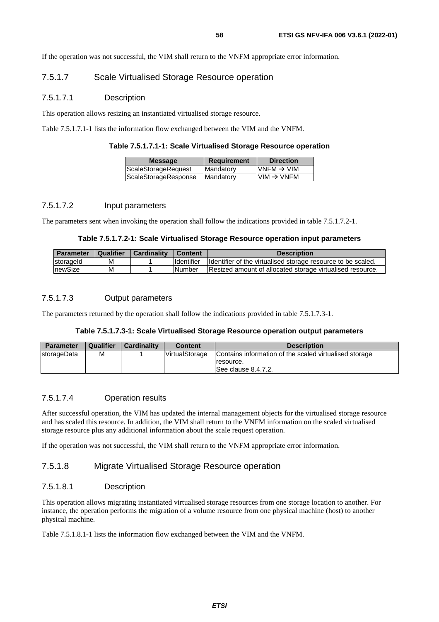If the operation was not successful, the VIM shall return to the VNFM appropriate error information.

## 7.5.1.7 Scale Virtualised Storage Resource operation

#### 7.5.1.7.1 Description

This operation allows resizing an instantiated virtualised storage resource.

Table 7.5.1.7.1-1 lists the information flow exchanged between the VIM and the VNFM.

| $VNFM \rightarrow VIM$ |
|------------------------|
| $VIM \rightarrow VNFM$ |
|                        |

#### 7.5.1.7.2 Input parameters

The parameters sent when invoking the operation shall follow the indications provided in table 7.5.1.7.2-1.

#### **Table 7.5.1.7.2-1: Scale Virtualised Storage Resource operation input parameters**

| <b>Parameter</b> | Qualifier | <b>Cardinality</b> | <b>Content</b> | <b>Description</b>                                           |
|------------------|-----------|--------------------|----------------|--------------------------------------------------------------|
| storageld        | м         |                    | Identifier     | Identifier of the virtualised storage resource to be scaled. |
| newSize          | М         |                    | <b>Number</b>  | Resized amount of allocated storage virtualised resource.    |

#### 7.5.1.7.3 Output parameters

The parameters returned by the operation shall follow the indications provided in table 7.5.1.7.3-1.

#### **Table 7.5.1.7.3-1: Scale Virtualised Storage Resource operation output parameters**

| <b>Parameter</b> | Qualifier | <b>Cardinality</b> | Content        | <b>Description</b>                                     |
|------------------|-----------|--------------------|----------------|--------------------------------------------------------|
| storageData      | М         |                    | VirtualStorage | Contains information of the scaled virtualised storage |
|                  |           |                    |                | resource.                                              |
|                  |           |                    |                | See clause 8.4.7.2.                                    |

#### 7.5.1.7.4 Operation results

After successful operation, the VIM has updated the internal management objects for the virtualised storage resource and has scaled this resource. In addition, the VIM shall return to the VNFM information on the scaled virtualised storage resource plus any additional information about the scale request operation.

If the operation was not successful, the VIM shall return to the VNFM appropriate error information.

## 7.5.1.8 Migrate Virtualised Storage Resource operation

#### 7.5.1.8.1 Description

This operation allows migrating instantiated virtualised storage resources from one storage location to another. For instance, the operation performs the migration of a volume resource from one physical machine (host) to another physical machine.

Table 7.5.1.8.1-1 lists the information flow exchanged between the VIM and the VNFM.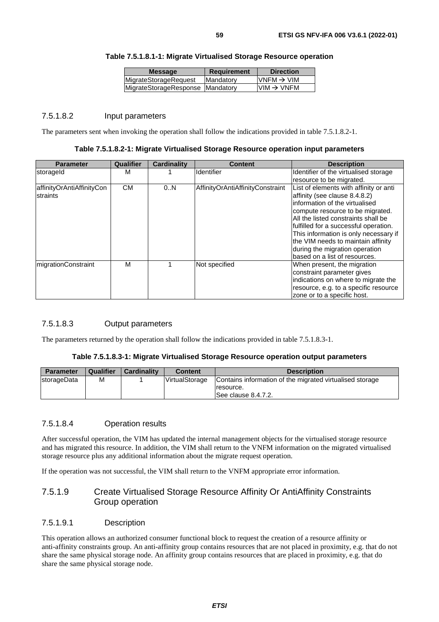| <b>Message</b>                   | <b>Requirement</b> | <b>Direction</b>                        |
|----------------------------------|--------------------|-----------------------------------------|
| <b>MigrateStorageRequest</b>     | <b>IMandatory</b>  | $\textsf{IVNFM}\rightarrow\textsf{VIM}$ |
| MigrateStorageResponse Mandatory |                    | IVIM $\rightarrow$ VNFM                 |

## **Table 7.5.1.8.1-1: Migrate Virtualised Storage Resource operation**

#### 7.5.1.8.2 Input parameters

The parameters sent when invoking the operation shall follow the indications provided in table 7.5.1.8.2-1.

**Table 7.5.1.8.2-1: Migrate Virtualised Storage Resource operation input parameters** 

| <b>Parameter</b>          | Qualifier | <b>Cardinality</b> | Content                          | <b>Description</b>                     |
|---------------------------|-----------|--------------------|----------------------------------|----------------------------------------|
| storageld                 | м         |                    | <b>Identifier</b>                | Identifier of the virtualised storage  |
|                           |           |                    |                                  | resource to be migrated.               |
| affinityOrAntiAffinityCon | <b>CM</b> | 0N                 | AffinityOrAntiAffinityConstraint | List of elements with affinity or anti |
| straints                  |           |                    |                                  | affinity (see clause 8.4.8.2)          |
|                           |           |                    |                                  | information of the virtualised         |
|                           |           |                    |                                  | compute resource to be migrated.       |
|                           |           |                    |                                  | All the listed constraints shall be    |
|                           |           |                    |                                  | fulfilled for a successful operation.  |
|                           |           |                    |                                  | This information is only necessary if  |
|                           |           |                    |                                  | the VIM needs to maintain affinity     |
|                           |           |                    |                                  | during the migration operation         |
|                           |           |                    |                                  | based on a list of resources.          |
| migrationConstraint       | м         |                    | Not specified                    | When present, the migration            |
|                           |           |                    |                                  | constraint parameter gives             |
|                           |           |                    |                                  | indications on where to migrate the    |
|                           |           |                    |                                  | resource, e.g. to a specific resource  |
|                           |           |                    |                                  | zone or to a specific host.            |

## 7.5.1.8.3 Output parameters

The parameters returned by the operation shall follow the indications provided in table 7.5.1.8.3-1.

#### **Table 7.5.1.8.3-1: Migrate Virtualised Storage Resource operation output parameters**

| <b>Parameter</b> | <b>Qualifier</b> | <b>Cardinality</b> | <b>Content</b> | <b>Description</b>                                                                           |
|------------------|------------------|--------------------|----------------|----------------------------------------------------------------------------------------------|
| storageData      | М                |                    | VirtualStorage | Contains information of the migrated virtualised storage<br>resource.<br>See clause 8.4.7.2. |

## 7.5.1.8.4 Operation results

After successful operation, the VIM has updated the internal management objects for the virtualised storage resource and has migrated this resource. In addition, the VIM shall return to the VNFM information on the migrated virtualised storage resource plus any additional information about the migrate request operation.

If the operation was not successful, the VIM shall return to the VNFM appropriate error information.

## 7.5.1.9 Create Virtualised Storage Resource Affinity Or AntiAffinity Constraints Group operation

#### 7.5.1.9.1 Description

This operation allows an authorized consumer functional block to request the creation of a resource affinity or anti-affinity constraints group. An anti-affinity group contains resources that are not placed in proximity, e.g. that do not share the same physical storage node. An affinity group contains resources that are placed in proximity, e.g. that do share the same physical storage node.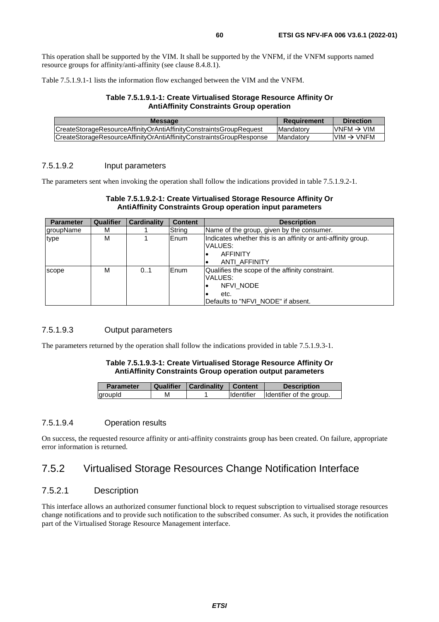This operation shall be supported by the VIM. It shall be supported by the VNFM, if the VNFM supports named resource groups for affinity/anti-affinity (see clause 8.4.8.1).

Table 7.5.1.9.1-1 lists the information flow exchanged between the VIM and the VNFM.

#### **Table 7.5.1.9.1-1: Create Virtualised Storage Resource Affinity Or AntiAffinity Constraints Group operation**

| CreateStorageResourceAffinityOrAntiAffinityConstraintsGroupRequest<br><b>Mandatory</b>  | VNFM $\rightarrow$ VIM |
|-----------------------------------------------------------------------------------------|------------------------|
| CreateStorageResourceAffinityOrAntiAffinityConstraintsGroupResponse<br><b>Mandatory</b> | $VM \rightarrow VNFM$  |

#### 7.5.1.9.2 Input parameters

The parameters sent when invoking the operation shall follow the indications provided in table 7.5.1.9.2-1.

#### **Table 7.5.1.9.2-1: Create Virtualised Storage Resource Affinity Or AntiAffinity Constraints Group operation input parameters**

| <b>Parameter</b> | Qualifier | <b>Cardinality</b> | <b>Content</b> | <b>Description</b>                                                                                                    |
|------------------|-----------|--------------------|----------------|-----------------------------------------------------------------------------------------------------------------------|
| groupName        | м         |                    | String         | Name of the group, given by the consumer.                                                                             |
| type             | м         |                    | Enum           | Indicates whether this is an affinity or anti-affinity group.<br>VALUES:<br><b>AFFINITY</b><br><b>ANTI AFFINITY</b>   |
| scope            | м         | 01                 | Enum           | Qualifies the scope of the affinity constraint.<br>VALUES:<br>NFVI NODE<br>etc.<br>Defaults to "NFVI NODE" if absent. |

## 7.5.1.9.3 Output parameters

The parameters returned by the operation shall follow the indications provided in table 7.5.1.9.3-1.

#### **Table 7.5.1.9.3-1: Create Virtualised Storage Resource Affinity Or AntiAffinity Constraints Group operation output parameters**

| <b>Parameter</b> | Qualifier | Cardinality | <b>Content</b> | <b>Description</b>       |
|------------------|-----------|-------------|----------------|--------------------------|
| groupId          | м         |             | Identifier     | Identifier of the group. |

#### 7.5.1.9.4 Operation results

On success, the requested resource affinity or anti-affinity constraints group has been created. On failure, appropriate error information is returned.

## 7.5.2 Virtualised Storage Resources Change Notification Interface

## 7.5.2.1 Description

This interface allows an authorized consumer functional block to request subscription to virtualised storage resources change notifications and to provide such notification to the subscribed consumer. As such, it provides the notification part of the Virtualised Storage Resource Management interface.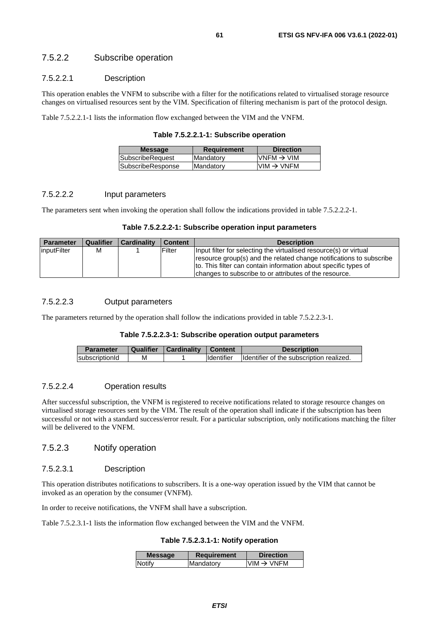## 7.5.2.2 Subscribe operation

## 7.5.2.2.1 Description

This operation enables the VNFM to subscribe with a filter for the notifications related to virtualised storage resource changes on virtualised resources sent by the VIM. Specification of filtering mechanism is part of the protocol design.

Table 7.5.2.2.1-1 lists the information flow exchanged between the VIM and the VNFM.

**Table 7.5.2.2.1-1: Subscribe operation** 

| <b>Message</b>    | Requirement | <b>Direction</b>                                                      |
|-------------------|-------------|-----------------------------------------------------------------------|
| SubscribeRequest  | Mandatory   | $VNFM \rightarrow VIM$                                                |
| SubscribeResponse | Mandatory   | $\textsf{I}\textsf{VIM} \to \textsf{V}\textsf{N}\textsf{F}\textsf{M}$ |
|                   |             |                                                                       |

#### 7.5.2.2.2 Input parameters

The parameters sent when invoking the operation shall follow the indications provided in table 7.5.2.2.2-1.

|  | Table 7.5.2.2.2-1: Subscribe operation input parameters |
|--|---------------------------------------------------------|
|--|---------------------------------------------------------|

| <b>Parameter</b> | Qualifier | <b>Cardinality</b> | <b>Content</b> | <b>Description</b>                                                                                                                                                                                                                                                    |
|------------------|-----------|--------------------|----------------|-----------------------------------------------------------------------------------------------------------------------------------------------------------------------------------------------------------------------------------------------------------------------|
| inputFilter      | M         |                    | Filter         | Input filter for selecting the virtualised resource(s) or virtual<br>resource group(s) and the related change notifications to subscribe<br>to. This filter can contain information about specific types of<br>changes to subscribe to or attributes of the resource. |

#### 7.5.2.2.3 Output parameters

The parameters returned by the operation shall follow the indications provided in table 7.5.2.2.3-1.

#### **Table 7.5.2.2.3-1: Subscribe operation output parameters**

| <b>Parameter</b> |   | Qualifier   Cardinality   Content |                     | <b>Description</b>                       |
|------------------|---|-----------------------------------|---------------------|------------------------------------------|
| subscriptionId   | м |                                   | <b>I</b> Identifier | Identifier of the subscription realized. |

#### 7.5.2.2.4 Operation results

After successful subscription, the VNFM is registered to receive notifications related to storage resource changes on virtualised storage resources sent by the VIM. The result of the operation shall indicate if the subscription has been successful or not with a standard success/error result. For a particular subscription, only notifications matching the filter will be delivered to the VNFM.

## 7.5.2.3 Notify operation

#### 7.5.2.3.1 Description

This operation distributes notifications to subscribers. It is a one-way operation issued by the VIM that cannot be invoked as an operation by the consumer (VNFM).

In order to receive notifications, the VNFM shall have a subscription.

Table 7.5.2.3.1-1 lists the information flow exchanged between the VIM and the VNFM.

#### **Table 7.5.2.3.1-1: Notify operation**

| <b>Message</b> | Requirement | <b>Direction</b>       |
|----------------|-------------|------------------------|
| <b>Notify</b>  | Mandatory   | $VIM \rightarrow VNFM$ |
|                |             |                        |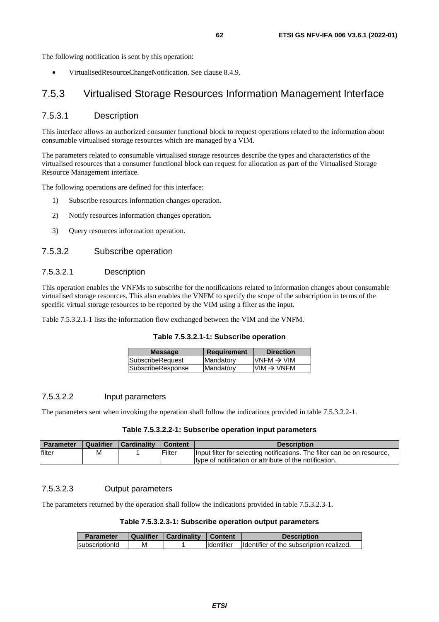The following notification is sent by this operation:

• VirtualisedResourceChangeNotification. See clause 8.4.9.

## 7.5.3 Virtualised Storage Resources Information Management Interface

## 7.5.3.1 Description

This interface allows an authorized consumer functional block to request operations related to the information about consumable virtualised storage resources which are managed by a VIM.

The parameters related to consumable virtualised storage resources describe the types and characteristics of the virtualised resources that a consumer functional block can request for allocation as part of the Virtualised Storage Resource Management interface.

The following operations are defined for this interface:

- 1) Subscribe resources information changes operation.
- 2) Notify resources information changes operation.
- 3) Query resources information operation.

#### 7.5.3.2 Subscribe operation

### 7.5.3.2.1 Description

This operation enables the VNFMs to subscribe for the notifications related to information changes about consumable virtualised storage resources. This also enables the VNFM to specify the scope of the subscription in terms of the specific virtual storage resources to be reported by the VIM using a filter as the input.

Table 7.5.3.2.1-1 lists the information flow exchanged between the VIM and the VNFM.

|  |  |  | Table 7.5.3.2.1-1: Subscribe operation |  |
|--|--|--|----------------------------------------|--|
|--|--|--|----------------------------------------|--|

| $VNFM \rightarrow VIM$<br><b>SubscribeRequest</b><br>Mandatory | <b>Message</b> |
|----------------------------------------------------------------|----------------|
|                                                                |                |
| SubscribeResponse<br>$VIM \rightarrow VNFM$<br>Mandatory       |                |

#### 7.5.3.2.2 Input parameters

The parameters sent when invoking the operation shall follow the indications provided in table 7.5.3.2.2-1.

#### **Table 7.5.3.2.2-1: Subscribe operation input parameters**

| <b>Parameter</b> | Qualifier | <b>Cardinality</b> | <b>∪ Content</b> | <b>Description</b>                                                       |
|------------------|-----------|--------------------|------------------|--------------------------------------------------------------------------|
| filter           | М         |                    | <b>Filter</b>    | Input filter for selecting notifications. The filter can be on resource, |
|                  |           |                    |                  | type of notification or attribute of the notification.                   |

### 7.5.3.2.3 Output parameters

The parameters returned by the operation shall follow the indications provided in table 7.5.3.2.3-1.

### **Table 7.5.3.2.3-1: Subscribe operation output parameters**

| <b>Parameter</b> | Qualifier | Cardinality | Content    | <b>Description</b>                       |
|------------------|-----------|-------------|------------|------------------------------------------|
| subscriptionId   | м         |             | Identifier | Identifier of the subscription realized. |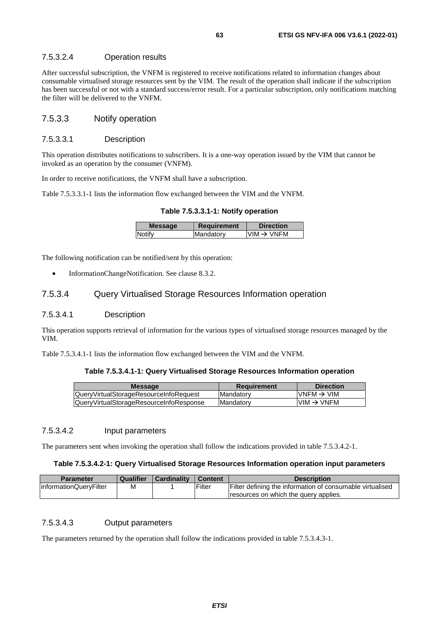## 7.5.3.2.4 Operation results

After successful subscription, the VNFM is registered to receive notifications related to information changes about consumable virtualised storage resources sent by the VIM. The result of the operation shall indicate if the subscription has been successful or not with a standard success/error result. For a particular subscription, only notifications matching the filter will be delivered to the VNFM.

## 7.5.3.3 Notify operation

#### 7.5.3.3.1 Description

This operation distributes notifications to subscribers. It is a one-way operation issued by the VIM that cannot be invoked as an operation by the consumer (VNFM).

In order to receive notifications, the VNFM shall have a subscription.

Table 7.5.3.3.1-1 lists the information flow exchanged between the VIM and the VNFM.

**Table 7.5.3.3.1-1: Notify operation** 

| <b>Message</b> | Requirement | <b>Direction</b> |
|----------------|-------------|------------------|
| Notify         | Mandatory   | IVIM → VNFM      |
|                |             |                  |

The following notification can be notified/sent by this operation:

• InformationChangeNotification. See clause 8.3.2.

## 7.5.3.4 Query Virtualised Storage Resources Information operation

#### 7.5.3.4.1 Description

This operation supports retrieval of information for the various types of virtualised storage resources managed by the VIM.

Table 7.5.3.4.1-1 lists the information flow exchanged between the VIM and the VNFM.

#### **Table 7.5.3.4.1-1: Query Virtualised Storage Resources Information operation**

| <b>Message</b>                          | Requirement       | <b>Direction</b>        |
|-----------------------------------------|-------------------|-------------------------|
| QueryVirtualStorageResourceInfoRequest  | <b>IMandatory</b> | $IVNFM \rightarrow VIM$ |
| QueryVirtualStorageResourceInfoResponse | <b>IMandatory</b> | $VM \rightarrow VNFM$   |
|                                         |                   |                         |

## 7.5.3.4.2 Input parameters

The parameters sent when invoking the operation shall follow the indications provided in table 7.5.3.4.2-1.

#### **Table 7.5.3.4.2-1: Query Virtualised Storage Resources Information operation input parameters**

| <b>Parameter</b>       | <b>Qualifier</b> | Cardinality | Content | <b>Description</b>                                        |
|------------------------|------------------|-------------|---------|-----------------------------------------------------------|
| informationQueryFilter | м                |             | Filter  | Filter defining the information of consumable virtualised |
|                        |                  |             |         | resources on which the query applies.                     |

## 7.5.3.4.3 Output parameters

The parameters returned by the operation shall follow the indications provided in table 7.5.3.4.3-1.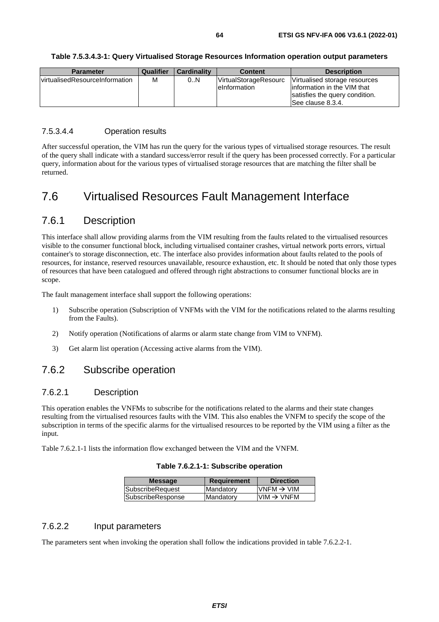| <b>Parameter</b>               | Qualifier | <b>Cardinality</b> | <b>Content</b>                                       | <b>Description</b>                                                                                                   |
|--------------------------------|-----------|--------------------|------------------------------------------------------|----------------------------------------------------------------------------------------------------------------------|
| virtualisedResourceInformation | M         | 0N                 | <b>VirtualStorageResourc</b><br><b>leinformation</b> | Virtualised storage resources<br>linformation in the VIM that<br>satisfies the query condition.<br>See clause 8.3.4. |

#### **Table 7.5.3.4.3-1: Query Virtualised Storage Resources Information operation output parameters**

## 7.5.3.4.4 Operation results

After successful operation, the VIM has run the query for the various types of virtualised storage resources. The result of the query shall indicate with a standard success/error result if the query has been processed correctly. For a particular query, information about for the various types of virtualised storage resources that are matching the filter shall be returned.

# 7.6 Virtualised Resources Fault Management Interface

## 7.6.1 Description

This interface shall allow providing alarms from the VIM resulting from the faults related to the virtualised resources visible to the consumer functional block, including virtualised container crashes, virtual network ports errors, virtual container's to storage disconnection, etc. The interface also provides information about faults related to the pools of resources, for instance, reserved resources unavailable, resource exhaustion, etc. It should be noted that only those types of resources that have been catalogued and offered through right abstractions to consumer functional blocks are in scope.

The fault management interface shall support the following operations:

- 1) Subscribe operation (Subscription of VNFMs with the VIM for the notifications related to the alarms resulting from the Faults).
- 2) Notify operation (Notifications of alarms or alarm state change from VIM to VNFM).
- 3) Get alarm list operation (Accessing active alarms from the VIM).

## 7.6.2 Subscribe operation

## 7.6.2.1 Description

This operation enables the VNFMs to subscribe for the notifications related to the alarms and their state changes resulting from the virtualised resources faults with the VIM. This also enables the VNFM to specify the scope of the subscription in terms of the specific alarms for the virtualised resources to be reported by the VIM using a filter as the input.

Table 7.6.2.1-1 lists the information flow exchanged between the VIM and the VNFM.

#### **Table 7.6.2.1-1: Subscribe operation**

| <b>Message</b>          | <b>Requirement</b> | <b>Direction</b>       |
|-------------------------|--------------------|------------------------|
| <b>SubscribeRequest</b> | Mandatory          | VNFM $\rightarrow$ VIM |
| SubscribeResponse       | Mandatory          | $VIM \rightarrow VNFM$ |
|                         |                    |                        |

## 7.6.2.2 Input parameters

The parameters sent when invoking the operation shall follow the indications provided in table 7.6.2.2-1.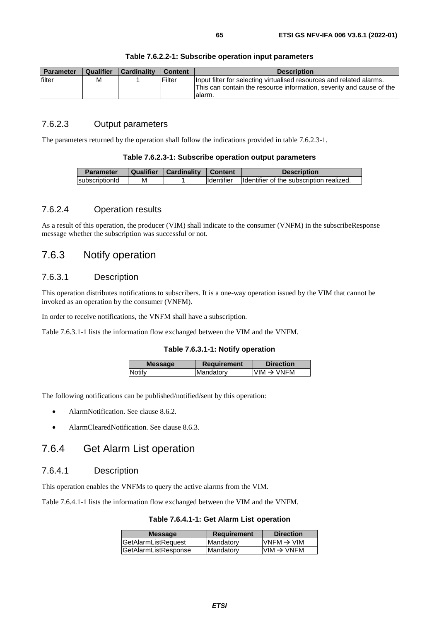| <b>Parameter</b> | <b>Qualifier</b> | l Cardinalitv | l Content | <b>Description</b>                                                                                                                                     |
|------------------|------------------|---------------|-----------|--------------------------------------------------------------------------------------------------------------------------------------------------------|
| filter           | M                |               | Filter    | Input filter for selecting virtualised resources and related alarms.<br>This can contain the resource information, severity and cause of the<br>alarm. |

#### **Table 7.6.2.2-1: Subscribe operation input parameters**

## 7.6.2.3 Output parameters

The parameters returned by the operation shall follow the indications provided in table 7.6.2.3-1.

#### **Table 7.6.2.3-1: Subscribe operation output parameters**

| <b>Parameter</b> |   | Qualifier   Cardinality | Content           | <b>Description</b>                       |
|------------------|---|-------------------------|-------------------|------------------------------------------|
| subscriptionId   | м |                         | <b>Identifier</b> | Identifier of the subscription realized. |

## 7.6.2.4 Operation results

As a result of this operation, the producer (VIM) shall indicate to the consumer (VNFM) in the subscribeResponse message whether the subscription was successful or not.

## 7.6.3 Notify operation

## 7.6.3.1 Description

This operation distributes notifications to subscribers. It is a one-way operation issued by the VIM that cannot be invoked as an operation by the consumer (VNFM).

In order to receive notifications, the VNFM shall have a subscription.

Table 7.6.3.1-1 lists the information flow exchanged between the VIM and the VNFM.

#### **Table 7.6.3.1-1: Notify operation**

| <b>Message</b> | <b>Requirement</b> | <b>Direction</b>        |
|----------------|--------------------|-------------------------|
| Notify         | Mandatory          | IVIM $\rightarrow$ VNFM |
|                |                    |                         |

The following notifications can be published/notified/sent by this operation:

- AlarmNotification. See clause 8.6.2.
- AlarmClearedNotification. See clause 8.6.3.

## 7.6.4 Get Alarm List operation

## 7.6.4.1 Description

This operation enables the VNFMs to query the active alarms from the VIM.

Table 7.6.4.1-1 lists the information flow exchanged between the VIM and the VNFM.

**Table 7.6.4.1-1: Get Alarm List operation** 

| <b>Message</b>       | <b>Requirement</b> | <b>Direction</b>                                                      |
|----------------------|--------------------|-----------------------------------------------------------------------|
| GetAlarmListRequest  | Mandatory          | $\textsf{IVNFM}\rightarrow\textsf{VIM}$                               |
| GetAlarmListResponse | Mandatory          | $\textsf{I}\textsf{VIM} \to \textsf{V}\textsf{N}\textsf{F}\textsf{M}$ |
|                      |                    |                                                                       |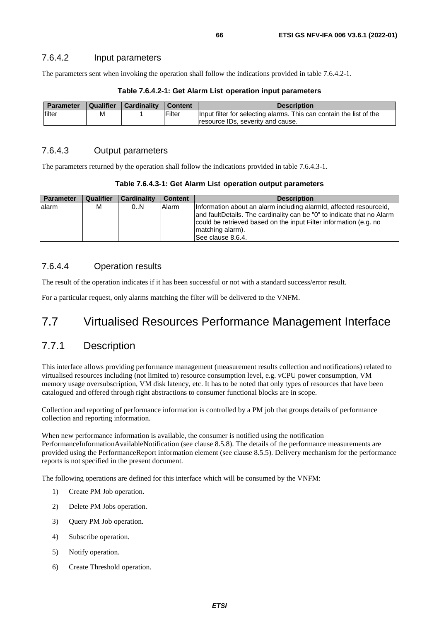The parameters sent when invoking the operation shall follow the indications provided in table 7.6.4.2-1.

| <b>Parameter</b> | Qualifier | <b>Cardinality</b> | <b>Content</b> | <b>Description</b>                                                  |
|------------------|-----------|--------------------|----------------|---------------------------------------------------------------------|
| filter           | м         |                    | Filter         | Input filter for selecting alarms. This can contain the list of the |
|                  |           |                    |                | resource IDs, severity and cause.                                   |

#### **Table 7.6.4.2-1: Get Alarm List operation input parameters**

## 7.6.4.3 Output parameters

The parameters returned by the operation shall follow the indications provided in table 7.6.4.3-1.

| Table 7.6.4.3-1: Get Alarm List operation output parameters |  |
|-------------------------------------------------------------|--|
|-------------------------------------------------------------|--|

| <b>Parameter</b> | <b>Qualifier</b> | <b>Cardinality</b> | <b>Content</b> | <b>Description</b>                                                                                                                                                                                                                                         |
|------------------|------------------|--------------------|----------------|------------------------------------------------------------------------------------------------------------------------------------------------------------------------------------------------------------------------------------------------------------|
| lalarm           | м                | 0N                 | Alarm          | Information about an alarm including alarmid, affected resourceld,<br>and faultDetails. The cardinality can be "0" to indicate that no Alarm<br>could be retrieved based on the input Filter information (e.g. no<br>matching alarm).<br>See clause 8.6.4. |

## 7.6.4.4 Operation results

The result of the operation indicates if it has been successful or not with a standard success/error result.

For a particular request, only alarms matching the filter will be delivered to the VNFM.

# 7.7 Virtualised Resources Performance Management Interface

## 7.7.1 Description

This interface allows providing performance management (measurement results collection and notifications) related to virtualised resources including (not limited to) resource consumption level, e.g. vCPU power consumption, VM memory usage oversubscription, VM disk latency, etc. It has to be noted that only types of resources that have been catalogued and offered through right abstractions to consumer functional blocks are in scope.

Collection and reporting of performance information is controlled by a PM job that groups details of performance collection and reporting information.

When new performance information is available, the consumer is notified using the notification PerformanceInformationAvailableNotification (see clause 8.5.8). The details of the performance measurements are provided using the PerformanceReport information element (see clause 8.5.5). Delivery mechanism for the performance reports is not specified in the present document.

The following operations are defined for this interface which will be consumed by the VNFM:

- 1) Create PM Job operation.
- 2) Delete PM Jobs operation.
- 3) Query PM Job operation.
- 4) Subscribe operation.
- 5) Notify operation.
- 6) Create Threshold operation.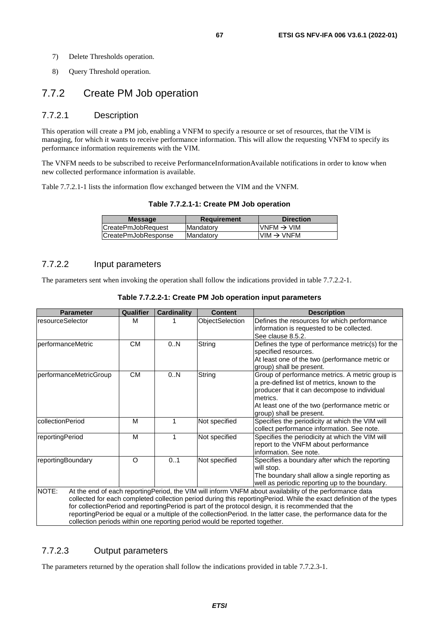8) Query Threshold operation.

# 7.7.2 Create PM Job operation

## 7.7.2.1 Description

This operation will create a PM job, enabling a VNFM to specify a resource or set of resources, that the VIM is managing, for which it wants to receive performance information. This will allow the requesting VNFM to specify its performance information requirements with the VIM.

The VNFM needs to be subscribed to receive PerformanceInformationAvailable notifications in order to know when new collected performance information is available.

Table 7.7.2.1-1 lists the information flow exchanged between the VIM and the VNFM.

| <b>Message</b>      | <b>Requirement</b> | <b>Direction</b>        |
|---------------------|--------------------|-------------------------|
| ICreatePmJobRequest | Mandatory          | IVNFM $\rightarrow$ VIM |
| CreatePmJobResponse | <b>Mandatory</b>   | $VIM \rightarrow VNFM$  |
|                     |                    |                         |

## 7.7.2.2 Input parameters

The parameters sent when invoking the operation shall follow the indications provided in table 7.7.2.2-1.

| <b>Parameter</b>       | <b>Qualifier</b> | <b>Cardinality</b> | <b>Content</b>                                                             | <b>Description</b>                                                                                                                                                                                                                                                                                                                                                                                                                                        |
|------------------------|------------------|--------------------|----------------------------------------------------------------------------|-----------------------------------------------------------------------------------------------------------------------------------------------------------------------------------------------------------------------------------------------------------------------------------------------------------------------------------------------------------------------------------------------------------------------------------------------------------|
| resourceSelector       | м                |                    | ObjectSelection                                                            | Defines the resources for which performance<br>information is requested to be collected.<br>See clause 8.5.2.                                                                                                                                                                                                                                                                                                                                             |
| performanceMetric      | <b>CM</b>        | 0.N                | String                                                                     | Defines the type of performance metric(s) for the<br>specified resources.<br>At least one of the two (performance metric or<br>group) shall be present.                                                                                                                                                                                                                                                                                                   |
| performanceMetricGroup | <b>CM</b>        | 0.N                | String                                                                     | Group of performance metrics. A metric group is<br>a pre-defined list of metrics, known to the<br>producer that it can decompose to individual<br>metrics.<br>At least one of the two (performance metric or<br>group) shall be present.                                                                                                                                                                                                                  |
| collectionPeriod       | M                | 1                  | Not specified                                                              | Specifies the periodicity at which the VIM will<br>collect performance information. See note.                                                                                                                                                                                                                                                                                                                                                             |
| reportingPeriod        | м                | 1                  | Not specified                                                              | Specifies the periodicity at which the VIM will<br>report to the VNFM about performance<br>information. See note.                                                                                                                                                                                                                                                                                                                                         |
| reportingBoundary      | O                | 0.1                | Not specified                                                              | Specifies a boundary after which the reporting<br>will stop.<br>The boundary shall allow a single reporting as<br>well as periodic reporting up to the boundary.                                                                                                                                                                                                                                                                                          |
| NOTE:                  |                  |                    | collection periods within one reporting period would be reported together. | At the end of each reportingPeriod, the VIM will inform VNFM about availability of the performance data<br>collected for each completed collection period during this reportingPeriod. While the exact definition of the types<br>for collectionPeriod and reportingPeriod is part of the protocol design, it is recommended that the<br>reportingPeriod be equal or a multiple of the collectionPeriod. In the latter case, the performance data for the |

#### **Table 7.7.2.2-1: Create PM Job operation input parameters**

## 7.7.2.3 Output parameters

The parameters returned by the operation shall follow the indications provided in table 7.7.2.3-1.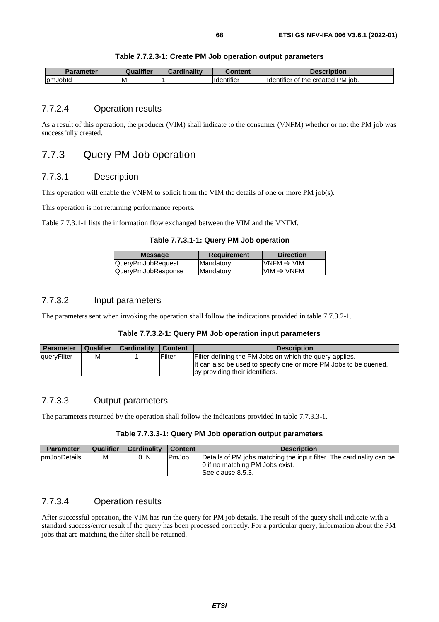| Table 7.7.2.3-1: Create PM Job operation output parameters |  |  |  |
|------------------------------------------------------------|--|--|--|
|------------------------------------------------------------|--|--|--|

| <b>Parameter</b> | <b>Qualifier</b> | <b>Cardinality</b> | Content                 | Description                                |
|------------------|------------------|--------------------|-------------------------|--------------------------------------------|
| pmJobld          | ΙM               |                    | .<br><b>Ildentifier</b> | created PM job.<br>the<br>Οt<br>ldentifier |

## 7.7.2.4 Operation results

As a result of this operation, the producer (VIM) shall indicate to the consumer (VNFM) whether or not the PM job was successfully created.

## 7.7.3 Query PM Job operation

## 7.7.3.1 Description

This operation will enable the VNFM to solicit from the VIM the details of one or more PM job(s).

This operation is not returning performance reports.

Table 7.7.3.1-1 lists the information flow exchanged between the VIM and the VNFM.

**Table 7.7.3.1-1: Query PM Job operation** 

| <b>Message</b>     | <b>Requirement</b> | <b>Direction</b>       |
|--------------------|--------------------|------------------------|
| QueryPmJobRequest  | Mandatory          | VNFM $\rightarrow$ VIM |
| QueryPmJobResponse | Mandatory          | $VIM \rightarrow VNFM$ |

## 7.7.3.2 Input parameters

The parameters sent when invoking the operation shall follow the indications provided in table 7.7.3.2-1.

#### **Table 7.7.3.2-1: Query PM Job operation input parameters**

| <b>Parameter</b>   | Qualifier | Cardinality | Content       | <b>Description</b>                                                |
|--------------------|-----------|-------------|---------------|-------------------------------------------------------------------|
| <b>queryFilter</b> | М         |             | <b>Filter</b> | Filter defining the PM Jobs on which the query applies.           |
|                    |           |             |               | It can also be used to specify one or more PM Jobs to be queried. |
|                    |           |             |               | by providing their identifiers.                                   |

## 7.7.3.3 Output parameters

The parameters returned by the operation shall follow the indications provided in table 7.7.3.3-1.

## **Table 7.7.3.3-1: Query PM Job operation output parameters**

| <b>Parameter</b> | <b>Qualifier</b> | <b>Cardinality</b> | <b>Content</b> | <b>Description</b>                                                                                                            |
|------------------|------------------|--------------------|----------------|-------------------------------------------------------------------------------------------------------------------------------|
| IpmJobDetails    | M                | 0N                 | PmJob          | Details of PM jobs matching the input filter. The cardinality can be<br>0 if no matching PM Jobs exist.<br>ISee clause 8.5.3. |

## 7.7.3.4 Operation results

After successful operation, the VIM has run the query for PM job details. The result of the query shall indicate with a standard success/error result if the query has been processed correctly. For a particular query, information about the PM jobs that are matching the filter shall be returned.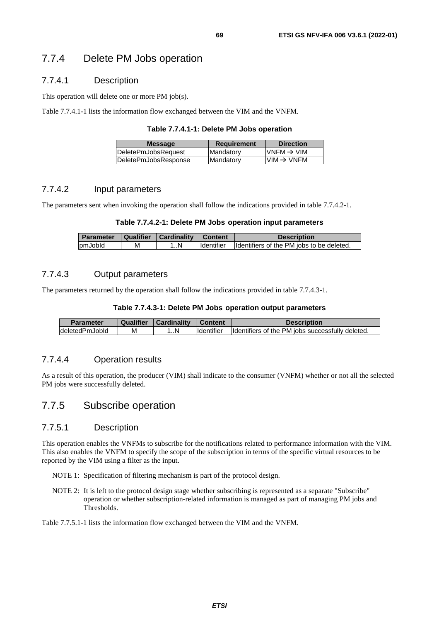## 7.7.4 Delete PM Jobs operation

## 7.7.4.1 Description

This operation will delete one or more PM job(s).

Table 7.7.4.1-1 lists the information flow exchanged between the VIM and the VNFM.

|  |  | Table 7.7.4.1-1: Delete PM Jobs operation |
|--|--|-------------------------------------------|
|--|--|-------------------------------------------|

| <b>IDeletePmJobsReauest</b><br>VNFM $\rightarrow$ VIM<br><b>Mandatory</b> | <b>Message</b>       | <b>Requirement</b> | <b>Direction</b>       |
|---------------------------------------------------------------------------|----------------------|--------------------|------------------------|
|                                                                           |                      |                    |                        |
|                                                                           | DeletePmJobsResponse | Mandatory          | $VIM \rightarrow VNFM$ |

## 7.7.4.2 Input parameters

The parameters sent when invoking the operation shall follow the indications provided in table 7.7.4.2-1.

#### **Table 7.7.4.2-1: Delete PM Jobs operation input parameters**

| <b>Parameter</b> |   | Qualifier   Cardinality | <b>Content</b>     | <b>Description</b>                        |
|------------------|---|-------------------------|--------------------|-------------------------------------------|
| pmJobld          | М | 1N                      | <b>I</b> dentifier | Identifiers of the PM jobs to be deleted. |

## 7.7.4.3 Output parameters

The parameters returned by the operation shall follow the indications provided in table 7.7.4.3-1.

#### **Table 7.7.4.3-1: Delete PM Jobs operation output parameters**

| <b>Parameter</b> | Qualifier | Cardinality | <b>Content</b>      | Description                                      |
|------------------|-----------|-------------|---------------------|--------------------------------------------------|
| deletedPmJobld   | M         |             | <b>I</b> Identifier | Identifiers of the PM jobs successfully deleted. |

## 7.7.4.4 Operation results

As a result of this operation, the producer (VIM) shall indicate to the consumer (VNFM) whether or not all the selected PM jobs were successfully deleted.

## 7.7.5 Subscribe operation

### 7.7.5.1 Description

This operation enables the VNFMs to subscribe for the notifications related to performance information with the VIM. This also enables the VNFM to specify the scope of the subscription in terms of the specific virtual resources to be reported by the VIM using a filter as the input.

NOTE 1: Specification of filtering mechanism is part of the protocol design.

NOTE 2: It is left to the protocol design stage whether subscribing is represented as a separate "Subscribe" operation or whether subscription-related information is managed as part of managing PM jobs and Thresholds.

#### Table 7.7.5.1-1 lists the information flow exchanged between the VIM and the VNFM.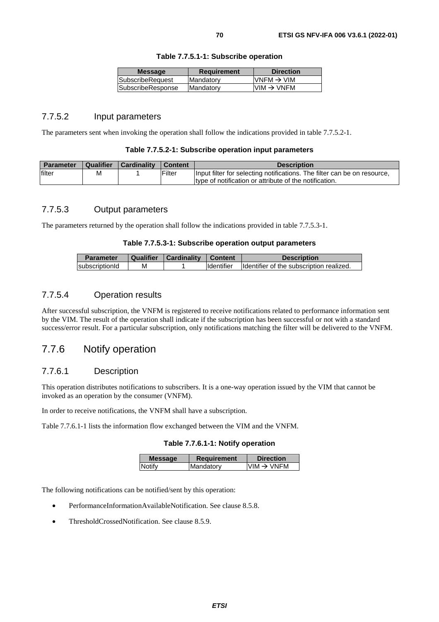|  |  | Table 7.7.5.1-1: Subscribe operation |  |
|--|--|--------------------------------------|--|
|--|--|--------------------------------------|--|

| <b>Message</b>    | Requirement | <b>Direction</b>        |
|-------------------|-------------|-------------------------|
| SubscribeRequest  | Mandatory   | IVNFM $\rightarrow$ VIM |
| SubscribeResponse | Mandatory   | $VIM \rightarrow VNFM$  |
|                   |             |                         |

## 7.7.5.2 Input parameters

The parameters sent when invoking the operation shall follow the indications provided in table 7.7.5.2-1.

| Table 7.7.5.2-1: Subscribe operation input parameters |  |  |
|-------------------------------------------------------|--|--|
|-------------------------------------------------------|--|--|

| Parameter | Qualifier | <b>Cardinality</b> | <b>Content</b> | <b>Description</b>                                                                                                                 |
|-----------|-----------|--------------------|----------------|------------------------------------------------------------------------------------------------------------------------------------|
| filter    | M         |                    | Filter         | Input filter for selecting notifications. The filter can be on resource,<br>type of notification or attribute of the notification. |

## 7.7.5.3 Output parameters

The parameters returned by the operation shall follow the indications provided in table 7.7.5.3-1.

#### **Table 7.7.5.3-1: Subscribe operation output parameters**

| <b>Parameter</b> | Qualifier | Cardinality | <b>Content</b> | <b>Description</b>                       |
|------------------|-----------|-------------|----------------|------------------------------------------|
| subscriptionId   | м         |             | Identifier     | Identifier of the subscription realized. |

## 7.7.5.4 Operation results

After successful subscription, the VNFM is registered to receive notifications related to performance information sent by the VIM. The result of the operation shall indicate if the subscription has been successful or not with a standard success/error result. For a particular subscription, only notifications matching the filter will be delivered to the VNFM.

## 7.7.6 Notify operation

## 7.7.6.1 Description

This operation distributes notifications to subscribers. It is a one-way operation issued by the VIM that cannot be invoked as an operation by the consumer (VNFM).

In order to receive notifications, the VNFM shall have a subscription.

Table 7.7.6.1-1 lists the information flow exchanged between the VIM and the VNFM.

#### **Table 7.7.6.1-1: Notify operation**

| <b>Message</b> | Requirement | <b>Direction</b>       |
|----------------|-------------|------------------------|
| <b>Notify</b>  | Mandatory   | $VIM \rightarrow VNFM$ |
|                |             |                        |

The following notifications can be notified/sent by this operation:

- PerformanceInformationAvailableNotification. See clause 8.5.8.
- ThresholdCrossedNotification. See clause 8.5.9.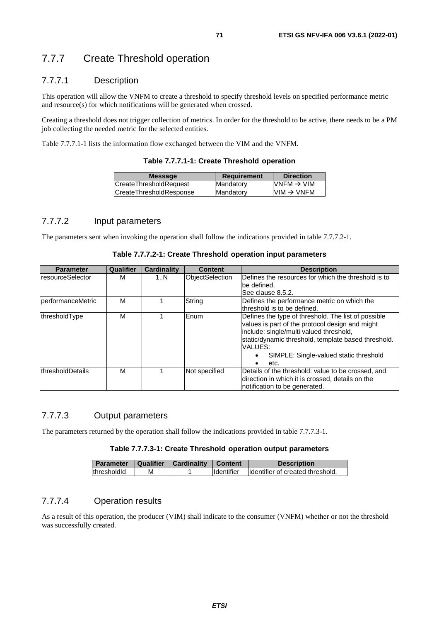# 7.7.7 Create Threshold operation

## 7.7.7.1 Description

This operation will allow the VNFM to create a threshold to specify threshold levels on specified performance metric and resource(s) for which notifications will be generated when crossed.

Creating a threshold does not trigger collection of metrics. In order for the threshold to be active, there needs to be a PM job collecting the needed metric for the selected entities.

Table 7.7.7.1-1 lists the information flow exchanged between the VIM and the VNFM.

| <b>Message</b>                 | <b>Requirement</b> | <b>Direction</b>       |
|--------------------------------|--------------------|------------------------|
| <b>CreateThresholdRequest</b>  | <b>IMandatory</b>  | $VNFM \rightarrow VIM$ |
| <b>CreateThresholdResponse</b> | <b>IMandatory</b>  | $VIM \rightarrow VNFM$ |
|                                |                    |                        |

## 7.7.7.2 Input parameters

The parameters sent when invoking the operation shall follow the indications provided in table 7.7.7.2-1.

| <b>Parameter</b>  | Qualifier | <b>Cardinality</b> | <b>Content</b>         | <b>Description</b>                                                                                                                                                                                                                                                    |
|-------------------|-----------|--------------------|------------------------|-----------------------------------------------------------------------------------------------------------------------------------------------------------------------------------------------------------------------------------------------------------------------|
| resourceSelector  | м         | 1N                 | <b>ObjectSelection</b> | Defines the resources for which the threshold is to<br>lbe defined.<br>See clause 8.5.2.                                                                                                                                                                              |
| performanceMetric | М         |                    | String                 | Defines the performance metric on which the<br>threshold is to be defined.                                                                                                                                                                                            |
| thresholdType     | М         |                    | Enum                   | Defines the type of threshold. The list of possible<br>values is part of the protocol design and might<br>include: single/multi valued threshold,<br>static/dynamic threshold, template based threshold.<br>VALUES:<br>SIMPLE: Single-valued static threshold<br>etc. |
| thresholdDetails  | М         |                    | Not specified          | Details of the threshold: value to be crossed, and<br>direction in which it is crossed, details on the<br>notification to be generated.                                                                                                                               |

#### **Table 7.7.7.2-1: Create Threshold operation input parameters**

## 7.7.7.3 Output parameters

The parameters returned by the operation shall follow the indications provided in table 7.7.7.3-1.

### **Table 7.7.7.3-1: Create Threshold operation output parameters**

| <b>Parameter</b> |   | Qualifier   Cardinality   Content |                     | <b>Description</b>                |
|------------------|---|-----------------------------------|---------------------|-----------------------------------|
| thresholdid      | м |                                   | <b>I</b> Identifier | Ildentifier of created threshold. |

## 7.7.7.4 Operation results

As a result of this operation, the producer (VIM) shall indicate to the consumer (VNFM) whether or not the threshold was successfully created.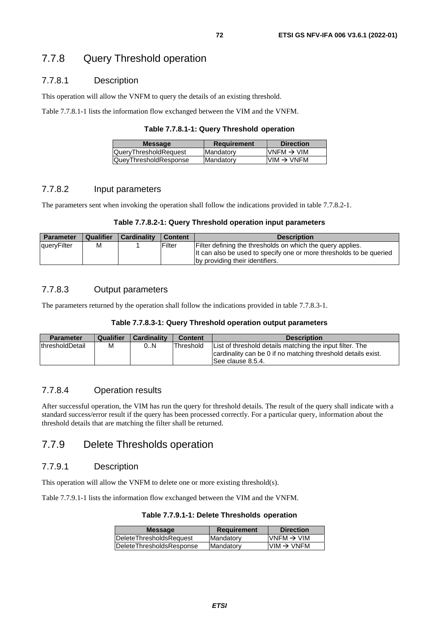## 7.7.8.1 Description

This operation will allow the VNFM to query the details of an existing threshold.

Table 7.7.8.1-1 lists the information flow exchanged between the VIM and the VNFM.

| Table 7.7.8.1-1: Query Threshold operation |  |  |  |
|--------------------------------------------|--|--|--|
|--------------------------------------------|--|--|--|

| <b>Message</b>               | Requirement | <b>Direction</b>       |
|------------------------------|-------------|------------------------|
| <b>QueryThresholdRequest</b> | Mandatory   | $VNFM \rightarrow VIM$ |
| QueyThresholdResponse        | Mandatory   | $VM \rightarrow VNFM$  |

## 7.7.8.2 Input parameters

The parameters sent when invoking the operation shall follow the indications provided in table 7.7.8.2-1.

## **Table 7.7.8.2-1: Query Threshold operation input parameters**

| <b>Parameter</b> | <b>Qualifier</b> | <b>Cardinality</b> | <b>Content</b> | <b>Description</b>                                                  |
|------------------|------------------|--------------------|----------------|---------------------------------------------------------------------|
| queryFilter      | M                |                    | Filter         | Filter defining the thresholds on which the query applies.          |
|                  |                  |                    |                | It can also be used to specify one or more thresholds to be queried |
|                  |                  |                    |                | by providing their identifiers.                                     |

## 7.7.8.3 Output parameters

The parameters returned by the operation shall follow the indications provided in table 7.7.8.3-1.

#### **Table 7.7.8.3-1: Query Threshold operation output parameters**

| <b>Parameter</b> | <b>Qualifier</b> | l Cardinalitv | <b>Content</b> | <b>Description</b>                                                                                                                             |
|------------------|------------------|---------------|----------------|------------------------------------------------------------------------------------------------------------------------------------------------|
| lthresholdDetail | M                | 0.N           | Threshold      | List of threshold details matching the input filter. The<br>cardinality can be 0 if no matching threshold details exist.<br>ISee clause 8.5.4. |

## 7.7.8.4 Operation results

After successful operation, the VIM has run the query for threshold details. The result of the query shall indicate with a standard success/error result if the query has been processed correctly. For a particular query, information about the threshold details that are matching the filter shall be returned.

## 7.7.9 Delete Thresholds operation

## 7.7.9.1 Description

This operation will allow the VNFM to delete one or more existing threshold(s).

Table 7.7.9.1-1 lists the information flow exchanged between the VIM and the VNFM.

| Table 7.7.9.1-1: Delete Thresholds operation |  |  |  |
|----------------------------------------------|--|--|--|
|----------------------------------------------|--|--|--|

| <b>Requirement</b> | <b>Direction</b>       |
|--------------------|------------------------|
| Mandatory          | VNFM $\rightarrow$ VIM |
| <b>Mandatory</b>   | $VM \rightarrow VNFM$  |
|                    |                        |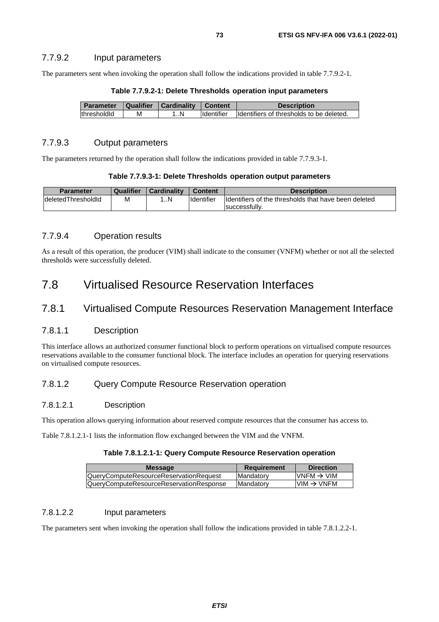## 7.7.9.2 Input parameters

The parameters sent when invoking the operation shall follow the indications provided in table 7.7.9.2-1.

| Parameter   Qualifier   Cardinality |   |    | Content           | <b>Description</b>                       |
|-------------------------------------|---|----|-------------------|------------------------------------------|
| thresholdId                         | м | 1N | <b>Identifier</b> | Identifiers of thresholds to be deleted. |

### **Table 7.7.9.2-1: Delete Thresholds operation input parameters**

### 7.7.9.3 Output parameters

The parameters returned by the operation shall follow the indications provided in table 7.7.9.3-1.

#### **Table 7.7.9.3-1: Delete Thresholds operation output parameters**

| <b>Parameter</b>          | Qualifier | <b>Cardinality</b> | <b>Content</b> | <b>Description</b>                                   |
|---------------------------|-----------|--------------------|----------------|------------------------------------------------------|
| <b>deletedThresholdId</b> | M         | N                  | Identifier     | Identifiers of the thresholds that have been deleted |
|                           |           |                    |                | Isuccessfully.                                       |

## 7.7.9.4 Operation results

As a result of this operation, the producer (VIM) shall indicate to the consumer (VNFM) whether or not all the selected thresholds were successfully deleted.

# 7.8 Virtualised Resource Reservation Interfaces

# 7.8.1 Virtualised Compute Resources Reservation Management Interface

### 7.8.1.1 Description

This interface allows an authorized consumer functional block to perform operations on virtualised compute resources reservations available to the consumer functional block. The interface includes an operation for querying reservations on virtualised compute resources.

# 7.8.1.2 Query Compute Resource Reservation operation

### 7.8.1.2.1 Description

This operation allows querying information about reserved compute resources that the consumer has access to.

Table 7.8.1.2.1-1 lists the information flow exchanged between the VIM and the VNFM.

### **Table 7.8.1.2.1-1: Query Compute Resource Reservation operation**

| IQuervComputeResourceReservationRequest<br><b>IMandatory</b>  | $VNFM \rightarrow VIM$ |
|---------------------------------------------------------------|------------------------|
| IQuervComputeResourceReservationResponse<br><b>IMandatory</b> | $VIM \rightarrow VNFM$ |

### 7.8.1.2.2 Input parameters

The parameters sent when invoking the operation shall follow the indications provided in table 7.8.1.2.2-1.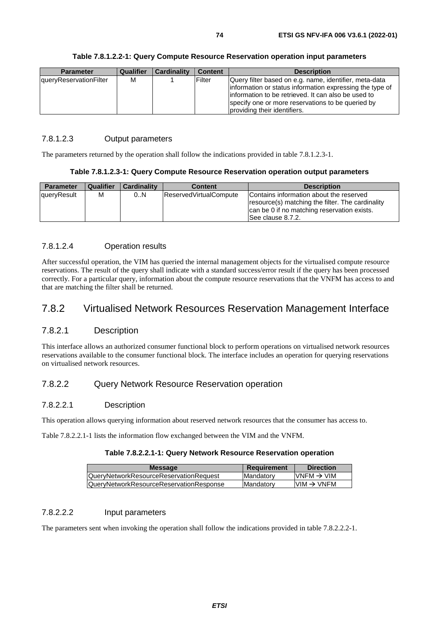| Table 7.8.1.2.2-1: Query Compute Resource Reservation operation input parameters |  |
|----------------------------------------------------------------------------------|--|
|----------------------------------------------------------------------------------|--|

| <b>Parameter</b>              | Qualifier | Cardinality | <b>Content</b> | <b>Description</b>                                                                                                                                                        |
|-------------------------------|-----------|-------------|----------------|---------------------------------------------------------------------------------------------------------------------------------------------------------------------------|
| <b>queryReservationFilter</b> | м         |             | Filter         | Query filter based on e.g. name, identifier, meta-data<br>information or status information expressing the type of<br>information to be retrieved. It can also be used to |
|                               |           |             |                | specify one or more reservations to be queried by<br>providing their identifiers.                                                                                         |

## 7.8.1.2.3 Output parameters

The parameters returned by the operation shall follow the indications provided in table 7.8.1.2.3-1.

### **Table 7.8.1.2.3-1: Query Compute Resource Reservation operation output parameters**

| <b>Parameter</b> | <b>Qualifier</b> | <b>Cardinality</b> | <b>Content</b>                | <b>Description</b>                                                                                                                                               |
|------------------|------------------|--------------------|-------------------------------|------------------------------------------------------------------------------------------------------------------------------------------------------------------|
| queryResult      | м                | 0.N                | <b>ReservedVirtualCompute</b> | Contains information about the reserved<br>resource(s) matching the filter. The cardinality<br>can be 0 if no matching reservation exists.<br>ISee clause 8.7.2. |

# 7.8.1.2.4 Operation results

After successful operation, the VIM has queried the internal management objects for the virtualised compute resource reservations. The result of the query shall indicate with a standard success/error result if the query has been processed correctly. For a particular query, information about the compute resource reservations that the VNFM has access to and that are matching the filter shall be returned.

# 7.8.2 Virtualised Network Resources Reservation Management Interface

# 7.8.2.1 Description

This interface allows an authorized consumer functional block to perform operations on virtualised network resources reservations available to the consumer functional block. The interface includes an operation for querying reservations on virtualised network resources.

# 7.8.2.2 Query Network Resource Reservation operation

### 7.8.2.2.1 Description

This operation allows querying information about reserved network resources that the consumer has access to.

Table 7.8.2.2.1-1 lists the information flow exchanged between the VIM and the VNFM.

### **Table 7.8.2.2.1-1: Query Network Resource Reservation operation**

| <b>Requirement</b> | <b>Direction</b>       |
|--------------------|------------------------|
| Mandatory          | VNFM $\rightarrow$ VIM |
| <b>Mandatory</b>   | $VM \rightarrow VNFM$  |
|                    |                        |

### 7.8.2.2.2 Input parameters

The parameters sent when invoking the operation shall follow the indications provided in table 7.8.2.2.2-1.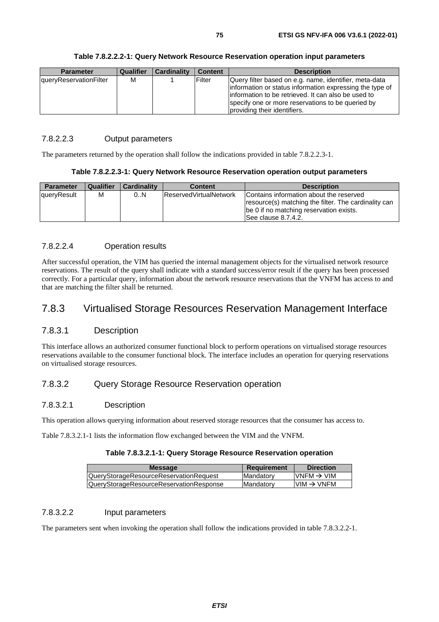| <b>Parameter</b>       | Qualifier | Cardinality | <b>Content</b> | <b>Description</b>                                       |
|------------------------|-----------|-------------|----------------|----------------------------------------------------------|
| queryReservationFilter | м         |             | Filter         | Query filter based on e.g. name, identifier, meta-data   |
|                        |           |             |                | information or status information expressing the type of |
|                        |           |             |                | information to be retrieved. It can also be used to      |
|                        |           |             |                | specify one or more reservations to be queried by        |
|                        |           |             |                | providing their identifiers.                             |

### 7.8.2.2.3 Output parameters

The parameters returned by the operation shall follow the indications provided in table 7.8.2.2.3-1.

### **Table 7.8.2.2.3-1: Query Network Resource Reservation operation output parameters**

| Parameter   | Qualifier | <b>Cardinality</b> | <b>Content</b>                 | <b>Description</b>                                                                                                                                                 |
|-------------|-----------|--------------------|--------------------------------|--------------------------------------------------------------------------------------------------------------------------------------------------------------------|
| queryResult | м         | 0.N                | <b>IReservedVirtualNetwork</b> | Contains information about the reserved<br>resource(s) matching the filter. The cardinality can<br>be 0 if no matching reservation exists.<br>ISee clause 8.7.4.2. |

## 7.8.2.2.4 Operation results

After successful operation, the VIM has queried the internal management objects for the virtualised network resource reservations. The result of the query shall indicate with a standard success/error result if the query has been processed correctly. For a particular query, information about the network resource reservations that the VNFM has access to and that are matching the filter shall be returned.

# 7.8.3 Virtualised Storage Resources Reservation Management Interface

# 7.8.3.1 Description

This interface allows an authorized consumer functional block to perform operations on virtualised storage resources reservations available to the consumer functional block. The interface includes an operation for querying reservations on virtualised storage resources.

# 7.8.3.2 Query Storage Resource Reservation operation

### 7.8.3.2.1 Description

This operation allows querying information about reserved storage resources that the consumer has access to.

Table 7.8.3.2.1-1 lists the information flow exchanged between the VIM and the VNFM.

### **Table 7.8.3.2.1-1: Query Storage Resource Reservation operation**

| <b>Requirement</b> | <b>Direction</b>        |
|--------------------|-------------------------|
| <b>Mandatory</b>   | IVNEM $\rightarrow$ VIM |
| Mandatory          | $VMM \rightarrow VNFM$  |
|                    |                         |

### 7.8.3.2.2 Input parameters

The parameters sent when invoking the operation shall follow the indications provided in table 7.8.3.2.2-1.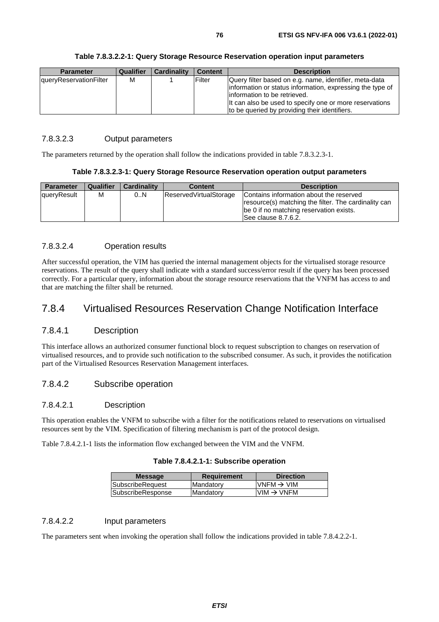| <b>Parameter</b>       | Qualifier | <b>Cardinality</b> | <b>Content</b> | <b>Description</b>                                        |
|------------------------|-----------|--------------------|----------------|-----------------------------------------------------------|
| queryReservationFilter | M         |                    | Filter         | Query filter based on e.g. name, identifier, meta-data    |
|                        |           |                    |                | information or status information, expressing the type of |
|                        |           |                    |                | linformation to be retrieved.                             |
|                        |           |                    |                | It can also be used to specify one or more reservations   |
|                        |           |                    |                | to be queried by providing their identifiers.             |

### 7.8.3.2.3 Output parameters

The parameters returned by the operation shall follow the indications provided in table 7.8.3.2.3-1.

### **Table 7.8.3.2.3-1: Query Storage Resource Reservation operation output parameters**

| <b>Parameter</b> | <b>Qualifier</b> | <b>Cardinality</b> | <b>Content</b>         | <b>Description</b>                                                                                                                                                |
|------------------|------------------|--------------------|------------------------|-------------------------------------------------------------------------------------------------------------------------------------------------------------------|
| queryResult      | м                | 0.N                | ReservedVirtualStorage | Contains information about the reserved<br>resource(s) matching the filter. The cardinality can<br>be 0 if no matching reservation exists.<br>See clause 8.7.6.2. |

## 7.8.3.2.4 Operation results

After successful operation, the VIM has queried the internal management objects for the virtualised storage resource reservations. The result of the query shall indicate with a standard success/error result if the query has been processed correctly. For a particular query, information about the storage resource reservations that the VNFM has access to and that are matching the filter shall be returned.

# 7.8.4 Virtualised Resources Reservation Change Notification Interface

# 7.8.4.1 Description

This interface allows an authorized consumer functional block to request subscription to changes on reservation of virtualised resources, and to provide such notification to the subscribed consumer. As such, it provides the notification part of the Virtualised Resources Reservation Management interfaces.

# 7.8.4.2 Subscribe operation

### 7.8.4.2.1 Description

This operation enables the VNFM to subscribe with a filter for the notifications related to reservations on virtualised resources sent by the VIM. Specification of filtering mechanism is part of the protocol design.

Table 7.8.4.2.1-1 lists the information flow exchanged between the VIM and the VNFM.

| <b>Message</b>    | <b>Requirement</b> | <b>Direction</b>       |
|-------------------|--------------------|------------------------|
| SubscribeRequest  | Mandatory          | $VNFM \rightarrow VIM$ |
| SubscribeResponse | Mandatory          | $VIM \rightarrow VNFM$ |
|                   |                    |                        |

# 7.8.4.2.2 Input parameters

The parameters sent when invoking the operation shall follow the indications provided in table 7.8.4.2.2-1.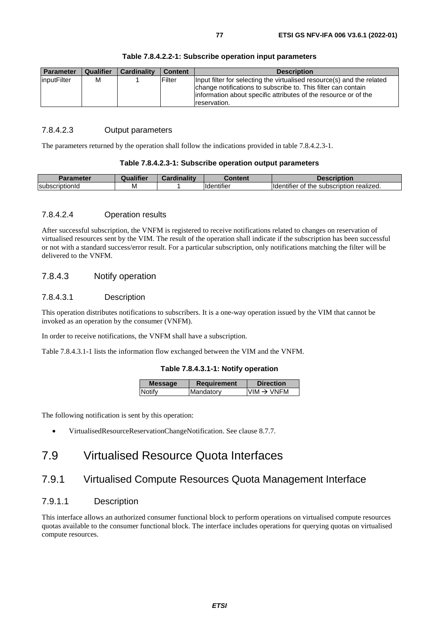| <b>Parameter</b> | <b>Qualifier</b> | <b>Cardinality</b> | <b>Content</b> | <b>Description</b>                                                                                                                                                                                                          |
|------------------|------------------|--------------------|----------------|-----------------------------------------------------------------------------------------------------------------------------------------------------------------------------------------------------------------------------|
| inputFilter      | м                |                    | Filter         | Input filter for selecting the virtualised resource(s) and the related<br>change notifications to subscribe to. This filter can contain<br>linformation about specific attributes of the resource or of the<br>reservation. |

#### **Table 7.8.4.2.2-1: Subscribe operation input parameters**

### 7.8.4.2.3 Output parameters

The parameters returned by the operation shall follow the indications provided in table 7.8.4.2.3-1.

#### **Table 7.8.4.2.3-1: Subscribe operation output parameters**

| Parameter      |   | <br><br>ainelity. | <b>Content</b>                      | <b>Description</b>                                |
|----------------|---|-------------------|-------------------------------------|---------------------------------------------------|
| subscriptionId | M |                   | $\cdots$<br>lidentifie <sup>r</sup> | .<br>Ildentifier of the<br>subscription realized. |

### 7.8.4.2.4 Operation results

After successful subscription, the VNFM is registered to receive notifications related to changes on reservation of virtualised resources sent by the VIM. The result of the operation shall indicate if the subscription has been successful or not with a standard success/error result. For a particular subscription, only notifications matching the filter will be delivered to the VNFM.

### 7.8.4.3 Notify operation

#### 7.8.4.3.1 Description

This operation distributes notifications to subscribers. It is a one-way operation issued by the VIM that cannot be invoked as an operation by the consumer (VNFM).

In order to receive notifications, the VNFM shall have a subscription.

Table 7.8.4.3.1-1 lists the information flow exchanged between the VIM and the VNFM.

### **Table 7.8.4.3.1-1: Notify operation**

| <b>Message</b> | Requirement | <b>Direction</b>       |
|----------------|-------------|------------------------|
| Notify         | Mandatory   | $VIM \rightarrow VNFM$ |
|                |             |                        |

The following notification is sent by this operation:

• VirtualisedResourceReservationChangeNotification. See clause 8.7.7.

# 7.9 Virtualised Resource Quota Interfaces

# 7.9.1 Virtualised Compute Resources Quota Management Interface

# 7.9.1.1 Description

This interface allows an authorized consumer functional block to perform operations on virtualised compute resources quotas available to the consumer functional block. The interface includes operations for querying quotas on virtualised compute resources.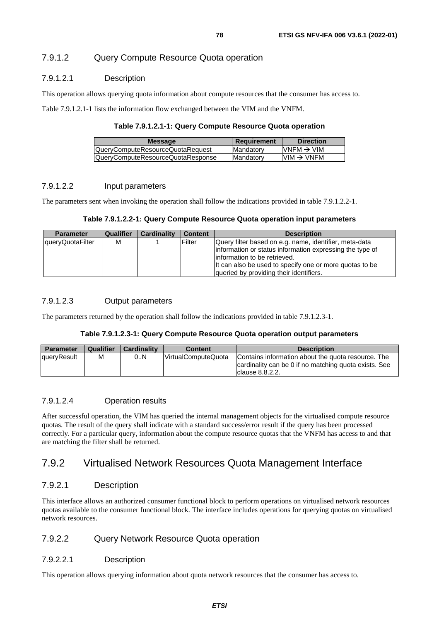# 7.9.1.2 Query Compute Resource Quota operation

## 7.9.1.2.1 Description

This operation allows querying quota information about compute resources that the consumer has access to.

Table 7.9.1.2.1-1 lists the information flow exchanged between the VIM and the VNFM.

#### **Table 7.9.1.2.1-1: Query Compute Resource Quota operation**

| <b>Message</b>                    | Requirement       | <b>Direction</b>       |
|-----------------------------------|-------------------|------------------------|
| QueryComputeResourceQuotaRequest  | <b>IMandatory</b> | VNFM $\rightarrow$ VIM |
| QueryComputeResourceQuotaResponse | Mandatory         | $VM \rightarrow VNFM$  |
|                                   |                   |                        |

### 7.9.1.2.2 Input parameters

The parameters sent when invoking the operation shall follow the indications provided in table 7.9.1.2.2-1.

### **Table 7.9.1.2.2-1: Query Compute Resource Quota operation input parameters**

| <b>Parameter</b> | <b>Qualifier</b> | <b>Cardinality</b> | <b>Content</b> | <b>Description</b>                                                                                                                                                                                             |
|------------------|------------------|--------------------|----------------|----------------------------------------------------------------------------------------------------------------------------------------------------------------------------------------------------------------|
| queryQuotaFilter | м                |                    | Filter         | Query filter based on e.g. name, identifier, meta-data<br>information or status information expressing the type of<br>linformation to be retrieved.<br>It can also be used to specify one or more quotas to be |
|                  |                  |                    |                | queried by providing their identifiers.                                                                                                                                                                        |

### 7.9.1.2.3 Output parameters

The parameters returned by the operation shall follow the indications provided in table 7.9.1.2.3-1.

### **Table 7.9.1.2.3-1: Query Compute Resource Quota operation output parameters**

| Parameter   | <b>Qualifier</b> | <b>Cardinality</b> | <b>Content</b>              | <b>Description</b>                                                                                                              |
|-------------|------------------|--------------------|-----------------------------|---------------------------------------------------------------------------------------------------------------------------------|
| queryResult | M                | 0N                 | <b>IVirtualComputeQuota</b> | Contains information about the quota resource. The<br>cardinality can be 0 if no matching quota exists. See<br>Iclause 8.8.2.2. |

## 7.9.1.2.4 Operation results

After successful operation, the VIM has queried the internal management objects for the virtualised compute resource quotas. The result of the query shall indicate with a standard success/error result if the query has been processed correctly. For a particular query, information about the compute resource quotas that the VNFM has access to and that are matching the filter shall be returned.

# 7.9.2 Virtualised Network Resources Quota Management Interface

# 7.9.2.1 Description

This interface allows an authorized consumer functional block to perform operations on virtualised network resources quotas available to the consumer functional block. The interface includes operations for querying quotas on virtualised network resources.

# 7.9.2.2 Query Network Resource Quota operation

### 7.9.2.2.1 Description

This operation allows querying information about quota network resources that the consumer has access to.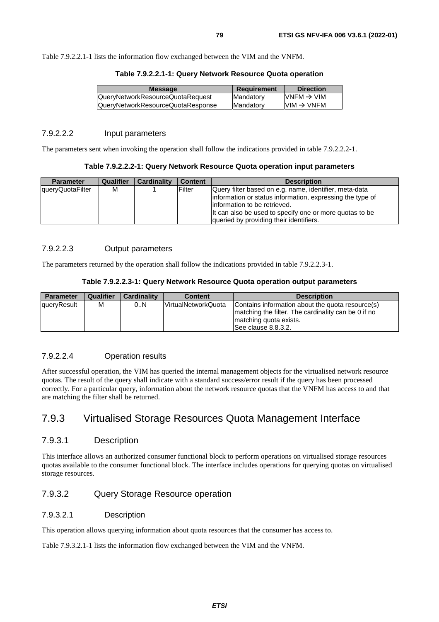Table 7.9.2.2.1-1 lists the information flow exchanged between the VIM and the VNFM.

| <b>Message</b>                          | <b>Requirement</b> | <b>Direction</b>        |
|-----------------------------------------|--------------------|-------------------------|
| <b>QueryNetworkResourceQuotaRequest</b> | Mandatory          | IVNEM $\rightarrow$ VIM |
| QueryNetworkResourceQuotaResponse       | <b>Mandatory</b>   | $VM \rightarrow VNFM$   |
|                                         |                    |                         |

## 7.9.2.2.2 Input parameters

The parameters sent when invoking the operation shall follow the indications provided in table 7.9.2.2.2-1.

### **Table 7.9.2.2.2-1: Query Network Resource Quota operation input parameters**

| <b>Parameter</b> | Qualifier | <b>Cardinality</b> | <b>Content</b> | <b>Description</b>                                                                                                                                                                                                                                         |
|------------------|-----------|--------------------|----------------|------------------------------------------------------------------------------------------------------------------------------------------------------------------------------------------------------------------------------------------------------------|
| queryQuotaFilter | м         |                    | Filter         | Query filter based on e.g. name, identifier, meta-data<br>information or status information, expressing the type of<br>linformation to be retrieved.<br>It can also be used to specify one or more quotas to be<br>queried by providing their identifiers. |

# 7.9.2.2.3 Output parameters

The parameters returned by the operation shall follow the indications provided in table 7.9.2.2.3-1.

|  | Table 7.9.2.2.3-1: Query Network Resource Quota operation output parameters |  |
|--|-----------------------------------------------------------------------------|--|
|--|-----------------------------------------------------------------------------|--|

| <b>Parameter</b> | <b>Qualifier</b> | <b>Cardinality</b> | <b>Content</b>       | <b>Description</b>                                                                                                                                        |
|------------------|------------------|--------------------|----------------------|-----------------------------------------------------------------------------------------------------------------------------------------------------------|
| queryResult      | M                | 0N                 | lVirtualNetworkQuota | Contains information about the quota resource(s)<br>Imatching the filter. The cardinality can be 0 if no<br>matching quota exists.<br>See clause 8.8.3.2. |

## 7.9.2.2.4 Operation results

After successful operation, the VIM has queried the internal management objects for the virtualised network resource quotas. The result of the query shall indicate with a standard success/error result if the query has been processed correctly. For a particular query, information about the network resource quotas that the VNFM has access to and that are matching the filter shall be returned.

# 7.9.3 Virtualised Storage Resources Quota Management Interface

## 7.9.3.1 Description

This interface allows an authorized consumer functional block to perform operations on virtualised storage resources quotas available to the consumer functional block. The interface includes operations for querying quotas on virtualised storage resources.

### 7.9.3.2 Query Storage Resource operation

### 7.9.3.2.1 Description

This operation allows querying information about quota resources that the consumer has access to.

Table 7.9.3.2.1-1 lists the information flow exchanged between the VIM and the VNFM.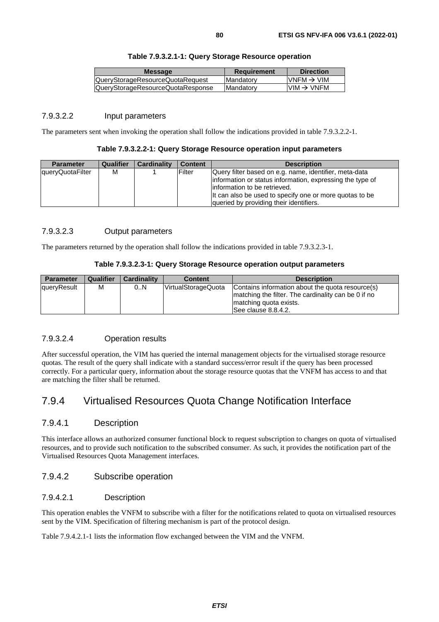|  | Table 7.9.3.2.1-1: Query Storage Resource operation |
|--|-----------------------------------------------------|
|--|-----------------------------------------------------|

| <b>Message</b>                    | <b>Requirement</b> | <b>Direction</b>        |
|-----------------------------------|--------------------|-------------------------|
| QueryStorageResourceQuotaRequest  | <b>IMandatory</b>  | $IVNFM \rightarrow VIM$ |
| QueryStorageResourceQuotaResponse | <b>Mandatory</b>   | $VM \rightarrow VNFM$   |
|                                   |                    |                         |

### 7.9.3.2.2 Input parameters

The parameters sent when invoking the operation shall follow the indications provided in table 7.9.3.2.2-1.

#### **Table 7.9.3.2.2-1: Query Storage Resource operation input parameters**

| <b>Parameter</b> | Qualifier | <b>Cardinality</b> | <b>Content</b> | <b>Description</b>                                                                                                                                                                                                                                          |
|------------------|-----------|--------------------|----------------|-------------------------------------------------------------------------------------------------------------------------------------------------------------------------------------------------------------------------------------------------------------|
| queryQuotaFilter | м         |                    | Filter         | Query filter based on e.g. name, identifier, meta-data<br>linformation or status information, expressing the type of<br>linformation to be retrieved.<br>It can also be used to specify one or more quotas to be<br>queried by providing their identifiers. |

## 7.9.3.2.3 Output parameters

The parameters returned by the operation shall follow the indications provided in table 7.9.3.2.3-1.

### **Table 7.9.3.2.3-1: Query Storage Resource operation output parameters**

| <b>Parameter</b> | <b>Qualifier</b> | <b>Cardinality</b> | <b>Content</b>      | <b>Description</b>                                                                                                                                        |
|------------------|------------------|--------------------|---------------------|-----------------------------------------------------------------------------------------------------------------------------------------------------------|
| queryResult      | M                | 0N                 | VirtualStorageQuota | Contains information about the quota resource(s)<br>Imatching the filter. The cardinality can be 0 if no<br>matching quota exists.<br>See clause 8.8.4.2. |

### 7.9.3.2.4 Operation results

After successful operation, the VIM has queried the internal management objects for the virtualised storage resource quotas. The result of the query shall indicate with a standard success/error result if the query has been processed correctly. For a particular query, information about the storage resource quotas that the VNFM has access to and that are matching the filter shall be returned.

# 7.9.4 Virtualised Resources Quota Change Notification Interface

### 7.9.4.1 Description

This interface allows an authorized consumer functional block to request subscription to changes on quota of virtualised resources, and to provide such notification to the subscribed consumer. As such, it provides the notification part of the Virtualised Resources Quota Management interfaces.

### 7.9.4.2 Subscribe operation

## 7.9.4.2.1 Description

This operation enables the VNFM to subscribe with a filter for the notifications related to quota on virtualised resources sent by the VIM. Specification of filtering mechanism is part of the protocol design.

Table 7.9.4.2.1-1 lists the information flow exchanged between the VIM and the VNFM.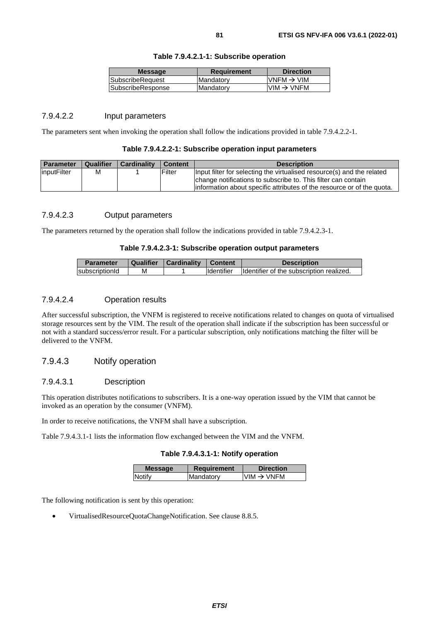| <b>Message</b>           | <b>Requirement</b> | <b>Direction</b>                                                      |
|--------------------------|--------------------|-----------------------------------------------------------------------|
| <b>SubscribeRequest</b>  | <b>Mandatory</b>   | $VNFM \rightarrow VIM$                                                |
| <b>SubscribeResponse</b> | <b>Mandatory</b>   | $\textsf{I}\textsf{VIM} \to \textsf{V}\textsf{N}\textsf{F}\textsf{M}$ |
|                          |                    |                                                                       |

### 7.9.4.2.2 Input parameters

The parameters sent when invoking the operation shall follow the indications provided in table 7.9.4.2.2-1.

#### **Table 7.9.4.2.2-1: Subscribe operation input parameters**

| <b>Parameter</b>   | Qualifier | <b>Cardinality</b> | <b>Content</b> | <b>Description</b>                                                                                                                       |
|--------------------|-----------|--------------------|----------------|------------------------------------------------------------------------------------------------------------------------------------------|
| <i>inputFilter</i> | М         |                    | Filter         | Input filter for selecting the virtualised resource(s) and the related                                                                   |
|                    |           |                    |                | change notifications to subscribe to. This filter can contain<br>linformation about specific attributes of the resource or of the quota. |

## 7.9.4.2.3 Output parameters

The parameters returned by the operation shall follow the indications provided in table 7.9.4.2.3-1.

### **Table 7.9.4.2.3-1: Subscribe operation output parameters**

| <b>Parameter</b> | Qualifier | Cardinality | <b>Content</b>    | <b>Description</b>                       |
|------------------|-----------|-------------|-------------------|------------------------------------------|
| subscriptionId   | м         |             | <b>Identifier</b> | Identifier of the subscription realized. |

### 7.9.4.2.4 Operation results

After successful subscription, the VNFM is registered to receive notifications related to changes on quota of virtualised storage resources sent by the VIM. The result of the operation shall indicate if the subscription has been successful or not with a standard success/error result. For a particular subscription, only notifications matching the filter will be delivered to the VNFM.

### 7.9.4.3 Notify operation

### 7.9.4.3.1 Description

This operation distributes notifications to subscribers. It is a one-way operation issued by the VIM that cannot be invoked as an operation by the consumer (VNFM).

In order to receive notifications, the VNFM shall have a subscription.

Table 7.9.4.3.1-1 lists the information flow exchanged between the VIM and the VNFM.

|  | Table 7.9.4.3.1-1: Notify operation |
|--|-------------------------------------|
|--|-------------------------------------|

| <b>Message</b> | <b>Requirement</b> | <b>Direction</b>       |
|----------------|--------------------|------------------------|
| Notify         | Mandatory          | $VIM \rightarrow VNFM$ |
|                |                    |                        |

The following notification is sent by this operation:

• VirtualisedResourceQuotaChangeNotification. See clause 8.8.5.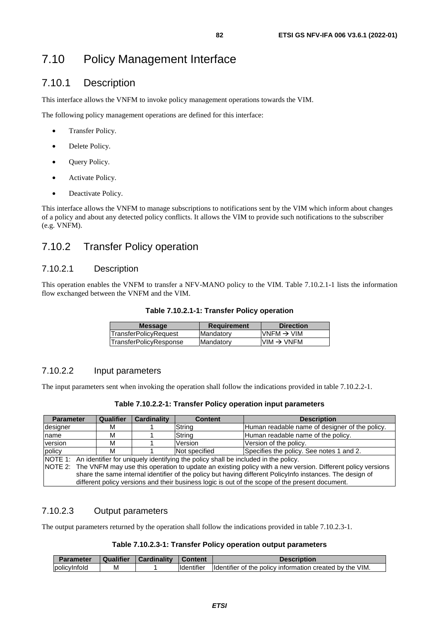# 7.10.1 Description

This interface allows the VNFM to invoke policy management operations towards the VIM.

The following policy management operations are defined for this interface:

- Transfer Policy.
- Delete Policy.
- Query Policy.
- Activate Policy.
- Deactivate Policy.

This interface allows the VNFM to manage subscriptions to notifications sent by the VIM which inform about changes of a policy and about any detected policy conflicts. It allows the VIM to provide such notifications to the subscriber (e.g. VNFM).

# 7.10.2 Transfer Policy operation

# 7.10.2.1 Description

This operation enables the VNFM to transfer a NFV-MANO policy to the VIM. Table 7.10.2.1-1 lists the information flow exchanged between the VNFM and the VIM.

| $\textsf{IVNFM}\rightarrow\textsf{VIM}$ |
|-----------------------------------------|
| $VIM \rightarrow VNFM$                  |
|                                         |

# 7.10.2.2 Input parameters

The input parameters sent when invoking the operation shall follow the indications provided in table 7.10.2.2-1.

| <b>Parameter</b> |                                                                                                                    | <b>Qualifier</b> | <b>Cardinality</b> | <b>Content</b> | <b>Description</b>                             |  |
|------------------|--------------------------------------------------------------------------------------------------------------------|------------------|--------------------|----------------|------------------------------------------------|--|
| designer         |                                                                                                                    | м                |                    | String         | Human readable name of designer of the policy. |  |
| name             |                                                                                                                    | м                |                    | String         | Human readable name of the policy.             |  |
| version          |                                                                                                                    | М                |                    | Version        | Version of the policy.                         |  |
| policy           |                                                                                                                    | м                |                    | Not specified  | Specifies the policy. See notes 1 and 2.       |  |
|                  | NOTE 1: An identifier for uniquely identifying the policy shall be included in the policy.                         |                  |                    |                |                                                |  |
|                  | NOTE 2: The VNFM may use this operation to update an existing policy with a new version. Different policy versions |                  |                    |                |                                                |  |
|                  | share the same internal identifier of the policy but having different PolicyInfo instances. The design of          |                  |                    |                |                                                |  |
|                  | different policy versions and their business logic is out of the scope of the present document.                    |                  |                    |                |                                                |  |

# 7.10.2.3 Output parameters

The output parameters returned by the operation shall follow the indications provided in table 7.10.2.3-1.

### **Table 7.10.2.3-1: Transfer Policy operation output parameters**

| Parameter            | <b>Qualifier</b> | Cardinality | <b>Content</b>      | Description                                              |
|----------------------|------------------|-------------|---------------------|----------------------------------------------------------|
| <u>Ipolicvinfold</u> | м                |             | <b>I</b> Identifier | Identifier of the policy information created by the VIM. |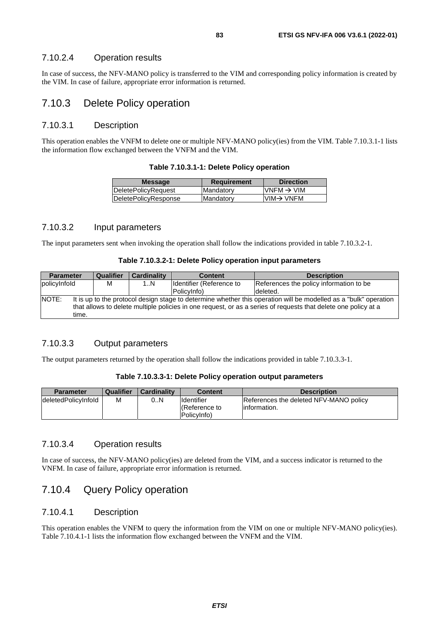# 7.10.2.4 Operation results

In case of success, the NFV-MANO policy is transferred to the VIM and corresponding policy information is created by the VIM. In case of failure, appropriate error information is returned.

# 7.10.3 Delete Policy operation

### 7.10.3.1 Description

This operation enables the VNFM to delete one or multiple NFV-MANO policy(ies) from the VIM. Table 7.10.3.1-1 lists the information flow exchanged between the VNFM and the VIM.

| Table 7.10.3.1-1: Delete Policy operation |  |  |  |  |
|-------------------------------------------|--|--|--|--|
|-------------------------------------------|--|--|--|--|

| <b>Message</b>       | <b>Requirement</b> | <b>Direction</b>       |
|----------------------|--------------------|------------------------|
| DeletePolicyRequest  | IMandatorv         | VNFM $\rightarrow$ VIM |
| DeletePolicyResponse | Mandatory          | $VIM \rightarrow VNFM$ |
|                      |                    |                        |

## 7.10.3.2 Input parameters

The input parameters sent when invoking the operation shall follow the indications provided in table 7.10.3.2-1.

#### **Table 7.10.3.2-1: Delete Policy operation input parameters**

| <b>Parameter</b>                                                                                                          | Qualifier                                                                                                      | <b>Cardinality</b> | <b>Content</b>            | <b>Description</b>                      |  |  |
|---------------------------------------------------------------------------------------------------------------------------|----------------------------------------------------------------------------------------------------------------|--------------------|---------------------------|-----------------------------------------|--|--|
| policyInfold                                                                                                              | М                                                                                                              | 1N                 | Ildentifier (Reference to | References the policy information to be |  |  |
|                                                                                                                           |                                                                                                                |                    | (PolicyInfo               | deleted.                                |  |  |
| NOTE:<br>It is up to the protocol design stage to determine whether this operation will be modelled as a "bulk" operation |                                                                                                                |                    |                           |                                         |  |  |
|                                                                                                                           | that allows to delete multiple policies in one request, or as a series of requests that delete one policy at a |                    |                           |                                         |  |  |
| time.                                                                                                                     |                                                                                                                |                    |                           |                                         |  |  |

### 7.10.3.3 Output parameters

The output parameters returned by the operation shall follow the indications provided in table 7.10.3.3-1.

### **Table 7.10.3.3-1: Delete Policy operation output parameters**

| <b>Parameter</b>     | Qualifier | <b>Cardinality</b> | <b>Content</b>                                   | <b>Description</b>                                      |
|----------------------|-----------|--------------------|--------------------------------------------------|---------------------------------------------------------|
| ldeletedPolicvInfold | M         | 0N                 | Identifier<br><b>Reference</b> to<br>PolicyInfo) | References the deleted NFV-MANO policy<br>linformation. |

## 7.10.3.4 Operation results

In case of success, the NFV-MANO policy(ies) are deleted from the VIM, and a success indicator is returned to the VNFM. In case of failure, appropriate error information is returned.

# 7.10.4 Query Policy operation

### 7.10.4.1 Description

This operation enables the VNFM to query the information from the VIM on one or multiple NFV-MANO policy(ies). Table 7.10.4.1-1 lists the information flow exchanged between the VNFM and the VIM.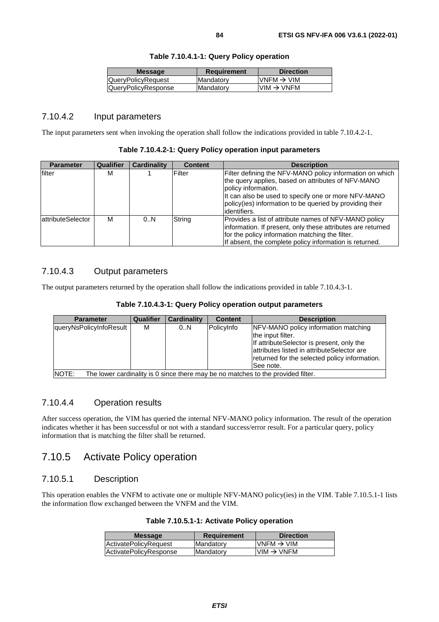| <b>Message</b>      | <b>Requirement</b> | <b>Direction</b>                                                      |
|---------------------|--------------------|-----------------------------------------------------------------------|
| QueryPolicyRequest  | Mandatory          | IVNFM → VIM                                                           |
| QueryPolicyResponse | Mandatory          | $\textsf{I}\textsf{VIM} \to \textsf{V}\textsf{N}\textsf{F}\textsf{M}$ |
|                     |                    |                                                                       |

# **Table 7.10.4.1-1: Query Policy operation**

# 7.10.4.2 Input parameters

The input parameters sent when invoking the operation shall follow the indications provided in table 7.10.4.2-1.

| Table 7.10.4.2-1: Query Policy operation input parameters |
|-----------------------------------------------------------|
|-----------------------------------------------------------|

| <b>Parameter</b>          | <b>Qualifier</b> | <b>Cardinality</b> | <b>Content</b> | <b>Description</b>                                                                                                                                                                                                                                                        |
|---------------------------|------------------|--------------------|----------------|---------------------------------------------------------------------------------------------------------------------------------------------------------------------------------------------------------------------------------------------------------------------------|
| filter                    | М                |                    | Filter         | Filter defining the NFV-MANO policy information on which<br>the query applies, based on attributes of NFV-MANO<br>policy information.<br>It can also be used to specify one or more NFV-MANO<br>policy(ies) information to be queried by providing their<br>lidentifiers. |
| <b>lattributeSelector</b> | M                | 0.N                | String         | Provides a list of attribute names of NFV-MANO policy<br>information. If present, only these attributes are returned<br>for the policy information matching the filter.<br>If absent, the complete policy information is returned.                                        |

# 7.10.4.3 Output parameters

The output parameters returned by the operation shall follow the indications provided in table 7.10.4.3-1.

| Table 7.10.4.3-1: Query Policy operation output parameters |  |  |  |
|------------------------------------------------------------|--|--|--|
|------------------------------------------------------------|--|--|--|

| <b>Parameter</b>        | Qualifier | <b>Cardinality</b> | <b>Content</b> | <b>Description</b>                                                                                                                                                                                                  |
|-------------------------|-----------|--------------------|----------------|---------------------------------------------------------------------------------------------------------------------------------------------------------------------------------------------------------------------|
| queryNsPolicyInfoResult | м         | 0.N                | PolicyInfo     | NFV-MANO policy information matching<br>the input filter.<br>If attributeSelector is present, only the<br>lattributes listed in attributeSelector are<br>returned for the selected policy information.<br>See note. |
| NOTE:                   |           |                    |                | The lower cardinality is 0 since there may be no matches to the provided filter.                                                                                                                                    |

# 7.10.4.4 Operation results

After success operation, the VIM has queried the internal NFV-MANO policy information. The result of the operation indicates whether it has been successful or not with a standard success/error result. For a particular query, policy information that is matching the filter shall be returned.

# 7.10.5 Activate Policy operation

# 7.10.5.1 Description

This operation enables the VNFM to activate one or multiple NFV-MANO policy(ies) in the VIM. Table 7.10.5.1-1 lists the information flow exchanged between the VNFM and the VIM.

|  |  |  |  | Table 7.10.5.1-1: Activate Policy operation |
|--|--|--|--|---------------------------------------------|
|--|--|--|--|---------------------------------------------|

| ActivatePolicyRequest  | Mandatory  | $VNFM \rightarrow VIM$ |
|------------------------|------------|------------------------|
| ActivatePolicyResponse | lMandatorv | $VIM \rightarrow VNFM$ |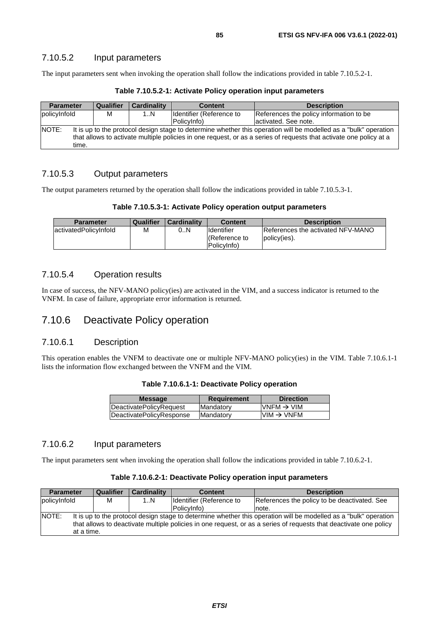The input parameters sent when invoking the operation shall follow the indications provided in table 7.10.5.2-1.

**Table 7.10.5.2-1: Activate Policy operation input parameters** 

| <b>Parameter</b>                                                                                                          | Qualifier | <b>Cardinality</b> | <b>Content</b>           | <b>Description</b>                      |  |  |
|---------------------------------------------------------------------------------------------------------------------------|-----------|--------------------|--------------------------|-----------------------------------------|--|--|
| policyInfold                                                                                                              | м         | 1N                 | Identifier (Reference to | References the policy information to be |  |  |
|                                                                                                                           |           |                    | PolicyInfo)              | lactivated. See note.                   |  |  |
| NOTE:<br>It is up to the protocol design stage to determine whether this operation will be modelled as a "bulk" operation |           |                    |                          |                                         |  |  |
| that allows to activate multiple policies in one request, or as a series of requests that activate one policy at a        |           |                    |                          |                                         |  |  |
| time.                                                                                                                     |           |                    |                          |                                         |  |  |

## 7.10.5.3 Output parameters

The output parameters returned by the operation shall follow the indications provided in table 7.10.5.3-1.

### **Table 7.10.5.3-1: Activate Policy operation output parameters**

| <b>Parameter</b>       | Qualifier | <b>Cardinality</b> | <b>Content</b>                                          | <b>Description</b>                                        |
|------------------------|-----------|--------------------|---------------------------------------------------------|-----------------------------------------------------------|
| lactivatedPolicvInfold | М         | 0N                 | <b>Identifier</b><br><b>Reference to</b><br>PolicyInfo) | <b>IReferences the activated NFV-MANO</b><br>policy(ies). |

# 7.10.5.4 Operation results

In case of success, the NFV-MANO policy(ies) are activated in the VIM, and a success indicator is returned to the VNFM. In case of failure, appropriate error information is returned.

# 7.10.6 Deactivate Policy operation

# 7.10.6.1 Description

This operation enables the VNFM to deactivate one or multiple NFV-MANO policy(ies) in the VIM. Table 7.10.6.1-1 lists the information flow exchanged between the VNFM and the VIM.

| Table 7.10.6.1-1: Deactivate Policy operation |  |  |  |
|-----------------------------------------------|--|--|--|
|-----------------------------------------------|--|--|--|

| <b>Message</b>           | <b>Requirement</b> | <b>Direction</b>                        |
|--------------------------|--------------------|-----------------------------------------|
| DeactivatePolicyRequest  | Mandatory          | $\textsf{IVNFM}\rightarrow\textsf{VIM}$ |
| DeactivatePolicyResponse | Mandatory          | $VIM \rightarrow VNFM$                  |
|                          |                    |                                         |

# 7.10.6.2 Input parameters

The input parameters sent when invoking the operation shall follow the indications provided in table 7.10.6.2-1.

#### **Table 7.10.6.2-1: Deactivate Policy operation input parameters**

| <b>Parameter</b>                                                                                                          | Qualifier  | <b>Cardinality</b> | <b>Content</b>           | <b>Description</b>                           |  |  |  |
|---------------------------------------------------------------------------------------------------------------------------|------------|--------------------|--------------------------|----------------------------------------------|--|--|--|
| policyInfold                                                                                                              | M          | 1N                 | Identifier (Reference to | References the policy to be deactivated. See |  |  |  |
|                                                                                                                           |            |                    | PolicyInfo)              | note.                                        |  |  |  |
| NOTE:<br>It is up to the protocol design stage to determine whether this operation will be modelled as a "bulk" operation |            |                    |                          |                                              |  |  |  |
| that allows to deactivate multiple policies in one request, or as a series of requests that deactivate one policy         |            |                    |                          |                                              |  |  |  |
|                                                                                                                           | at a time. |                    |                          |                                              |  |  |  |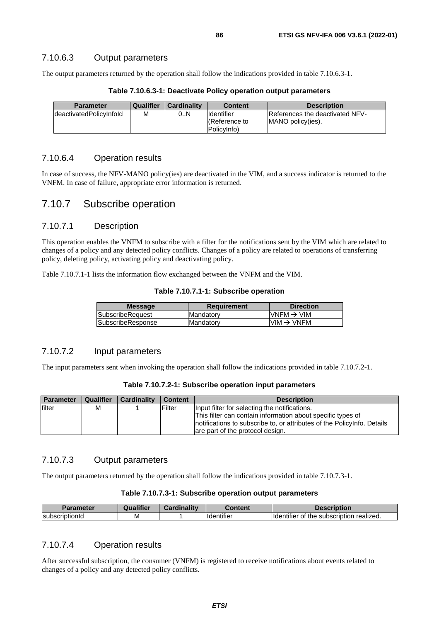## 7.10.6.3 Output parameters

The output parameters returned by the operation shall follow the indications provided in table 7.10.6.3-1.

| <b>Parameter</b>        | Qualifier | l Cardinalitv | Content             | <b>Description</b>              |
|-------------------------|-----------|---------------|---------------------|---------------------------------|
| deactivatedPolicyInfold | M         | 0N            | Ildentifier         | References the deactivated NFV- |
|                         |           |               | <b>Reference</b> to | MANO policy(ies).               |
|                         |           |               | PolicyInfo)         |                                 |

**Table 7.10.6.3-1: Deactivate Policy operation output parameters** 

# 7.10.6.4 Operation results

In case of success, the NFV-MANO policy(ies) are deactivated in the VIM, and a success indicator is returned to the VNFM. In case of failure, appropriate error information is returned.

# 7.10.7 Subscribe operation

# 7.10.7.1 Description

This operation enables the VNFM to subscribe with a filter for the notifications sent by the VIM which are related to changes of a policy and any detected policy conflicts. Changes of a policy are related to operations of transferring policy, deleting policy, activating policy and deactivating policy.

Table 7.10.7.1-1 lists the information flow exchanged between the VNFM and the VIM.

|  |  |  | Table 7.10.7.1-1: Subscribe operation |  |
|--|--|--|---------------------------------------|--|
|--|--|--|---------------------------------------|--|

| <b>Message</b>    | <b>Requirement</b> | <b>Direction</b>                        |
|-------------------|--------------------|-----------------------------------------|
| SubscribeRequest  | <b>Mandatory</b>   | $\mathsf{IVNFM}\rightarrow\mathsf{VIM}$ |
| SubscribeResponse | Mandatory          | $VIM \rightarrow VNFM$                  |
|                   |                    |                                         |

### 7.10.7.2 Input parameters

The input parameters sent when invoking the operation shall follow the indications provided in table 7.10.7.2-1.

**Table 7.10.7.2-1: Subscribe operation input parameters** 

| <b>Parameter</b> | Qualifier | <b>Cardinality</b> | <b>Content</b> | <b>Description</b>                                                                                                                                                                                                           |
|------------------|-----------|--------------------|----------------|------------------------------------------------------------------------------------------------------------------------------------------------------------------------------------------------------------------------------|
| filter           | м         |                    | Filter         | Input filter for selecting the notifications.<br>This filter can contain information about specific types of<br>Inotifications to subscribe to, or attributes of the Policylnfo. Details<br>are part of the protocol design. |

### 7.10.7.3 Output parameters

The output parameters returned by the operation shall follow the indications provided in table 7.10.7.3-1.

| <b>Parameter</b>               | <br>Qualitier | <br>Cardinality | 'ontant                        |                                                                                                            |
|--------------------------------|---------------|-----------------|--------------------------------|------------------------------------------------------------------------------------------------------------|
| <b>Subscrip</b><br>.<br>τιοπια | M             |                 | $\cdots$<br><b>Ildentifier</b> | $\cdot$<br><br>realized.<br>subscription<br>$\sim$ $\sim$ $\sim$ $\sim$<br>entifier<br>-ldei<br>τne<br>OT. |

# 7.10.7.4 Operation results

After successful subscription, the consumer (VNFM) is registered to receive notifications about events related to changes of a policy and any detected policy conflicts.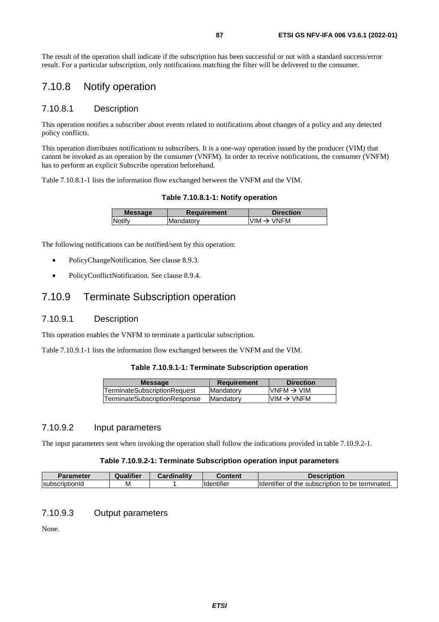The result of the operation shall indicate if the subscription has been successful or not with a standard success/error result. For a particular subscription, only notifications matching the filter will be delivered to the consumer.

# 7.10.8 Notify operation

### 7.10.8.1 Description

This operation notifies a subscriber about events related to notifications about changes of a policy and any detected policy conflicts.

This operation distributes notifications to subscribers. It is a one-way operation issued by the producer (VIM) that cannot be invoked as an operation by the consumer (VNFM). In order to receive notifications, the consumer (VNFM) has to perform an explicit Subscribe operation beforehand.

Table 7.10.8.1-1 lists the information flow exchanged between the VNFM and the VIM.

**Table 7.10.8.1-1: Notify operation** 

| <b>Message</b> | Requirement       | <b>Direction</b>       |
|----------------|-------------------|------------------------|
| Notify         | <b>IMandatory</b> | $VIM \rightarrow VNFM$ |
|                |                   |                        |

The following notifications can be notified/sent by this operation:

- PolicyChangeNotification. See clause 8.9.3.
- PolicyConflictNotification. See clause 8.9.4.

# 7.10.9 Terminate Subscription operation

## 7.10.9.1 Description

This operation enables the VNFM to terminate a particular subscription.

Table 7.10.9.1-1 lists the information flow exchanged between the VNFM and the VIM.

#### **Table 7.10.9.1-1: Terminate Subscription operation**

| <b>Message</b>                       | <b>Requirement</b> | <b>Direction</b>       |
|--------------------------------------|--------------------|------------------------|
| <b>TerminateSubscriptionRequest</b>  | <b>IMandatory</b>  | $VNFM \rightarrow VIM$ |
| <b>TerminateSubscriptionResponse</b> | <b>Mandatory</b>   | $VIM \rightarrow VNFM$ |
|                                      |                    |                        |

## 7.10.9.2 Input parameters

The input parameters sent when invoking the operation shall follow the indications provided in table 7.10.9.2-1.

#### **Table 7.10.9.2-1: Terminate Subscription operation input parameters**

| Parameter              | <br>Qualifier | $\sim$ ardinality | Content                        | <b>Description</b>                                                        |
|------------------------|---------------|-------------------|--------------------------------|---------------------------------------------------------------------------|
| <b>IsubscriptionId</b> | M             |                   | $\cdots$<br><b>Ildentifier</b> | <b>Identifier</b><br>terminated.<br>subscription<br>the<br>be<br>το<br>OT |

## 7.10.9.3 Output parameters

None.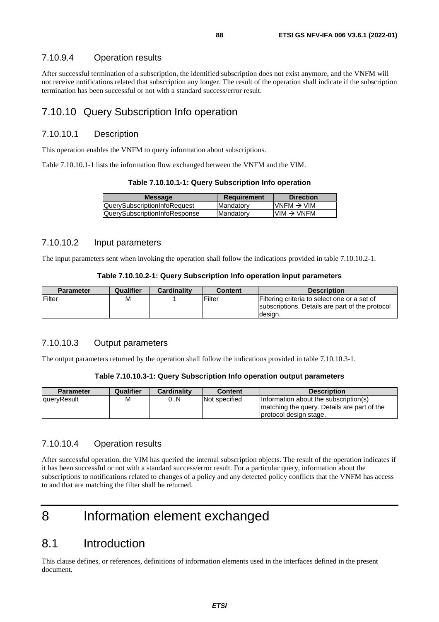## 7.10.9.4 Operation results

After successful termination of a subscription, the identified subscription does not exist anymore, and the VNFM will not receive notifications related that subscription any longer. The result of the operation shall indicate if the subscription termination has been successful or not with a standard success/error result.

# 7.10.10 Query Subscription Info operation

## 7.10.10.1 Description

This operation enables the VNFM to query information about subscriptions.

Table 7.10.10.1-1 lists the information flow exchanged between the VNFM and the VIM.

| <b>Message</b>                      | <b>Requirement</b> | <b>Direction</b>       |
|-------------------------------------|--------------------|------------------------|
| <b>QuerySubscriptionInfoRequest</b> | Mandatory          | $VNFM \rightarrow VIM$ |
| QuerySubscriptionInfoResponse       | <b>Mandatory</b>   | $VIM \rightarrow VNFM$ |
|                                     |                    |                        |

### 7.10.10.2 Input parameters

The input parameters sent when invoking the operation shall follow the indications provided in table 7.10.10.2-1.

#### **Table 7.10.10.2-1: Query Subscription Info operation input parameters**

| <b>Parameter</b> | Qualifier | <b>Cardinality</b> | <b>Content</b> | <b>Description</b>                              |
|------------------|-----------|--------------------|----------------|-------------------------------------------------|
| <b>Filter</b>    | М         |                    | Filter         | Filtering criteria to select one or a set of    |
|                  |           |                    |                | subscriptions. Details are part of the protocol |
|                  |           |                    |                | desian.                                         |

## 7.10.10.3 Output parameters

The output parameters returned by the operation shall follow the indications provided in table 7.10.10.3-1.

### **Table 7.10.10.3-1: Query Subscription Info operation output parameters**

| <b>Parameter</b>    | Qualifier | <b>Cardinality</b> | Content       | <b>Description</b>                           |
|---------------------|-----------|--------------------|---------------|----------------------------------------------|
| <b>IqueryResult</b> | М         | 0N                 | Not specified | Information about the subscription(s)        |
|                     |           |                    |               | Imatching the query. Details are part of the |
|                     |           |                    |               | protocol design stage.                       |

### 7.10.10.4 Operation results

After successful operation, the VIM has queried the internal subscription objects. The result of the operation indicates if it has been successful or not with a standard success/error result. For a particular query, information about the subscriptions to notifications related to changes of a policy and any detected policy conflicts that the VNFM has access to and that are matching the filter shall be returned.

# 8 Information element exchanged

# 8.1 Introduction

This clause defines, or references, definitions of information elements used in the interfaces defined in the present document.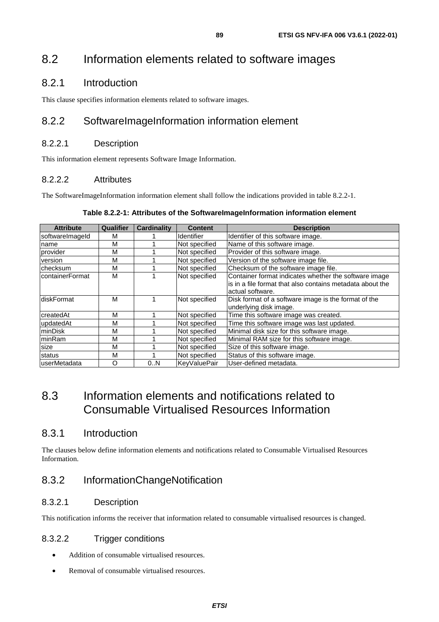# 8.2 Information elements related to software images

# 8.2.1 Introduction

This clause specifies information elements related to software images.

# 8.2.2 SoftwareImageInformation information element

# 8.2.2.1 Description

This information element represents Software Image Information.

# 8.2.2.2 Attributes

The SoftwareImageInformation information element shall follow the indications provided in table 8.2.2-1.

| <b>Attribute</b>        | <b>Qualifier</b> | Cardinality | <b>Content</b>      | <b>Description</b>                                                                                                                     |
|-------------------------|------------------|-------------|---------------------|----------------------------------------------------------------------------------------------------------------------------------------|
| softwareImageId         | M                |             | <b>Identifier</b>   | Identifier of this software image.                                                                                                     |
| Iname                   | М                |             | Not specified       | Name of this software image.                                                                                                           |
| provider                | М                |             | Not specified       | Provider of this software image.                                                                                                       |
| version                 | М                |             | Not specified       | Version of the software image file.                                                                                                    |
| <b>checksum</b>         | M                |             | Not specified       | Checksum of the software image file.                                                                                                   |
| <b>IcontainerFormat</b> | M                |             | Not specified       | Container format indicates whether the software image<br>is in a file format that also contains metadata about the<br>actual software. |
| diskFormat              | M                |             | Not specified       | Disk format of a software image is the format of the<br>underlying disk image.                                                         |
| createdAt               | M                |             | Not specified       | Time this software image was created.                                                                                                  |
| updatedAt               | M                |             | Not specified       | Time this software image was last updated.                                                                                             |
| minDisk                 | M                |             | Not specified       | Minimal disk size for this software image.                                                                                             |
| minRam                  | M                |             | Not specified       | Minimal RAM size for this software image.                                                                                              |
| size                    | М                |             | Not specified       | Size of this software image.                                                                                                           |
| status                  | M                |             | Not specified       | Status of this software image.                                                                                                         |
| userMetadata            | O                | 0N          | <b>KeyValuePair</b> | User-defined metadata.                                                                                                                 |

# 8.3 Information elements and notifications related to Consumable Virtualised Resources Information

# 8.3.1 Introduction

The clauses below define information elements and notifications related to Consumable Virtualised Resources Information.

# 8.3.2 InformationChangeNotification

# 8.3.2.1 Description

This notification informs the receiver that information related to consumable virtualised resources is changed.

# 8.3.2.2 Trigger conditions

- Addition of consumable virtualised resources.
- Removal of consumable virtualised resources.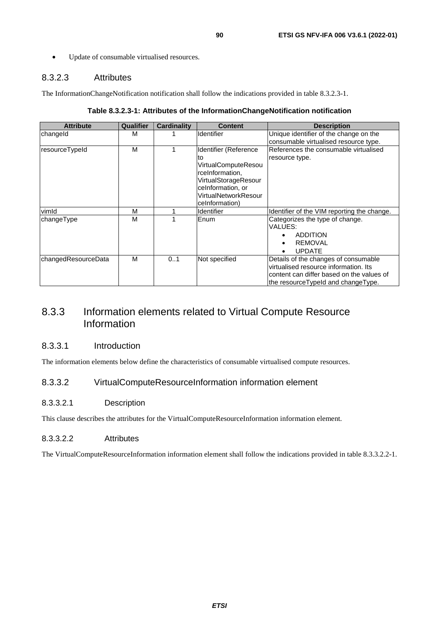• Update of consumable virtualised resources.

# 8.3.2.3 Attributes

The InformationChangeNotification notification shall follow the indications provided in table 8.3.2.3-1.

| Table 8.3.2.3-1: Attributes of the InformationChangeNotification notification |  |  |
|-------------------------------------------------------------------------------|--|--|
|-------------------------------------------------------------------------------|--|--|

| <b>Attribute</b>    | <b>Qualifier</b> | Cardinality | <b>Content</b>        | <b>Description</b>                          |
|---------------------|------------------|-------------|-----------------------|---------------------------------------------|
| changeld            | м                |             | <b>Identifier</b>     | Unique identifier of the change on the      |
|                     |                  |             |                       | consumable virtualised resource type.       |
| resourceTypeId      | м                |             | Identifier (Reference | References the consumable virtualised       |
|                     |                  |             | to                    | resource type.                              |
|                     |                  |             | VirtualComputeResou   |                                             |
|                     |                  |             | rceInformation,       |                                             |
|                     |                  |             | VirtualStorageResour  |                                             |
|                     |                  |             | ceInformation, or     |                                             |
|                     |                  |             | VirtualNetworkResour  |                                             |
|                     |                  |             | ceInformation)        |                                             |
| vimld               | M                |             | <b>Identifier</b>     | Identifier of the VIM reporting the change. |
| changeType          | м                |             | Enum                  | Categorizes the type of change.             |
|                     |                  |             |                       | VALUES:                                     |
|                     |                  |             |                       | <b>ADDITION</b>                             |
|                     |                  |             |                       | <b>REMOVAL</b>                              |
|                     |                  |             |                       | <b>UPDATE</b><br>$\bullet$                  |
| changedResourceData | M                | 0.1         | Not specified         | Details of the changes of consumable        |
|                     |                  |             |                       | virtualised resource information. Its       |
|                     |                  |             |                       | content can differ based on the values of   |
|                     |                  |             |                       | the resource Typeld and change Type.        |

# 8.3.3 Information elements related to Virtual Compute Resource Information

### 8.3.3.1 Introduction

The information elements below define the characteristics of consumable virtualised compute resources.

# 8.3.3.2 VirtualComputeResourceInformation information element

## 8.3.3.2.1 Description

This clause describes the attributes for the VirtualComputeResourceInformation information element.

### 8.3.3.2.2 Attributes

The VirtualComputeResourceInformation information element shall follow the indications provided in table 8.3.3.2.2-1.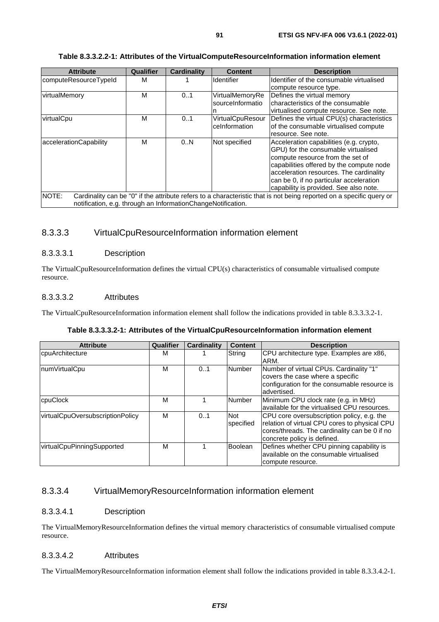### **Table 8.3.3.2.2-1: Attributes of the VirtualComputeResourceInformation information element**

| <b>Attribute</b>                                                                                                              | Qualifier | <b>Cardinality</b> | <b>Content</b>          | <b>Description</b>                         |  |
|-------------------------------------------------------------------------------------------------------------------------------|-----------|--------------------|-------------------------|--------------------------------------------|--|
| computeResourceTypeId                                                                                                         | м         |                    | Identifier              | Identifier of the consumable virtualised   |  |
|                                                                                                                               |           |                    |                         | compute resource type.                     |  |
| virtualMemory                                                                                                                 | м         | 0.1                | VirtualMemoryRe         | Defines the virtual memory                 |  |
|                                                                                                                               |           |                    | sourceInformatio        | characteristics of the consumable          |  |
|                                                                                                                               |           |                    |                         | virtualised compute resource. See note.    |  |
| virtualCpu                                                                                                                    | м         | 0.1                | <b>VirtualCpuResour</b> | Defines the virtual CPU(s) characteristics |  |
|                                                                                                                               |           |                    | ceInformation           | of the consumable virtualised compute      |  |
|                                                                                                                               |           |                    |                         | resource. See note.                        |  |
| accelerationCapability                                                                                                        | М         | 0.N                | Not specified           | Acceleration capabilities (e.g. crypto,    |  |
|                                                                                                                               |           |                    |                         | GPU) for the consumable virtualised        |  |
|                                                                                                                               |           |                    |                         | compute resource from the set of           |  |
|                                                                                                                               |           |                    |                         | capabilities offered by the compute node   |  |
|                                                                                                                               |           |                    |                         | acceleration resources. The cardinality    |  |
|                                                                                                                               |           |                    |                         | can be 0, if no particular acceleration    |  |
|                                                                                                                               |           |                    |                         | capability is provided. See also note.     |  |
| NOTE:<br>Cardinality can be "0" if the attribute refers to a characteristic that is not being reported on a specific query or |           |                    |                         |                                            |  |
| notification, e.g. through an InformationChangeNotification.                                                                  |           |                    |                         |                                            |  |

# 8.3.3.3 VirtualCpuResourceInformation information element

### 8.3.3.3.1 Description

The VirtualCpuResourceInformation defines the virtual CPU(s) characteristics of consumable virtualised compute resource.

### 8.3.3.3.2 Attributes

The VirtualCpuResourceInformation information element shall follow the indications provided in table 8.3.3.3.2-1.

### **Table 8.3.3.3.2-1: Attributes of the VirtualCpuResourceInformation information element**

| <b>Attribute</b>                 | Qualifier | <b>Cardinality</b> | <b>Content</b> | <b>Description</b>                            |
|----------------------------------|-----------|--------------------|----------------|-----------------------------------------------|
| cpuArchitecture                  | м         |                    | String         | CPU architecture type. Examples are x86,      |
|                                  |           |                    |                | ARM.                                          |
| numVirtualCpu                    | М         | 0.1                | <b>Number</b>  | Number of virtual CPUs. Cardinality "1"       |
|                                  |           |                    |                | covers the case where a specific              |
|                                  |           |                    |                | configuration for the consumable resource is  |
|                                  |           |                    |                | advertised.                                   |
| cpuClock                         | м         |                    | Number         | Minimum CPU clock rate (e.g. in MHz)          |
|                                  |           |                    |                | available for the virtualised CPU resources.  |
| virtualCpuOversubscriptionPolicy | M         | 0.1                | <b>Not</b>     | CPU core oversubscription policy, e.g. the    |
|                                  |           |                    | specified      | relation of virtual CPU cores to physical CPU |
|                                  |           |                    |                | cores/threads. The cardinality can be 0 if no |
|                                  |           |                    |                | concrete policy is defined.                   |
| virtualCpuPinningSupported       | М         |                    | Boolean        | Defines whether CPU pinning capability is     |
|                                  |           |                    |                | available on the consumable virtualised       |
|                                  |           |                    |                | compute resource.                             |

## 8.3.3.4 VirtualMemoryResourceInformation information element

### 8.3.3.4.1 Description

The VirtualMemoryResourceInformation defines the virtual memory characteristics of consumable virtualised compute resource.

### 8.3.3.4.2 Attributes

The VirtualMemoryResourceInformation information element shall follow the indications provided in table 8.3.3.4.2-1.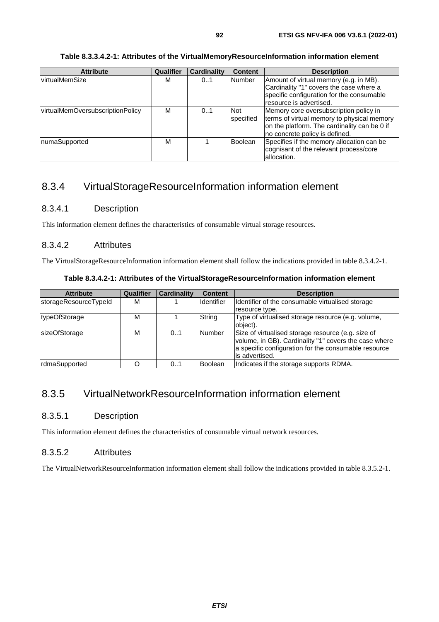### **Table 8.3.3.4.2-1: Attributes of the VirtualMemoryResourceInformation information element**

| <b>Attribute</b>                 | <b>Qualifier</b> | Cardinality | <b>Content</b>          | <b>Description</b>                                                                                                                                                     |
|----------------------------------|------------------|-------------|-------------------------|------------------------------------------------------------------------------------------------------------------------------------------------------------------------|
| <b>virtualMemSize</b>            | M                | 0.1         | Number                  | Amount of virtual memory (e.g. in MB).<br>Cardinality "1" covers the case where a<br>specific configuration for the consumable<br>resource is advertised.              |
| virtualMemOversubscriptionPolicy | M                | 0.1         | <b>Not</b><br>specified | Memory core oversubscription policy in<br>terms of virtual memory to physical memory<br>on the platform. The cardinality can be 0 if<br>no concrete policy is defined. |
| numaSupported                    | M                |             | <b>Boolean</b>          | Specifies if the memory allocation can be<br>cognisant of the relevant process/core<br>allocation.                                                                     |

# 8.3.4 VirtualStorageResourceInformation information element

# 8.3.4.1 Description

This information element defines the characteristics of consumable virtual storage resources.

### 8.3.4.2 Attributes

The VirtualStorageResourceInformation information element shall follow the indications provided in table 8.3.4.2-1.

| Table 8.3.4.2-1: Attributes of the VirtualStorageResourceInformation information element |
|------------------------------------------------------------------------------------------|
|------------------------------------------------------------------------------------------|

| <b>Attribute</b>      | Qualifier | <b>Cardinality</b> | <b>Content</b> | <b>Description</b>                                                                                                                                                                    |
|-----------------------|-----------|--------------------|----------------|---------------------------------------------------------------------------------------------------------------------------------------------------------------------------------------|
| storageResourceTypeId | м         |                    | Identifier     | Identifier of the consumable virtualised storage                                                                                                                                      |
|                       |           |                    |                | resource type.                                                                                                                                                                        |
| typeOfStorage         | м         |                    | String         | Type of virtualised storage resource (e.g. volume,<br>object).                                                                                                                        |
| sizeOfStorage         | М         | 0.1                | Number         | Size of virtualised storage resource (e.g. size of<br>volume, in GB). Cardinality "1" covers the case where<br>a specific configuration for the consumable resource<br>is advertised. |
| <b>rdmaSupported</b>  |           | 01                 | Boolean        | Indicates if the storage supports RDMA.                                                                                                                                               |

# 8.3.5 VirtualNetworkResourceInformation information element

## 8.3.5.1 Description

This information element defines the characteristics of consumable virtual network resources.

### 8.3.5.2 Attributes

The VirtualNetworkResourceInformation information element shall follow the indications provided in table 8.3.5.2-1.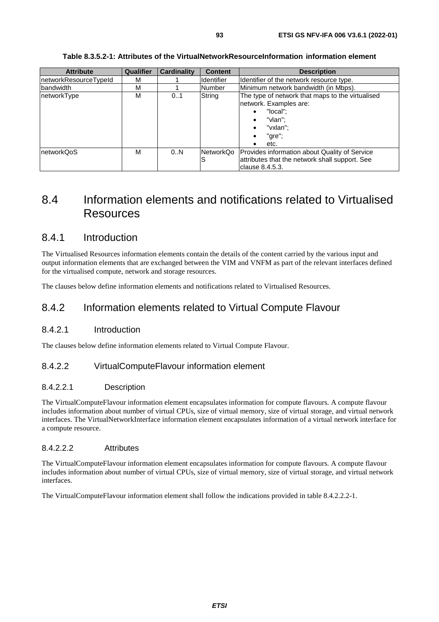| <b>Attribute</b>      | <b>Qualifier</b> | <b>Cardinality</b> | <b>Content</b>    | <b>Description</b>                                                                                                                                                  |
|-----------------------|------------------|--------------------|-------------------|---------------------------------------------------------------------------------------------------------------------------------------------------------------------|
| networkResourceTypeId | M                |                    | <b>Identifier</b> | Identifier of the network resource type.                                                                                                                            |
| bandwidth             | M                |                    | Number            | Minimum network bandwidth (in Mbps).                                                                                                                                |
| networkType           | M                | 01                 | String            | The type of network that maps to the virtualised<br>network. Examples are:<br>"local":<br>"vlan":<br>٠<br>"vxlan":<br>$\bullet$<br>"gre";<br>$\bullet$<br>etc.<br>٠ |
| InetworkQoS           | M                | 0N                 | NetworkQo<br>lS   | Provides information about Quality of Service<br>attributes that the network shall support. See<br>clause 8.4.5.3.                                                  |

### **Table 8.3.5.2-1: Attributes of the VirtualNetworkResourceInformation information element**

# 8.4 Information elements and notifications related to Virtualised Resources

# 8.4.1 Introduction

The Virtualised Resources information elements contain the details of the content carried by the various input and output information elements that are exchanged between the VIM and VNFM as part of the relevant interfaces defined for the virtualised compute, network and storage resources.

The clauses below define information elements and notifications related to Virtualised Resources.

# 8.4.2 Information elements related to Virtual Compute Flavour

## 8.4.2.1 Introduction

The clauses below define information elements related to Virtual Compute Flavour.

### 8.4.2.2 VirtualComputeFlavour information element

### 8.4.2.2.1 Description

The VirtualComputeFlavour information element encapsulates information for compute flavours. A compute flavour includes information about number of virtual CPUs, size of virtual memory, size of virtual storage, and virtual network interfaces. The VirtualNetworkInterface information element encapsulates information of a virtual network interface for a compute resource.

### 8.4.2.2.2 Attributes

The VirtualComputeFlavour information element encapsulates information for compute flavours. A compute flavour includes information about number of virtual CPUs, size of virtual memory, size of virtual storage, and virtual network interfaces.

The VirtualComputeFlavour information element shall follow the indications provided in table 8.4.2.2.2-1.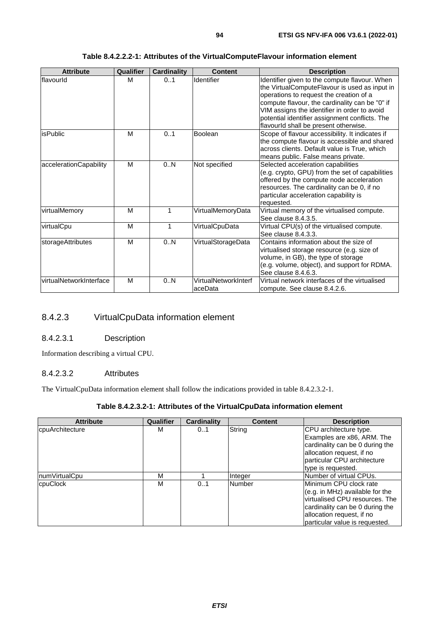| <b>Attribute</b>        | Qualifier | <b>Cardinality</b> | <b>Content</b>                   | <b>Description</b>                                                                                                                                                                                                                                                                                                                     |
|-------------------------|-----------|--------------------|----------------------------------|----------------------------------------------------------------------------------------------------------------------------------------------------------------------------------------------------------------------------------------------------------------------------------------------------------------------------------------|
| flavourld               | м         | 0.1                | Identifier                       | Identifier given to the compute flavour. When<br>the VirtualComputeFlavour is used as input in<br>operations to request the creation of a<br>compute flavour, the cardinality can be "0" if<br>VIM assigns the identifier in order to avoid<br>potential identifier assignment conflicts. The<br>flavourld shall be present otherwise. |
| <b>isPublic</b>         | M         | 0.1                | Boolean                          | Scope of flavour accessibility. It indicates if<br>the compute flavour is accessible and shared<br>across clients. Default value is True, which<br>means public. False means private.                                                                                                                                                  |
| accelerationCapability  | M         | 0.N                | Not specified                    | Selected acceleration capabilities<br>(e.g. crypto, GPU) from the set of capabilities<br>offered by the compute node acceleration<br>resources. The cardinality can be 0, if no<br>particular acceleration capability is<br>requested.                                                                                                 |
| virtualMemory           | M         | 1                  | VirtualMemoryData                | Virtual memory of the virtualised compute.<br>See clause 8.4.3.5.                                                                                                                                                                                                                                                                      |
| virtualCpu              | M         | 1                  | VirtualCpuData                   | Virtual CPU(s) of the virtualised compute.<br>See clause 8.4.3.3.                                                                                                                                                                                                                                                                      |
| storageAttributes       | M         | 0.N                | VirtualStorageData               | Contains information about the size of<br>virtualised storage resource (e.g. size of<br>volume, in GB), the type of storage<br>(e.g. volume, object), and support for RDMA.<br>See clause 8.4.6.3.                                                                                                                                     |
| virtualNetworkInterface | M         | 0N                 | VirtualNetworkInterf<br>laceData | Virtual network interfaces of the virtualised<br>compute. See clause 8.4.2.6.                                                                                                                                                                                                                                                          |

### **Table 8.4.2.2.2-1: Attributes of the VirtualComputeFlavour information element**

# 8.4.2.3 VirtualCpuData information element

## 8.4.2.3.1 Description

Information describing a virtual CPU.

### 8.4.2.3.2 Attributes

The VirtualCpuData information element shall follow the indications provided in table 8.4.2.3.2-1.

## **Table 8.4.2.3.2-1: Attributes of the VirtualCpuData information element**

| <b>Attribute</b> | Qualifier | <b>Cardinality</b> | <b>Content</b> | <b>Description</b>              |
|------------------|-----------|--------------------|----------------|---------------------------------|
| cpuArchitecture  | М         | 01                 | String         | CPU architecture type.          |
|                  |           |                    |                | Examples are x86, ARM. The      |
|                  |           |                    |                | cardinality can be 0 during the |
|                  |           |                    |                | allocation request, if no       |
|                  |           |                    |                | particular CPU architecture     |
|                  |           |                    |                | type is requested.              |
| numVirtualCpu    | М         |                    | Integer        | Number of virtual CPUs.         |
| cpuClock         | М         | 0.1                | Number         | lMinimum CPU clock rate         |
|                  |           |                    |                | (e.g. in MHz) available for the |
|                  |           |                    |                | virtualised CPU resources. The  |
|                  |           |                    |                | cardinality can be 0 during the |
|                  |           |                    |                | allocation request, if no       |
|                  |           |                    |                | particular value is requested.  |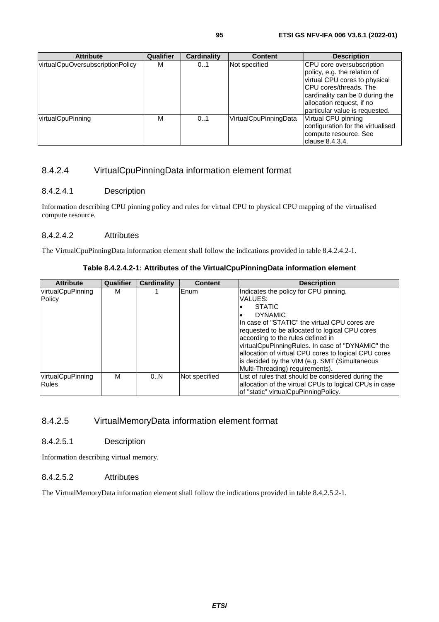| <b>Attribute</b>                 | Qualifier | <b>Cardinality</b> | <b>Content</b>        | <b>Description</b>                                                                                                                                                                                                             |
|----------------------------------|-----------|--------------------|-----------------------|--------------------------------------------------------------------------------------------------------------------------------------------------------------------------------------------------------------------------------|
| virtualCpuOversubscriptionPolicy | м         | 0.1                | Not specified         | <b>CPU</b> core oversubscription<br>policy, e.g. the relation of<br>virtual CPU cores to physical<br>ICPU cores/threads. The<br>cardinality can be 0 during the<br>allocation request, if no<br>particular value is requested. |
| virtualCpuPinning                | М         | 0.1                | VirtualCpuPinningData | Virtual CPU pinning<br>configuration for the virtualised<br>compute resource. See<br>Iclause 8.4.3.4.                                                                                                                          |

# 8.4.2.4 VirtualCpuPinningData information element format

## 8.4.2.4.1 Description

Information describing CPU pinning policy and rules for virtual CPU to physical CPU mapping of the virtualised compute resource.

### 8.4.2.4.2 Attributes

The VirtualCpuPinningData information element shall follow the indications provided in table 8.4.2.4.2-1.

### **Table 8.4.2.4.2-1: Attributes of the VirtualCpuPinningData information element**

| <b>Attribute</b>                  | <b>Qualifier</b> | <b>Cardinality</b> | <b>Content</b> | <b>Description</b>                                                                                                                                                                                                                                                                                                                                                                                                           |
|-----------------------------------|------------------|--------------------|----------------|------------------------------------------------------------------------------------------------------------------------------------------------------------------------------------------------------------------------------------------------------------------------------------------------------------------------------------------------------------------------------------------------------------------------------|
| virtualCpuPinning<br>Policy       | м                |                    | Enum           | Indicates the policy for CPU pinning.<br>VALUES:<br><b>STATIC</b><br><b>DYNAMIC</b><br>IIn case of "STATIC" the virtual CPU cores are<br>requested to be allocated to logical CPU cores<br>according to the rules defined in<br>virtualCpuPinningRules. In case of "DYNAMIC" the<br>allocation of virtual CPU cores to logical CPU cores<br>is decided by the VIM (e.g. SMT (Simultaneous<br>Multi-Threading) requirements). |
| virtualCpuPinning<br><b>Rules</b> | м                | 0.N                | Not specified  | List of rules that should be considered during the<br>allocation of the virtual CPUs to logical CPUs in case<br>of "static" virtualCpuPinningPolicy.                                                                                                                                                                                                                                                                         |

# 8.4.2.5 VirtualMemoryData information element format

## 8.4.2.5.1 Description

Information describing virtual memory.

### 8.4.2.5.2 Attributes

The VirtualMemoryData information element shall follow the indications provided in table 8.4.2.5.2-1.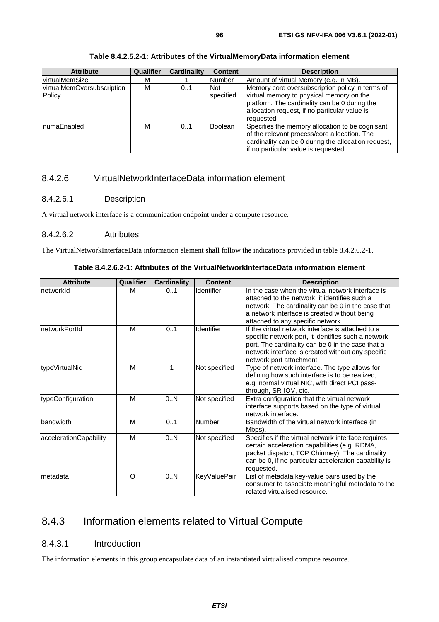| <b>Attribute</b>                     | Qualifier | <b>Cardinality</b> | <b>Content</b>          | <b>Description</b>                                                                                                                                                                                          |
|--------------------------------------|-----------|--------------------|-------------------------|-------------------------------------------------------------------------------------------------------------------------------------------------------------------------------------------------------------|
| virtualMemSize                       | м         |                    | <b>Number</b>           | Amount of virtual Memory (e.g. in MB).                                                                                                                                                                      |
| virtualMemOversubscription<br>Policy | М         | 0.1                | Not<br><b>specified</b> | Memory core oversubscription policy in terms of<br>virtual memory to physical memory on the<br>platform. The cardinality can be 0 during the<br>allocation request, if no particular value is<br>requested. |
| numaEnabled                          | M         | 0.1                | <b>Boolean</b>          | Specifies the memory allocation to be cognisant<br>of the relevant process/core allocation. The<br>cardinality can be 0 during the allocation request,<br>if no particular value is requested.              |

### **Table 8.4.2.5.2-1: Attributes of the VirtualMemoryData information element**

# 8.4.2.6 VirtualNetworkInterfaceData information element

# 8.4.2.6.1 Description

A virtual network interface is a communication endpoint under a compute resource.

### 8.4.2.6.2 Attributes

The VirtualNetworkInterfaceData information element shall follow the indications provided in table 8.4.2.6.2-1.

|  |  | Table 8.4.2.6.2-1: Attributes of the VirtualNetworkInterfaceData information element |
|--|--|--------------------------------------------------------------------------------------|
|--|--|--------------------------------------------------------------------------------------|

| <b>Attribute</b>       | Qualifier | <b>Cardinality</b> | <b>Content</b>      | <b>Description</b>                                                                                                                                                                                                                             |
|------------------------|-----------|--------------------|---------------------|------------------------------------------------------------------------------------------------------------------------------------------------------------------------------------------------------------------------------------------------|
| InetworkId             | M         | 0.1                | Identifier          | In the case when the virtual network interface is<br>attached to the network, it identifies such a<br>network. The cardinality can be 0 in the case that<br>a network interface is created without being<br>attached to any specific network.  |
| InetworkPortId         | М         | 0.1                | Identifier          | If the virtual network interface is attached to a<br>specific network port, it identifies such a network<br>port. The cardinality can be 0 in the case that a<br>network interface is created without any specific<br>network port attachment. |
| typeVirtualNic         | M         | 1                  | Not specified       | Type of network interface. The type allows for<br>defining how such interface is to be realized,<br>e.g. normal virtual NIC, with direct PCI pass-<br>through, SR-IOV, etc.                                                                    |
| typeConfiguration      | M         | 0.N                | Not specified       | Extra configuration that the virtual network<br>interface supports based on the type of virtual<br>network interface.                                                                                                                          |
| bandwidth              | M         | 0.1                | Number              | Bandwidth of the virtual network interface (in<br>Mbps).                                                                                                                                                                                       |
| accelerationCapability | M         | 0N                 | Not specified       | Specifies if the virtual network interface requires<br>certain acceleration capabilities (e.g. RDMA,<br>packet dispatch, TCP Chimney). The cardinality<br>can be 0, if no particular acceleration capability is<br>requested.                  |
| Imetadata              | O         | 0.N                | <b>KeyValuePair</b> | List of metadata key-value pairs used by the<br>consumer to associate meaningful metadata to the<br>related virtualised resource.                                                                                                              |

# 8.4.3 Information elements related to Virtual Compute

## 8.4.3.1 Introduction

The information elements in this group encapsulate data of an instantiated virtualised compute resource.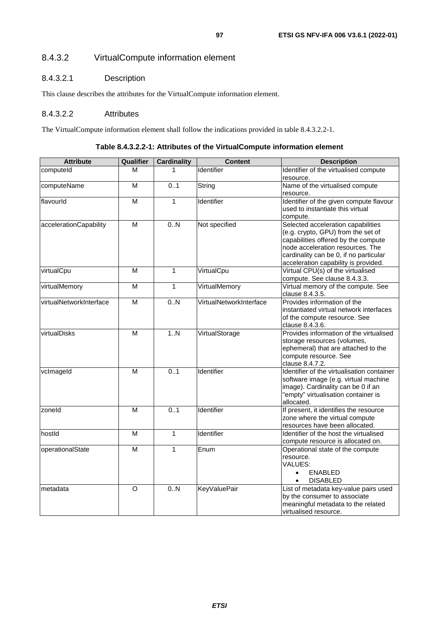# 8.4.3.2 VirtualCompute information element

# 8.4.3.2.1 Description

This clause describes the attributes for the VirtualCompute information element.

### 8.4.3.2.2 Attributes

The VirtualCompute information element shall follow the indications provided in table 8.4.3.2.2-1.

|  |  | Table 8.4.3.2.2-1: Attributes of the Virtual Compute information element |
|--|--|--------------------------------------------------------------------------|
|--|--|--------------------------------------------------------------------------|

| <b>Attribute</b>        | Qualifier               | <b>Cardinality</b> | <b>Content</b>          | <b>Description</b>                         |
|-------------------------|-------------------------|--------------------|-------------------------|--------------------------------------------|
| computeld               | М                       |                    | Identifier              | Identifier of the virtualised compute      |
|                         |                         |                    |                         | resource.                                  |
| computeName             | M                       | 0.1                | String                  | Name of the virtualised compute            |
|                         |                         |                    |                         | resource.                                  |
| flavourld               | $\overline{\mathsf{M}}$ | 1                  | Identifier              | Identifier of the given compute flavour    |
|                         |                         |                    |                         | used to instantiate this virtual           |
|                         |                         |                    |                         | compute.                                   |
| accelerationCapability  | $\overline{\mathsf{M}}$ | 0.N                | Not specified           | Selected acceleration capabilities         |
|                         |                         |                    |                         | (e.g. crypto, GPU) from the set of         |
|                         |                         |                    |                         | capabilities offered by the compute        |
|                         |                         |                    |                         | node acceleration resources. The           |
|                         |                         |                    |                         | cardinality can be 0, if no particular     |
|                         |                         |                    |                         | acceleration capability is provided.       |
| virtualCpu              | M                       | $\mathbf{1}$       | VirtualCpu              | Virtual CPU(s) of the virtualised          |
|                         |                         |                    |                         | compute. See clause 8.4.3.3.               |
| virtualMemory           | $\overline{\mathsf{M}}$ | $\mathbf{1}$       | VirtualMemory           | Virtual memory of the compute. See         |
|                         |                         |                    |                         | clause 8.4.3.5.                            |
| virtualNetworkInterface | $\overline{\mathsf{M}}$ | 0.N                | VirtualNetworkInterface | Provides information of the                |
|                         |                         |                    |                         | instantiated virtual network interfaces    |
|                         |                         |                    |                         | of the compute resource. See               |
|                         |                         |                    |                         | clause 8.4.3.6.                            |
| virtualDisks            | $\overline{\mathsf{M}}$ | 1.N                | VirtualStorage          | Provides information of the virtualised    |
|                         |                         |                    |                         | storage resources (volumes,                |
|                         |                         |                    |                         | ephemeral) that are attached to the        |
|                         |                         |                    |                         | compute resource. See                      |
|                         |                         |                    |                         | clause 8.4.7.2.                            |
| vclmageld               | M                       | 0.1                | Identifier              | Identifier of the virtualisation container |
|                         |                         |                    |                         | software image (e.g. virtual machine       |
|                         |                         |                    |                         | image). Cardinality can be 0 if an         |
|                         |                         |                    |                         | "empty" virtualisation container is        |
|                         |                         |                    |                         | allocated.                                 |
| zoneld                  | M                       | 0.1                | Identifier              | If present, it identifies the resource     |
|                         |                         |                    |                         | zone where the virtual compute             |
|                         |                         |                    |                         | resources have been allocated.             |
| hostid                  | $\overline{\mathsf{M}}$ | $\mathbf{1}$       | Identifier              | Identifier of the host the virtualised     |
|                         |                         |                    |                         | compute resource is allocated on.          |
| operationalState        | M                       | 1                  | Enum                    | Operational state of the compute           |
|                         |                         |                    |                         | resource.                                  |
|                         |                         |                    |                         | VALUES:                                    |
|                         |                         |                    |                         | <b>ENABLED</b><br>$\bullet$                |
|                         |                         |                    |                         | <b>DISABLED</b><br>$\bullet$               |
| metadata                | O                       | 0.N                | <b>KeyValuePair</b>     | List of metadata key-value pairs used      |
|                         |                         |                    |                         | by the consumer to associate               |
|                         |                         |                    |                         | meaningful metadata to the related         |
|                         |                         |                    |                         | virtualised resource.                      |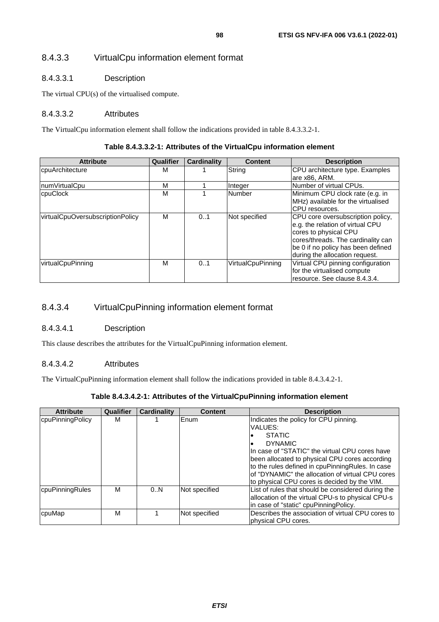# 8.4.3.3.1 Description

The virtual CPU(s) of the virtualised compute.

# 8.4.3.3.2 Attributes

The VirtualCpu information element shall follow the indications provided in table 8.4.3.3.2-1.

### **Table 8.4.3.3.2-1: Attributes of the VirtualCpu information element**

| <b>Attribute</b>                 | Qualifier | <b>Cardinality</b> | <b>Content</b>    | <b>Description</b>                 |
|----------------------------------|-----------|--------------------|-------------------|------------------------------------|
| cpuArchitecture                  | м         |                    | String            | CPU architecture type. Examples    |
|                                  |           |                    |                   | are x86, ARM.                      |
| numVirtualCpu                    | М         |                    | Integer           | Number of virtual CPUs.            |
| cpuClock                         | М         |                    | Number            | Minimum CPU clock rate (e.g. in    |
|                                  |           |                    |                   | MHz) available for the virtualised |
|                                  |           |                    |                   | CPU resources.                     |
| virtualCpuOversubscriptionPolicy | м         | 0.1                | Not specified     | CPU core oversubscription policy,  |
|                                  |           |                    |                   | e.g. the relation of virtual CPU   |
|                                  |           |                    |                   | cores to physical CPU              |
|                                  |           |                    |                   | cores/threads. The cardinality can |
|                                  |           |                    |                   | be 0 if no policy has been defined |
|                                  |           |                    |                   | during the allocation request.     |
| virtualCpuPinning                | М         | 0.1                | VirtualCpuPinning | Virtual CPU pinning configuration  |
|                                  |           |                    |                   | for the virtualised compute        |
|                                  |           |                    |                   | resource. See clause 8.4.3.4.      |

# 8.4.3.4 VirtualCpuPinning information element format

# 8.4.3.4.1 Description

This clause describes the attributes for the VirtualCpuPinning information element.

# 8.4.3.4.2 Attributes

The VirtualCpuPinning information element shall follow the indications provided in table 8.4.3.4.2-1.

### **Table 8.4.3.4.2-1: Attributes of the VirtualCpuPinning information element**

| <b>Attribute</b> | Qualifier | <b>Cardinality</b> | <b>Content</b> | <b>Description</b>                                 |
|------------------|-----------|--------------------|----------------|----------------------------------------------------|
| cpuPinningPolicy | М         |                    | <b>IEnum</b>   | Indicates the policy for CPU pinning.              |
|                  |           |                    |                | VALUES:                                            |
|                  |           |                    |                | <b>STATIC</b>                                      |
|                  |           |                    |                | <b>DYNAMIC</b>                                     |
|                  |           |                    |                | In case of "STATIC" the virtual CPU cores have     |
|                  |           |                    |                | been allocated to physical CPU cores according     |
|                  |           |                    |                | to the rules defined in cpuPinningRules. In case   |
|                  |           |                    |                | of "DYNAMIC" the allocation of virtual CPU cores   |
|                  |           |                    |                | to physical CPU cores is decided by the VIM.       |
| cpuPinningRules  | М         | 0N                 | Not specified  | List of rules that should be considered during the |
|                  |           |                    |                | allocation of the virtual CPU-s to physical CPU-s  |
|                  |           |                    |                | in case of "static" cpuPinningPolicy.              |
| cpuMap           | М         |                    | Not specified  | Describes the association of virtual CPU cores to  |
|                  |           |                    |                | physical CPU cores.                                |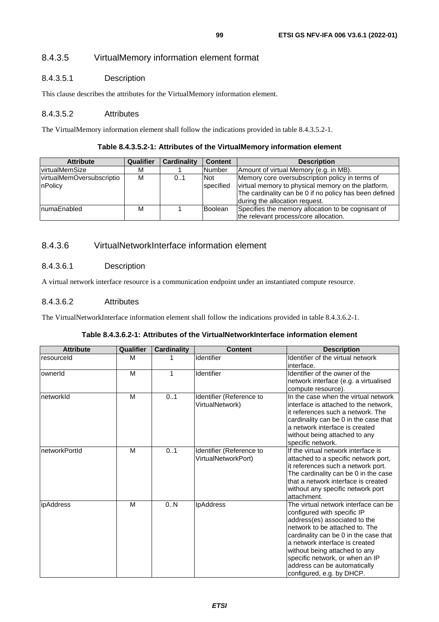# 8.4.3.5 VirtualMemory information element format

# 8.4.3.5.1 Description

This clause describes the attributes for the VirtualMemory information element.

### 8.4.3.5.2 Attributes

The VirtualMemory information element shall follow the indications provided in table 8.4.3.5.2-1.

### **Table 8.4.3.5.2-1: Attributes of the VirtualMemory information element**

| <b>Attribute</b>          | <b>Qualifier</b> | <b>Cardinality</b> | <b>Content</b> | <b>Description</b>                                     |
|---------------------------|------------------|--------------------|----------------|--------------------------------------------------------|
| <b>virtualMemSize</b>     | м                |                    | <b>Number</b>  | Amount of virtual Memory (e.g. in MB).                 |
| virtualMemOversubscriptio | М                | 0.1                | <b>Not</b>     | Memory core oversubscription policy in terms of        |
| nPolicy                   |                  |                    | specified      | virtual memory to physical memory on the platform.     |
|                           |                  |                    |                | The cardinality can be 0 if no policy has been defined |
|                           |                  |                    |                | during the allocation request.                         |
| InumaEnabled              | М                |                    | <b>Boolean</b> | Specifies the memory allocation to be cognisant of     |
|                           |                  |                    |                | the relevant process/core allocation.                  |

# 8.4.3.6 VirtualNetworkInterface information element

## 8.4.3.6.1 Description

A virtual network interface resource is a communication endpoint under an instantiated compute resource.

### 8.4.3.6.2 Attributes

The VirtualNetworkInterface information element shall follow the indications provided in table 8.4.3.6.2-1.

|  |  | Table 8.4.3.6.2-1: Attributes of the VirtualNetworkInterface information element |  |
|--|--|----------------------------------------------------------------------------------|--|
|--|--|----------------------------------------------------------------------------------|--|

| <b>Attribute</b> | Qualifier | <b>Cardinality</b> | <b>Content</b>                                  | <b>Description</b>                                                                                                                                                                                                                                                                                                                                 |
|------------------|-----------|--------------------|-------------------------------------------------|----------------------------------------------------------------------------------------------------------------------------------------------------------------------------------------------------------------------------------------------------------------------------------------------------------------------------------------------------|
| resourceld       | м         |                    | Identifier                                      | Identifier of the virtual network<br>interface.                                                                                                                                                                                                                                                                                                    |
| ownerId          | M         | 1                  | Identifier                                      | Identifier of the owner of the<br>network interface (e.g. a virtualised<br>compute resource).                                                                                                                                                                                                                                                      |
| networkId        | M         | 01                 | Identifier (Reference to<br>VirtualNetwork)     | In the case when the virtual network<br>interface is attached to the network.<br>it references such a network. The<br>cardinality can be 0 in the case that<br>a network interface is created<br>without being attached to any<br>specific network.                                                                                                |
| networkPortId    | M         | 0.1                | Identifier (Reference to<br>VirtualNetworkPort) | If the virtual network interface is<br>attached to a specific network port,<br>it references such a network port.<br>The cardinality can be 0 in the case<br>that a network interface is created<br>without any specific network port<br>attachment.                                                                                               |
| ipAddress        | M         | 0.N                | <b>IpAddress</b>                                | The virtual network interface can be<br>configured with specific IP<br>address(es) associated to the<br>network to be attached to. The<br>cardinality can be 0 in the case that<br>a network interface is created<br>without being attached to any<br>specific network, or when an IP<br>address can be automatically<br>configured, e.g. by DHCP. |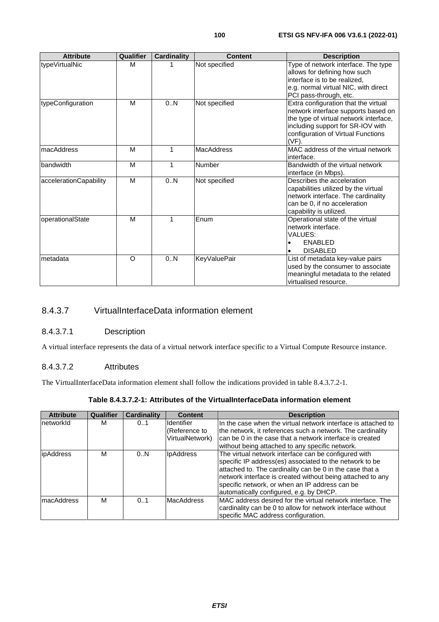| <b>Attribute</b>       | <b>Qualifier</b> | <b>Cardinality</b> | <b>Content</b>      | <b>Description</b>                                                                                                                                                                                           |
|------------------------|------------------|--------------------|---------------------|--------------------------------------------------------------------------------------------------------------------------------------------------------------------------------------------------------------|
| typeVirtualNic         | M                | 1                  | Not specified       | Type of network interface. The type<br>allows for defining how such<br>interface is to be realized,<br>e.g. normal virtual NIC, with direct<br>PCI pass-through, etc.                                        |
| typeConfiguration      | M                | 0.N                | Not specified       | Extra configuration that the virtual<br>network interface supports based on<br>the type of virtual network interface,<br>including support for SR-IOV with<br>configuration of Virtual Functions<br>$(VF)$ . |
| macAddress             | M                | 1                  | <b>MacAddress</b>   | MAC address of the virtual network<br>linterface.                                                                                                                                                            |
| bandwidth              | M                | 1                  | Number              | Bandwidth of the virtual network<br>interface (in Mbps).                                                                                                                                                     |
| accelerationCapability | M                | 0.N                | Not specified       | Describes the acceleration<br>capabilities utilized by the virtual<br>network interface. The cardinality<br>can be 0, if no acceleration<br>capability is utilized.                                          |
| operationalState       | M                | 1                  | Enum                | Operational state of the virtual<br>network interface.<br>VALUES:<br><b>ENABLED</b><br><b>DISABLED</b>                                                                                                       |
| metadata               | O                | 0N                 | <b>KeyValuePair</b> | List of metadata key-value pairs<br>used by the consumer to associate<br>meaningful metadata to the related<br>virtualised resource.                                                                         |

# 8.4.3.7 VirtualInterfaceData information element

# 8.4.3.7.1 Description

A virtual interface represents the data of a virtual network interface specific to a Virtual Compute Resource instance.

# 8.4.3.7.2 Attributes

The VirtualInterfaceData information element shall follow the indications provided in table 8.4.3.7.2-1.

| <b>Attribute</b>  | Qualifier | <b>Cardinality</b> | <b>Content</b>    | <b>Description</b>                                            |
|-------------------|-----------|--------------------|-------------------|---------------------------------------------------------------|
| networkId         | м         | 0.1                | Identifier        | In the case when the virtual network interface is attached to |
|                   |           |                    | (Reference to     | the network, it references such a network. The cardinality    |
|                   |           |                    | VirtualNetwork)   | Ican be 0 in the case that a network interface is created     |
|                   |           |                    |                   | without being attached to any specific network.               |
| <i>ipAddress</i>  | М         | 0.N                | <b>IpAddress</b>  | The virtual network interface can be configured with          |
|                   |           |                    |                   | specific IP address(es) associated to the network to be       |
|                   |           |                    |                   | attached to. The cardinality can be 0 in the case that a      |
|                   |           |                    |                   | network interface is created without being attached to any    |
|                   |           |                    |                   | specific network, or when an IP address can be                |
|                   |           |                    |                   | automatically configured, e.g. by DHCP.                       |
| <b>macAddress</b> | м         | 0.1                | <b>MacAddress</b> | MAC address desired for the virtual network interface. The    |
|                   |           |                    |                   | cardinality can be 0 to allow for network interface without   |
|                   |           |                    |                   | specific MAC address configuration.                           |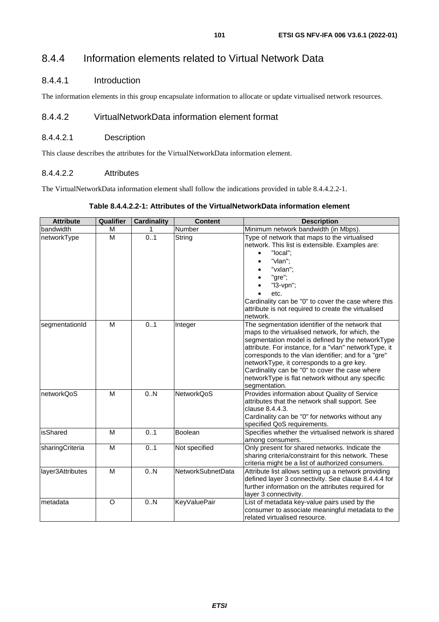# 8.4.4 Information elements related to Virtual Network Data

# 8.4.4.1 Introduction

The information elements in this group encapsulate information to allocate or update virtualised network resources.

# 8.4.4.2 VirtualNetworkData information element format

## 8.4.4.2.1 Description

This clause describes the attributes for the VirtualNetworkData information element.

## 8.4.4.2.2 Attributes

The VirtualNetworkData information element shall follow the indications provided in table 8.4.4.2.2-1.

## **Table 8.4.4.2.2-1: Attributes of the VirtualNetworkData information element**

| <b>Attribute</b> | Qualifier | <b>Cardinality</b> | <b>Content</b>    | <b>Description</b>                                                                                                                                                                                                                                                                                                                                                                                                                         |
|------------------|-----------|--------------------|-------------------|--------------------------------------------------------------------------------------------------------------------------------------------------------------------------------------------------------------------------------------------------------------------------------------------------------------------------------------------------------------------------------------------------------------------------------------------|
| bandwidth        | м         | 1                  | Number            | Minimum network bandwidth (in Mbps).                                                                                                                                                                                                                                                                                                                                                                                                       |
| networkType      | M         | 0.1                | String            | Type of network that maps to the virtualised<br>network. This list is extensible. Examples are:<br>"local";<br>"vlan";<br>"vxlan";<br>"gre";<br>"I3-vpn";<br>etc.<br>Cardinality can be "0" to cover the case where this<br>attribute is not required to create the virtualised<br>network.                                                                                                                                                |
| segmentationId   | M         | 0.1                | Integer           | The segmentation identifier of the network that<br>maps to the virtualised network, for which, the<br>segmentation model is defined by the networkType<br>attribute. For instance, for a "vlan" networkType, it<br>corresponds to the vlan identifier; and for a "gre"<br>networkType, it corresponds to a gre key.<br>Cardinality can be "0" to cover the case where<br>networkType is flat network without any specific<br>segmentation. |
| networkQoS       | M         | 0N                 | NetworkQoS        | Provides information about Quality of Service<br>attributes that the network shall support. See<br>clause 8.4.4.3.<br>Cardinality can be "0" for networks without any<br>specified QoS requirements.                                                                                                                                                                                                                                       |
| isShared         | M         | 0.1                | Boolean           | Specifies whether the virtualised network is shared<br>among consumers.                                                                                                                                                                                                                                                                                                                                                                    |
| sharingCriteria  | M         | 0.1                | Not specified     | Only present for shared networks. Indicate the<br>sharing criteria/constraint for this network. These<br>criteria might be a list of authorized consumers.                                                                                                                                                                                                                                                                                 |
| layer3Attributes | M         | 0.N                | NetworkSubnetData | Attribute list allows setting up a network providing<br>defined layer 3 connectivity. See clause 8.4.4.4 for<br>further information on the attributes required for<br>layer 3 connectivity.                                                                                                                                                                                                                                                |
| metadata         | $\circ$   | 0.N                | KeyValuePair      | List of metadata key-value pairs used by the<br>consumer to associate meaningful metadata to the<br>related virtualised resource.                                                                                                                                                                                                                                                                                                          |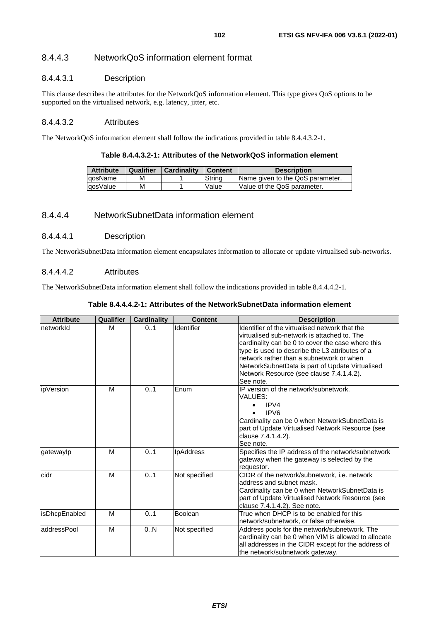# 8.4.4.3 NetworkQoS information element format

### 8.4.4.3.1 Description

This clause describes the attributes for the NetworkQoS information element. This type gives QoS options to be supported on the virtualised network, e.g. latency, jitter, etc.

### 8.4.4.3.2 Attributes

The NetworkQoS information element shall follow the indications provided in table 8.4.4.3.2-1.

#### **Table 8.4.4.3.2-1: Attributes of the NetworkQoS information element**

| <b>Attribute</b> | Qualifier | Cardinality | Content | <b>Description</b>               |
|------------------|-----------|-------------|---------|----------------------------------|
| lgosName         | м         |             | Strina  | Name given to the QoS parameter. |
| lgosValue        | м         |             | Value   | Value of the QoS parameter.      |

## 8.4.4.4 NetworkSubnetData information element

### 8.4.4.4.1 Description

The NetworkSubnetData information element encapsulates information to allocate or update virtualised sub-networks.

### 8.4.4.4.2 Attributes

The NetworkSubnetData information element shall follow the indications provided in table 8.4.4.4.2-1.

| <b>Attribute</b> | Qualifier | <b>Cardinality</b> | <b>Content</b>   | <b>Description</b>                                                                                                                                                                                                                                                                                                                                            |
|------------------|-----------|--------------------|------------------|---------------------------------------------------------------------------------------------------------------------------------------------------------------------------------------------------------------------------------------------------------------------------------------------------------------------------------------------------------------|
| networkId        | м         | 0.1                | Identifier       | Identifier of the virtualised network that the<br>virtualised sub-network is attached to. The<br>cardinality can be 0 to cover the case where this<br>type is used to describe the L3 attributes of a<br>network rather than a subnetwork or when<br>NetworkSubnetData is part of Update Virtualised<br>Network Resource (see clause 7.4.1.4.2).<br>See note. |
| ipVersion        | M         | 01                 | Enum             | IP version of the network/subnetwork.<br>VALUES:<br>IPVA<br>$\bullet$<br>IPV <sub>6</sub><br>Cardinality can be 0 when NetworkSubnetData is<br>part of Update Virtualised Network Resource (see<br>clause 7.4.1.4.2).<br>See note.                                                                                                                            |
| gatewaylp        | M         | 01                 | <b>IpAddress</b> | Specifies the IP address of the network/subnetwork<br>gateway when the gateway is selected by the<br>requestor.                                                                                                                                                                                                                                               |
| cidr             | M         | 0.1                | Not specified    | CIDR of the network/subnetwork, i.e. network<br>address and subnet mask.<br>Cardinality can be 0 when NetworkSubnetData is<br>part of Update Virtualised Network Resource (see<br>clause 7.4.1.4.2). See note.                                                                                                                                                |
| isDhcpEnabled    | M         | 01                 | Boolean          | True when DHCP is to be enabled for this<br>network/subnetwork, or false otherwise.                                                                                                                                                                                                                                                                           |
| addressPool      | M         | 0.N                | Not specified    | Address pools for the network/subnetwork. The<br>cardinality can be 0 when VIM is allowed to allocate<br>all addresses in the CIDR except for the address of<br>the network/subnetwork gateway.                                                                                                                                                               |

#### **Table 8.4.4.4.2-1: Attributes of the NetworkSubnetData information element**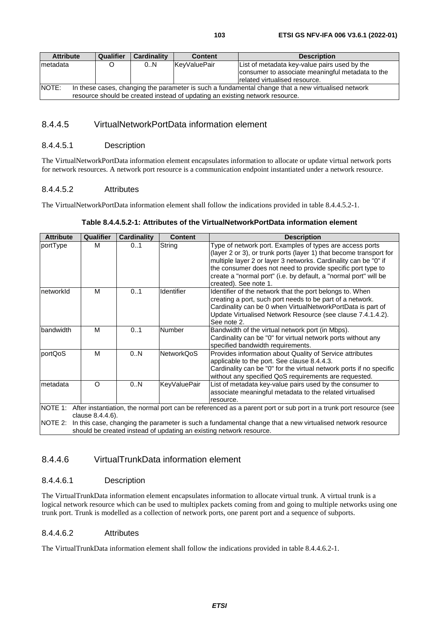# 8.4.4.5 VirtualNetworkPortData information element

### 8.4.4.5.1 Description

The VirtualNetworkPortData information element encapsulates information to allocate or update virtual network ports for network resources. A network port resource is a communication endpoint instantiated under a network resource.

## 8.4.4.5.2 Attributes

The VirtualNetworkPortData information element shall follow the indications provided in table 8.4.4.5.2-1.

| <b>Attribute</b> | Qualifier                                                                                                                                     | Cardinality | <b>Content</b>      | <b>Description</b>                                                                                                                                                                                                                                                                                                                                            |  |  |
|------------------|-----------------------------------------------------------------------------------------------------------------------------------------------|-------------|---------------------|---------------------------------------------------------------------------------------------------------------------------------------------------------------------------------------------------------------------------------------------------------------------------------------------------------------------------------------------------------------|--|--|
| portType         | м                                                                                                                                             | 01          | String              | Type of network port. Examples of types are access ports<br>(layer 2 or 3), or trunk ports (layer 1) that become transport for<br>multiple layer 2 or layer 3 networks. Cardinality can be "0" if<br>the consumer does not need to provide specific port type to<br>create a "normal port" (i.e. by default, a "normal port" will be<br>created). See note 1. |  |  |
| networkId        | м                                                                                                                                             | 01          | Identifier          | Identifier of the network that the port belongs to. When<br>creating a port, such port needs to be part of a network.<br>Cardinality can be 0 when VirtualNetworkPortData is part of<br>Update Virtualised Network Resource (see clause 7.4.1.4.2).<br>See note 2.                                                                                            |  |  |
| bandwidth        | M                                                                                                                                             | 01          | <b>Number</b>       | Bandwidth of the virtual network port (in Mbps).<br>Cardinality can be "0" for virtual network ports without any<br>specified bandwidth requirements.                                                                                                                                                                                                         |  |  |
| portQoS          | M                                                                                                                                             | 0.N         | <b>NetworkQoS</b>   | Provides information about Quality of Service attributes<br>applicable to the port. See clause 8.4.4.3.<br>Cardinality can be "0" for the virtual network ports if no specific<br>without any specified QoS requirements are requested.                                                                                                                       |  |  |
| metadata         | $\Omega$                                                                                                                                      | 0.N         | <b>KeyValuePair</b> | List of metadata key-value pairs used by the consumer to<br>associate meaningful metadata to the related virtualised<br>resource.                                                                                                                                                                                                                             |  |  |
|                  | NOTE 1: After instantiation, the normal port can be referenced as a parent port or sub port in a trunk port resource (see<br>clause 8.4.4.6). |             |                     |                                                                                                                                                                                                                                                                                                                                                               |  |  |
| INOTE 2:         | In this case, changing the parameter is such a fundamental change that a new virtualised network resource                                     |             |                     |                                                                                                                                                                                                                                                                                                                                                               |  |  |
|                  | should be created instead of updating an existing network resource.                                                                           |             |                     |                                                                                                                                                                                                                                                                                                                                                               |  |  |

# 8.4.4.6 VirtualTrunkData information element

# 8.4.4.6.1 Description

The VirtualTrunkData information element encapsulates information to allocate virtual trunk. A virtual trunk is a logical network resource which can be used to multiplex packets coming from and going to multiple networks using one trunk port. Trunk is modelled as a collection of network ports, one parent port and a sequence of subports.

### 8.4.4.6.2 Attributes

The VirtualTrunkData information element shall follow the indications provided in table 8.4.4.6.2-1.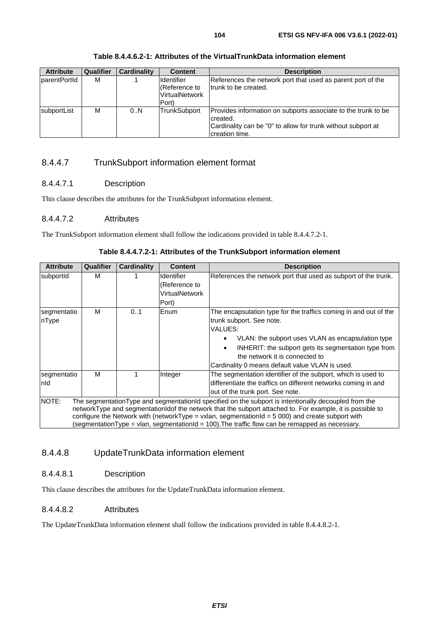creation time.

### **Table 8.4.4.6.2-1: Attributes of the VirtualTrunkData information element**

# 8.4.4.7 TrunkSubport information element format

## 8.4.4.7.1 Description

This clause describes the attributes for the TrunkSubport information element.

## 8.4.4.7.2 Attributes

The TrunkSubport information element shall follow the indications provided in table 8.4.4.7.2-1.

| <b>Attribute</b>                                                                               | Qualifier | <b>Cardinality</b> | <b>Content</b>    | <b>Description</b>                                                                                        |  |  |
|------------------------------------------------------------------------------------------------|-----------|--------------------|-------------------|-----------------------------------------------------------------------------------------------------------|--|--|
| subportId                                                                                      | м         |                    | <b>Identifier</b> | References the network port that used as subport of the trunk.                                            |  |  |
|                                                                                                |           |                    | (Reference to     |                                                                                                           |  |  |
|                                                                                                |           |                    | VirtualNetwork    |                                                                                                           |  |  |
|                                                                                                |           |                    | Port)             |                                                                                                           |  |  |
| segmentatio                                                                                    | м         | 0.1                | Enum              | The encapsulation type for the traffics coming in and out of the                                          |  |  |
| nType                                                                                          |           |                    |                   | trunk subport. See note.                                                                                  |  |  |
|                                                                                                |           |                    |                   | VALUES:                                                                                                   |  |  |
|                                                                                                |           |                    |                   | VLAN: the subport uses VLAN as encapsulation type                                                         |  |  |
|                                                                                                |           |                    |                   | INHERIT: the subport gets its segmentation type from<br>٠                                                 |  |  |
|                                                                                                |           |                    |                   | the network it is connected to                                                                            |  |  |
|                                                                                                |           |                    |                   | Cardinality 0 means default value VLAN is used.                                                           |  |  |
| segmentatio                                                                                    | М         |                    | Integer           | The segmentation identifier of the subport, which is used to                                              |  |  |
| Inld                                                                                           |           |                    |                   | differentiate the traffics on different networks coming in and                                            |  |  |
|                                                                                                |           |                    |                   | out of the trunk port. See note.                                                                          |  |  |
| NOTE:                                                                                          |           |                    |                   | The segmentation Type and segmentationId specified on the subport is intentionally decoupled from the     |  |  |
|                                                                                                |           |                    |                   | networkType and segmentationIdof the network that the subport attached to. For example, it is possible to |  |  |
|                                                                                                |           |                    |                   | configure the Network with (networkType = vxlan, segmentationId = $5000$ ) and create subport with        |  |  |
| (segmentationType = vlan, segmentationId = 100).The traffic flow can be remapped as necessary. |           |                    |                   |                                                                                                           |  |  |

## **Table 8.4.4.7.2-1: Attributes of the TrunkSubport information element**

# 8.4.4.8 UpdateTrunkData information element

# 8.4.4.8.1 Description

This clause describes the attributes for the UpdateTrunkData information element.

### 8.4.4.8.2 Attributes

The UpdateTrunkData information element shall follow the indications provided in table 8.4.4.8.2-1.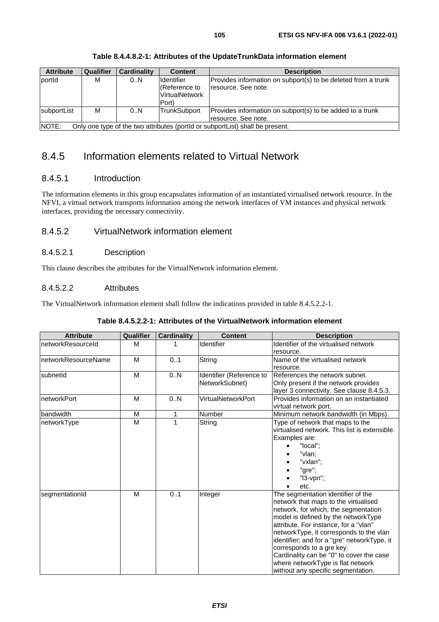| <b>Attribute</b>                                                                       | <b>Qualifier</b> | <b>Cardinality</b> | <b>Content</b>                                                        | <b>Description</b>                                                                    |  |
|----------------------------------------------------------------------------------------|------------------|--------------------|-----------------------------------------------------------------------|---------------------------------------------------------------------------------------|--|
| portid                                                                                 | М                | 0N                 | <b>I</b> dentifier<br>(Reference to<br><b>VirtualNetwork</b><br>Port) | Provides information on subport(s) to be deleted from a trunk<br>Iresource. See note. |  |
| subportList                                                                            | М                | 0.N                | TrunkSubport                                                          | Provides information on subport(s) to be added to a trunk<br>resource. See note.      |  |
| NOTE:<br>Only one type of the two attributes (portId or subportList) shall be present. |                  |                    |                                                                       |                                                                                       |  |

### **Table 8.4.4.8.2-1: Attributes of the UpdateTrunkData information element**

# 8.4.5 Information elements related to Virtual Network

# 8.4.5.1 Introduction

The information elements in this group encapsulates information of an instantiated virtualised network resource. In the NFVI, a virtual network transports information among the network interfaces of VM instances and physical network interfaces, providing the necessary connectivity.

# 8.4.5.2 VirtualNetwork information element

### 8.4.5.2.1 Description

This clause describes the attributes for the VirtualNetwork information element.

### 8.4.5.2.2 Attributes

The VirtualNetwork information element shall follow the indications provided in table 8.4.5.2.2-1.

|  | Table 8.4.5.2.2-1: Attributes of the VirtualNetwork information element |
|--|-------------------------------------------------------------------------|
|--|-------------------------------------------------------------------------|

| <b>Attribute</b>     | Qualifier | <b>Cardinality</b> | <b>Content</b>            | <b>Description</b>                            |
|----------------------|-----------|--------------------|---------------------------|-----------------------------------------------|
| networkResourceId    | M         | 1                  | Identifier                | Identifier of the virtualised network         |
|                      |           |                    |                           | resource.                                     |
| InetworkResourceName | M         | 0.1                | String                    | Name of the virtualised network               |
|                      |           |                    |                           | resource.                                     |
| <b>IsubnetId</b>     | M         | 0.N                | Identifier (Reference to  | References the network subnet.                |
|                      |           |                    | NetworkSubnet)            | Only present if the network provides          |
|                      |           |                    |                           | layer 3 connectivity. See clause 8.4.5.3.     |
| networkPort          | M         | 0N                 | <b>VirtualNetworkPort</b> | Provides information on an instantiated       |
|                      |           |                    |                           | virtual network port.                         |
| bandwidth            | M         | 1                  | Number                    | Minimum network bandwidth (in Mbps).          |
| networkType          | M         | 1                  | String                    | Type of network that maps to the              |
|                      |           |                    |                           | virtualised network. This list is extensible. |
|                      |           |                    |                           | Examples are:                                 |
|                      |           |                    |                           | "local";                                      |
|                      |           |                    |                           | "vlan;                                        |
|                      |           |                    |                           | "vxlan";                                      |
|                      |           |                    |                           | "gre";                                        |
|                      |           |                    |                           | "I3-vpn";                                     |
|                      |           |                    |                           | etc.                                          |
| segmentationId       | M         | 0.1                | Integer                   | The segmentation identifier of the            |
|                      |           |                    |                           | network that maps to the virtualised          |
|                      |           |                    |                           | network, for which, the segmentation          |
|                      |           |                    |                           | model is defined by the networkType           |
|                      |           |                    |                           | attribute. For instance, for a "vlan"         |
|                      |           |                    |                           | networkType, it corresponds to the vlan       |
|                      |           |                    |                           | identifier; and for a "gre" networkType, it   |
|                      |           |                    |                           | corresponds to a gre key.                     |
|                      |           |                    |                           | Cardinality can be "0" to cover the case      |
|                      |           |                    |                           | where networkType is flat network             |
|                      |           |                    |                           | without any specific segmentation.            |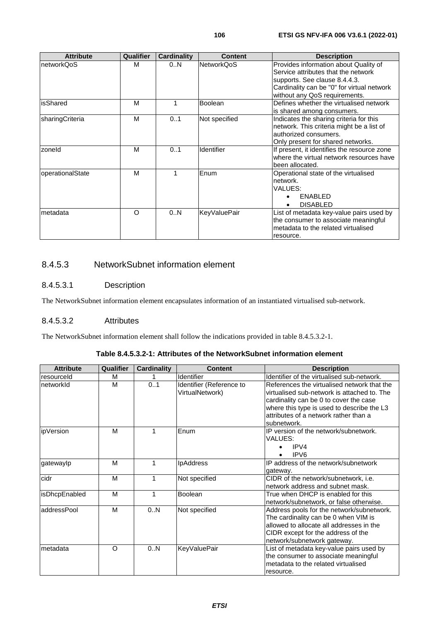| <b>Attribute</b> | Qualifier | <b>Cardinality</b> | <b>Content</b>      | <b>Description</b>                                                           |
|------------------|-----------|--------------------|---------------------|------------------------------------------------------------------------------|
| networkQoS       | м         | 0N                 | <b>NetworkQoS</b>   | Provides information about Quality of<br>Service attributes that the network |
|                  |           |                    |                     | supports. See clause 8.4.4.3.                                                |
|                  |           |                    |                     | Cardinality can be "0" for virtual network                                   |
|                  |           |                    |                     | without any QoS requirements.                                                |
| isShared         | М         |                    | <b>Boolean</b>      | Defines whether the virtualised network                                      |
|                  |           |                    |                     | is shared among consumers.                                                   |
| sharingCriteria  | M         | 01                 | Not specified       | Indicates the sharing criteria for this                                      |
|                  |           |                    |                     | network. This criteria might be a list of                                    |
|                  |           |                    |                     | authorized consumers.                                                        |
|                  |           |                    |                     | Only present for shared networks.                                            |
| zoneld           | М         | 01                 | Identifier          | If present, it identifies the resource zone                                  |
|                  |           |                    |                     | where the virtual network resources have                                     |
|                  |           |                    |                     | been allocated.                                                              |
| operationalState | М         | 1                  | Enum                | Operational state of the virtualised                                         |
|                  |           |                    |                     | network.                                                                     |
|                  |           |                    |                     | VALUES:                                                                      |
|                  |           |                    |                     | ENABLED                                                                      |
|                  |           |                    |                     | <b>DISABLED</b>                                                              |
| metadata         | O         | 0.N                | <b>KeyValuePair</b> | List of metadata key-value pairs used by                                     |
|                  |           |                    |                     | the consumer to associate meaningful                                         |
|                  |           |                    |                     | metadata to the related virtualised                                          |
|                  |           |                    |                     | resource.                                                                    |

# 8.4.5.3 NetworkSubnet information element

## 8.4.5.3.1 Description

The NetworkSubnet information element encapsulates information of an instantiated virtualised sub-network.

## 8.4.5.3.2 Attributes

The NetworkSubnet information element shall follow the indications provided in table 8.4.5.3.2-1.

| <b>Attribute</b>      | Qualifier | <b>Cardinality</b> | <b>Content</b>           | <b>Description</b>                          |
|-----------------------|-----------|--------------------|--------------------------|---------------------------------------------|
| Iresourceld           | M         |                    | Identifier               | Identifier of the virtualised sub-network.  |
| InetworkId            | М         | 01                 | Identifier (Reference to | References the virtualised network that the |
|                       |           |                    | VirtualNetwork)          | virtualised sub-network is attached to. The |
|                       |           |                    |                          | cardinality can be 0 to cover the case      |
|                       |           |                    |                          | where this type is used to describe the L3  |
|                       |           |                    |                          | attributes of a network rather than a       |
|                       |           |                    |                          | subnetwork.                                 |
| lipVersion            | M         |                    | Enum                     | IP version of the network/subnetwork.       |
|                       |           |                    |                          | VALUES:                                     |
|                       |           |                    |                          | IPV4                                        |
|                       |           |                    |                          | IPV <sub>6</sub>                            |
| gatewaylp             | M         | 1                  | <b>IpAddress</b>         | IP address of the network/subnetwork        |
|                       |           |                    |                          | gateway.                                    |
| cidr                  | M         | 1                  | Not specified            | CIDR of the network/subnetwork, i.e.        |
|                       |           |                    |                          | network address and subnet mask.            |
| <b>lisDhcpEnabled</b> | M         | 1                  | <b>Boolean</b>           | True when DHCP is enabled for this          |
|                       |           |                    |                          | network/subnetwork, or false otherwise.     |
| laddressPool          | M         | 0.N                | Not specified            | Address pools for the network/subnetwork.   |
|                       |           |                    |                          | The cardinality can be 0 when VIM is        |
|                       |           |                    |                          | allowed to allocate all addresses in the    |
|                       |           |                    |                          | CIDR except for the address of the          |
|                       |           |                    |                          | network/subnetwork gateway.                 |
| Imetadata             | O         | 0N                 | <b>KeyValuePair</b>      | List of metadata key-value pairs used by    |
|                       |           |                    |                          | the consumer to associate meaningful        |
|                       |           |                    |                          | metadata to the related virtualised         |
|                       |           |                    |                          | resource.                                   |

# **Table 8.4.5.3.2-1: Attributes of the NetworkSubnet information element**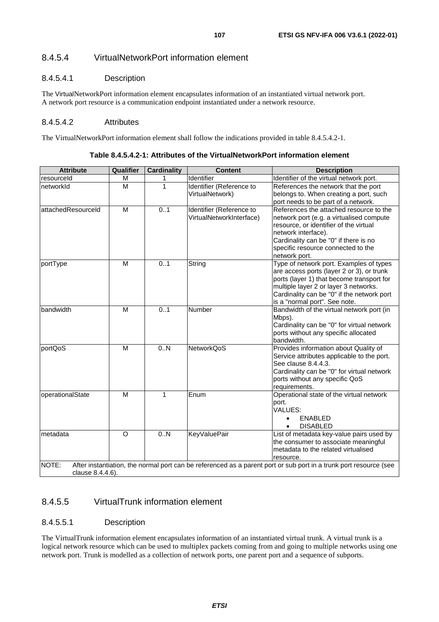# 8.4.5.4.1 Description

The VirtualNetworkPort information element encapsulates information of an instantiated virtual network port. A network port resource is a communication endpoint instantiated under a network resource.

### 8.4.5.4.2 Attributes

The VirtualNetworkPort information element shall follow the indications provided in table 8.4.5.4.2-1.

| <b>Attribute</b>                                                                                                                               | <b>Qualifier</b> | <b>Cardinality</b> | <b>Content</b>                                       | <b>Description</b>                                                                                                                                                                                                                                        |  |
|------------------------------------------------------------------------------------------------------------------------------------------------|------------------|--------------------|------------------------------------------------------|-----------------------------------------------------------------------------------------------------------------------------------------------------------------------------------------------------------------------------------------------------------|--|
| resourceld                                                                                                                                     | M                |                    | Identifier                                           | Identifier of the virtual network port.                                                                                                                                                                                                                   |  |
| networkId                                                                                                                                      | M                | 1                  | Identifier (Reference to<br>VirtualNetwork)          | References the network that the port<br>belongs to. When creating a port, such<br>port needs to be part of a network.                                                                                                                                     |  |
| attachedResourceId                                                                                                                             | M                | 0.1                | Identifier (Reference to<br>VirtualNetworkInterface) | References the attached resource to the<br>network port (e.g. a virtualised compute<br>resource, or identifier of the virtual<br>network interface).<br>Cardinality can be "0" if there is no<br>specific resource connected to the<br>network port.      |  |
| portType                                                                                                                                       | M                | 0.1                | String                                               | Type of network port. Examples of types<br>are access ports (layer 2 or 3), or trunk<br>ports (layer 1) that become transport for<br>multiple layer 2 or layer 3 networks.<br>Cardinality can be "0" if the network port<br>is a "normal port". See note. |  |
| bandwidth                                                                                                                                      | M                | 0.1                | Number                                               | Bandwidth of the virtual network port (in<br>Mbps).<br>Cardinality can be "0" for virtual network<br>ports without any specific allocated<br>bandwidth.                                                                                                   |  |
| portQoS                                                                                                                                        | M                | $\overline{0.N}$   | <b>NetworkQoS</b>                                    | Provides information about Quality of<br>Service attributes applicable to the port.<br>See clause 8.4.4.3.<br>Cardinality can be "0" for virtual network<br>ports without any specific QoS<br>requirements.                                               |  |
| operationalState                                                                                                                               | M                | 1                  | Enum                                                 | Operational state of the virtual network<br>port.<br>VALUES:<br><b>ENABLED</b><br>$\bullet$<br><b>DISABLED</b><br>$\bullet$                                                                                                                               |  |
| metadata                                                                                                                                       | $\circ$          | 0N                 | <b>KeyValuePair</b>                                  | List of metadata key-value pairs used by<br>the consumer to associate meaningful<br>metadata to the related virtualised<br>resource.                                                                                                                      |  |
| NOTE:<br>After instantiation, the normal port can be referenced as a parent port or sub port in a trunk port resource (see<br>clause 8.4.4.6). |                  |                    |                                                      |                                                                                                                                                                                                                                                           |  |

**Table 8.4.5.4.2-1: Attributes of the VirtualNetworkPort information element** 

# 8.4.5.5 VirtualTrunk information element

### 8.4.5.5.1 Description

The VirtualTrunk information element encapsulates information of an instantiated virtual trunk. A virtual trunk is a logical network resource which can be used to multiplex packets coming from and going to multiple networks using one network port. Trunk is modelled as a collection of network ports, one parent port and a sequence of subports.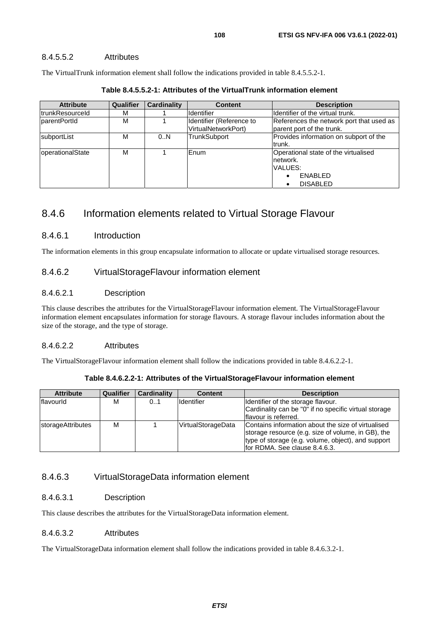## 8.4.5.5.2 Attributes

The VirtualTrunk information element shall follow the indications provided in table 8.4.5.5.2-1.

| <b>Attribute</b> | <b>Qualifier</b> | <b>Cardinality</b> | <b>Content</b>                                  | <b>Description</b>                                                                        |
|------------------|------------------|--------------------|-------------------------------------------------|-------------------------------------------------------------------------------------------|
| ItrunkResourceId | м                |                    | <b>Identifier</b>                               | Identifier of the virtual trunk.                                                          |
| parentPortId     | M                |                    | Identifier (Reference to<br>VirtualNetworkPort) | References the network port that used as<br>parent port of the trunk.                     |
| subportList      | М                | 0.N                | <b>TrunkSubport</b>                             | Provides information on subport of the<br>ltrunk.                                         |
| operationalState | M                |                    | Enum                                            | Operational state of the virtualised<br>network.<br>VALUES:<br>ENABLED<br><b>DISABLED</b> |

**Table 8.4.5.5.2-1: Attributes of the VirtualTrunk information element** 

# 8.4.6 Information elements related to Virtual Storage Flavour

# 8.4.6.1 Introduction

The information elements in this group encapsulate information to allocate or update virtualised storage resources.

# 8.4.6.2 VirtualStorageFlavour information element

# 8.4.6.2.1 Description

This clause describes the attributes for the VirtualStorageFlavour information element. The VirtualStorageFlavour information element encapsulates information for storage flavours. A storage flavour includes information about the size of the storage, and the type of storage.

# 8.4.6.2.2 Attributes

The VirtualStorageFlavour information element shall follow the indications provided in table 8.4.6.2.2-1.

| <b>Attribute</b>  | <b>Qualifier</b> | <b>Cardinality</b> | <b>Content</b>     | <b>Description</b>                                                                                                                                                                              |
|-------------------|------------------|--------------------|--------------------|-------------------------------------------------------------------------------------------------------------------------------------------------------------------------------------------------|
| <b>Iflavourid</b> | м                | 01                 | Identifier         | Identifier of the storage flavour.<br>Cardinality can be "0" if no specific virtual storage<br>Iflavour is referred.                                                                            |
| storageAttributes | м                |                    | VirtualStorageData | Contains information about the size of virtualised<br>storage resource (e.g. size of volume, in GB), the<br>type of storage (e.g. volume, object), and support<br>for RDMA. See clause 8.4.6.3. |

**Table 8.4.6.2.2-1: Attributes of the VirtualStorageFlavour information element** 

# 8.4.6.3 VirtualStorageData information element

# 8.4.6.3.1 Description

This clause describes the attributes for the VirtualStorageData information element.

### 8.4.6.3.2 Attributes

The VirtualStorageData information element shall follow the indications provided in table 8.4.6.3.2-1.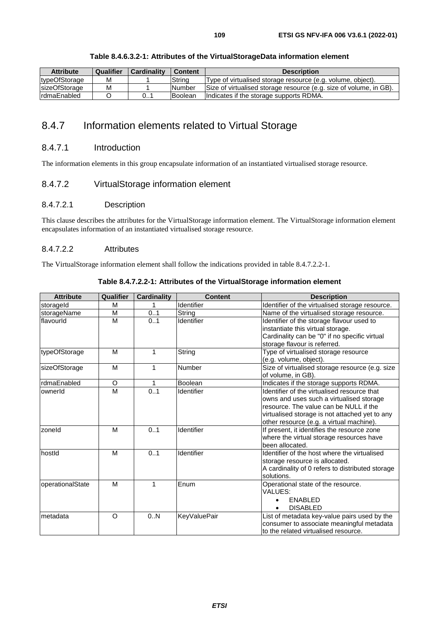| <b>Attribute</b>     | Qualifier | Cardinality | <b>Content</b> | <b>Description</b>                                                 |
|----------------------|-----------|-------------|----------------|--------------------------------------------------------------------|
| typeOfStorage        | M         |             | Strina         | Type of virtualised storage resource (e.g. volume, object).        |
| <b>sizeOfStorage</b> | M         |             | <b>Number</b>  | Size of virtualised storage resource (e.g. size of volume, in GB). |
| IrdmaEnabled         |           | 0           | <b>Boolean</b> | Indicates if the storage supports RDMA.                            |

#### **Table 8.4.6.3.2-1: Attributes of the VirtualStorageData information element**

# 8.4.7 Information elements related to Virtual Storage

#### 8.4.7.1 Introduction

The information elements in this group encapsulate information of an instantiated virtualised storage resource.

#### 8.4.7.2 VirtualStorage information element

#### 8.4.7.2.1 Description

This clause describes the attributes for the VirtualStorage information element. The VirtualStorage information element encapsulates information of an instantiated virtualised storage resource.

#### 8.4.7.2.2 Attributes

The VirtualStorage information element shall follow the indications provided in table 8.4.7.2.2-1.

| <b>Attribute</b> | Qualifier | <b>Cardinality</b> | <b>Content</b>      | <b>Description</b>                               |
|------------------|-----------|--------------------|---------------------|--------------------------------------------------|
| storageld        | M         |                    | Identifier          | Identifier of the virtualised storage resource.  |
| storageName      | M         | 0.1                | String              | Name of the virtualised storage resource.        |
| flavourld        | M         | 0.1                | Identifier          | Identifier of the storage flavour used to        |
|                  |           |                    |                     | instantiate this virtual storage.                |
|                  |           |                    |                     | Cardinality can be "0" if no specific virtual    |
|                  |           |                    |                     | storage flavour is referred.                     |
| typeOfStorage    | M         | 1                  | String              | Type of virtualised storage resource             |
|                  |           |                    |                     | (e.g. volume, object).                           |
| sizeOfStorage    | M         | 1                  | Number              | Size of virtualised storage resource (e.g. size  |
|                  |           |                    |                     | of volume, in GB).                               |
| rdmaEnabled      | $\circ$   | 1                  | Boolean             | Indicates if the storage supports RDMA.          |
| ownerld          | M         | 0.1                | Identifier          | Identifier of the virtualised resource that      |
|                  |           |                    |                     | owns and uses such a virtualised storage         |
|                  |           |                    |                     | resource. The value can be NULL if the           |
|                  |           |                    |                     | virtualised storage is not attached yet to any   |
|                  |           |                    |                     | other resource (e.g. a virtual machine).         |
| zoneld           | M         | 0.1                | Identifier          | If present, it identifies the resource zone      |
|                  |           |                    |                     | where the virtual storage resources have         |
|                  |           |                    |                     | been allocated.                                  |
| hostid           | M         | 0.1                | Identifier          | Identifier of the host where the virtualised     |
|                  |           |                    |                     | storage resource is allocated.                   |
|                  |           |                    |                     | A cardinality of 0 refers to distributed storage |
|                  |           |                    |                     | solutions.                                       |
| operationalState | M         | 1                  | Enum                | Operational state of the resource.               |
|                  |           |                    |                     | VALUES:                                          |
|                  |           |                    |                     | <b>ENABLED</b>                                   |
|                  |           |                    |                     | <b>DISABLED</b><br>$\bullet$                     |
| Imetadata        | O         | 0.N                | <b>KeyValuePair</b> | List of metadata key-value pairs used by the     |
|                  |           |                    |                     | consumer to associate meaningful metadata        |
|                  |           |                    |                     | to the related virtualised resource.             |

**Table 8.4.7.2.2-1: Attributes of the VirtualStorage information element**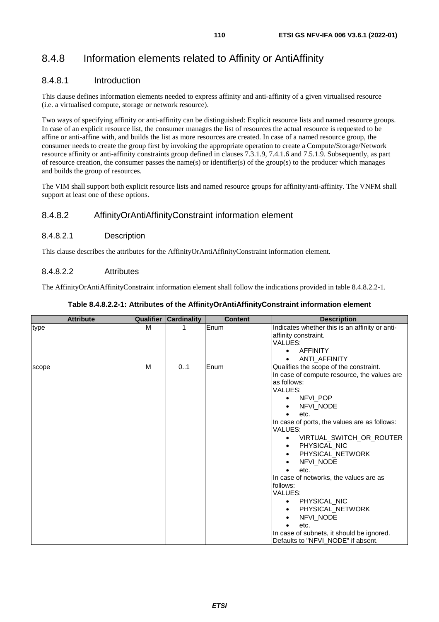# 8.4.8 Information elements related to Affinity or AntiAffinity

### 8.4.8.1 Introduction

This clause defines information elements needed to express affinity and anti-affinity of a given virtualised resource (i.e. a virtualised compute, storage or network resource).

Two ways of specifying affinity or anti-affinity can be distinguished: Explicit resource lists and named resource groups. In case of an explicit resource list, the consumer manages the list of resources the actual resource is requested to be affine or anti-affine with, and builds the list as more resources are created. In case of a named resource group, the consumer needs to create the group first by invoking the appropriate operation to create a Compute/Storage/Network resource affinity or anti-affinity constraints group defined in clauses 7.3.1.9, 7.4.1.6 and 7.5.1.9. Subsequently, as part of resource creation, the consumer passes the name(s) or identifier(s) of the group(s) to the producer which manages and builds the group of resources.

The VIM shall support both explicit resource lists and named resource groups for affinity/anti-affinity. The VNFM shall support at least one of these options.

#### 8.4.8.2 AffinityOrAntiAffinityConstraint information element

#### 8.4.8.2.1 Description

This clause describes the attributes for the AffinityOrAntiAffinityConstraint information element.

#### 8.4.8.2.2 Attributes

The AffinityOrAntiAffinityConstraint information element shall follow the indications provided in table 8.4.8.2.2-1.

| <b>Attribute</b> |   | <b>Qualifier Cardinality</b> | <b>Content</b> | <b>Description</b>                                                                                                                                                                                                                                                                                                                                                                                                                                                                                                                                            |
|------------------|---|------------------------------|----------------|---------------------------------------------------------------------------------------------------------------------------------------------------------------------------------------------------------------------------------------------------------------------------------------------------------------------------------------------------------------------------------------------------------------------------------------------------------------------------------------------------------------------------------------------------------------|
| type             | м |                              | Enum           | Indicates whether this is an affinity or anti-<br>affinity constraint.<br>VALUES:                                                                                                                                                                                                                                                                                                                                                                                                                                                                             |
|                  |   |                              |                | <b>AFFINITY</b><br>ANTI_AFFINITY                                                                                                                                                                                                                                                                                                                                                                                                                                                                                                                              |
| scope            | M | 0.1                          | Enum           | Qualifies the scope of the constraint.<br>In case of compute resource, the values are<br>as follows:<br>VALUES:<br>NFVI POP<br>NFVI NODE<br>etc.<br>In case of ports, the values are as follows:<br>VALUES:<br>VIRTUAL_SWITCH_OR_ROUTER<br>PHYSICAL_NIC<br>$\bullet$<br>PHYSICAL_NETWORK<br>٠<br>NFVI NODE<br>etc.<br>$\bullet$<br>In case of networks, the values are as<br>follows:<br>VALUES:<br>PHYSICAL_NIC<br>٠<br>PHYSICAL_NETWORK<br>٠<br><b>NFVI NODE</b><br>etc.<br>In case of subnets, it should be ignored.<br>Defaults to "NFVI_NODE" if absent. |

#### **Table 8.4.8.2.2-1: Attributes of the AffinityOrAntiAffinityConstraint information element**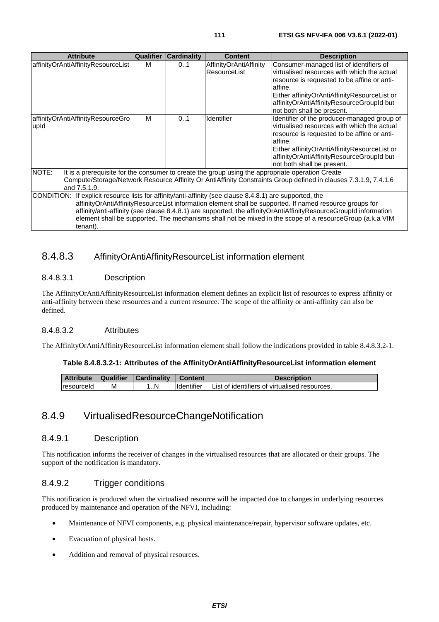| <b>Attribute</b>                          | <b>Qualifier</b> | <b>Cardinality</b> | <b>Content</b>                                                                                | <b>Description</b>                                                                                                                                                                                                                                                                                                                      |
|-------------------------------------------|------------------|--------------------|-----------------------------------------------------------------------------------------------|-----------------------------------------------------------------------------------------------------------------------------------------------------------------------------------------------------------------------------------------------------------------------------------------------------------------------------------------|
| affinityOrAntiAffinityResourceList        | M                | 01                 | AffinityOrAntiAffinity<br>ResourceList                                                        | Consumer-managed list of identifiers of<br>virtualised resources with which the actual<br>resource is requested to be affine or anti-<br>affine.<br>Either affinityOrAntiAffinityResourceList or<br>affinityOrAntiAffinityResourceGroupId but<br>not both shall be present.                                                             |
| affinityOrAntiAffinityResourceGro<br>upid | м                | 0.1                | Identifier                                                                                    | Identifier of the producer-managed group of<br>virtualised resources with which the actual<br>resource is requested to be affine or anti-<br>affine.<br>Either affinityOrAntiAffinityResourceList or<br>affinityOrAntiAffinityResourceGroupId but<br>not both shall be present.                                                         |
| NOTE:<br>and 7.5.1.9.                     |                  |                    |                                                                                               | It is a prerequisite for the consumer to create the group using the appropriate operation Create<br>Compute/Storage/Network Resource Affinity Or AntiAffinity Constraints Group defined in clauses 7.3.1.9, 7.4.1.6                                                                                                                     |
| ICONDITION:<br>tenant).                   |                  |                    | If explicit resource lists for affinity/anti-affinity (see clause 8.4.8.1) are supported, the | affinityOrAntiAffinityResourceList information element shall be supported. If named resource groups for<br>affinity/anti-affinity (see clause 8.4.8.1) are supported, the affinityOrAntiAffinityResourceGroupId information<br>element shall be supported. The mechanisms shall not be mixed in the scope of a resourceGroup (a.k.a VIM |

# 8.4.8.3 AffinityOrAntiAffinityResourceList information element

### 8.4.8.3.1 Description

The AffinityOrAntiAffinityResourceList information element defines an explicit list of resources to express affinity or anti-affinity between these resources and a current resource. The scope of the affinity or anti-affinity can also be defined.

#### 8.4.8.3.2 Attributes

The AffinityOrAntiAffinityResourceList information element shall follow the indications provided in table 8.4.8.3.2-1.

#### **Table 8.4.8.3.2-1: Attributes of the AffinityOrAntiAffinityResourceList information element**

| <b>Attribute</b>   | <b>Qualifier</b> | Cardinality | <b>Content</b> | <b>Description</b>                            |
|--------------------|------------------|-------------|----------------|-----------------------------------------------|
| <b>Iresourceld</b> | М                | N           | Identifier     | List of identifiers of virtualised resources. |

# 8.4.9 VirtualisedResourceChangeNotification

#### 8.4.9.1 Description

This notification informs the receiver of changes in the virtualised resources that are allocated or their groups. The support of the notification is mandatory.

### 8.4.9.2 Trigger conditions

This notification is produced when the virtualised resource will be impacted due to changes in underlying resources produced by maintenance and operation of the NFVI, including:

- Maintenance of NFVI components, e.g. physical maintenance/repair, hypervisor software updates, etc.
- Evacuation of physical hosts.
- Addition and removal of physical resources.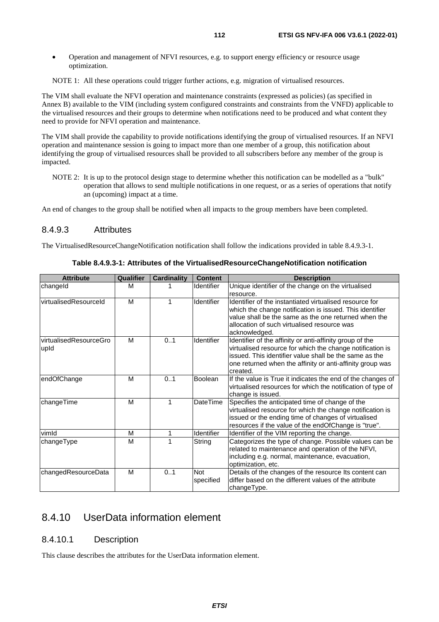• Operation and management of NFVI resources, e.g. to support energy efficiency or resource usage optimization.

NOTE 1: All these operations could trigger further actions, e.g. migration of virtualised resources.

The VIM shall evaluate the NFVI operation and maintenance constraints (expressed as policies) (as specified in Annex B) available to the VIM (including system configured constraints and constraints from the VNFD) applicable to the virtualised resources and their groups to determine when notifications need to be produced and what content they need to provide for NFVI operation and maintenance.

The VIM shall provide the capability to provide notifications identifying the group of virtualised resources. If an NFVI operation and maintenance session is going to impact more than one member of a group, this notification about identifying the group of virtualised resources shall be provided to all subscribers before any member of the group is impacted.

NOTE 2: It is up to the protocol design stage to determine whether this notification can be modelled as a "bulk" operation that allows to send multiple notifications in one request, or as a series of operations that notify an (upcoming) impact at a time.

An end of changes to the group shall be notified when all impacts to the group members have been completed.

#### 8.4.9.3 Attributes

The VirtualisedResourceChangeNotification notification shall follow the indications provided in table 8.4.9.3-1.

| <b>Attribute</b>               | Qualifier | Cardinality | <b>Content</b>          | <b>Description</b>                                                                                                                                                                                                                                       |
|--------------------------------|-----------|-------------|-------------------------|----------------------------------------------------------------------------------------------------------------------------------------------------------------------------------------------------------------------------------------------------------|
| changeld                       | м         |             | Identifier              | Unique identifier of the change on the virtualised<br>resource.                                                                                                                                                                                          |
| virtualisedResourceId          | м         |             | <b>Identifier</b>       | Identifier of the instantiated virtualised resource for<br>which the change notification is issued. This identifier<br>value shall be the same as the one returned when the<br>allocation of such virtualised resource was<br>acknowledged.              |
| virtualisedResourceGro<br>upid | M         | 0.1         | <b>Identifier</b>       | Identifier of the affinity or anti-affinity group of the<br>virtualised resource for which the change notification is<br>issued. This identifier value shall be the same as the<br>one returned when the affinity or anti-affinity group was<br>created. |
| endOfChange                    | M         | 0.1         | <b>Boolean</b>          | If the value is True it indicates the end of the changes of<br>virtualised resources for which the notification of type of<br>change is issued.                                                                                                          |
| changeTime                     | M         |             | <b>DateTime</b>         | Specifies the anticipated time of change of the<br>virtualised resource for which the change notification is<br>issued or the ending time of changes of virtualised<br>resources if the value of the endOfChange is "true".                              |
| vimld                          | M         | 1           | Identifier              | Identifier of the VIM reporting the change.                                                                                                                                                                                                              |
| changeType                     | м         |             | String                  | Categorizes the type of change. Possible values can be<br>related to maintenance and operation of the NFVI,<br>including e.g. normal, maintenance, evacuation,<br>optimization, etc.                                                                     |
| changedResourceData            | M         | 0.1         | <b>Not</b><br>specified | Details of the changes of the resource Its content can<br>differ based on the different values of the attribute<br>changeType.                                                                                                                           |

**Table 8.4.9.3-1: Attributes of the VirtualisedResourceChangeNotification notification** 

# 8.4.10 UserData information element

#### 8.4.10.1 Description

This clause describes the attributes for the UserData information element.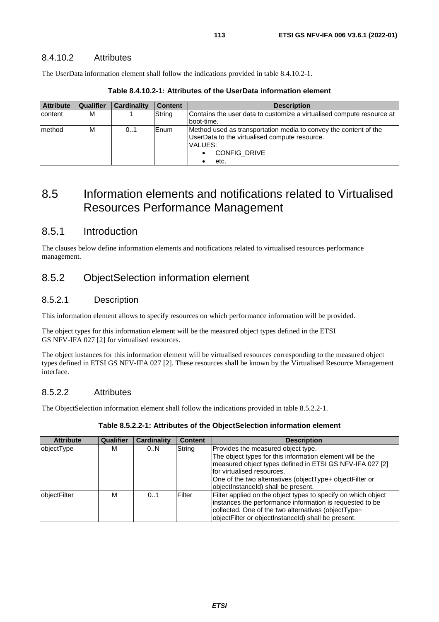### 8.4.10.2 Attributes

The UserData information element shall follow the indications provided in table 8.4.10.2-1.

| <b>Attribute</b> | <b>Qualifier</b> | Cardinality | <b>Content</b> | <b>Description</b>                                                    |
|------------------|------------------|-------------|----------------|-----------------------------------------------------------------------|
| content          | М                |             | String         | Contains the user data to customize a virtualised compute resource at |
|                  |                  |             |                | boot-time.                                                            |
| Imethod          | М                | 0.1         | Enum           | Method used as transportation media to convey the content of the      |
|                  |                  |             |                | UserData to the virtualised compute resource.                         |
|                  |                  |             |                | IVALUES:                                                              |
|                  |                  |             |                | <b>CONFIG DRIVE</b>                                                   |
|                  |                  |             |                | etc.                                                                  |

**Table 8.4.10.2-1: Attributes of the UserData information element** 

# 8.5 Information elements and notifications related to Virtualised Resources Performance Management

## 8.5.1 Introduction

The clauses below define information elements and notifications related to virtualised resources performance management.

# 8.5.2 ObjectSelection information element

### 8.5.2.1 Description

This information element allows to specify resources on which performance information will be provided.

The object types for this information element will be the measured object types defined in the ETSI GS NFV-IFA 027 [[2\]](#page-15-0) for virtualised resources.

The object instances for this information element will be virtualised resources corresponding to the measured object types defined in ETSI GS NFV-IFA 027 [[2\]](#page-15-0). These resources shall be known by the Virtualised Resource Management interface.

### 8.5.2.2 Attributes

The ObjectSelection information element shall follow the indications provided in table 8.5.2.2-1.

| <b>Attribute</b> | Qualifier | <b>Cardinality</b> | <b>Content</b> | <b>Description</b>                                                                                                                                                                                                                                                                            |
|------------------|-----------|--------------------|----------------|-----------------------------------------------------------------------------------------------------------------------------------------------------------------------------------------------------------------------------------------------------------------------------------------------|
| objectType       | М         | 0N                 | String         | Provides the measured object type.<br>The object types for this information element will be the<br>measured object types defined in ETSI GS NFV-IFA 027 [2]<br>lfor virtualised resources.<br>One of the two alternatives (objectType+ objectFilter or<br>objectInstanceId) shall be present. |
| objectFilter     | М         | 0.1                | Filter         | Filter applied on the object types to specify on which object<br>instances the performance information is requested to be<br>collected. One of the two alternatives (objectType+<br>objectFilter or objectInstanceId) shall be present.                                                       |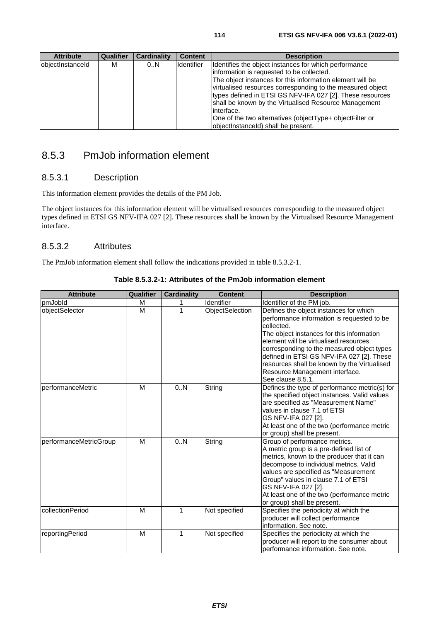| <b>Attribute</b> | Qualifier | <b>Cardinality</b> | <b>Content</b>    | <b>Description</b>                                                                                                                                                                                                                                                                                                                                                                                                                                                    |
|------------------|-----------|--------------------|-------------------|-----------------------------------------------------------------------------------------------------------------------------------------------------------------------------------------------------------------------------------------------------------------------------------------------------------------------------------------------------------------------------------------------------------------------------------------------------------------------|
| objectInstanceId | м         | 0.N                | <b>Identifier</b> | Identifies the object instances for which performance<br>information is requested to be collected.<br>The object instances for this information element will be<br>virtualised resources corresponding to the measured object<br>types defined in ETSI GS NFV-IFA 027 [2]. These resources<br>shall be known by the Virtualised Resource Management<br>linterface.<br>One of the two alternatives (objectType+ objectFilter or<br>objectInstanceId) shall be present. |

# 8.5.3 PmJob information element

## 8.5.3.1 Description

This information element provides the details of the PM Job.

The object instances for this information element will be virtualised resources corresponding to the measured object types defined in ETSI GS NFV-IFA 027 [[2\]](#page-15-0). These resources shall be known by the Virtualised Resource Management interface.

## 8.5.3.2 Attributes

The PmJob information element shall follow the indications provided in table 8.5.3.2-1.

| <b>Attribute</b>       | Qualifier | <b>Cardinality</b> | <b>Content</b>  | <b>Description</b>                                                                                                                                                                                                                                                                                                                                                                        |
|------------------------|-----------|--------------------|-----------------|-------------------------------------------------------------------------------------------------------------------------------------------------------------------------------------------------------------------------------------------------------------------------------------------------------------------------------------------------------------------------------------------|
| pmJobld                | м         |                    | Identifier      | Identifier of the PM job.                                                                                                                                                                                                                                                                                                                                                                 |
| objectSelector         | M         | 1                  | ObjectSelection | Defines the object instances for which<br>performance information is requested to be<br>collected.<br>The object instances for this information<br>element will be virtualised resources<br>corresponding to the measured object types<br>defined in ETSI GS NFV-IFA 027 [2]. These<br>resources shall be known by the Virtualised<br>Resource Management interface.<br>See clause 8.5.1. |
| performanceMetric      | M         | 0N                 | String          | Defines the type of performance metric(s) for<br>the specified object instances. Valid values<br>are specified as "Measurement Name"<br>values in clause 7.1 of ETSI<br>GS NFV-IFA 027 [2].<br>At least one of the two (performance metric<br>or group) shall be present.                                                                                                                 |
| performanceMetricGroup | M         | 0.N                | String          | Group of performance metrics.<br>A metric group is a pre-defined list of<br>metrics, known to the producer that it can<br>decompose to individual metrics. Valid<br>values are specified as "Measurement<br>Group" values in clause 7.1 of ETSI<br>GS NFV-IFA 027 [2].<br>At least one of the two (performance metric<br>or group) shall be present.                                      |
| collectionPeriod       | M         | 1                  | Not specified   | Specifies the periodicity at which the<br>producer will collect performance<br>information. See note.                                                                                                                                                                                                                                                                                     |
| reportingPeriod        | M         | 1                  | Not specified   | Specifies the periodicity at which the<br>producer will report to the consumer about<br>performance information. See note.                                                                                                                                                                                                                                                                |

**Table 8.5.3.2-1: Attributes of the PmJob information element**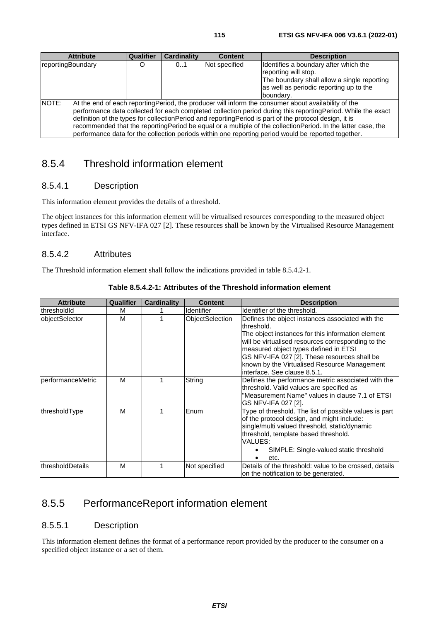| <b>Attribute</b>  | Qualifier                                                                                                                                                                                                                                                                                                                                                                                                                                                                                                                                                  | <b>Cardinality</b> | <b>Content</b> | <b>Description</b>                                                                                                                                                    |  |  |  |
|-------------------|------------------------------------------------------------------------------------------------------------------------------------------------------------------------------------------------------------------------------------------------------------------------------------------------------------------------------------------------------------------------------------------------------------------------------------------------------------------------------------------------------------------------------------------------------------|--------------------|----------------|-----------------------------------------------------------------------------------------------------------------------------------------------------------------------|--|--|--|
| reportingBoundary |                                                                                                                                                                                                                                                                                                                                                                                                                                                                                                                                                            | 0.1                | Not specified  | Identifies a boundary after which the<br>reporting will stop.<br>The boundary shall allow a single reporting<br>as well as periodic reporting up to the<br>Iboundarv. |  |  |  |
| NOTE:             | At the end of each reporting Period, the producer will inform the consumer about availability of the<br>performance data collected for each completed collection period during this reporting Period. While the exact<br>definition of the types for collection Period and reporting Period is part of the protocol design, it is<br>recommended that the reporting Period be equal or a multiple of the collection Period. In the latter case, the<br>performance data for the collection periods within one reporting period would be reported together. |                    |                |                                                                                                                                                                       |  |  |  |

# 8.5.4 Threshold information element

## 8.5.4.1 Description

This information element provides the details of a threshold.

The object instances for this information element will be virtualised resources corresponding to the measured object types defined in ETSI GS NFV-IFA 027 [[2\]](#page-15-0). These resources shall be known by the Virtualised Resource Management interface.

### 8.5.4.2 Attributes

The Threshold information element shall follow the indications provided in table 8.5.4.2-1.

| <b>Attribute</b>    | Qualifier | <b>Cardinality</b> | <b>Content</b>    | <b>Description</b>                                                                                                                                                                                                                                                                                                                                 |
|---------------------|-----------|--------------------|-------------------|----------------------------------------------------------------------------------------------------------------------------------------------------------------------------------------------------------------------------------------------------------------------------------------------------------------------------------------------------|
| <b>IthresholdId</b> | М         |                    | <b>Identifier</b> | Identifier of the threshold.                                                                                                                                                                                                                                                                                                                       |
| objectSelector      | М         |                    | ObjectSelection   | Defines the object instances associated with the<br>threshold.<br>The object instances for this information element<br>will be virtualised resources corresponding to the<br>measured object types defined in ETSI<br>GS NFV-IFA 027 [2]. These resources shall be<br>known by the Virtualised Resource Management<br>interface. See clause 8.5.1. |
| performanceMetric   | M         |                    | String            | Defines the performance metric associated with the<br>threshold. Valid values are specified as<br>"Measurement Name" values in clause 7.1 of ETSI<br>GS NFV-IFA 027 [2].                                                                                                                                                                           |
| thresholdType       | M         |                    | Enum              | Type of threshold. The list of possible values is part<br>of the protocol design, and might include:<br>single/multi valued threshold, static/dynamic<br>threshold, template based threshold.<br>VALUES:<br>SIMPLE: Single-valued static threshold<br>etc.                                                                                         |
| thresholdDetails    | M         |                    | Not specified     | Details of the threshold: value to be crossed, details<br>on the notification to be generated.                                                                                                                                                                                                                                                     |

#### **Table 8.5.4.2-1: Attributes of the Threshold information element**

# 8.5.5 PerformanceReport information element

### 8.5.5.1 Description

This information element defines the format of a performance report provided by the producer to the consumer on a specified object instance or a set of them.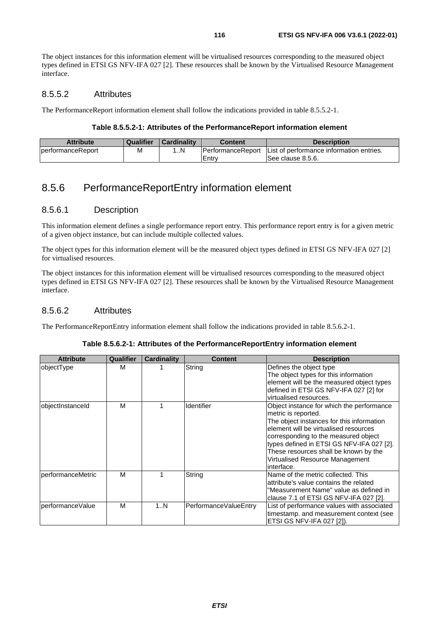The object instances for this information element will be virtualised resources corresponding to the measured object types defined in ETSI GS NFV-IFA 027 [[2\]](#page-15-0). These resources shall be known by the Virtualised Resource Management interface.

### 8.5.5.2 Attributes

The PerformanceReport information element shall follow the indications provided in table 8.5.5.2-1.

#### **Table 8.5.5.2-1: Attributes of the PerformanceReport information element**

| Attribute          | Qualifier  | <b>Cardinality</b> | Content                   | <b>Description</b>                        |
|--------------------|------------|--------------------|---------------------------|-------------------------------------------|
| IperformanceReport | <b>IVI</b> | N                  | <b>IPerformanceReport</b> | IList of performance information entries. |
|                    |            |                    | Entry                     | ISee clause 8.5.6.                        |

# 8.5.6 PerformanceReportEntry information element

### 8.5.6.1 Description

This information element defines a single performance report entry. This performance report entry is for a given metric of a given object instance, but can include multiple collected values.

The object types for this information element will be the measured object types defined in ETSI GS NFV-IFA 027 [[2](#page-15-0)] for virtualised resources.

The object instances for this information element will be virtualised resources corresponding to the measured object types defined in ETSI GS NFV-IFA 027 [[2\]](#page-15-0). These resources shall be known by the Virtualised Resource Management interface.

### 8.5.6.2 Attributes

The PerformanceReportEntry information element shall follow the indications provided in table 8.5.6.2-1.

| <b>Attribute</b>  | Qualifier | Cardinality | <b>Content</b>        | <b>Description</b>                                                                                                                                                                                                                                                                                                                    |
|-------------------|-----------|-------------|-----------------------|---------------------------------------------------------------------------------------------------------------------------------------------------------------------------------------------------------------------------------------------------------------------------------------------------------------------------------------|
| objectType        | М         |             | String                | Defines the object type<br>The object types for this information<br>element will be the measured object types<br>defined in ETSI GS NFV-IFA 027 [2] for<br>virtualised resources.                                                                                                                                                     |
| objectInstanceId  | M         |             | Identifier            | Object instance for which the performance<br>metric is reported.<br>The object instances for this information<br>element will be virtualised resources<br>corresponding to the measured object<br>types defined in ETSI GS NFV-IFA 027 [2].<br>These resources shall be known by the<br>Virtualised Resource Management<br>interface. |
| performanceMetric | M         |             | String                | Name of the metric collected. This<br>attribute's value contains the related<br>"Measurement Name" value as defined in<br>clause 7.1 of ETSI GS NFV-IFA 027 [2].                                                                                                                                                                      |
| performanceValue  | M         | 1N          | PerformanceValueEntry | List of performance values with associated<br>timestamp. and measurement context (see<br>ETSI GS NFV-IFA 027 [2]).                                                                                                                                                                                                                    |

#### **Table 8.5.6.2-1: Attributes of the PerformanceReportEntry information element**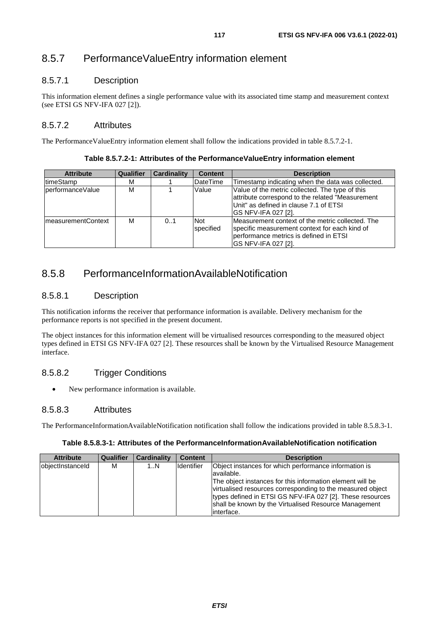# 8.5.7 PerformanceValueEntry information element

## 8.5.7.1 Description

This information element defines a single performance value with its associated time stamp and measurement context (see ETSI GS NFV-IFA 027 [[2\]](#page-15-0)).

## 8.5.7.2 Attributes

The PerformanceValueEntry information element shall follow the indications provided in table 8.5.7.2-1.

**Table 8.5.7.2-1: Attributes of the PerformanceValueEntry information element** 

| <b>Attribute</b>    | <b>Qualifier</b> | Cardinality | <b>Content</b>                 | <b>Description</b>                                                                                                                                                          |
|---------------------|------------------|-------------|--------------------------------|-----------------------------------------------------------------------------------------------------------------------------------------------------------------------------|
| timeStamp           | м                |             | <b>DateTime</b>                | Timestamp indicating when the data was collected.                                                                                                                           |
| lperformanceValue   | М                |             | Value                          | Value of the metric collected. The type of this<br>attribute correspond to the related "Measurement<br>Unit" as defined in clause 7.1 of ETSI<br><b>GS NFV-IFA 027 [2].</b> |
| ImeasurementContext | М                | 0.1         | <b>Not</b><br><b>specified</b> | IMeasurement context of the metric collected. The<br>specific measurement context for each kind of<br>performance metrics is defined in ETSI<br>IGS NFV-IFA 027 [2].        |

# 8.5.8 PerformanceInformationAvailableNotification

## 8.5.8.1 Description

This notification informs the receiver that performance information is available. Delivery mechanism for the performance reports is not specified in the present document.

The object instances for this information element will be virtualised resources corresponding to the measured object types defined in ETSI GS NFV-IFA 027 [[2\]](#page-15-0). These resources shall be known by the Virtualised Resource Management interface.

# 8.5.8.2 Trigger Conditions

• New performance information is available.

## 8.5.8.3 Attributes

The PerformanceInformationAvailableNotification notification shall follow the indications provided in table 8.5.8.3-1.

#### **Table 8.5.8.3-1: Attributes of the PerformanceInformationAvailableNotification notification**

| <b>Attribute</b> | Qualifier | <b>Cardinality</b> | <b>Content</b>    | <b>Description</b>                                                                                                                                                                                                                                                                                                                  |
|------------------|-----------|--------------------|-------------------|-------------------------------------------------------------------------------------------------------------------------------------------------------------------------------------------------------------------------------------------------------------------------------------------------------------------------------------|
| objectInstanceId | м         | 1N                 | <b>Identifier</b> | Object instances for which performance information is<br>available.<br>The object instances for this information element will be<br>virtualised resources corresponding to the measured object<br>types defined in ETSI GS NFV-IFA 027 [2]. These resources<br>shall be known by the Virtualised Resource Management<br>linterface. |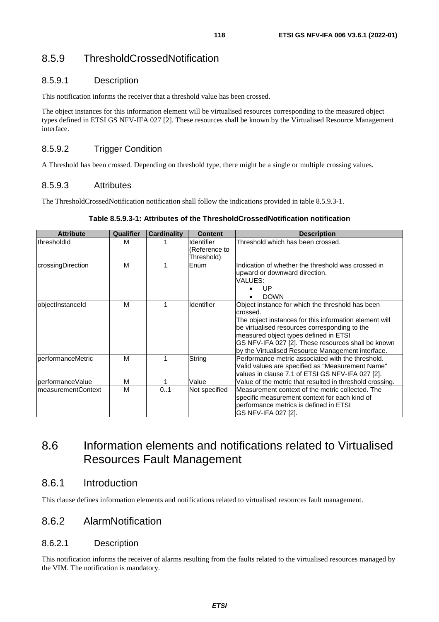# 8.5.9 ThresholdCrossedNotification

### 8.5.9.1 Description

This notification informs the receiver that a threshold value has been crossed.

The object instances for this information element will be virtualised resources corresponding to the measured object types defined in ETSI GS NFV-IFA 027 [[2\]](#page-15-0). These resources shall be known by the Virtualised Resource Management interface.

## 8.5.9.2 Trigger Condition

A Threshold has been crossed. Depending on threshold type, there might be a single or multiple crossing values.

### 8.5.9.3 Attributes

The ThresholdCrossedNotification notification shall follow the indications provided in table 8.5.9.3-1.

#### **Table 8.5.9.3-1: Attributes of the ThresholdCrossedNotification notification**

| <b>Attribute</b>   | Qualifier | <b>Cardinality</b> | <b>Content</b>                                   | <b>Description</b>                                                                                                                                                                                                                                                                                                          |
|--------------------|-----------|--------------------|--------------------------------------------------|-----------------------------------------------------------------------------------------------------------------------------------------------------------------------------------------------------------------------------------------------------------------------------------------------------------------------------|
| IthresholdId       | M         |                    | <b>Identifier</b><br>(Reference to<br>Threshold) | Threshold which has been crossed.                                                                                                                                                                                                                                                                                           |
| crossingDirection  | М         |                    | Enum                                             | Indication of whether the threshold was crossed in<br>upward or downward direction.<br>VALUES:<br>UP<br><b>DOWN</b>                                                                                                                                                                                                         |
| objectInstanceId   | М         | 1                  | Identifier                                       | Object instance for which the threshold has been<br>crossed.<br>The object instances for this information element will<br>be virtualised resources corresponding to the<br>measured object types defined in ETSI<br>GS NFV-IFA 027 [2]. These resources shall be known<br>by the Virtualised Resource Management interface. |
| performanceMetric  | М         |                    | String                                           | Performance metric associated with the threshold.<br>Valid values are specified as "Measurement Name"<br>values in clause 7.1 of ETSI GS NFV-IFA 027 [2].                                                                                                                                                                   |
| performanceValue   | M         | 1                  | Value                                            | Value of the metric that resulted in threshold crossing.                                                                                                                                                                                                                                                                    |
| measurementContext | М         | 0.1                | Not specified                                    | Measurement context of the metric collected. The<br>specific measurement context for each kind of<br>performance metrics is defined in ETSI<br>GS NFV-IFA 027 [2].                                                                                                                                                          |

# 8.6 Information elements and notifications related to Virtualised Resources Fault Management

# 8.6.1 Introduction

This clause defines information elements and notifications related to virtualised resources fault management.

## 8.6.2 AlarmNotification

#### 8.6.2.1 Description

This notification informs the receiver of alarms resulting from the faults related to the virtualised resources managed by the VIM. The notification is mandatory.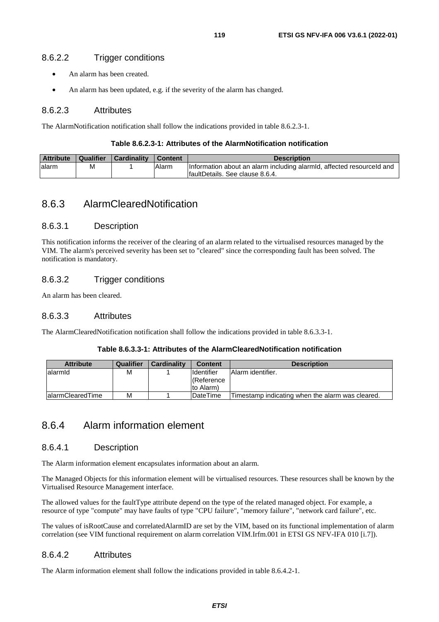### 8.6.2.2 Trigger conditions

- An alarm has been created.
- An alarm has been updated, e.g. if the severity of the alarm has changed.

### 8.6.2.3 Attributes

The AlarmNotification notification shall follow the indications provided in table 8.6.2.3-1.

#### **Table 8.6.2.3-1: Attributes of the AlarmNotification notification**

| <b>Attribute</b> | Qualifier | <b>Cardinality</b> | <b>Content</b> | <b>Description</b>                                                                                        |
|------------------|-----------|--------------------|----------------|-----------------------------------------------------------------------------------------------------------|
| lalarm           | М         |                    | Alarm          | Information about an alarm including alarmid, affected resourceld and<br>IfaultDetails. See clause 8.6.4. |

# 8.6.3 AlarmClearedNotification

#### 8.6.3.1 Description

This notification informs the receiver of the clearing of an alarm related to the virtualised resources managed by the VIM. The alarm's perceived severity has been set to "cleared" since the corresponding fault has been solved. The notification is mandatory.

### 8.6.3.2 Trigger conditions

An alarm has been cleared.

### 8.6.3.3 Attributes

The AlarmClearedNotification notification shall follow the indications provided in table 8.6.3.3-1.

#### **Table 8.6.3.3-1: Attributes of the AlarmClearedNotification notification**

| <b>Attribute</b>  | Qualifier | <b>Cardinality</b> | <b>Content</b>     | <b>Description</b>                               |
|-------------------|-----------|--------------------|--------------------|--------------------------------------------------|
| lalarmid          | М         |                    | <b>I</b> dentifier | Alarm identifier.                                |
|                   |           |                    | I(Reference        |                                                  |
|                   |           |                    | to Alarm)          |                                                  |
| lalarmClearedTime | Μ         |                    | <b>IDateTime</b>   | Timestamp indicating when the alarm was cleared. |

# 8.6.4 Alarm information element

### 8.6.4.1 Description

The Alarm information element encapsulates information about an alarm.

The Managed Objects for this information element will be virtualised resources. These resources shall be known by the Virtualised Resource Management interface.

The allowed values for the faultType attribute depend on the type of the related managed object. For example, a resource of type "compute" may have faults of type "CPU failure", "memory failure", "network card failure", etc.

The values of isRootCause and correlatedAlarmID are set by the VIM, based on its functional implementation of alarm correlation (see VIM functional requirement on alarm correlation VIM.Irfm.001 in ETSI GS NFV-IFA 010 [\[i.7](#page-15-0)]).

### 8.6.4.2 Attributes

The Alarm information element shall follow the indications provided in table 8.6.4.2-1.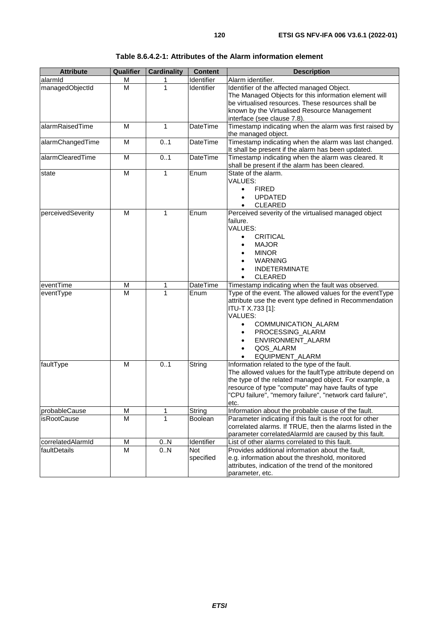| <b>Attribute</b>  | Qualifier | <b>Cardinality</b> | <b>Content</b>    | <b>Description</b>                                                                                                                                                                                                                                                                            |
|-------------------|-----------|--------------------|-------------------|-----------------------------------------------------------------------------------------------------------------------------------------------------------------------------------------------------------------------------------------------------------------------------------------------|
| alarmid           | М         | 1                  | Identifier        | Alarm identifier.                                                                                                                                                                                                                                                                             |
| managedObjectId   | M         | 1                  | <b>Identifier</b> | Identifier of the affected managed Object.<br>The Managed Objects for this information element will<br>be virtualised resources. These resources shall be<br>known by the Virtualised Resource Management<br>interface (see clause 7.8).                                                      |
| alarmRaisedTime   | м         | 1                  | <b>DateTime</b>   | Timestamp indicating when the alarm was first raised by<br>the managed object.                                                                                                                                                                                                                |
| alarmChangedTime  | M         | 01                 | <b>DateTime</b>   | Timestamp indicating when the alarm was last changed.<br>It shall be present if the alarm has been updated.                                                                                                                                                                                   |
| alarmClearedTime  | M         | 0.1                | DateTime          | Timestamp indicating when the alarm was cleared. It<br>shall be present if the alarm has been cleared.                                                                                                                                                                                        |
| state             | M         | $\mathbf{1}$       | Enum              | State of the alarm.<br>VALUES:<br><b>FIRED</b><br>$\bullet$<br><b>UPDATED</b><br><b>CLEARED</b>                                                                                                                                                                                               |
| perceivedSeverity | M         | 1                  | Enum              | Perceived severity of the virtualised managed object<br>failure.<br>VALUES:<br><b>CRITICAL</b><br>$\bullet$<br><b>MAJOR</b><br><b>MINOR</b><br><b>WARNING</b><br><b>INDETERMINATE</b><br><b>CLEARED</b>                                                                                       |
| eventTime         | M         | 1                  | DateTime          | Timestamp indicating when the fault was observed.                                                                                                                                                                                                                                             |
| eventType         | M         | 1                  | Enum              | Type of the event. The allowed values for the eventType<br>attribute use the event type defined in Recommendation<br>ITU-T X.733 [1]:<br>VALUES:<br>COMMUNICATION_ALARM<br>$\bullet$<br>PROCESSING_ALARM<br>ENVIRONMENT_ALARM<br>$\bullet$<br>QOS_ALARM<br>$\bullet$<br>EQUIPMENT_ALARM       |
| faultType         | M         | 0.1                | String            | Information related to the type of the fault.<br>The allowed values for the faultType attribute depend on<br>the type of the related managed object. For example, a<br>resource of type "compute" may have faults of type<br>"CPU failure", "memory failure", "network card failure",<br>etc. |
| probableCause     | M         | 1                  | String            | Information about the probable cause of the fault.                                                                                                                                                                                                                                            |
| isRootCause       | M         | 1                  | Boolean           | Parameter indicating if this fault is the root for other<br>correlated alarms. If TRUE, then the alarms listed in the<br>parameter correlatedAlarmId are caused by this fault.                                                                                                                |
| correlatedAlarmId | M         | 0N                 | Identifier        | List of other alarms correlated to this fault.                                                                                                                                                                                                                                                |
| faultDetails      | М         | 0N                 | Not<br>specified  | Provides additional information about the fault,<br>e.g. information about the threshold, monitored<br>attributes, indication of the trend of the monitored<br>parameter, etc.                                                                                                                |

**Table 8.6.4.2-1: Attributes of the Alarm information element**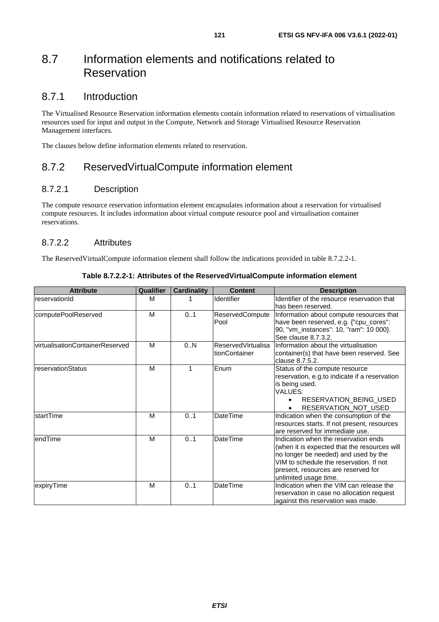# 8.7 Information elements and notifications related to Reservation

# 8.7.1 Introduction

The Virtualised Resource Reservation information elements contain information related to reservations of virtualisation resources used for input and output in the Compute, Network and Storage Virtualised Resource Reservation Management interfaces.

The clauses below define information elements related to reservation.

# 8.7.2 ReservedVirtualCompute information element

### 8.7.2.1 Description

The compute resource reservation information element encapsulates information about a reservation for virtualised compute resources. It includes information about virtual compute resource pool and virtualisation container reservations.

### 8.7.2.2 Attributes

The ReservedVirtualCompute information element shall follow the indications provided in table 8.7.2.2-1.

| <b>Attribute</b>                 | Qualifier | <b>Cardinality</b> | <b>Content</b>                             | <b>Description</b>                                                                                                                                                                                                                      |
|----------------------------------|-----------|--------------------|--------------------------------------------|-----------------------------------------------------------------------------------------------------------------------------------------------------------------------------------------------------------------------------------------|
| reservationId                    | M         |                    | <b>Identifier</b>                          | Identifier of the resource reservation that<br>has been reserved.                                                                                                                                                                       |
| computePoolReserved              | M         | 01                 | ReservedCompute<br>Pool                    | Information about compute resources that<br>have been reserved, e.g. {"cpu_cores":<br>90, "vm_instances": 10, "ram": 10 000}.<br>See clause 8.7.3.2.                                                                                    |
| lvirtualisationContainerReserved | M         | 0N                 | <b>ReservedVirtualisa</b><br>tionContainer | Information about the virtualisation<br>container(s) that have been reserved. See<br>clause 8.7.5.2.                                                                                                                                    |
| <b>IreservationStatus</b>        | M         | 1                  | Enum                                       | Status of the compute resource<br>reservation, e.g.to indicate if a reservation<br>is being used.<br>VALUES:<br>RESERVATION BEING USED<br>RESERVATION_NOT_USED                                                                          |
| <b>IstartTime</b>                | M         | 0.1                | <b>DateTime</b>                            | Indication when the consumption of the<br>resources starts. If not present, resources<br>are reserved for immediate use.                                                                                                                |
| endTime                          | M         | 01                 | <b>DateTime</b>                            | Indication when the reservation ends<br>(when it is expected that the resources will<br>no longer be needed) and used by the<br>VIM to schedule the reservation. If not<br>present, resources are reserved for<br>unlimited usage time. |
| expiryTime                       | M         | 01                 | <b>DateTime</b>                            | Indication when the VIM can release the<br>reservation in case no allocation request<br>against this reservation was made.                                                                                                              |

**Table 8.7.2.2-1: Attributes of the ReservedVirtualCompute information element**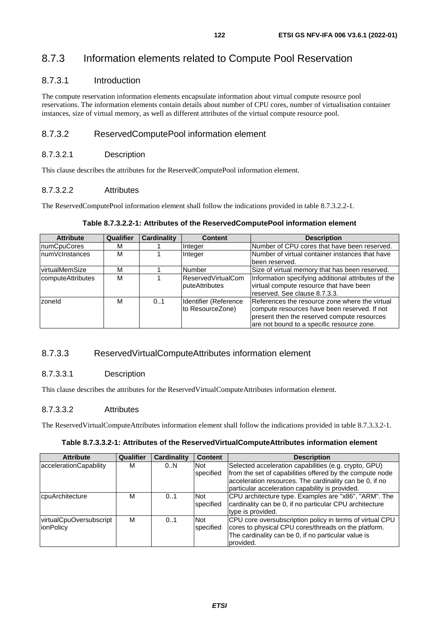# 8.7.3 Information elements related to Compute Pool Reservation

#### 8.7.3.1 Introduction

The compute reservation information elements encapsulate information about virtual compute resource pool reservations. The information elements contain details about number of CPU cores, number of virtualisation container instances, size of virtual memory, as well as different attributes of the virtual compute resource pool.

### 8.7.3.2 ReservedComputePool information element

#### 8.7.3.2.1 Description

This clause describes the attributes for the ReservedComputePool information element.

#### 8.7.3.2.2 Attributes

The ReservedComputePool information element shall follow the indications provided in table 8.7.3.2.2-1.

| <b>Attribute</b>  | <b>Qualifier</b> | <b>Cardinality</b> | <b>Content</b>        | <b>Description</b>                                  |
|-------------------|------------------|--------------------|-----------------------|-----------------------------------------------------|
| numCpuCores       | М                |                    | Integer               | Number of CPU cores that have been reserved.        |
| InumVcInstances   | М                |                    | Integer               | Number of virtual container instances that have     |
|                   |                  |                    |                       | lbeen reserved.                                     |
| virtualMemSize    | М                |                    | <b>Number</b>         | Size of virtual memory that has been reserved.      |
| computeAttributes | М                |                    | ReservedVirtualCom    | Information specifying additional attributes of the |
|                   |                  |                    | puteAttributes        | virtual compute resource that have been             |
|                   |                  |                    |                       | reserved. See clause 8.7.3.3.                       |
| zoneld            | м                | 0.1                | Identifier (Reference | References the resource zone where the virtual      |
|                   |                  |                    | to ResourceZone)      | compute resources have been reserved. If not        |
|                   |                  |                    |                       | present then the reserved compute resources         |
|                   |                  |                    |                       | are not bound to a specific resource zone.          |

#### **Table 8.7.3.2.2-1: Attributes of the ReservedComputePool information element**

### 8.7.3.3 ReservedVirtualComputeAttributes information element

#### 8.7.3.3.1 Description

This clause describes the attributes for the ReservedVirtualComputeAttributes information element.

#### 8.7.3.3.2 Attributes

The ReservedVirtualComputeAttributes information element shall follow the indications provided in table 8.7.3.3.2-1.

#### **Table 8.7.3.3.2-1: Attributes of the ReservedVirtualComputeAttributes information element**

| <b>Attribute</b>                             | Qualifier | Cardinality | <b>Content</b>                 | <b>Description</b>                                                                                                                                                                                                              |
|----------------------------------------------|-----------|-------------|--------------------------------|---------------------------------------------------------------------------------------------------------------------------------------------------------------------------------------------------------------------------------|
| accelerationCapability                       | М         | 0.N         | <b>Not</b><br><b>specified</b> | Selected acceleration capabilities (e.g. crypto, GPU)<br>from the set of capabilities offered by the compute node<br>acceleration resources. The cardinality can be 0, if no<br>particular acceleration capability is provided. |
| cpuArchitecture                              | М         | 0.1         | Not<br>specified               | CPU architecture type. Examples are "x86", "ARM". The<br>cardinality can be 0, if no particular CPU architecture<br>type is provided.                                                                                           |
| virtualCpuOversubscript<br><b>lionPolicy</b> | м         | 0.1         | Not<br>specified               | CPU core oversubscription policy in terms of virtual CPU<br>cores to physical CPU cores/threads on the platform.<br>The cardinality can be 0, if no particular value is<br>provided.                                            |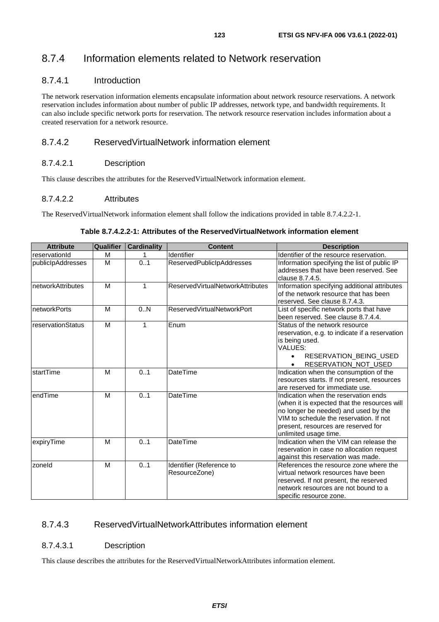# 8.7.4 Information elements related to Network reservation

#### 8.7.4.1 Introduction

The network reservation information elements encapsulate information about network resource reservations. A network reservation includes information about number of public IP addresses, network type, and bandwidth requirements. It can also include specific network ports for reservation. The network resource reservation includes information about a created reservation for a network resource.

### 8.7.4.2 ReservedVirtualNetwork information element

#### 8.7.4.2.1 Description

This clause describes the attributes for the ReservedVirtualNetwork information element.

#### 8.7.4.2.2 Attributes

The ReservedVirtualNetwork information element shall follow the indications provided in table 8.7.4.2.2-1.

| <b>Attribute</b>    | Qualifier | <b>Cardinality</b> | <b>Content</b>                            | <b>Description</b>                                                                                                                                                                                                                      |
|---------------------|-----------|--------------------|-------------------------------------------|-----------------------------------------------------------------------------------------------------------------------------------------------------------------------------------------------------------------------------------------|
| reservationId       | M         | 1                  | Identifier                                | Identifier of the resource reservation.                                                                                                                                                                                                 |
| publicIpAddresses   | M         | 0.1                | ReservedPublicIpAddresses                 | Information specifying the list of public IP<br>addresses that have been reserved. See<br>clause 8.7.4.5.                                                                                                                               |
| InetworkAttributes  | M         | 1                  | ReservedVirtualNetworkAttributes          | Information specifying additional attributes<br>of the network resource that has been<br>reserved. See clause 8.7.4.3.                                                                                                                  |
| <b>networkPorts</b> | M         | 0.N                | <b>ReservedVirtualNetworkPort</b>         | List of specific network ports that have<br>been reserved. See clause 8.7.4.4.                                                                                                                                                          |
| reservationStatus   | M         | 1                  | Enum                                      | Status of the network resource<br>reservation, e.g. to indicate if a reservation<br>is being used.<br>VALUES:<br><b>RESERVATION BEING USED</b><br>$\bullet$<br>RESERVATION NOT USED                                                     |
| startTime           | M         | 0.1                | <b>DateTime</b>                           | Indication when the consumption of the<br>resources starts. If not present, resources<br>are reserved for immediate use.                                                                                                                |
| endTime             | M         | 0.1                | <b>DateTime</b>                           | Indication when the reservation ends<br>(when it is expected that the resources will<br>no longer be needed) and used by the<br>VIM to schedule the reservation. If not<br>present, resources are reserved for<br>unlimited usage time. |
| expiryTime          | M         | 0.1                | <b>DateTime</b>                           | Indication when the VIM can release the<br>reservation in case no allocation request<br>against this reservation was made.                                                                                                              |
| zoneld              | M         | 0.1                | Identifier (Reference to<br>ResourceZone) | References the resource zone where the<br>virtual network resources have been<br>reserved. If not present, the reserved<br>network resources are not bound to a<br>specific resource zone.                                              |

**Table 8.7.4.2.2-1: Attributes of the ReservedVirtualNetwork information element** 

### 8.7.4.3 ReservedVirtualNetworkAttributes information element

#### 8.7.4.3.1 Description

This clause describes the attributes for the ReservedVirtualNetworkAttributes information element.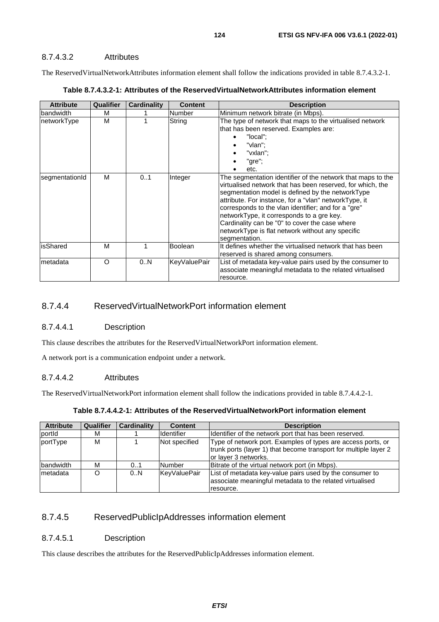The ReservedVirtualNetworkAttributes information element shall follow the indications provided in table 8.7.4.3.2-1.

| <b>Attribute</b> | Qualifier | Cardinality | <b>Content</b>      | <b>Description</b>                                                                                                                                                                                                                                                                                                                                                                                                                                                |
|------------------|-----------|-------------|---------------------|-------------------------------------------------------------------------------------------------------------------------------------------------------------------------------------------------------------------------------------------------------------------------------------------------------------------------------------------------------------------------------------------------------------------------------------------------------------------|
| bandwidth        | м         |             | Number              | Minimum network bitrate (in Mbps).                                                                                                                                                                                                                                                                                                                                                                                                                                |
| networkType      | м         |             | String              | The type of network that maps to the virtualised network<br>that has been reserved. Examples are:<br>"local";<br>$\bullet$<br>"vlan":<br>"vxlan":<br>"gre";<br>etc.                                                                                                                                                                                                                                                                                               |
| segmentationId   | м         | 01          | Integer             | The segmentation identifier of the network that maps to the<br>virtualised network that has been reserved, for which, the<br>segmentation model is defined by the networkType<br>attribute. For instance, for a "vlan" networkType, it<br>corresponds to the vlan identifier; and for a "gre"<br>networkType, it corresponds to a gre key.<br>Cardinality can be "0" to cover the case where<br>networkType is flat network without any specific<br>segmentation. |
| isShared         | м         |             | Boolean             | It defines whether the virtualised network that has been<br>reserved is shared among consumers.                                                                                                                                                                                                                                                                                                                                                                   |
| metadata         | $\Omega$  | 0.N         | <b>KeyValuePair</b> | List of metadata key-value pairs used by the consumer to<br>associate meaningful metadata to the related virtualised<br>resource.                                                                                                                                                                                                                                                                                                                                 |

|  |  | Table 8.7.4.3.2-1: Attributes of the ReservedVirtualNetworkAttributes information element |  |
|--|--|-------------------------------------------------------------------------------------------|--|
|--|--|-------------------------------------------------------------------------------------------|--|

### 8.7.4.4 ReservedVirtualNetworkPort information element

#### 8.7.4.4.1 Description

This clause describes the attributes for the ReservedVirtualNetworkPort information element.

A network port is a communication endpoint under a network.

#### 8.7.4.4.2 Attributes

The ReservedVirtualNetworkPort information element shall follow the indications provided in table 8.7.4.4.2-1.

| Table 8.7.4.4.2-1: Attributes of the ReservedVirtualNetworkPort information element |
|-------------------------------------------------------------------------------------|
|-------------------------------------------------------------------------------------|

| <b>Attribute</b> | <b>Qualifier</b> | <b>Cardinality</b> | <b>Content</b>    | <b>Description</b>                                                                                                                                       |
|------------------|------------------|--------------------|-------------------|----------------------------------------------------------------------------------------------------------------------------------------------------------|
| portid           | м                |                    | <b>Identifier</b> | Identifier of the network port that has been reserved.                                                                                                   |
| portType         | м                |                    | Not specified     | Type of network port. Examples of types are access ports, or<br>trunk ports (layer 1) that become transport for multiple layer 2<br>or layer 3 networks. |
| bandwidth        | М                | 01                 | Number            | Bitrate of the virtual network port (in Mbps).                                                                                                           |
| Imetadata        | O                | 0.N                | KeyValuePair      | List of metadata key-value pairs used by the consumer to<br>associate meaningful metadata to the related virtualised<br>resource.                        |

### 8.7.4.5 ReservedPublicIpAddresses information element

#### 8.7.4.5.1 Description

This clause describes the attributes for the ReservedPublicIpAddresses information element.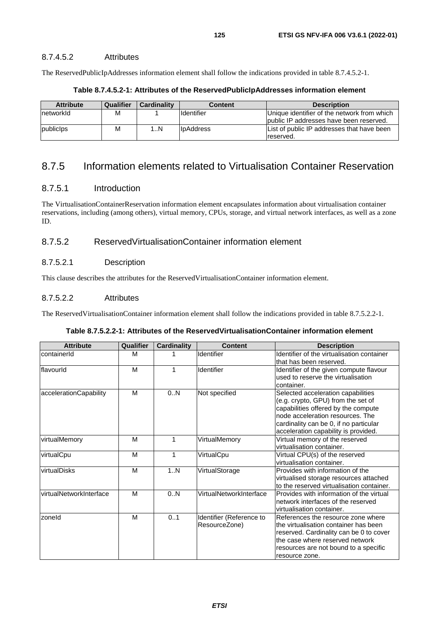#### 8.7.4.5.2 Attributes

The ReservedPublicIpAddresses information element shall follow the indications provided in table 8.7.4.5.2-1.

| <b>Attribute</b> | Qualifier | <b>Cardinality</b> | Content             | <b>Description</b>                                                                     |
|------------------|-----------|--------------------|---------------------|----------------------------------------------------------------------------------------|
| networkId        | М         |                    | <b>I</b> Identifier | Unique identifier of the network from which<br>public IP addresses have been reserved. |
| publicips        | M         | ıN                 | <b>I</b> bAddress   | List of public IP addresses that have been<br>reserved.                                |

#### **Table 8.7.4.5.2-1: Attributes of the ReservedPublicIpAddresses information element**

# 8.7.5 Information elements related to Virtualisation Container Reservation

#### 8.7.5.1 Introduction

The VirtualisationContainerReservation information element encapsulates information about virtualisation container reservations, including (among others), virtual memory, CPUs, storage, and virtual network interfaces, as well as a zone ID.

## 8.7.5.2 ReservedVirtualisationContainer information element

#### 8.7.5.2.1 Description

This clause describes the attributes for the ReservedVirtualisationContainer information element.

#### 8.7.5.2.2 Attributes

The ReservedVirtualisationContainer information element shall follow the indications provided in table 8.7.5.2.2-1.

| <b>Attribute</b>        | Qualifier | <b>Cardinality</b> | <b>Content</b>                            | <b>Description</b>                                                                                                                                                                                                                    |
|-------------------------|-----------|--------------------|-------------------------------------------|---------------------------------------------------------------------------------------------------------------------------------------------------------------------------------------------------------------------------------------|
| containerId             | M         |                    | Identifier                                | Identifier of the virtualisation container<br>that has been reserved.                                                                                                                                                                 |
| flavourld               | M         | 1                  | Identifier                                | Identifier of the given compute flavour<br>used to reserve the virtualisation<br>container.                                                                                                                                           |
| accelerationCapability  | M         | 0N                 | Not specified                             | Selected acceleration capabilities<br>(e.g. crypto, GPU) from the set of<br>capabilities offered by the compute<br>node acceleration resources. The<br>cardinality can be 0, if no particular<br>acceleration capability is provided. |
| virtualMemory           | M         | 1                  | VirtualMemory                             | Virtual memory of the reserved<br>virtualisation container.                                                                                                                                                                           |
| virtualCpu              | M         | 1                  | VirtualCpu                                | Virtual CPU(s) of the reserved<br>virtualisation container.                                                                                                                                                                           |
| virtualDisks            | M         | 1N                 | VirtualStorage                            | Provides with information of the<br>virtualised storage resources attached<br>to the reserved virtualisation container.                                                                                                               |
| virtualNetworkInterface | M         | 0N                 | VirtualNetworkInterface                   | Provides with information of the virtual<br>network interfaces of the reserved<br>virtualisation container.                                                                                                                           |
| zoneld                  | M         | 0.1                | Identifier (Reference to<br>ResourceZone) | References the resource zone where<br>lthe virtualisation container has been<br>reserved. Cardinality can be 0 to cover<br>the case where reserved network<br>resources are not bound to a specific<br>resource zone.                 |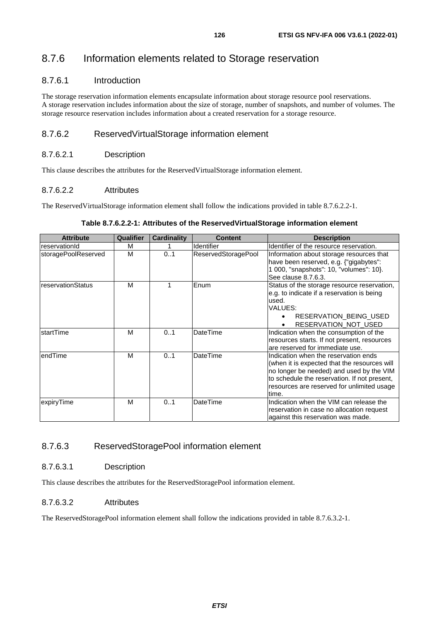# 8.7.6 Information elements related to Storage reservation

#### 8.7.6.1 Introduction

The storage reservation information elements encapsulate information about storage resource pool reservations. A storage reservation includes information about the size of storage, number of snapshots, and number of volumes. The storage resource reservation includes information about a created reservation for a storage resource.

#### 8.7.6.2 ReservedVirtualStorage information element

#### 8.7.6.2.1 Description

This clause describes the attributes for the ReservedVirtualStorage information element.

#### 8.7.6.2.2 Attributes

The ReservedVirtualStorage information element shall follow the indications provided in table 8.7.6.2.2-1.

#### **Attribute Qualifier Cardinality Content Description** reservationId | M | 1 |Identifier |Identifier |Identifier of the resource reservation. storagePoolReserved M | 0..1 ReservedStoragePool Information about storage resources that have been reserved, e.g. {"gigabytes": 1 000, "snapshots": 10, "volumes": 10}. See clause 8.7.6.3. reservationStatus M | 1 Enum Status of the storage resource reservation, e.g. to indicate if a reservation is being used. VALUES: • RESERVATION\_BEING\_USED • RESERVATION\_NOT\_USED startTime M M 0..1 DateTime Indication when the consumption of the resources starts. If not present, resources are reserved for immediate use. endTime M M 0..1 DateTime Indication when the reservation ends (when it is expected that the resources will no longer be needed) and used by the VIM to schedule the reservation. If not present, resources are reserved for unlimited usage time. expiryTime M M 0..1 DateTime Indication when the VIM can release the reservation in case no allocation request against this reservation was made.

#### **Table 8.7.6.2.2-1: Attributes of the ReservedVirtualStorage information element**

#### 8.7.6.3 ReservedStoragePool information element

#### 8.7.6.3.1 Description

This clause describes the attributes for the ReservedStoragePool information element.

#### 8.7.6.3.2 Attributes

The ReservedStoragePool information element shall follow the indications provided in table 8.7.6.3.2-1.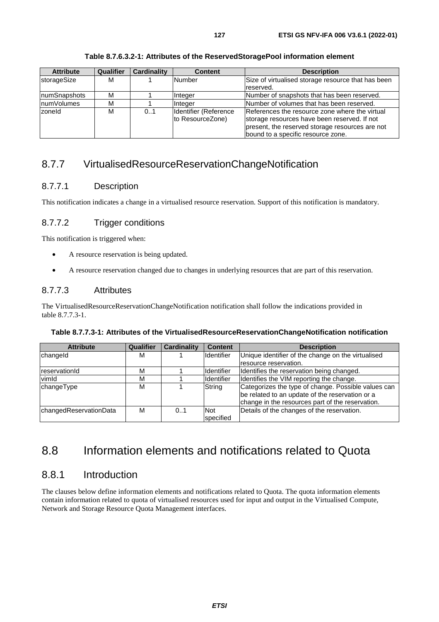| <b>Attribute</b> | Qualifier | Cardinality | <b>Content</b>                            | <b>Description</b>                                                                                                                                                                      |
|------------------|-----------|-------------|-------------------------------------------|-----------------------------------------------------------------------------------------------------------------------------------------------------------------------------------------|
| storageSize      | М         |             | Number                                    | Size of virtualised storage resource that has been<br>reserved.                                                                                                                         |
| numSnapshots     | М         |             | Integer                                   | Number of snapshots that has been reserved.                                                                                                                                             |
| numVolumes       | М         |             | <b>Integer</b>                            | Number of volumes that has been reserved.                                                                                                                                               |
| zoneld           | М         | 0.1         | Identifier (Reference<br>to ResourceZone) | References the resource zone where the virtual<br>storage resources have been reserved. If not<br>present, the reserved storage resources are not<br>bound to a specific resource zone. |

**Table 8.7.6.3.2-1: Attributes of the ReservedStoragePool information element** 

# 8.7.7 VirtualisedResourceReservationChangeNotification

## 8.7.7.1 Description

This notification indicates a change in a virtualised resource reservation. Support of this notification is mandatory.

# 8.7.7.2 Trigger conditions

This notification is triggered when:

- A resource reservation is being updated.
- A resource reservation changed due to changes in underlying resources that are part of this reservation.

## 8.7.7.3 Attributes

The VirtualisedResourceReservationChangeNotification notification shall follow the indications provided in table 8.7.7.3-1.

| <b>Attribute</b>       | <b>Qualifier</b> | <b>Cardinality</b> | <b>Content</b>          | <b>Description</b>                                                                                                                                         |
|------------------------|------------------|--------------------|-------------------------|------------------------------------------------------------------------------------------------------------------------------------------------------------|
| changeld               | м                |                    | <b>Identifier</b>       | Unique identifier of the change on the virtualised                                                                                                         |
|                        |                  |                    |                         | resource reservation.                                                                                                                                      |
| reservationId          | М                |                    | <b>I</b> dentifier      | Identifies the reservation being changed.                                                                                                                  |
| vimld                  | М                |                    | Identifier              | Identifies the VIM reporting the change.                                                                                                                   |
| changeType             | M                |                    | String                  | Categorizes the type of change. Possible values can<br>be related to an update of the reservation or a<br>change in the resources part of the reservation. |
| changedReservationData | М                | 0.1                | <b>Not</b><br>specified | Details of the changes of the reservation.                                                                                                                 |

# 8.8 Information elements and notifications related to Quota

# 8.8.1 Introduction

The clauses below define information elements and notifications related to Quota. The quota information elements contain information related to quota of virtualised resources used for input and output in the Virtualised Compute, Network and Storage Resource Quota Management interfaces.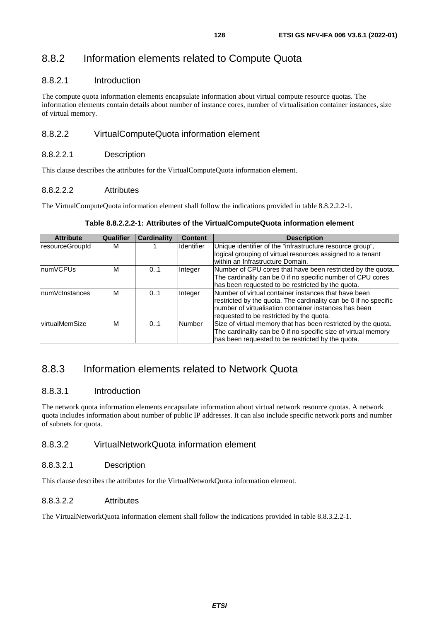# 8.8.2 Information elements related to Compute Quota

#### 8.8.2.1 Introduction

The compute quota information elements encapsulate information about virtual compute resource quotas. The information elements contain details about number of instance cores, number of virtualisation container instances, size of virtual memory.

### 8.8.2.2 VirtualComputeQuota information element

#### 8.8.2.2.1 Description

This clause describes the attributes for the VirtualComputeQuota information element.

#### 8.8.2.2.2 Attributes

The VirtualComputeQuota information element shall follow the indications provided in table 8.8.2.2.2-1.

#### **Table 8.8.2.2.2-1: Attributes of the VirtualComputeQuota information element**

| <b>Attribute</b> | Qualifier | Cardinality | <b>Content</b>    | <b>Description</b>                                                                                                                                                                |
|------------------|-----------|-------------|-------------------|-----------------------------------------------------------------------------------------------------------------------------------------------------------------------------------|
| resourceGroupId  | м         |             | <b>Identifier</b> | Unique identifier of the "infrastructure resource group",                                                                                                                         |
|                  |           |             |                   | logical grouping of virtual resources assigned to a tenant<br>within an Infrastructure Domain.                                                                                    |
| <b>InumVCPUs</b> | M         | 0.1         | Integer           | Number of CPU cores that have been restricted by the quota.                                                                                                                       |
|                  |           |             |                   | The cardinality can be 0 if no specific number of CPU cores                                                                                                                       |
|                  |           |             |                   | has been requested to be restricted by the quota.                                                                                                                                 |
| InumVcInstances  | м         | 0.1         | Integer           | Number of virtual container instances that have been<br>restricted by the quota. The cardinality can be 0 if no specific<br>number of virtualisation container instances has been |
|                  |           |             |                   | requested to be restricted by the quota.                                                                                                                                          |
| virtualMemSize   | м         | 0.1         | Number            | Size of virtual memory that has been restricted by the quota.                                                                                                                     |
|                  |           |             |                   | The cardinality can be 0 if no specific size of virtual memory                                                                                                                    |
|                  |           |             |                   | has been requested to be restricted by the quota.                                                                                                                                 |

# 8.8.3 Information elements related to Network Quota

### 8.8.3.1 Introduction

The network quota information elements encapsulate information about virtual network resource quotas. A network quota includes information about number of public IP addresses. It can also include specific network ports and number of subnets for quota.

#### 8.8.3.2 VirtualNetworkQuota information element

#### 8.8.3.2.1 Description

This clause describes the attributes for the VirtualNetworkQuota information element.

#### 8.8.3.2.2 Attributes

The VirtualNetworkQuota information element shall follow the indications provided in table 8.8.3.2.2-1.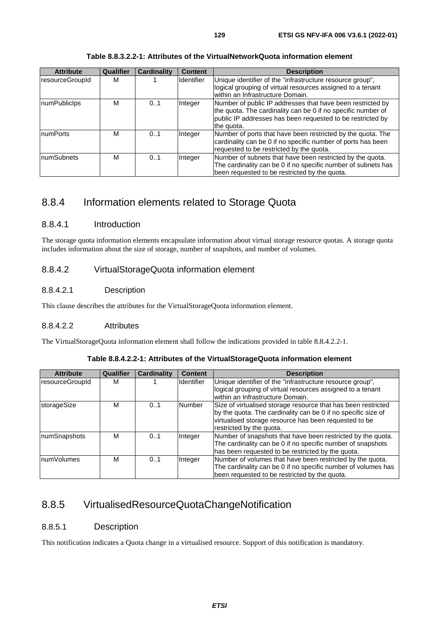| <b>Attribute</b>  | Qualifier | <b>Cardinality</b> | <b>Content</b> | <b>Description</b>                                                                                                                                                                                     |
|-------------------|-----------|--------------------|----------------|--------------------------------------------------------------------------------------------------------------------------------------------------------------------------------------------------------|
| resourceGroupId   | м         |                    | Identifier     | Unique identifier of the "infrastructure resource group",<br>logical grouping of virtual resources assigned to a tenant<br>within an Infrastructure Domain.                                            |
| numPublicIps      | М         | 0.1                | Integer        | Number of public IP addresses that have been restricted by<br>the quota. The cardinality can be 0 if no specific number of<br>public IP addresses has been requested to be restricted by<br>the quota. |
| <b>InumPorts</b>  | м         | 0.1                | Integer        | Number of ports that have been restricted by the quota. The<br>cardinality can be 0 if no specific number of ports has been<br>requested to be restricted by the quota.                                |
| <b>numSubnets</b> | м         | 0.1                | Integer        | Number of subnets that have been restricted by the quota.<br>The cardinality can be 0 if no specific number of subnets has<br>been requested to be restricted by the quota.                            |

**Table 8.8.3.2.2-1: Attributes of the VirtualNetworkQuota information element** 

# 8.8.4 Information elements related to Storage Quota

### 8.8.4.1 Introduction

The storage quota information elements encapsulate information about virtual storage resource quotas. A storage quota includes information about the size of storage, number of snapshots, and number of volumes.

### 8.8.4.2 VirtualStorageQuota information element

### 8.8.4.2.1 Description

This clause describes the attributes for the VirtualStorageQuota information element.

#### 8.8.4.2.2 Attributes

The VirtualStorageQuota information element shall follow the indications provided in table 8.8.4.2.2-1.

|  | Table 8.8.4.2.2-1: Attributes of the VirtualStorageQuota information element |
|--|------------------------------------------------------------------------------|
|  |                                                                              |

| <b>Attribute</b> | <b>Qualifier</b> | <b>Cardinality</b> | <b>Content</b>    | <b>Description</b>                                            |
|------------------|------------------|--------------------|-------------------|---------------------------------------------------------------|
| resourceGroupId  | м                |                    | <b>Identifier</b> | Unique identifier of the "infrastructure resource group",     |
|                  |                  |                    |                   | logical grouping of virtual resources assigned to a tenant    |
|                  |                  |                    |                   | within an Infrastructure Domain.                              |
| storageSize      | м                | 0.1                | <b>Number</b>     | Size of virtualised storage resource that has been restricted |
|                  |                  |                    |                   | by the quota. The cardinality can be 0 if no specific size of |
|                  |                  |                    |                   | virtualised storage resource has been requested to be         |
|                  |                  |                    |                   | restricted by the quota.                                      |
| numSnapshots     | м                | 0.1                | Integer           | Number of snapshots that have been restricted by the quota.   |
|                  |                  |                    |                   | The cardinality can be 0 if no specific number of snapshots   |
|                  |                  |                    |                   | has been requested to be restricted by the quota.             |
| InumVolumes      | м                | 01                 | <b>Integer</b>    | Number of volumes that have been restricted by the quota.     |
|                  |                  |                    |                   | The cardinality can be 0 if no specific number of volumes has |
|                  |                  |                    |                   | been requested to be restricted by the quota.                 |

# 8.8.5 VirtualisedResourceQuotaChangeNotification

### 8.8.5.1 Description

This notification indicates a Quota change in a virtualised resource. Support of this notification is mandatory.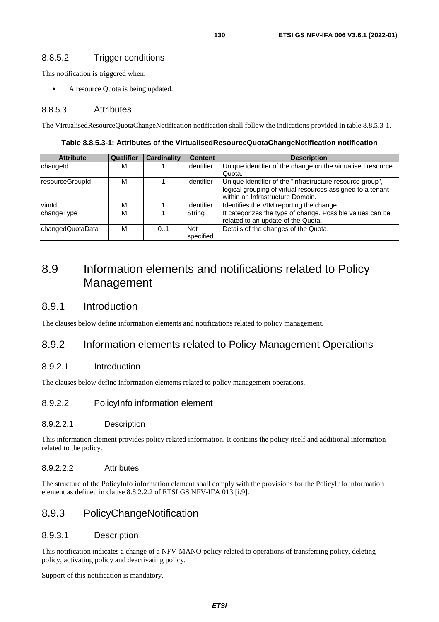#### 8.8.5.2 Trigger conditions

This notification is triggered when:

A resource Quota is being updated.

#### 8.8.5.3 Attributes

The VirtualisedResourceQuotaChangeNotification notification shall follow the indications provided in table 8.8.5.3-1.

| Table 8.8.5.3-1: Attributes of the VirtualisedResourceQuotaChangeNotification notification |  |
|--------------------------------------------------------------------------------------------|--|
|--------------------------------------------------------------------------------------------|--|

| <b>Attribute</b> | <b>Qualifier</b> | <b>Cardinality</b> | <b>Content</b>    | <b>Description</b>                                          |
|------------------|------------------|--------------------|-------------------|-------------------------------------------------------------|
| changeld         | м                |                    | <b>Identifier</b> | Unique identifier of the change on the virtualised resource |
|                  |                  |                    |                   | Quota.                                                      |
| resourceGroupId  | М                |                    | <b>Identifier</b> | Unique identifier of the "infrastructure resource group",   |
|                  |                  |                    |                   | logical grouping of virtual resources assigned to a tenant  |
|                  |                  |                    |                   | within an Infrastructure Domain.                            |
| vimld            | м                |                    | <b>Identifier</b> | Identifies the VIM reporting the change.                    |
| changeType       | М                |                    | String            | It categorizes the type of change. Possible values can be   |
|                  |                  |                    |                   | related to an update of the Quota.                          |
| changedQuotaData | М                | 0.1                | <b>Not</b>        | Details of the changes of the Quota.                        |
|                  |                  |                    | specified         |                                                             |

# 8.9 Information elements and notifications related to Policy Management

### 8.9.1 Introduction

The clauses below define information elements and notifications related to policy management.

### 8.9.2 Information elements related to Policy Management Operations

#### 8.9.2.1 Introduction

The clauses below define information elements related to policy management operations.

#### 8.9.2.2 PolicyInfo information element

#### 8.9.2.2.1 Description

This information element provides policy related information. It contains the policy itself and additional information related to the policy.

#### 8.9.2.2.2 Attributes

The structure of the PolicyInfo information element shall comply with the provisions for the PolicyInfo information element as defined in clause 8.8.2.2.2 of ETSI GS NFV-IFA 013 [[i.9](#page-16-0)].

### 8.9.3 PolicyChangeNotification

#### 8.9.3.1 Description

This notification indicates a change of a NFV-MANO policy related to operations of transferring policy, deleting policy, activating policy and deactivating policy.

Support of this notification is mandatory.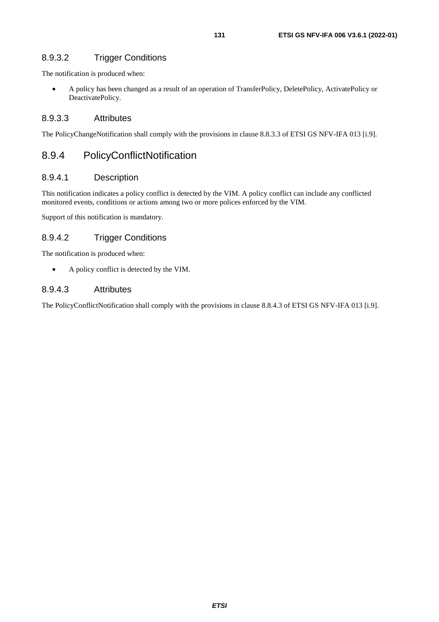## 8.9.3.2 Trigger Conditions

The notification is produced when:

• A policy has been changed as a result of an operation of TransferPolicy, DeletePolicy, ActivatePolicy or DeactivatePolicy.

### 8.9.3.3 Attributes

The PolicyChangeNotification shall comply with the provisions in clause 8.8.3.3 of ETSI GS NFV-IFA 013 [[i.9](#page-16-0)].

# 8.9.4 PolicyConflictNotification

### 8.9.4.1 Description

This notification indicates a policy conflict is detected by the VIM. A policy conflict can include any conflicted monitored events, conditions or actions among two or more polices enforced by the VIM.

Support of this notification is mandatory.

## 8.9.4.2 Trigger Conditions

The notification is produced when:

• A policy conflict is detected by the VIM.

### 8.9.4.3 Attributes

The PolicyConflictNotification shall comply with the provisions in clause 8.8.4.3 of ETSI GS NFV-IFA 013 [\[i.9](#page-16-0)].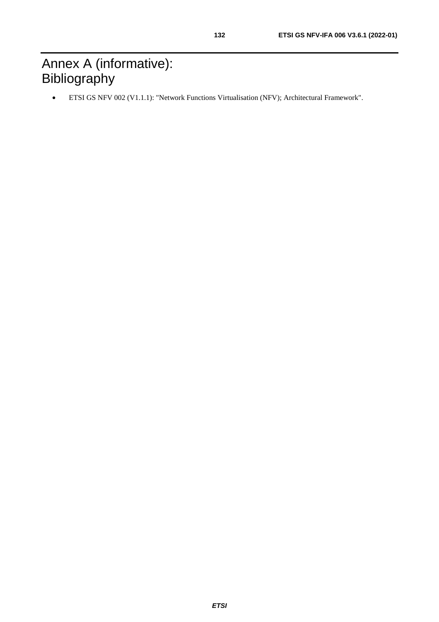• ETSI GS NFV 002 (V1.1.1): "Network Functions Virtualisation (NFV); Architectural Framework".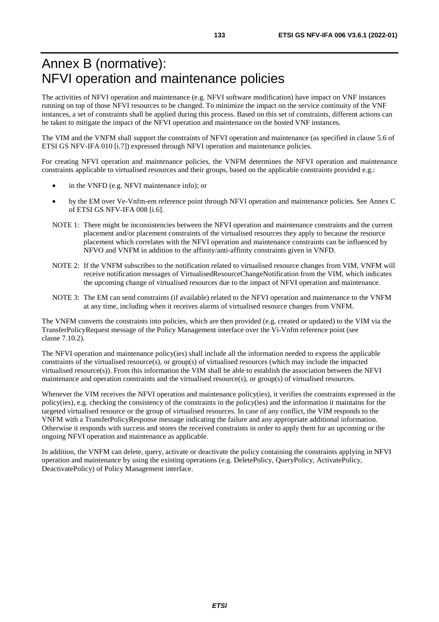# Annex B (normative): NFVI operation and maintenance policies

The activities of NFVI operation and maintenance (e.g. NFVI software modification) have impact on VNF instances running on top of those NFVI resources to be changed. To minimize the impact on the service continuity of the VNF instances, a set of constraints shall be applied during this process. Based on this set of constraints, different actions can be taken to mitigate the impact of the NFVI operation and maintenance on the hosted VNF instances.

The VIM and the VNFM shall support the constraints of NFVI operation and maintenance (as specified in clause 5.6 of ETSI GS NFV-IFA 010 [[i.7](#page-15-0)]) expressed through NFVI operation and maintenance policies.

For creating NFVI operation and maintenance policies, the VNFM determines the NFVI operation and maintenance constraints applicable to virtualised resources and their groups, based on the applicable constraints provided e.g.:

- in the VNFD (e.g. NFVI maintenance info); or
- by the EM over Ve-Vnfm-em reference point through NFVI operation and maintenance policies. See Annex C of ETSI GS NFV-IFA 008 [[i.6](#page-15-0)].
- NOTE 1: There might be inconsistencies between the NFVI operation and maintenance constraints and the current placement and/or placement constraints of the virtualised resources they apply to because the resource placement which correlates with the NFVI operation and maintenance constraints can be influenced by NFVO and VNFM in addition to the affinity/anti-affinity constraints given in VNFD.
- NOTE 2: If the VNFM subscribes to the notification related to virtualised resource changes from VIM, VNFM will receive notification messages of VirtualisedResourceChangeNotification from the VIM, which indicates the upcoming change of virtualised resources due to the impact of NFVI operation and maintenance.
- NOTE 3: The EM can send constraints (if available) related to the NFVI operation and maintenance to the VNFM at any time, including when it receives alarms of virtualised resource changes from VNFM.

The VNFM converts the constraints into policies, which are then provided (e.g. created or updated) to the VIM via the TransferPolicyRequest message of the Policy Management interface over the Vi-Vnfm reference point (see clause 7.10.2).

The NFVI operation and maintenance policy(ies) shall include all the information needed to express the applicable constraints of the virtualised resource(s), or group(s) of virtualised resources (which may include the impacted virtualised resource(s)). From this information the VIM shall be able to establish the association between the NFVI maintenance and operation constraints and the virtualised resource(s), or  $group(s)$  of virtualised resources.

Whenever the VIM receives the NFVI operation and maintenance policy(ies), it verifies the constraints expressed in the policy(ies), e.g. checking the consistency of the constraints in the policy(ies) and the information it maintains for the targeted virtualised resource or the group of virtualised resources. In case of any conflict, the VIM responds to the VNFM with a TransferPolicyResponse message indicating the failure and any appropriate additional information. Otherwise it responds with success and stores the received constraints in order to apply them for an upcoming or the ongoing NFVI operation and maintenance as applicable.

In addition, the VNFM can delete, query, activate or deactivate the policy containing the constraints applying in NFVI operation and maintenance by using the existing operations (e.g. DeletePolicy, QueryPolicy, ActivatePolicy, DeactivatePolicy) of Policy Management interface.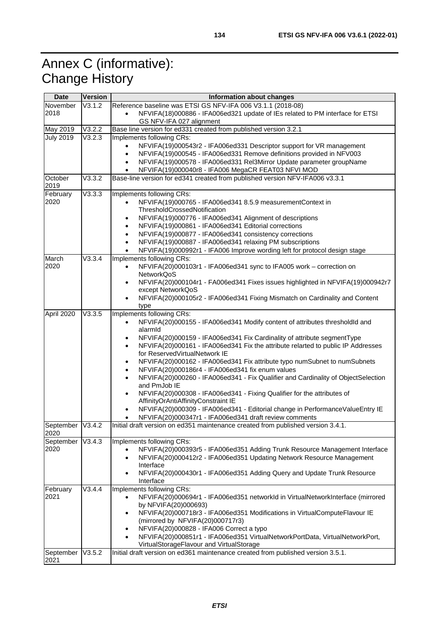# Annex C (informative): Change History

| <b>Date</b>      | Version | Information about changes                                                                                              |  |  |  |
|------------------|---------|------------------------------------------------------------------------------------------------------------------------|--|--|--|
| November         | V3.1.2  | Reference baseline was ETSI GS NFV-IFA 006 V3.1.1 (2018-08)                                                            |  |  |  |
| 2018             |         | NFVIFA(18)000886 - IFA006ed321 update of IEs related to PM interface for ETSI<br>$\bullet$<br>GS NFV-IFA 027 alignment |  |  |  |
| May 2019         | V3.2.2  | Base line version for ed331 created from published version 3.2.1                                                       |  |  |  |
| <b>July 2019</b> | V3.2.3  | Implements following CRs:                                                                                              |  |  |  |
|                  |         | NFVIFA(19)000543r2 - IFA006ed331 Descriptor support for VR management                                                  |  |  |  |
|                  |         | NFVIFA(19)000545 - IFA006ed331 Remove definitions provided in NFV003<br>$\bullet$                                      |  |  |  |
|                  |         |                                                                                                                        |  |  |  |
|                  |         | NFVIFA(19)000578 - IFA006ed331 Rel3Mirror Update parameter groupName<br>$\bullet$                                      |  |  |  |
|                  |         | NFVIFA(19)000040r8 - IFA006 MegaCR FEAT03 NFVI MOD                                                                     |  |  |  |
| October<br>2019  | V3.3.2  | Base-line version for ed341 created from published version NFV-IFA006 v3.3.1                                           |  |  |  |
| February         | V3.3.3  | Implements following CRs:                                                                                              |  |  |  |
| 2020             |         | NFVIFA(19)000765 - IFA006ed341 8.5.9 measurementContext in                                                             |  |  |  |
|                  |         | ThresholdCrossedNotification                                                                                           |  |  |  |
|                  |         | NFVIFA(19)000776 - IFA006ed341 Alignment of descriptions<br>٠                                                          |  |  |  |
|                  |         | NFVIFA(19)000861 - IFA006ed341 Editorial corrections<br>$\bullet$                                                      |  |  |  |
|                  |         | NFVIFA(19)000877 - IFA006ed341 consistency corrections<br>$\bullet$                                                    |  |  |  |
|                  |         | NFVIFA(19)000887 - IFA006ed341 relaxing PM subscriptions                                                               |  |  |  |
|                  |         | NFVIFA(19)000992r1 - IFA006 Improve wording left for protocol design stage                                             |  |  |  |
| March            | V3.3.4  | Implements following CRs:                                                                                              |  |  |  |
| 2020             |         | NFVIFA(20)000103r1 - IFA006ed341 sync to IFA005 work - correction on                                                   |  |  |  |
|                  |         | <b>NetworkQoS</b>                                                                                                      |  |  |  |
|                  |         | NFVIFA(20)000104r1 - FA006ed341 Fixes issues highlighted in NFVIFA(19)000942r7<br>$\bullet$                            |  |  |  |
|                  |         | except NetworkQoS                                                                                                      |  |  |  |
|                  |         |                                                                                                                        |  |  |  |
|                  |         | NFVIFA(20)000105r2 - IFA006ed341 Fixing Mismatch on Cardinality and Content                                            |  |  |  |
|                  |         | type                                                                                                                   |  |  |  |
| April 2020       | V3.3.5  | Implements following CRs:                                                                                              |  |  |  |
|                  |         | NFVIFA(20)000155 - IFA006ed341 Modify content of attributes thresholdld and<br>$\bullet$                               |  |  |  |
|                  |         | alarmid                                                                                                                |  |  |  |
|                  |         | NFVIFA(20)000159 - IFA006ed341 Fix Cardinality of attribute segmentType<br>$\bullet$                                   |  |  |  |
|                  |         | NFVIFA(20)000161 - IFA006ed341 Fix the attribute relarted to public IP Addresses                                       |  |  |  |
|                  |         | for ReservedVirtualNetwork IE                                                                                          |  |  |  |
|                  |         | NFVIFA(20)000162 - IFA006ed341 Fix attribute typo numSubnet to numSubnets                                              |  |  |  |
|                  |         | NFVIFA(20)000186r4 - IFA006ed341 fix enum values                                                                       |  |  |  |
|                  |         | NFVIFA(20)000260 - IFA006ed341 - Fix Qualifier and Cardinality of ObjectSelection                                      |  |  |  |
|                  |         | and PmJob IE                                                                                                           |  |  |  |
|                  |         | NFVIFA(20)000308 - IFA006ed341 - Fixing Qualifier for the attributes of                                                |  |  |  |
|                  |         | AffinityOrAntiAffinityConstraint IE                                                                                    |  |  |  |
|                  |         | NFVIFA(20)000309 - IFA006ed341 - Editorial change in PerformanceValueEntry IE                                          |  |  |  |
|                  |         | NFVIFA(20)000347r1 - IFA006ed341 draft review comments                                                                 |  |  |  |
| September        | V3.4.2  | Initial draft version on ed351 maintenance created from published version 3.4.1.                                       |  |  |  |
| 2020             |         |                                                                                                                        |  |  |  |
| September        | V3.4.3  | Implements following CRs:                                                                                              |  |  |  |
| 2020             |         | NFVIFA(20)000393r5 - IFA006ed351 Adding Trunk Resource Management Interface                                            |  |  |  |
|                  |         | NFVIFA(20)000412r2 - IFA006ed351 Updating Network Resource Management<br>$\bullet$                                     |  |  |  |
|                  |         | Interface                                                                                                              |  |  |  |
|                  |         | NFVIFA(20)000430r1 - IFA006ed351 Adding Query and Update Trunk Resource<br>٠                                           |  |  |  |
|                  |         | Interface                                                                                                              |  |  |  |
| February         | V3.4.4  | Implements following CRs:                                                                                              |  |  |  |
| 2021             |         | NFVIFA(20)000694r1 - IFA006ed351 networkId in VirtualNetworkInterface (mirrored<br>$\bullet$                           |  |  |  |
|                  |         | by NFVIFA(20)000693)                                                                                                   |  |  |  |
|                  |         |                                                                                                                        |  |  |  |
|                  |         | NFVIFA(20)000718r3 - IFA006ed351 Modifications in VirtualComputeFlavour IE<br>$\bullet$                                |  |  |  |
|                  |         | (mirrored by NFVIFA(20)000717r3)                                                                                       |  |  |  |
|                  |         | NFVIFA(20)000828 - IFA006 Correct a typo<br>$\bullet$                                                                  |  |  |  |
|                  |         | NFVIFA(20)000851r1 - IFA006ed351 VirtualNetworkPortData, VirtualNetworkPort,                                           |  |  |  |
|                  |         | VirtualStorageFlavour and VirtualStorage                                                                               |  |  |  |
| September        | V3.5.2  | Initial draft version on ed361 maintenance created from published version 3.5.1.                                       |  |  |  |
| 2021             |         |                                                                                                                        |  |  |  |